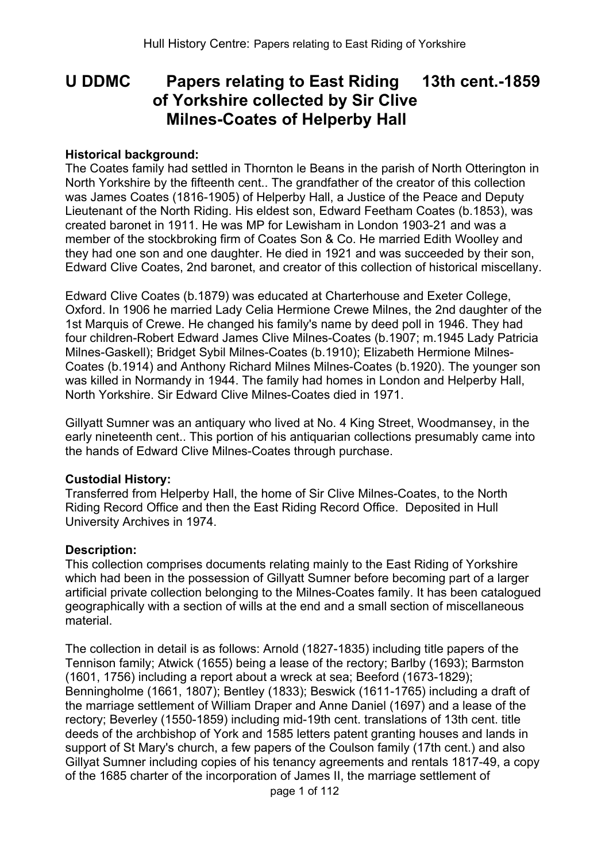# **U DDMC Papers relating to East Riding 13th cent.-1859 of Yorkshire collected by Sir Clive Milnes-Coates of Helperby Hall**

#### **Historical background:**

The Coates family had settled in Thornton le Beans in the parish of North Otterington in North Yorkshire by the fifteenth cent.. The grandfather of the creator of this collection was James Coates (1816-1905) of Helperby Hall, a Justice of the Peace and Deputy Lieutenant of the North Riding. His eldest son, Edward Feetham Coates (b.1853), was created baronet in 1911. He was MP for Lewisham in London 1903-21 and was a member of the stockbroking firm of Coates Son & Co. He married Edith Woolley and they had one son and one daughter. He died in 1921 and was succeeded by their son, Edward Clive Coates, 2nd baronet, and creator of this collection of historical miscellany.

Edward Clive Coates (b.1879) was educated at Charterhouse and Exeter College, Oxford. In 1906 he married Lady Celia Hermione Crewe Milnes, the 2nd daughter of the 1st Marquis of Crewe. He changed his family's name by deed poll in 1946. They had four children-Robert Edward James Clive Milnes-Coates (b.1907; m.1945 Lady Patricia Milnes-Gaskell); Bridget Sybil Milnes-Coates (b.1910); Elizabeth Hermione Milnes-Coates (b.1914) and Anthony Richard Milnes Milnes-Coates (b.1920). The younger son was killed in Normandy in 1944. The family had homes in London and Helperby Hall, North Yorkshire. Sir Edward Clive Milnes-Coates died in 1971.

Gillyatt Sumner was an antiquary who lived at No. 4 King Street, Woodmansey, in the early nineteenth cent.. This portion of his antiquarian collections presumably came into the hands of Edward Clive Milnes-Coates through purchase.

#### **Custodial History:**

Transferred from Helperby Hall, the home of Sir Clive Milnes-Coates, to the North Riding Record Office and then the East Riding Record Office. Deposited in Hull University Archives in 1974.

#### **Description:**

This collection comprises documents relating mainly to the East Riding of Yorkshire which had been in the possession of Gillyatt Sumner before becoming part of a larger artificial private collection belonging to the Milnes-Coates family. It has been catalogued geographically with a section of wills at the end and a small section of miscellaneous material.

The collection in detail is as follows: Arnold (1827-1835) including title papers of the Tennison family; Atwick (1655) being a lease of the rectory; Barlby (1693); Barmston (1601, 1756) including a report about a wreck at sea; Beeford (1673-1829); Benningholme (1661, 1807); Bentley (1833); Beswick (1611-1765) including a draft of the marriage settlement of William Draper and Anne Daniel (1697) and a lease of the rectory; Beverley (1550-1859) including mid-19th cent. translations of 13th cent. title deeds of the archbishop of York and 1585 letters patent granting houses and lands in support of St Mary's church, a few papers of the Coulson family (17th cent.) and also Gillyat Sumner including copies of his tenancy agreements and rentals 1817-49, a copy of the 1685 charter of the incorporation of James II, the marriage settlement of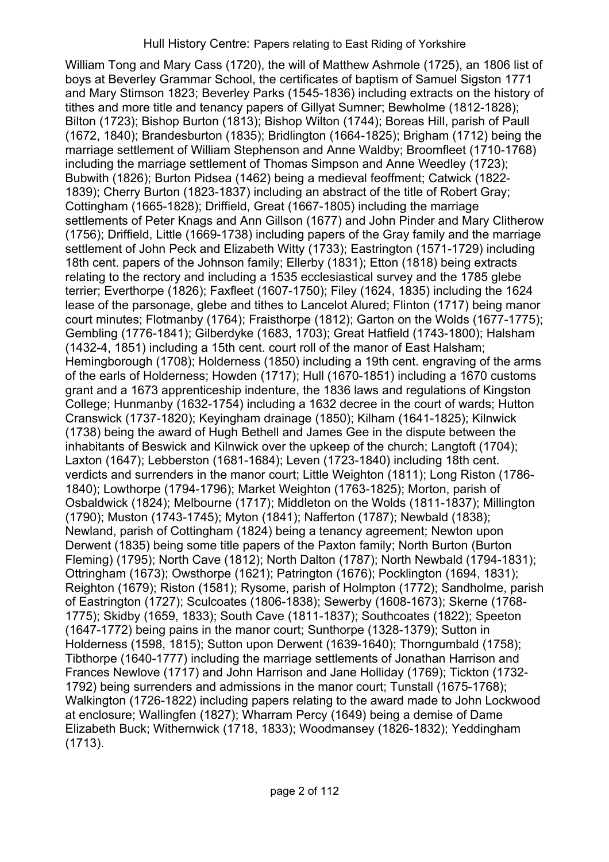William Tong and Mary Cass (1720), the will of Matthew Ashmole (1725), an 1806 list of boys at Beverley Grammar School, the certificates of baptism of Samuel Sigston 1771 and Mary Stimson 1823; Beverley Parks (1545-1836) including extracts on the history of tithes and more title and tenancy papers of Gillyat Sumner; Bewholme (1812-1828); Bilton (1723); Bishop Burton (1813); Bishop Wilton (1744); Boreas Hill, parish of Paull (1672, 1840); Brandesburton (1835); Bridlington (1664-1825); Brigham (1712) being the marriage settlement of William Stephenson and Anne Waldby; Broomfleet (1710-1768) including the marriage settlement of Thomas Simpson and Anne Weedley (1723); Bubwith (1826); Burton Pidsea (1462) being a medieval feoffment; Catwick (1822- 1839); Cherry Burton (1823-1837) including an abstract of the title of Robert Gray; Cottingham (1665-1828); Driffield, Great (1667-1805) including the marriage settlements of Peter Knags and Ann Gillson (1677) and John Pinder and Mary Clitherow (1756); Driffield, Little (1669-1738) including papers of the Gray family and the marriage settlement of John Peck and Elizabeth Witty (1733); Eastrington (1571-1729) including 18th cent. papers of the Johnson family; Ellerby (1831); Etton (1818) being extracts relating to the rectory and including a 1535 ecclesiastical survey and the 1785 glebe terrier; Everthorpe (1826); Faxfleet (1607-1750); Filey (1624, 1835) including the 1624 lease of the parsonage, glebe and tithes to Lancelot Alured; Flinton (1717) being manor court minutes; Flotmanby (1764); Fraisthorpe (1812); Garton on the Wolds (1677-1775); Gembling (1776-1841); Gilberdyke (1683, 1703); Great Hatfield (1743-1800); Halsham (1432-4, 1851) including a 15th cent. court roll of the manor of East Halsham; Hemingborough (1708); Holderness (1850) including a 19th cent. engraving of the arms of the earls of Holderness; Howden (1717); Hull (1670-1851) including a 1670 customs grant and a 1673 apprenticeship indenture, the 1836 laws and regulations of Kingston College; Hunmanby (1632-1754) including a 1632 decree in the court of wards; Hutton Cranswick (1737-1820); Keyingham drainage (1850); Kilham (1641-1825); Kilnwick (1738) being the award of Hugh Bethell and James Gee in the dispute between the inhabitants of Beswick and Kilnwick over the upkeep of the church; Langtoft (1704); Laxton (1647); Lebberston (1681-1684); Leven (1723-1840) including 18th cent. verdicts and surrenders in the manor court; Little Weighton (1811); Long Riston (1786- 1840); Lowthorpe (1794-1796); Market Weighton (1763-1825); Morton, parish of Osbaldwick (1824); Melbourne (1717); Middleton on the Wolds (1811-1837); Millington (1790); Muston (1743-1745); Myton (1841); Nafferton (1787); Newbald (1838); Newland, parish of Cottingham (1824) being a tenancy agreement; Newton upon Derwent (1835) being some title papers of the Paxton family; North Burton (Burton Fleming) (1795); North Cave (1812); North Dalton (1787); North Newbald (1794-1831); Ottringham (1673); Owsthorpe (1621); Patrington (1676); Pocklington (1694, 1831); Reighton (1679); Riston (1581); Rysome, parish of Holmpton (1772); Sandholme, parish of Eastrington (1727); Sculcoates (1806-1838); Sewerby (1608-1673); Skerne (1768- 1775); Skidby (1659, 1833); South Cave (1811-1837); Southcoates (1822); Speeton (1647-1772) being pains in the manor court; Sunthorpe (1328-1379); Sutton in Holderness (1598, 1815); Sutton upon Derwent (1639-1640); Thorngumbald (1758); Tibthorpe (1640-1777) including the marriage settlements of Jonathan Harrison and Frances Newlove (1717) and John Harrison and Jane Holliday (1769); Tickton (1732- 1792) being surrenders and admissions in the manor court; Tunstall (1675-1768); Walkington (1726-1822) including papers relating to the award made to John Lockwood at enclosure; Wallingfen (1827); Wharram Percy (1649) being a demise of Dame Elizabeth Buck; Withernwick (1718, 1833); Woodmansey (1826-1832); Yeddingham (1713).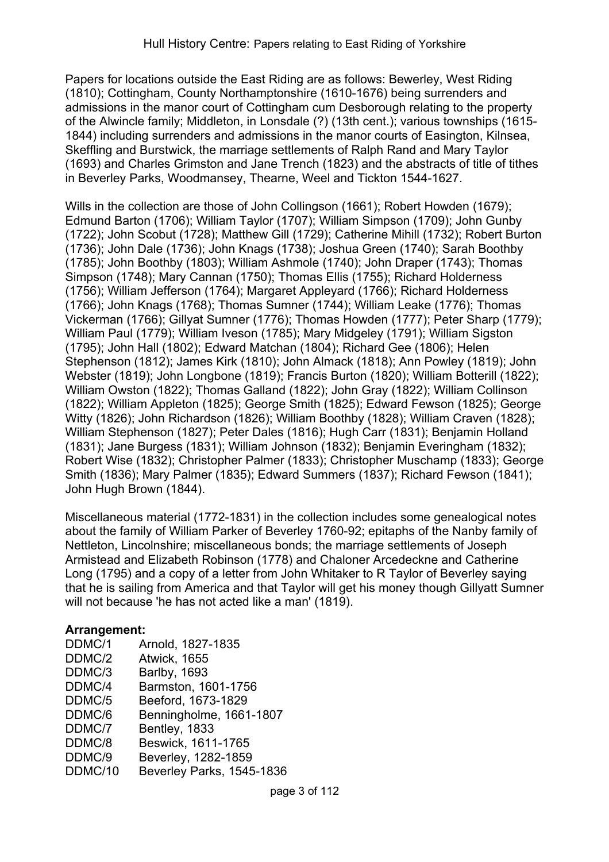Papers for locations outside the East Riding are as follows: Bewerley, West Riding (1810); Cottingham, County Northamptonshire (1610-1676) being surrenders and admissions in the manor court of Cottingham cum Desborough relating to the property of the Alwincle family; Middleton, in Lonsdale (?) (13th cent.); various townships (1615- 1844) including surrenders and admissions in the manor courts of Easington, Kilnsea, Skeffling and Burstwick, the marriage settlements of Ralph Rand and Mary Taylor (1693) and Charles Grimston and Jane Trench (1823) and the abstracts of title of tithes in Beverley Parks, Woodmansey, Thearne, Weel and Tickton 1544-1627.

Wills in the collection are those of John Collingson (1661); Robert Howden (1679); Edmund Barton (1706); William Taylor (1707); William Simpson (1709); John Gunby (1722); John Scobut (1728); Matthew Gill (1729); Catherine Mihill (1732); Robert Burton (1736); John Dale (1736); John Knags (1738); Joshua Green (1740); Sarah Boothby (1785); John Boothby (1803); William Ashmole (1740); John Draper (1743); Thomas Simpson (1748); Mary Cannan (1750); Thomas Ellis (1755); Richard Holderness (1756); William Jefferson (1764); Margaret Appleyard (1766); Richard Holderness (1766); John Knags (1768); Thomas Sumner (1744); William Leake (1776); Thomas Vickerman (1766); Gillyat Sumner (1776); Thomas Howden (1777); Peter Sharp (1779); William Paul (1779); William Iveson (1785); Mary Midgeley (1791); William Sigston (1795); John Hall (1802); Edward Matchan (1804); Richard Gee (1806); Helen Stephenson (1812); James Kirk (1810); John Almack (1818); Ann Powley (1819); John Webster (1819); John Longbone (1819); Francis Burton (1820); William Botterill (1822); William Owston (1822); Thomas Galland (1822); John Gray (1822); William Collinson (1822); William Appleton (1825); George Smith (1825); Edward Fewson (1825); George Witty (1826); John Richardson (1826); William Boothby (1828); William Craven (1828); William Stephenson (1827); Peter Dales (1816); Hugh Carr (1831); Benjamin Holland (1831); Jane Burgess (1831); William Johnson (1832); Benjamin Everingham (1832); Robert Wise (1832); Christopher Palmer (1833); Christopher Muschamp (1833); George Smith (1836); Mary Palmer (1835); Edward Summers (1837); Richard Fewson (1841); John Hugh Brown (1844).

Miscellaneous material (1772-1831) in the collection includes some genealogical notes about the family of William Parker of Beverley 1760-92; epitaphs of the Nanby family of Nettleton, Lincolnshire; miscellaneous bonds; the marriage settlements of Joseph Armistead and Elizabeth Robinson (1778) and Chaloner Arcedeckne and Catherine Long (1795) and a copy of a letter from John Whitaker to R Taylor of Beverley saying that he is sailing from America and that Taylor will get his money though Gillyatt Sumner will not because 'he has not acted like a man' (1819).

# **Arrangement:**

| DDMC/1  | Arnold, 1827-1835         |
|---------|---------------------------|
| DDMC/2  | <b>Atwick, 1655</b>       |
| DDMC/3  | <b>Barlby, 1693</b>       |
| DDMC/4  | Barmston, 1601-1756       |
| DDMC/5  | Beeford, 1673-1829        |
| DDMC/6  | Benningholme, 1661-1807   |
| DDMC/7  | Bentley, 1833             |
| DDMC/8  | Beswick, 1611-1765        |
| DDMC/9  | Beverley, 1282-1859       |
| DDMC/10 | Beverley Parks, 1545-1836 |
|         |                           |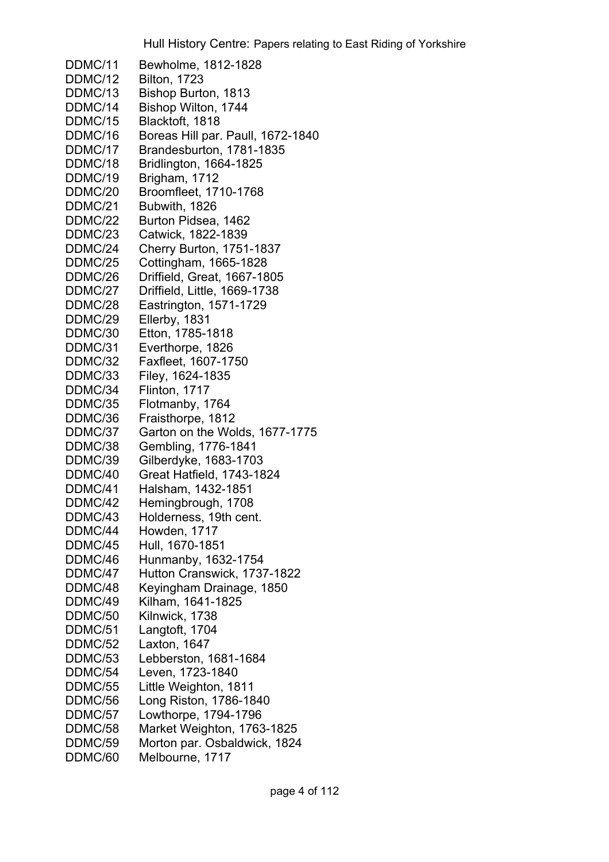DDMC/11 Bewholme, 1812-1828 DDMC/12 Bilton, 1723 DDMC/13 Bishop Burton, 1813 DDMC/14 Bishop Wilton, 1744 DDMC/15 Blacktoft, 1818 DDMC/16 Boreas Hill par. Paull, 1672-1840 DDMC/17 Brandesburton, 1781-1835 DDMC/18 Bridlington, 1664-1825 DDMC/19 Brigham, 1712 DDMC/20 Broomfleet, 1710-1768 DDMC/21 Bubwith, 1826 DDMC/22 Burton Pidsea, 1462 DDMC/23 Catwick, 1822-1839 DDMC/24 Cherry Burton, 1751-1837 DDMC/25 Cottingham, 1665-1828 DDMC/26 Driffield, Great, 1667-1805 DDMC/27 Driffield, Little, 1669-1738 DDMC/28 Eastrington, 1571-1729 DDMC/29 Ellerby, 1831 DDMC/30 Etton, 1785-1818 DDMC/31 Everthorpe, 1826 DDMC/32 Faxfleet, 1607-1750 DDMC/33 Filey, 1624-1835 DDMC/34 Flinton, 1717 DDMC/35 Flotmanby, 1764 DDMC/36 Fraisthorpe, 1812 DDMC/37 Garton on the Wolds, 1677-1775 DDMC/38 Gembling, 1776-1841 DDMC/39 Gilberdyke, 1683-1703 DDMC/40 Great Hatfield, 1743-1824 DDMC/41 Halsham, 1432-1851 DDMC/42 Hemingbrough, 1708 DDMC/43 Holderness, 19th cent. DDMC/44 Howden, 1717 DDMC/45 Hull, 1670-1851 DDMC/46 Hunmanby, 1632-1754 DDMC/47 Hutton Cranswick, 1737-1822 DDMC/48 Keyingham Drainage, 1850 DDMC/49 Kilham, 1641-1825 DDMC/50 Kilnwick, 1738 DDMC/51 Langtoft, 1704 DDMC/52 Laxton, 1647 DDMC/53 Lebberston, 1681-1684 DDMC/54 Leven, 1723-1840 DDMC/55 Little Weighton, 1811 DDMC/56 Long Riston, 1786-1840 DDMC/57 Lowthorpe, 1794-1796 DDMC/58 Market Weighton, 1763-1825 DDMC/59 Morton par. Osbaldwick, 1824 DDMC/60 Melbourne, 1717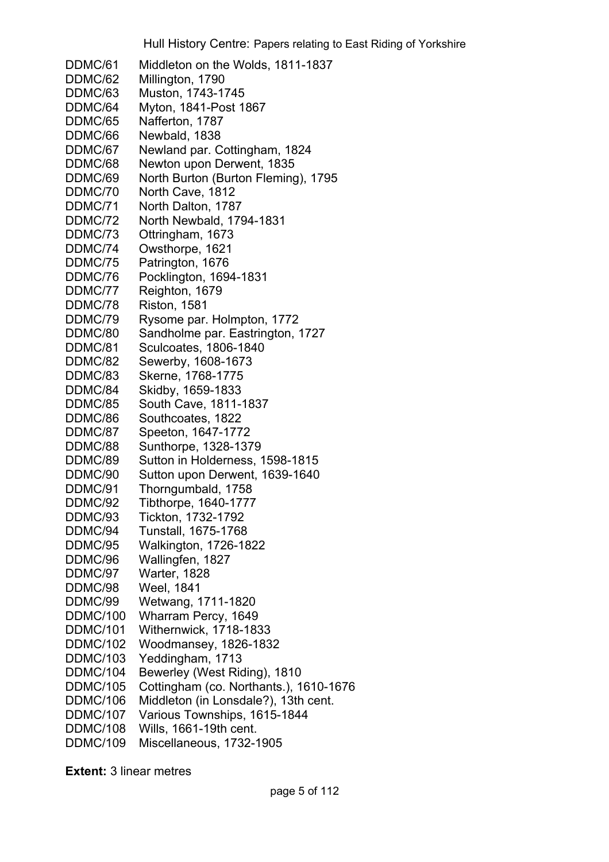DDMC/61 Middleton on the Wolds, 1811-1837 DDMC/62 Millington, 1790 DDMC/63 Muston, 1743-1745 DDMC/64 Myton, 1841-Post 1867 DDMC/65 Nafferton, 1787 DDMC/66 Newbald, 1838 DDMC/67 Newland par. Cottingham, 1824 DDMC/68 Newton upon Derwent, 1835 DDMC/69 North Burton (Burton Fleming), 1795 DDMC/70 North Cave, 1812 DDMC/71 North Dalton, 1787 DDMC/72 North Newbald, 1794-1831 DDMC/73 Ottringham, 1673 DDMC/74 Owsthorpe, 1621 DDMC/75 Patrington, 1676 DDMC/76 Pocklington, 1694-1831 DDMC/77 Reighton, 1679 DDMC/78 Riston, 1581 DDMC/79 Rysome par. Holmpton, 1772 DDMC/80 Sandholme par. Eastrington, 1727 DDMC/81 Sculcoates, 1806-1840 DDMC/82 Sewerby, 1608-1673 DDMC/83 Skerne, 1768-1775 DDMC/84 Skidby, 1659-1833 DDMC/85 South Cave, 1811-1837 DDMC/86 Southcoates, 1822 DDMC/87 Speeton, 1647-1772 DDMC/88 Sunthorpe, 1328-1379 DDMC/89 Sutton in Holderness, 1598-1815 DDMC/90 Sutton upon Derwent, 1639-1640 DDMC/91 Thorngumbald, 1758 DDMC/92 Tibthorpe, 1640-1777 DDMC/93 Tickton, 1732-1792 DDMC/94 Tunstall, 1675-1768 DDMC/95 Walkington, 1726-1822 DDMC/96 Wallingfen, 1827 DDMC/97 Warter, 1828 DDMC/98 Weel, 1841 DDMC/99 Wetwang, 1711-1820 DDMC/100 Wharram Percy, 1649 DDMC/101 Withernwick, 1718-1833 DDMC/102 Woodmansey, 1826-1832 DDMC/103 Yeddingham, 1713 DDMC/104 Bewerley (West Riding), 1810 DDMC/105 Cottingham (co. Northants.), 1610-1676 DDMC/106 Middleton (in Lonsdale?), 13th cent. DDMC/107 Various Townships, 1615-1844 DDMC/108 Wills, 1661-19th cent. DDMC/109 Miscellaneous, 1732-1905

**Extent:** 3 linear metres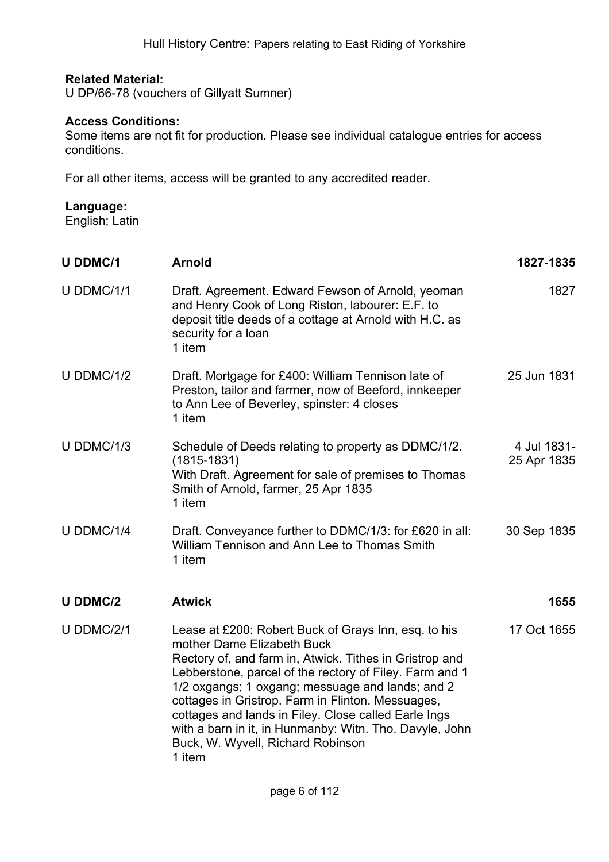## **Related Material:**

U DP/66-78 (vouchers of Gillyatt Sumner)

### **Access Conditions:**

Some items are not fit for production. Please see individual catalogue entries for access conditions.

For all other items, access will be granted to any accredited reader.

# **Language:**

English; Latin

| <b>U DDMC/1</b> | <b>Arnold</b>                                                                                                                                                                                                                                                                                                                                                                                                                                                                       | 1827-1835                  |
|-----------------|-------------------------------------------------------------------------------------------------------------------------------------------------------------------------------------------------------------------------------------------------------------------------------------------------------------------------------------------------------------------------------------------------------------------------------------------------------------------------------------|----------------------------|
| U DDMC/1/1      | Draft. Agreement. Edward Fewson of Arnold, yeoman<br>and Henry Cook of Long Riston, labourer: E.F. to<br>deposit title deeds of a cottage at Arnold with H.C. as<br>security for a loan<br>1 item                                                                                                                                                                                                                                                                                   | 1827                       |
| U DDMC/1/2      | Draft. Mortgage for £400: William Tennison late of<br>Preston, tailor and farmer, now of Beeford, innkeeper<br>to Ann Lee of Beverley, spinster: 4 closes<br>1 item                                                                                                                                                                                                                                                                                                                 | 25 Jun 1831                |
| U DDMC/1/3      | Schedule of Deeds relating to property as DDMC/1/2.<br>$(1815 - 1831)$<br>With Draft. Agreement for sale of premises to Thomas<br>Smith of Arnold, farmer, 25 Apr 1835<br>1 item                                                                                                                                                                                                                                                                                                    | 4 Jul 1831-<br>25 Apr 1835 |
| U DDMC/1/4      | Draft. Conveyance further to DDMC/1/3: for £620 in all:<br>William Tennison and Ann Lee to Thomas Smith<br>1 item                                                                                                                                                                                                                                                                                                                                                                   | 30 Sep 1835                |
| <b>U DDMC/2</b> | <b>Atwick</b>                                                                                                                                                                                                                                                                                                                                                                                                                                                                       | 1655                       |
| U DDMC/2/1      | Lease at £200: Robert Buck of Grays Inn, esq. to his<br>mother Dame Elizabeth Buck<br>Rectory of, and farm in, Atwick. Tithes in Gristrop and<br>Lebberstone, parcel of the rectory of Filey. Farm and 1<br>1/2 oxgangs; 1 oxgang; messuage and lands; and 2<br>cottages in Gristrop. Farm in Flinton. Messuages,<br>cottages and lands in Filey. Close called Earle Ings<br>with a barn in it, in Hunmanby: Witn. Tho. Davyle, John<br>Buck, W. Wyvell, Richard Robinson<br>1 item | 17 Oct 1655                |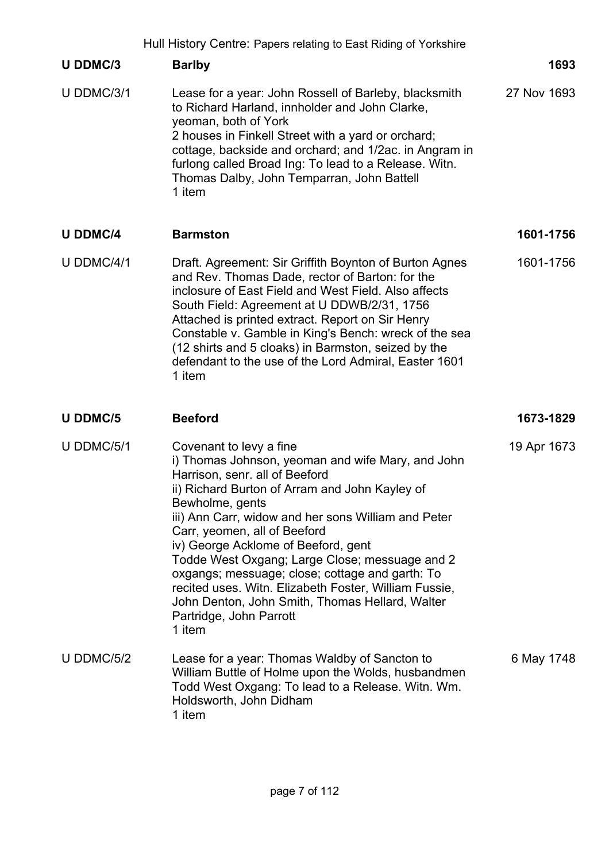|                 | Hull History Centre: Papers relating to East Riding of Yorkshire                                                                                                                                                                                                                                                                                                                                                                                                                                                                                                        |             |
|-----------------|-------------------------------------------------------------------------------------------------------------------------------------------------------------------------------------------------------------------------------------------------------------------------------------------------------------------------------------------------------------------------------------------------------------------------------------------------------------------------------------------------------------------------------------------------------------------------|-------------|
| <b>U DDMC/3</b> | <b>Barlby</b>                                                                                                                                                                                                                                                                                                                                                                                                                                                                                                                                                           | 1693        |
| U DDMC/3/1      | Lease for a year: John Rossell of Barleby, blacksmith<br>to Richard Harland, innholder and John Clarke,<br>yeoman, both of York<br>2 houses in Finkell Street with a yard or orchard;<br>cottage, backside and orchard; and 1/2ac. in Angram in<br>furlong called Broad Ing: To lead to a Release. Witn.<br>Thomas Dalby, John Temparran, John Battell<br>1 item                                                                                                                                                                                                        | 27 Nov 1693 |
| <b>U DDMC/4</b> | <b>Barmston</b>                                                                                                                                                                                                                                                                                                                                                                                                                                                                                                                                                         | 1601-1756   |
| U DDMC/4/1      | Draft. Agreement: Sir Griffith Boynton of Burton Agnes<br>and Rev. Thomas Dade, rector of Barton: for the<br>inclosure of East Field and West Field. Also affects<br>South Field: Agreement at U DDWB/2/31, 1756<br>Attached is printed extract. Report on Sir Henry<br>Constable v. Gamble in King's Bench: wreck of the sea<br>(12 shirts and 5 cloaks) in Barmston, seized by the<br>defendant to the use of the Lord Admiral, Easter 1601<br>1 item                                                                                                                 | 1601-1756   |
| <b>U DDMC/5</b> | <b>Beeford</b>                                                                                                                                                                                                                                                                                                                                                                                                                                                                                                                                                          | 1673-1829   |
| U DDMC/5/1      | Covenant to levy a fine<br>i) Thomas Johnson, yeoman and wife Mary, and John<br>Harrison, senr. all of Beeford<br>ii) Richard Burton of Arram and John Kayley of<br>Bewholme, gents<br>iii) Ann Carr, widow and her sons William and Peter<br>Carr, yeomen, all of Beeford<br>iv) George Acklome of Beeford, gent<br>Todde West Oxgang; Large Close; messuage and 2<br>oxgangs; messuage; close; cottage and garth: To<br>recited uses. Witn. Elizabeth Foster, William Fussie,<br>John Denton, John Smith, Thomas Hellard, Walter<br>Partridge, John Parrott<br>1 item | 19 Apr 1673 |
| U DDMC/5/2      | Lease for a year: Thomas Waldby of Sancton to<br>William Buttle of Holme upon the Wolds, husbandmen<br>Todd West Oxgang: To lead to a Release. Witn. Wm.<br>Holdsworth, John Didham                                                                                                                                                                                                                                                                                                                                                                                     | 6 May 1748  |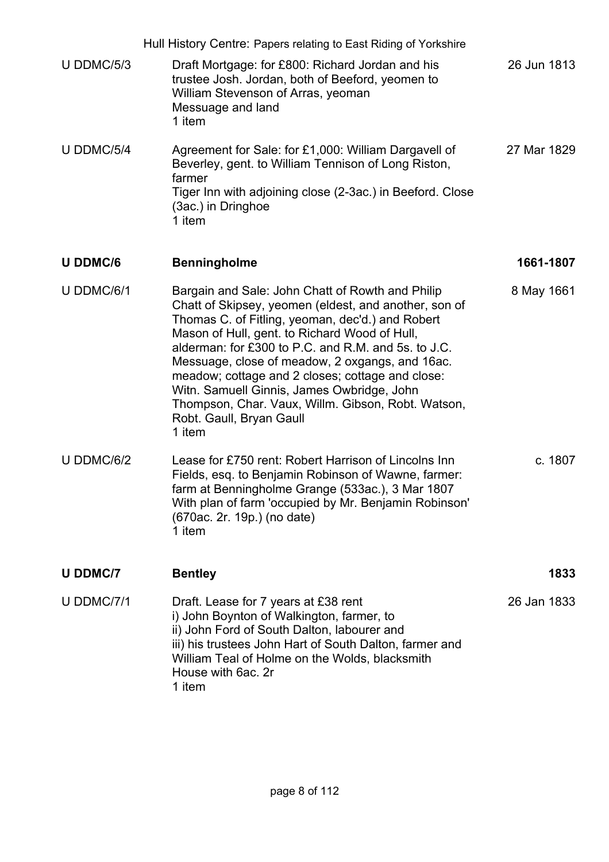|                 | Hull History Centre: Papers relating to East Riding of Yorkshire                                                                                                                                                                                                                                                                                                                                                                                                                                                       |             |
|-----------------|------------------------------------------------------------------------------------------------------------------------------------------------------------------------------------------------------------------------------------------------------------------------------------------------------------------------------------------------------------------------------------------------------------------------------------------------------------------------------------------------------------------------|-------------|
| $U$ DDMC/5/3    | Draft Mortgage: for £800: Richard Jordan and his<br>trustee Josh. Jordan, both of Beeford, yeomen to<br>William Stevenson of Arras, yeoman<br>Messuage and land<br>1 item                                                                                                                                                                                                                                                                                                                                              | 26 Jun 1813 |
| U DDMC/5/4      | Agreement for Sale: for £1,000: William Dargavell of<br>Beverley, gent. to William Tennison of Long Riston,<br>farmer<br>Tiger Inn with adjoining close (2-3ac.) in Beeford. Close<br>(3ac.) in Dringhoe<br>1 item                                                                                                                                                                                                                                                                                                     | 27 Mar 1829 |
| <b>U DDMC/6</b> | <b>Benningholme</b>                                                                                                                                                                                                                                                                                                                                                                                                                                                                                                    | 1661-1807   |
| U DDMC/6/1      | Bargain and Sale: John Chatt of Rowth and Philip<br>Chatt of Skipsey, yeomen (eldest, and another, son of<br>Thomas C. of Fitling, yeoman, dec'd.) and Robert<br>Mason of Hull, gent. to Richard Wood of Hull,<br>alderman: for £300 to P.C. and R.M. and 5s. to J.C.<br>Messuage, close of meadow, 2 oxgangs, and 16ac.<br>meadow; cottage and 2 closes; cottage and close:<br>Witn. Samuell Ginnis, James Owbridge, John<br>Thompson, Char. Vaux, Willm. Gibson, Robt. Watson,<br>Robt. Gaull, Bryan Gaull<br>1 item | 8 May 1661  |
| U DDMC/6/2      | Lease for £750 rent: Robert Harrison of Lincolns Inn<br>Fields, esq. to Benjamin Robinson of Wawne, farmer:<br>farm at Benningholme Grange (533ac.), 3 Mar 1807<br>With plan of farm 'occupied by Mr. Benjamin Robinson'<br>(670ac. 2r. 19p.) (no date)<br>1 item                                                                                                                                                                                                                                                      | c. 1807     |
| <b>U DDMC/7</b> | <b>Bentley</b>                                                                                                                                                                                                                                                                                                                                                                                                                                                                                                         | 1833        |
| U DDMC/7/1      | Draft. Lease for 7 years at £38 rent<br>i) John Boynton of Walkington, farmer, to<br>ii) John Ford of South Dalton, labourer and<br>iii) his trustees John Hart of South Dalton, farmer and<br>William Teal of Holme on the Wolds, blacksmith<br>House with 6ac. 2r<br>1 item                                                                                                                                                                                                                                          | 26 Jan 1833 |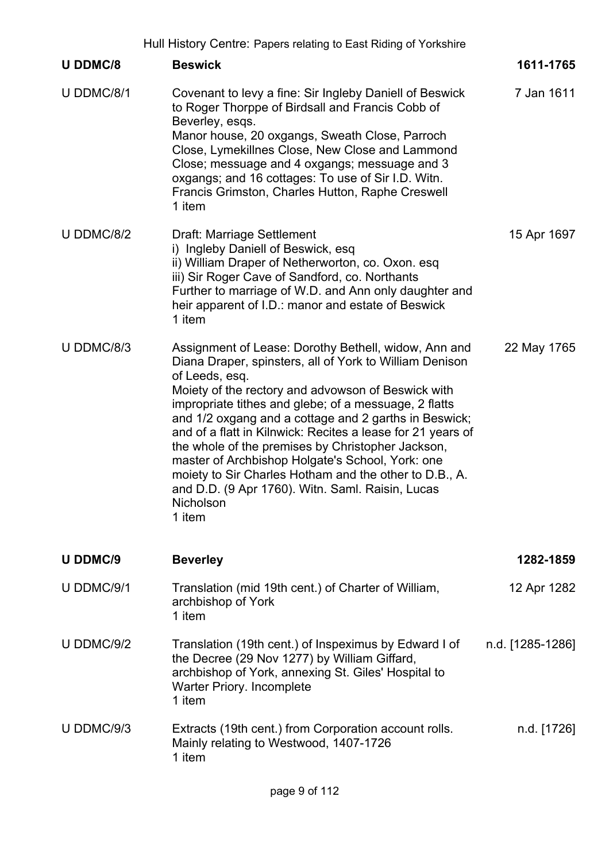|                 | Hull History Centre: Papers relating to East Riding of Yorkshire                                                                                                                                                                                                                                                                                                                                                                                                                                                                                                                                                       |                  |
|-----------------|------------------------------------------------------------------------------------------------------------------------------------------------------------------------------------------------------------------------------------------------------------------------------------------------------------------------------------------------------------------------------------------------------------------------------------------------------------------------------------------------------------------------------------------------------------------------------------------------------------------------|------------------|
| <b>U DDMC/8</b> | <b>Beswick</b>                                                                                                                                                                                                                                                                                                                                                                                                                                                                                                                                                                                                         | 1611-1765        |
| U DDMC/8/1      | Covenant to levy a fine: Sir Ingleby Daniell of Beswick<br>to Roger Thorppe of Birdsall and Francis Cobb of<br>Beverley, esgs.<br>Manor house, 20 oxgangs, Sweath Close, Parroch<br>Close, Lymekillnes Close, New Close and Lammond<br>Close; messuage and 4 oxgangs; messuage and 3<br>oxgangs; and 16 cottages: To use of Sir I.D. Witn.<br>Francis Grimston, Charles Hutton, Raphe Creswell<br>1 item                                                                                                                                                                                                               | 7 Jan 1611       |
| U DDMC/8/2      | Draft: Marriage Settlement<br>i) Ingleby Daniell of Beswick, esq<br>ii) William Draper of Netherworton, co. Oxon. esq<br>iii) Sir Roger Cave of Sandford, co. Northants<br>Further to marriage of W.D. and Ann only daughter and<br>heir apparent of I.D.: manor and estate of Beswick<br>1 item                                                                                                                                                                                                                                                                                                                       | 15 Apr 1697      |
| U DDMC/8/3      | Assignment of Lease: Dorothy Bethell, widow, Ann and<br>Diana Draper, spinsters, all of York to William Denison<br>of Leeds, esq.<br>Moiety of the rectory and advowson of Beswick with<br>impropriate tithes and glebe; of a messuage, 2 flatts<br>and 1/2 oxgang and a cottage and 2 garths in Beswick;<br>and of a flatt in Kilnwick: Recites a lease for 21 years of<br>the whole of the premises by Christopher Jackson,<br>master of Archbishop Holgate's School, York: one<br>moiety to Sir Charles Hotham and the other to D.B., A.<br>and D.D. (9 Apr 1760). Witn. Saml. Raisin, Lucas<br>Nicholson<br>1 item | 22 May 1765      |
| <b>U DDMC/9</b> | <b>Beverley</b>                                                                                                                                                                                                                                                                                                                                                                                                                                                                                                                                                                                                        | 1282-1859        |
| U DDMC/9/1      | Translation (mid 19th cent.) of Charter of William,<br>archbishop of York<br>1 item                                                                                                                                                                                                                                                                                                                                                                                                                                                                                                                                    | 12 Apr 1282      |
| U DDMC/9/2      | Translation (19th cent.) of Inspeximus by Edward I of<br>the Decree (29 Nov 1277) by William Giffard,<br>archbishop of York, annexing St. Giles' Hospital to<br><b>Warter Priory. Incomplete</b><br>1 item                                                                                                                                                                                                                                                                                                                                                                                                             | n.d. [1285-1286] |
| U DDMC/9/3      | Extracts (19th cent.) from Corporation account rolls.<br>Mainly relating to Westwood, 1407-1726<br>1 item                                                                                                                                                                                                                                                                                                                                                                                                                                                                                                              | n.d. [1726]      |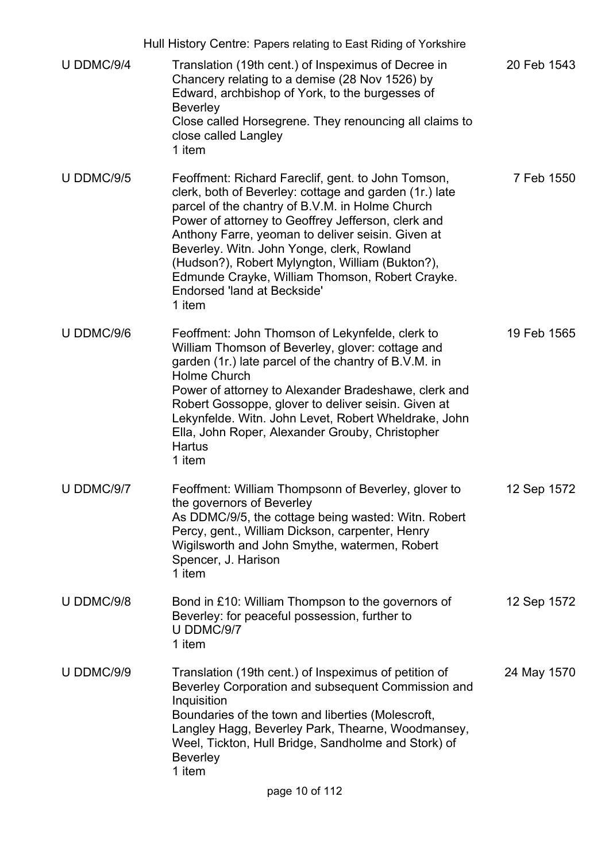|            | Hull History Centre: Papers relating to East Riding of Yorkshire                                                                                                                                                                                                                                                                                                                                                                                                               |             |
|------------|--------------------------------------------------------------------------------------------------------------------------------------------------------------------------------------------------------------------------------------------------------------------------------------------------------------------------------------------------------------------------------------------------------------------------------------------------------------------------------|-------------|
| U DDMC/9/4 | Translation (19th cent.) of Inspeximus of Decree in<br>Chancery relating to a demise (28 Nov 1526) by<br>Edward, archbishop of York, to the burgesses of<br><b>Beverley</b><br>Close called Horsegrene. They renouncing all claims to<br>close called Langley<br>1 item                                                                                                                                                                                                        | 20 Feb 1543 |
| U DDMC/9/5 | Feoffment: Richard Fareclif, gent. to John Tomson,<br>clerk, both of Beverley: cottage and garden (1r.) late<br>parcel of the chantry of B.V.M. in Holme Church<br>Power of attorney to Geoffrey Jefferson, clerk and<br>Anthony Farre, yeoman to deliver seisin. Given at<br>Beverley. Witn. John Yonge, clerk, Rowland<br>(Hudson?), Robert Mylyngton, William (Bukton?),<br>Edmunde Crayke, William Thomson, Robert Crayke.<br><b>Endorsed 'land at Beckside'</b><br>1 item | 7 Feb 1550  |
| U DDMC/9/6 | Feoffment: John Thomson of Lekynfelde, clerk to<br>William Thomson of Beverley, glover: cottage and<br>garden (1r.) late parcel of the chantry of B.V.M. in<br><b>Holme Church</b><br>Power of attorney to Alexander Bradeshawe, clerk and<br>Robert Gossoppe, glover to deliver seisin. Given at<br>Lekynfelde. Witn. John Levet, Robert Wheldrake, John<br>Ella, John Roper, Alexander Grouby, Christopher<br><b>Hartus</b><br>1 item                                        | 19 Feb 1565 |
| U DDMC/9/7 | Feoffment: William Thompsonn of Beverley, glover to<br>the governors of Beverley<br>As DDMC/9/5, the cottage being wasted: Witn. Robert<br>Percy, gent., William Dickson, carpenter, Henry<br>Wigilsworth and John Smythe, watermen, Robert<br>Spencer, J. Harison<br>1 item                                                                                                                                                                                                   | 12 Sep 1572 |
| U DDMC/9/8 | Bond in £10: William Thompson to the governors of<br>Beverley: for peaceful possession, further to<br>U DDMC/9/7<br>1 item                                                                                                                                                                                                                                                                                                                                                     | 12 Sep 1572 |
| U DDMC/9/9 | Translation (19th cent.) of Inspeximus of petition of<br>Beverley Corporation and subsequent Commission and<br>Inquisition<br>Boundaries of the town and liberties (Molescroft,<br>Langley Hagg, Beverley Park, Thearne, Woodmansey,<br>Weel, Tickton, Hull Bridge, Sandholme and Stork) of<br><b>Beverley</b><br>1 item                                                                                                                                                       | 24 May 1570 |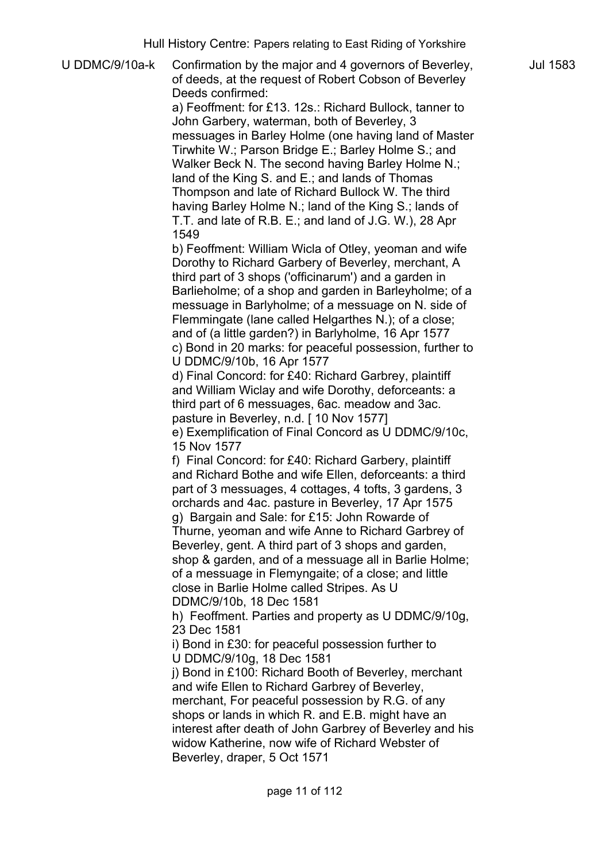| U DDMC/9/10a-k | rian riistory Oomao. Fapois rolaang to East Riang or Forkshiro<br>Confirmation by the major and 4 governors of Beverley,<br>of deeds, at the request of Robert Cobson of Beverley<br>Deeds confirmed:<br>a) Feoffment: for £13. 12s.: Richard Bullock, tanner to<br>John Garbery, waterman, both of Beverley, 3<br>messuages in Barley Holme (one having land of Master<br>Tirwhite W.; Parson Bridge E.; Barley Holme S.; and<br>Walker Beck N. The second having Barley Holme N.;<br>land of the King S. and E.; and lands of Thomas<br>Thompson and late of Richard Bullock W. The third<br>having Barley Holme N.; land of the King S.; lands of<br>T.T. and late of R.B. E.; and land of J.G. W.), 28 Apr<br>1549<br>b) Feoffment: William Wicla of Otley, yeoman and wife<br>Dorothy to Richard Garbery of Beverley, merchant, A<br>third part of 3 shops ('officinarum') and a garden in<br>Barlieholme; of a shop and garden in Barleyholme; of a<br>messuage in Barlyholme; of a messuage on N. side of<br>Flemmingate (lane called Helgarthes N.); of a close;<br>and of (a little garden?) in Barlyholme, 16 Apr 1577<br>c) Bond in 20 marks: for peaceful possession, further to<br>U DDMC/9/10b, 16 Apr 1577<br>d) Final Concord: for £40: Richard Garbrey, plaintiff<br>and William Wiclay and wife Dorothy, deforceants: a<br>third part of 6 messuages, 6ac. meadow and 3ac.<br>pasture in Beverley, n.d. [ 10 Nov 1577]<br>e) Exemplification of Final Concord as U DDMC/9/10c,<br>15 Nov 1577<br>f) Final Concord: for £40: Richard Garbery, plaintiff<br>and Richard Bothe and wife Ellen, deforceants: a third<br>part of 3 messuages, 4 cottages, 4 tofts, 3 gardens, 3<br>orchards and 4ac. pasture in Beverley, 17 Apr 1575<br>g) Bargain and Sale: for £15: John Rowarde of<br>Thurne, yeoman and wife Anne to Richard Garbrey of<br>Beverley, gent. A third part of 3 shops and garden,<br>shop & garden, and of a messuage all in Barlie Holme;<br>of a messuage in Flemyngaite; of a close; and little<br>close in Barlie Holme called Stripes. As U<br>DDMC/9/10b, 18 Dec 1581<br>h) Feoffment. Parties and property as U DDMC/9/10g,<br>23 Dec 1581<br>i) Bond in £30: for peaceful possession further to<br>U DDMC/9/10g, 18 Dec 1581<br>j) Bond in £100: Richard Booth of Beverley, merchant<br>and wife Ellen to Richard Garbrey of Beverley,<br>merchant, For peaceful possession by R.G. of any<br>shops or lands in which R. and E.B. might have an<br>interest after death of John Garbrey of Beverley and his<br>widow Katherine, now wife of Richard Webster of |
|----------------|-------------------------------------------------------------------------------------------------------------------------------------------------------------------------------------------------------------------------------------------------------------------------------------------------------------------------------------------------------------------------------------------------------------------------------------------------------------------------------------------------------------------------------------------------------------------------------------------------------------------------------------------------------------------------------------------------------------------------------------------------------------------------------------------------------------------------------------------------------------------------------------------------------------------------------------------------------------------------------------------------------------------------------------------------------------------------------------------------------------------------------------------------------------------------------------------------------------------------------------------------------------------------------------------------------------------------------------------------------------------------------------------------------------------------------------------------------------------------------------------------------------------------------------------------------------------------------------------------------------------------------------------------------------------------------------------------------------------------------------------------------------------------------------------------------------------------------------------------------------------------------------------------------------------------------------------------------------------------------------------------------------------------------------------------------------------------------------------------------------------------------------------------------------------------------------------------------------------------------------------------------------------------------------------------------------------------------------------------------------------------------------------------------------------------------------------------------------------------------------------------------------------------------------------------------------------------------------------------------|
|                | Beverley, draper, 5 Oct 1571                                                                                                                                                                                                                                                                                                                                                                                                                                                                                                                                                                                                                                                                                                                                                                                                                                                                                                                                                                                                                                                                                                                                                                                                                                                                                                                                                                                                                                                                                                                                                                                                                                                                                                                                                                                                                                                                                                                                                                                                                                                                                                                                                                                                                                                                                                                                                                                                                                                                                                                                                                          |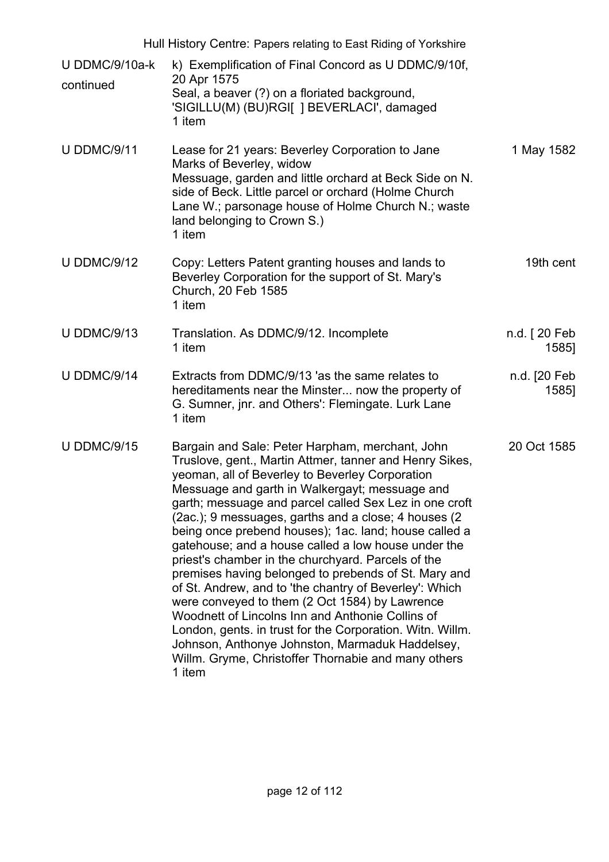Hull History Centre: Papers relating to East Riding of Yorkshire

- U DDMC/9/10a-k continued k) Exemplification of Final Concord as U DDMC/9/10f, 20 Apr 1575 Seal, a beaver (?) on a floriated background, 'SIGILLU(M) (BU)RGI[ ] BEVERLACI', damaged 1 item
- U DDMC/9/11 Lease for 21 years: Beverley Corporation to Jane Marks of Beverley, widow Messuage, garden and little orchard at Beck Side on N. side of Beck. Little parcel or orchard (Holme Church Lane W.; parsonage house of Holme Church N.; waste land belonging to Crown S.) 1 item 1 May 1582
- U DDMC/9/12 Copy: Letters Patent granting houses and lands to Beverley Corporation for the support of St. Mary's Church, 20 Feb 1585 1 item 19th cent
- U DDMC/9/13 Translation. As DDMC/9/12. Incomplete 1 item n.d. [ 20 Feb 1585]
- U DDMC/9/14 Extracts from DDMC/9/13 'as the same relates to hereditaments near the Minster... now the property of G. Sumner, jnr. and Others': Flemingate. Lurk Lane 1 item n.d. [20 Feb 1585]
- U DDMC/9/15 Bargain and Sale: Peter Harpham, merchant, John Truslove, gent., Martin Attmer, tanner and Henry Sikes, yeoman, all of Beverley to Beverley Corporation Messuage and garth in Walkergayt; messuage and garth; messuage and parcel called Sex Lez in one croft (2ac.); 9 messuages, garths and a close; 4 houses (2 being once prebend houses); 1ac. land; house called a gatehouse; and a house called a low house under the priest's chamber in the churchyard. Parcels of the premises having belonged to prebends of St. Mary and of St. Andrew, and to 'the chantry of Beverley': Which were conveyed to them (2 Oct 1584) by Lawrence Woodnett of Lincolns Inn and Anthonie Collins of London, gents. in trust for the Corporation. Witn. Willm. Johnson, Anthonye Johnston, Marmaduk Haddelsey, Willm. Gryme, Christoffer Thornabie and many others 1 item 20 Oct 1585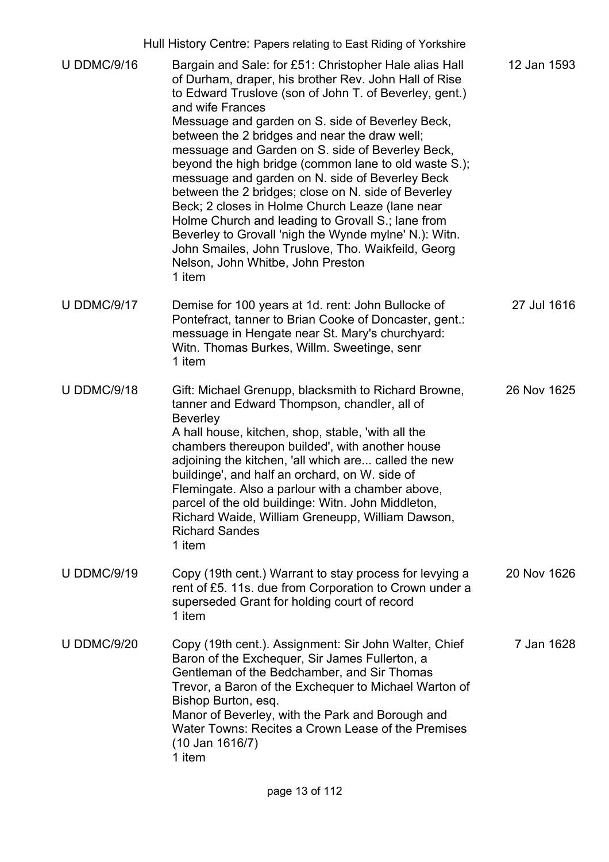|                    | Hull History Centre: Papers relating to East Riding of Yorkshire                                                                                                                                                                                                                                                                                                                                                                                                                                                                                                                                                                                                                                                                                                                                |             |
|--------------------|-------------------------------------------------------------------------------------------------------------------------------------------------------------------------------------------------------------------------------------------------------------------------------------------------------------------------------------------------------------------------------------------------------------------------------------------------------------------------------------------------------------------------------------------------------------------------------------------------------------------------------------------------------------------------------------------------------------------------------------------------------------------------------------------------|-------------|
| <b>U DDMC/9/16</b> | Bargain and Sale: for £51: Christopher Hale alias Hall<br>of Durham, draper, his brother Rev. John Hall of Rise<br>to Edward Truslove (son of John T. of Beverley, gent.)<br>and wife Frances<br>Messuage and garden on S. side of Beverley Beck,<br>between the 2 bridges and near the draw well;<br>messuage and Garden on S. side of Beverley Beck,<br>beyond the high bridge (common lane to old waste S.);<br>messuage and garden on N. side of Beverley Beck<br>between the 2 bridges; close on N. side of Beverley<br>Beck; 2 closes in Holme Church Leaze (lane near<br>Holme Church and leading to Grovall S.; lane from<br>Beverley to Grovall 'nigh the Wynde mylne' N.): Witn.<br>John Smailes, John Truslove, Tho. Waikfeild, Georg<br>Nelson, John Whitbe, John Preston<br>1 item | 12 Jan 1593 |
| <b>U DDMC/9/17</b> | Demise for 100 years at 1d. rent: John Bullocke of<br>Pontefract, tanner to Brian Cooke of Doncaster, gent.:<br>messuage in Hengate near St. Mary's churchyard:<br>Witn. Thomas Burkes, Willm. Sweetinge, senr<br>1 item                                                                                                                                                                                                                                                                                                                                                                                                                                                                                                                                                                        | 27 Jul 1616 |
| <b>U DDMC/9/18</b> | Gift: Michael Grenupp, blacksmith to Richard Browne,<br>tanner and Edward Thompson, chandler, all of<br><b>Beverley</b><br>A hall house, kitchen, shop, stable, 'with all the<br>chambers thereupon builded', with another house<br>adjoining the kitchen, 'all which are called the new<br>buildinge', and half an orchard, on W. side of<br>Flemingate. Also a parlour with a chamber above<br>parcel of the old buildinge: Witn. John Middleton,<br>Richard Waide, William Greneupp, William Dawson,<br><b>Richard Sandes</b><br>1 item                                                                                                                                                                                                                                                      | 26 Nov 1625 |
| <b>U DDMC/9/19</b> | Copy (19th cent.) Warrant to stay process for levying a<br>rent of £5. 11s. due from Corporation to Crown under a<br>superseded Grant for holding court of record<br>1 item                                                                                                                                                                                                                                                                                                                                                                                                                                                                                                                                                                                                                     | 20 Nov 1626 |
| <b>U DDMC/9/20</b> | Copy (19th cent.). Assignment: Sir John Walter, Chief<br>Baron of the Exchequer, Sir James Fullerton, a<br>Gentleman of the Bedchamber, and Sir Thomas<br>Trevor, a Baron of the Exchequer to Michael Warton of<br>Bishop Burton, esq.<br>Manor of Beverley, with the Park and Borough and<br>Water Towns: Recites a Crown Lease of the Premises<br>$(10$ Jan 1616/7)<br>1 item                                                                                                                                                                                                                                                                                                                                                                                                                 | 7 Jan 1628  |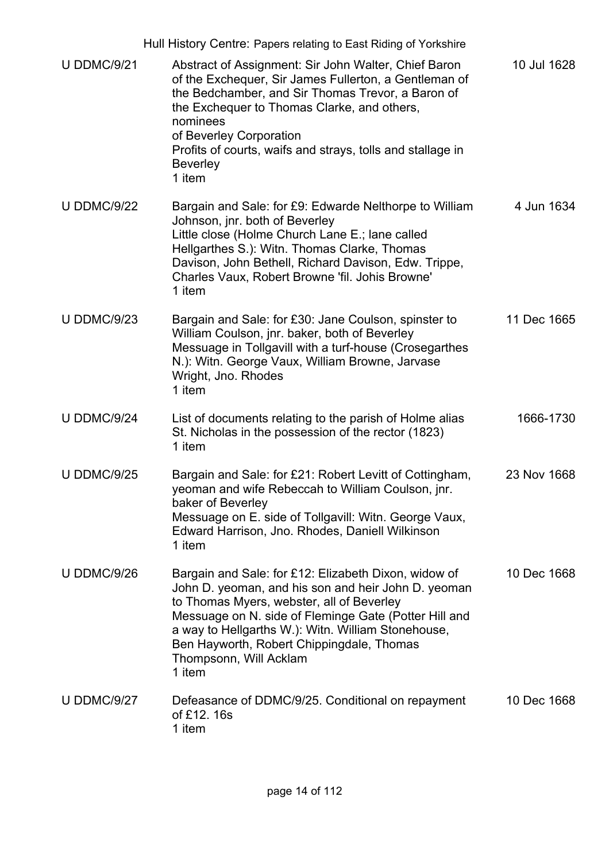|                    | Hull History Centre: Papers relating to East Riding of Yorkshire                                                                                                                                                                                                                                                                                         |             |
|--------------------|----------------------------------------------------------------------------------------------------------------------------------------------------------------------------------------------------------------------------------------------------------------------------------------------------------------------------------------------------------|-------------|
| <b>U DDMC/9/21</b> | Abstract of Assignment: Sir John Walter, Chief Baron<br>of the Exchequer, Sir James Fullerton, a Gentleman of<br>the Bedchamber, and Sir Thomas Trevor, a Baron of<br>the Exchequer to Thomas Clarke, and others,<br>nominees<br>of Beverley Corporation<br>Profits of courts, waifs and strays, tolls and stallage in<br><b>Beverley</b><br>1 item      | 10 Jul 1628 |
| <b>U DDMC/9/22</b> | Bargain and Sale: for £9: Edwarde Nelthorpe to William<br>Johnson, jnr. both of Beverley<br>Little close (Holme Church Lane E.; lane called<br>Hellgarthes S.): Witn. Thomas Clarke, Thomas<br>Davison, John Bethell, Richard Davison, Edw. Trippe,<br>Charles Vaux, Robert Browne 'fil. Johis Browne'<br>1 item                                         | 4 Jun 1634  |
| <b>U DDMC/9/23</b> | Bargain and Sale: for £30: Jane Coulson, spinster to<br>William Coulson, jnr. baker, both of Beverley<br>Messuage in Tollgavill with a turf-house (Crosegarthes<br>N.): Witn. George Vaux, William Browne, Jarvase<br>Wright, Jno. Rhodes<br>1 item                                                                                                      | 11 Dec 1665 |
| <b>U DDMC/9/24</b> | List of documents relating to the parish of Holme alias<br>St. Nicholas in the possession of the rector (1823)<br>1 item                                                                                                                                                                                                                                 | 1666-1730   |
| <b>U DDMC/9/25</b> | Bargain and Sale: for £21: Robert Levitt of Cottingham,<br>yeoman and wife Rebeccah to William Coulson, jnr.<br>baker of Beverley<br>Messuage on E. side of Tollgavill: Witn. George Vaux,<br>Edward Harrison, Jno. Rhodes, Daniell Wilkinson<br>1 item                                                                                                  | 23 Nov 1668 |
| <b>U DDMC/9/26</b> | Bargain and Sale: for £12: Elizabeth Dixon, widow of<br>John D. yeoman, and his son and heir John D. yeoman<br>to Thomas Myers, webster, all of Beverley<br>Messuage on N. side of Fleminge Gate (Potter Hill and<br>a way to Hellgarths W.): Witn. William Stonehouse,<br>Ben Hayworth, Robert Chippingdale, Thomas<br>Thompsonn, Will Acklam<br>1 item | 10 Dec 1668 |
| <b>U DDMC/9/27</b> | Defeasance of DDMC/9/25. Conditional on repayment<br>of £12.16s<br>1 item                                                                                                                                                                                                                                                                                | 10 Dec 1668 |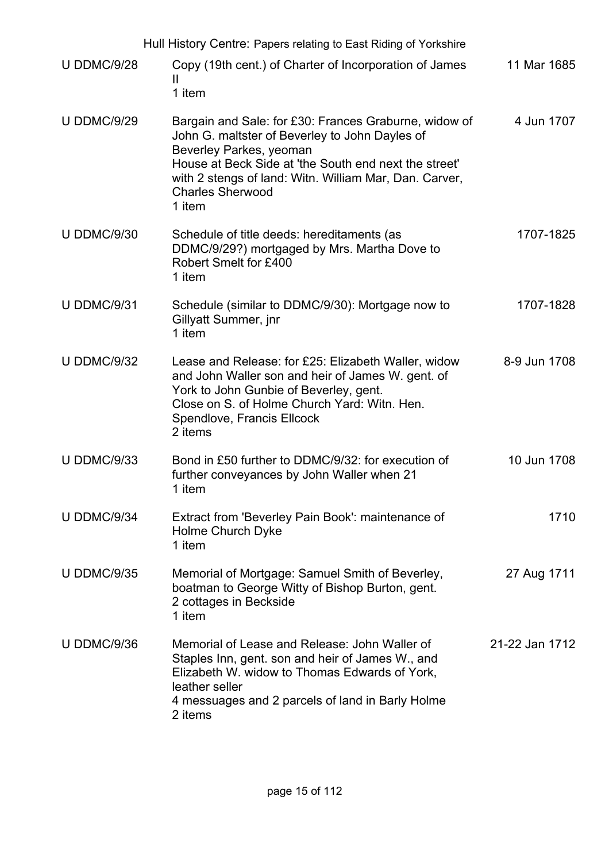|                    | Hull History Centre: Papers relating to East Riding of Yorkshire                                                                                                                                                                                                                           |                |
|--------------------|--------------------------------------------------------------------------------------------------------------------------------------------------------------------------------------------------------------------------------------------------------------------------------------------|----------------|
| <b>U DDMC/9/28</b> | Copy (19th cent.) of Charter of Incorporation of James<br>Ш<br>1 item                                                                                                                                                                                                                      | 11 Mar 1685    |
| <b>U DDMC/9/29</b> | Bargain and Sale: for £30: Frances Graburne, widow of<br>John G. maltster of Beverley to John Dayles of<br>Beverley Parkes, yeoman<br>House at Beck Side at 'the South end next the street'<br>with 2 stengs of land: Witn. William Mar, Dan. Carver,<br><b>Charles Sherwood</b><br>1 item | 4 Jun 1707     |
| <b>U DDMC/9/30</b> | Schedule of title deeds: hereditaments (as<br>DDMC/9/29?) mortgaged by Mrs. Martha Dove to<br>Robert Smelt for £400<br>1 item                                                                                                                                                              | 1707-1825      |
| <b>U DDMC/9/31</b> | Schedule (similar to DDMC/9/30): Mortgage now to<br><b>Gillyatt Summer, jnr</b><br>1 item                                                                                                                                                                                                  | 1707-1828      |
| <b>U DDMC/9/32</b> | Lease and Release: for £25: Elizabeth Waller, widow<br>and John Waller son and heir of James W. gent. of<br>York to John Gunbie of Beverley, gent.<br>Close on S. of Holme Church Yard: Witn. Hen.<br>Spendlove, Francis Ellcock<br>2 items                                                | 8-9 Jun 1708   |
| <b>U DDMC/9/33</b> | Bond in £50 further to DDMC/9/32: for execution of<br>further conveyances by John Waller when 21<br>1 item                                                                                                                                                                                 | 10 Jun 1708    |
| <b>U DDMC/9/34</b> | Extract from 'Beverley Pain Book': maintenance of<br>Holme Church Dyke<br>1 item                                                                                                                                                                                                           | 1710           |
| <b>U DDMC/9/35</b> | Memorial of Mortgage: Samuel Smith of Beverley,<br>boatman to George Witty of Bishop Burton, gent.<br>2 cottages in Beckside<br>1 item                                                                                                                                                     | 27 Aug 1711    |
| <b>U DDMC/9/36</b> | Memorial of Lease and Release: John Waller of<br>Staples Inn, gent. son and heir of James W., and<br>Elizabeth W. widow to Thomas Edwards of York,<br>leather seller<br>4 messuages and 2 parcels of land in Barly Holme<br>2 items                                                        | 21-22 Jan 1712 |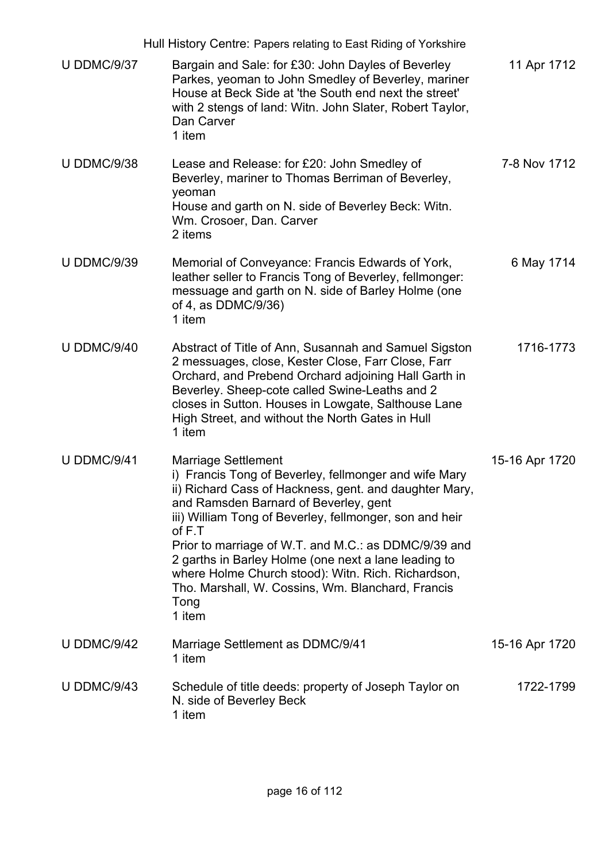|                    | Hull History Centre: Papers relating to East Riding of Yorkshire                                                                                                                                                                                                                                                                                                                                                                                                                                         |                |
|--------------------|----------------------------------------------------------------------------------------------------------------------------------------------------------------------------------------------------------------------------------------------------------------------------------------------------------------------------------------------------------------------------------------------------------------------------------------------------------------------------------------------------------|----------------|
| <b>U DDMC/9/37</b> | Bargain and Sale: for £30: John Dayles of Beverley<br>Parkes, yeoman to John Smedley of Beverley, mariner<br>House at Beck Side at 'the South end next the street'<br>with 2 stengs of land: Witn. John Slater, Robert Taylor,<br>Dan Carver<br>1 item                                                                                                                                                                                                                                                   | 11 Apr 1712    |
| <b>U DDMC/9/38</b> | Lease and Release: for £20: John Smedley of<br>Beverley, mariner to Thomas Berriman of Beverley,<br>yeoman<br>House and garth on N. side of Beverley Beck: Witn.<br>Wm. Crosoer, Dan. Carver<br>2 items                                                                                                                                                                                                                                                                                                  | 7-8 Nov 1712   |
| <b>U DDMC/9/39</b> | Memorial of Conveyance: Francis Edwards of York,<br>leather seller to Francis Tong of Beverley, fellmonger:<br>messuage and garth on N. side of Barley Holme (one<br>of 4, as DDMC/9/36)<br>1 item                                                                                                                                                                                                                                                                                                       | 6 May 1714     |
| <b>U DDMC/9/40</b> | Abstract of Title of Ann, Susannah and Samuel Sigston<br>2 messuages, close, Kester Close, Farr Close, Farr<br>Orchard, and Prebend Orchard adjoining Hall Garth in<br>Beverley. Sheep-cote called Swine-Leaths and 2<br>closes in Sutton. Houses in Lowgate, Salthouse Lane<br>High Street, and without the North Gates in Hull<br>1 item                                                                                                                                                               | 1716-1773      |
| <b>U DDMC/9/41</b> | <b>Marriage Settlement</b><br>i) Francis Tong of Beverley, fellmonger and wife Mary<br>ii) Richard Cass of Hackness, gent. and daughter Mary,<br>and Ramsden Barnard of Beverley, gent<br>iii) William Tong of Beverley, fellmonger, son and heir<br>of F.T<br>Prior to marriage of W.T. and M.C.: as DDMC/9/39 and<br>2 garths in Barley Holme (one next a lane leading to<br>where Holme Church stood): Witn. Rich. Richardson,<br>Tho. Marshall, W. Cossins, Wm. Blanchard, Francis<br>Tong<br>1 item | 15-16 Apr 1720 |
| <b>U DDMC/9/42</b> | Marriage Settlement as DDMC/9/41<br>1 item                                                                                                                                                                                                                                                                                                                                                                                                                                                               | 15-16 Apr 1720 |
| <b>U DDMC/9/43</b> | Schedule of title deeds: property of Joseph Taylor on<br>N. side of Beverley Beck<br>1 item                                                                                                                                                                                                                                                                                                                                                                                                              | 1722-1799      |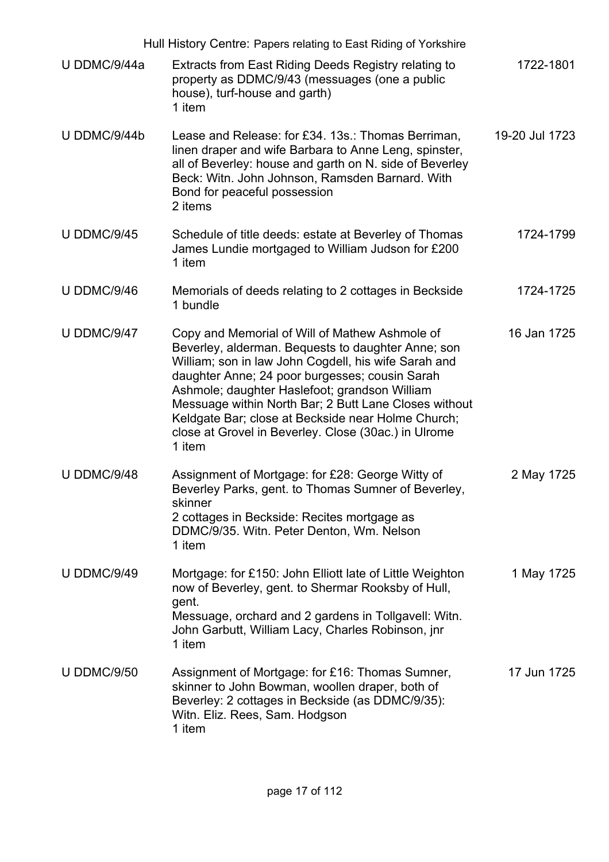| Hull History Centre: Papers relating to East Riding of Yorkshire |                                                                                                                                                                                                                                                                                                                                                                                                                                                  |                |
|------------------------------------------------------------------|--------------------------------------------------------------------------------------------------------------------------------------------------------------------------------------------------------------------------------------------------------------------------------------------------------------------------------------------------------------------------------------------------------------------------------------------------|----------------|
| U DDMC/9/44a                                                     | Extracts from East Riding Deeds Registry relating to<br>property as DDMC/9/43 (messuages (one a public<br>house), turf-house and garth)<br>1 item                                                                                                                                                                                                                                                                                                | 1722-1801      |
| U DDMC/9/44b                                                     | Lease and Release: for £34. 13s.: Thomas Berriman,<br>linen draper and wife Barbara to Anne Leng, spinster,<br>all of Beverley: house and garth on N. side of Beverley<br>Beck: Witn. John Johnson, Ramsden Barnard. With<br>Bond for peaceful possession<br>2 items                                                                                                                                                                             | 19-20 Jul 1723 |
| <b>U DDMC/9/45</b>                                               | Schedule of title deeds: estate at Beverley of Thomas<br>James Lundie mortgaged to William Judson for £200<br>1 item                                                                                                                                                                                                                                                                                                                             | 1724-1799      |
| U DDMC/9/46                                                      | Memorials of deeds relating to 2 cottages in Beckside<br>1 bundle                                                                                                                                                                                                                                                                                                                                                                                | 1724-1725      |
| <b>U DDMC/9/47</b>                                               | Copy and Memorial of Will of Mathew Ashmole of<br>Beverley, alderman. Bequests to daughter Anne; son<br>William; son in law John Cogdell, his wife Sarah and<br>daughter Anne; 24 poor burgesses; cousin Sarah<br>Ashmole; daughter Haslefoot; grandson William<br>Messuage within North Bar; 2 Butt Lane Closes without<br>Keldgate Bar; close at Beckside near Holme Church;<br>close at Grovel in Beverley. Close (30ac.) in Ulrome<br>1 item | 16 Jan 1725    |
| <b>U DDMC/9/48</b>                                               | Assignment of Mortgage: for £28: George Witty of<br>Beverley Parks, gent. to Thomas Sumner of Beverley,<br>skinner<br>2 cottages in Beckside: Recites mortgage as<br>DDMC/9/35. Witn. Peter Denton, Wm. Nelson<br>1 item                                                                                                                                                                                                                         | 2 May 1725     |
| <b>U DDMC/9/49</b>                                               | Mortgage: for £150: John Elliott late of Little Weighton<br>now of Beverley, gent. to Shermar Rooksby of Hull,<br>gent.<br>Messuage, orchard and 2 gardens in Tollgavell: Witn.<br>John Garbutt, William Lacy, Charles Robinson, jnr<br>1 item                                                                                                                                                                                                   | 1 May 1725     |
| <b>U DDMC/9/50</b>                                               | Assignment of Mortgage: for £16: Thomas Sumner,<br>skinner to John Bowman, woollen draper, both of<br>Beverley: 2 cottages in Beckside (as DDMC/9/35):<br>Witn. Eliz. Rees, Sam. Hodgson<br>1 item                                                                                                                                                                                                                                               | 17 Jun 1725    |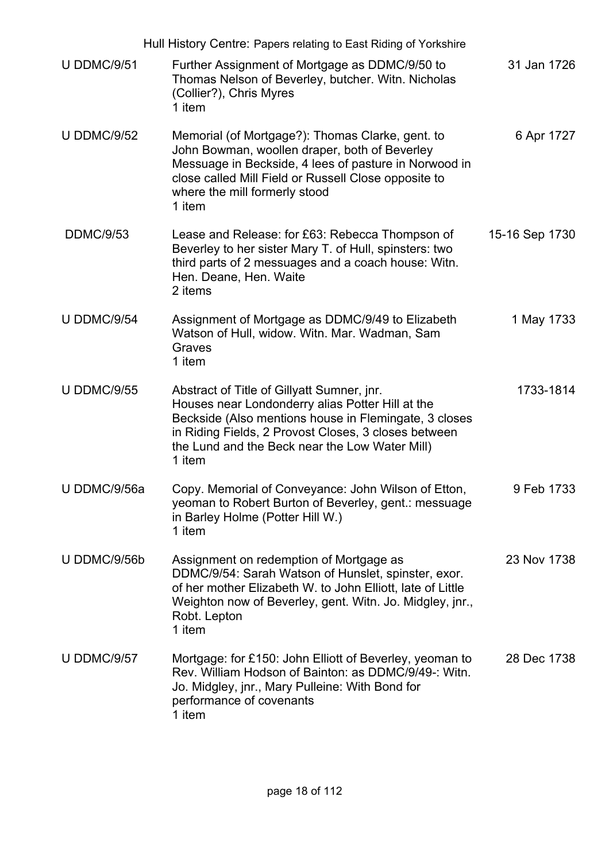|                    | Hull History Centre: Papers relating to East Riding of Yorkshire                                                                                                                                                                                                            |                |
|--------------------|-----------------------------------------------------------------------------------------------------------------------------------------------------------------------------------------------------------------------------------------------------------------------------|----------------|
| <b>U DDMC/9/51</b> | Further Assignment of Mortgage as DDMC/9/50 to<br>Thomas Nelson of Beverley, butcher. Witn. Nicholas<br>(Collier?), Chris Myres<br>1 item                                                                                                                                   | 31 Jan 1726    |
| <b>U DDMC/9/52</b> | Memorial (of Mortgage?): Thomas Clarke, gent. to<br>John Bowman, woollen draper, both of Beverley<br>Messuage in Beckside, 4 lees of pasture in Norwood in<br>close called Mill Field or Russell Close opposite to<br>where the mill formerly stood<br>1 item               | 6 Apr 1727     |
| <b>DDMC/9/53</b>   | Lease and Release: for £63: Rebecca Thompson of<br>Beverley to her sister Mary T. of Hull, spinsters: two<br>third parts of 2 messuages and a coach house: Witn.<br>Hen. Deane, Hen. Waite<br>2 items                                                                       | 15-16 Sep 1730 |
| <b>U DDMC/9/54</b> | Assignment of Mortgage as DDMC/9/49 to Elizabeth<br>Watson of Hull, widow. Witn. Mar. Wadman, Sam<br>Graves<br>1 item                                                                                                                                                       | 1 May 1733     |
| <b>U DDMC/9/55</b> | Abstract of Title of Gillyatt Sumner, jnr.<br>Houses near Londonderry alias Potter Hill at the<br>Beckside (Also mentions house in Flemingate, 3 closes<br>in Riding Fields, 2 Provost Closes, 3 closes between<br>the Lund and the Beck near the Low Water Mill)<br>1 item | 1733-1814      |
| U DDMC/9/56a       | Copy. Memorial of Conveyance: John Wilson of Etton,<br>yeoman to Robert Burton of Beverley, gent.: messuage<br>in Barley Holme (Potter Hill W.)<br>1 item                                                                                                                   | 9 Feb 1733     |
| U DDMC/9/56b       | Assignment on redemption of Mortgage as<br>DDMC/9/54: Sarah Watson of Hunslet, spinster, exor.<br>of her mother Elizabeth W. to John Elliott, late of Little<br>Weighton now of Beverley, gent. Witn. Jo. Midgley, jnr.,<br>Robt. Lepton<br>1 item                          | 23 Nov 1738    |
| <b>U DDMC/9/57</b> | Mortgage: for £150: John Elliott of Beverley, yeoman to<br>Rev. William Hodson of Bainton: as DDMC/9/49-: Witn.<br>Jo. Midgley, jnr., Mary Pulleine: With Bond for<br>performance of covenants<br>1 item                                                                    | 28 Dec 1738    |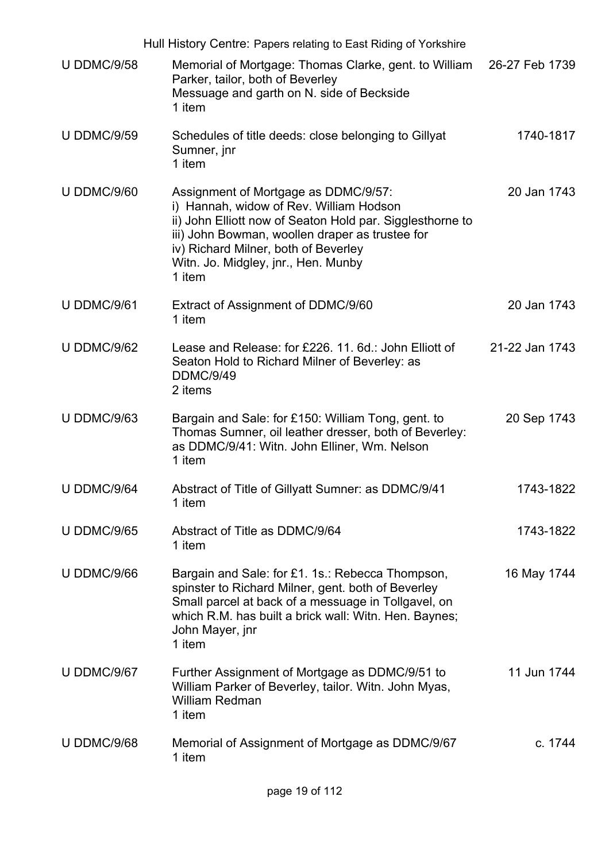|                    | Hull History Centre: Papers relating to East Riding of Yorkshire                                                                                                                                                                                                                         |                |
|--------------------|------------------------------------------------------------------------------------------------------------------------------------------------------------------------------------------------------------------------------------------------------------------------------------------|----------------|
| <b>U DDMC/9/58</b> | Memorial of Mortgage: Thomas Clarke, gent. to William<br>Parker, tailor, both of Beverley<br>Messuage and garth on N. side of Beckside<br>1 item                                                                                                                                         | 26-27 Feb 1739 |
| <b>U DDMC/9/59</b> | Schedules of title deeds: close belonging to Gillyat<br>Sumner, jnr<br>1 item                                                                                                                                                                                                            | 1740-1817      |
| <b>U DDMC/9/60</b> | Assignment of Mortgage as DDMC/9/57:<br>i) Hannah, widow of Rev. William Hodson<br>ii) John Elliott now of Seaton Hold par. Sigglesthorne to<br>iii) John Bowman, woollen draper as trustee for<br>iv) Richard Milner, both of Beverley<br>Witn. Jo. Midgley, jnr., Hen. Munby<br>1 item | 20 Jan 1743    |
| U DDMC/9/61        | Extract of Assignment of DDMC/9/60<br>1 item                                                                                                                                                                                                                                             | 20 Jan 1743    |
| <b>U DDMC/9/62</b> | Lease and Release: for £226, 11, 6d.: John Elliott of<br>Seaton Hold to Richard Milner of Beverley: as<br><b>DDMC/9/49</b><br>2 items                                                                                                                                                    | 21-22 Jan 1743 |
| <b>U DDMC/9/63</b> | Bargain and Sale: for £150: William Tong, gent. to<br>Thomas Sumner, oil leather dresser, both of Beverley:<br>as DDMC/9/41: Witn. John Elliner, Wm. Nelson<br>1 item                                                                                                                    | 20 Sep 1743    |
| U DDMC/9/64        | Abstract of Title of Gillyatt Sumner: as DDMC/9/41<br>1 item                                                                                                                                                                                                                             | 1743-1822      |
| <b>U DDMC/9/65</b> | Abstract of Title as DDMC/9/64<br>1 item                                                                                                                                                                                                                                                 | 1743-1822      |
| <b>U DDMC/9/66</b> | Bargain and Sale: for £1. 1s.: Rebecca Thompson,<br>spinster to Richard Milner, gent. both of Beverley<br>Small parcel at back of a messuage in Tollgavel, on<br>which R.M. has built a brick wall: Witn. Hen. Baynes;<br>John Mayer, jnr<br>1 item                                      | 16 May 1744    |
| <b>U DDMC/9/67</b> | Further Assignment of Mortgage as DDMC/9/51 to<br>William Parker of Beverley, tailor. Witn. John Myas,<br><b>William Redman</b><br>1 item                                                                                                                                                | 11 Jun 1744    |
| <b>U DDMC/9/68</b> | Memorial of Assignment of Mortgage as DDMC/9/67<br>1 item                                                                                                                                                                                                                                | c. 1744        |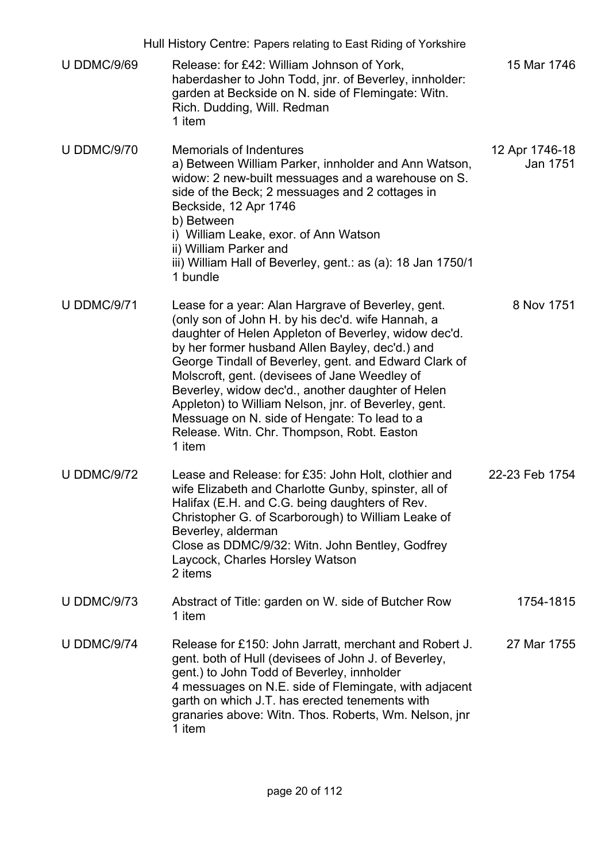|                    | Hull History Centre: Papers relating to East Riding of Yorkshire                                                                                                                                                                                                                                                                                                                                                                                                                                                                                  |                            |
|--------------------|---------------------------------------------------------------------------------------------------------------------------------------------------------------------------------------------------------------------------------------------------------------------------------------------------------------------------------------------------------------------------------------------------------------------------------------------------------------------------------------------------------------------------------------------------|----------------------------|
| <b>U DDMC/9/69</b> | Release: for £42: William Johnson of York,<br>haberdasher to John Todd, jnr. of Beverley, innholder:<br>garden at Beckside on N. side of Flemingate: Witn.<br>Rich. Dudding, Will. Redman<br>1 item                                                                                                                                                                                                                                                                                                                                               | 15 Mar 1746                |
| <b>U DDMC/9/70</b> | <b>Memorials of Indentures</b><br>a) Between William Parker, innholder and Ann Watson,<br>widow: 2 new-built messuages and a warehouse on S.<br>side of the Beck; 2 messuages and 2 cottages in<br>Beckside, 12 Apr 1746<br>b) Between<br>i) William Leake, exor. of Ann Watson<br>ii) William Parker and<br>iii) William Hall of Beverley, gent.: as (a): 18 Jan 1750/1<br>1 bundle                                                                                                                                                              | 12 Apr 1746-18<br>Jan 1751 |
| <b>U DDMC/9/71</b> | Lease for a year: Alan Hargrave of Beverley, gent.<br>(only son of John H. by his dec'd. wife Hannah, a<br>daughter of Helen Appleton of Beverley, widow dec'd.<br>by her former husband Allen Bayley, dec'd.) and<br>George Tindall of Beverley, gent. and Edward Clark of<br>Molscroft, gent. (devisees of Jane Weedley of<br>Beverley, widow dec'd., another daughter of Helen<br>Appleton) to William Nelson, jnr. of Beverley, gent.<br>Messuage on N. side of Hengate: To lead to a<br>Release. Witn. Chr. Thompson, Robt. Easton<br>1 item | 8 Nov 1751                 |
| <b>U DDMC/9/72</b> | Lease and Release: for £35: John Holt, clothier and<br>wife Elizabeth and Charlotte Gunby, spinster, all of<br>Halifax (E.H. and C.G. being daughters of Rev.<br>Christopher G. of Scarborough) to William Leake of<br>Beverley, alderman<br>Close as DDMC/9/32: Witn. John Bentley, Godfrey<br>Laycock, Charles Horsley Watson<br>2 items                                                                                                                                                                                                        | 22-23 Feb 1754             |
| <b>U DDMC/9/73</b> | Abstract of Title: garden on W. side of Butcher Row<br>1 item                                                                                                                                                                                                                                                                                                                                                                                                                                                                                     | 1754-1815                  |
| <b>U DDMC/9/74</b> | Release for £150: John Jarratt, merchant and Robert J.<br>gent. both of Hull (devisees of John J. of Beverley,<br>gent.) to John Todd of Beverley, innholder<br>4 messuages on N.E. side of Flemingate, with adjacent<br>garth on which J.T. has erected tenements with<br>granaries above: Witn. Thos. Roberts, Wm. Nelson, jnr<br>1 item                                                                                                                                                                                                        | 27 Mar 1755                |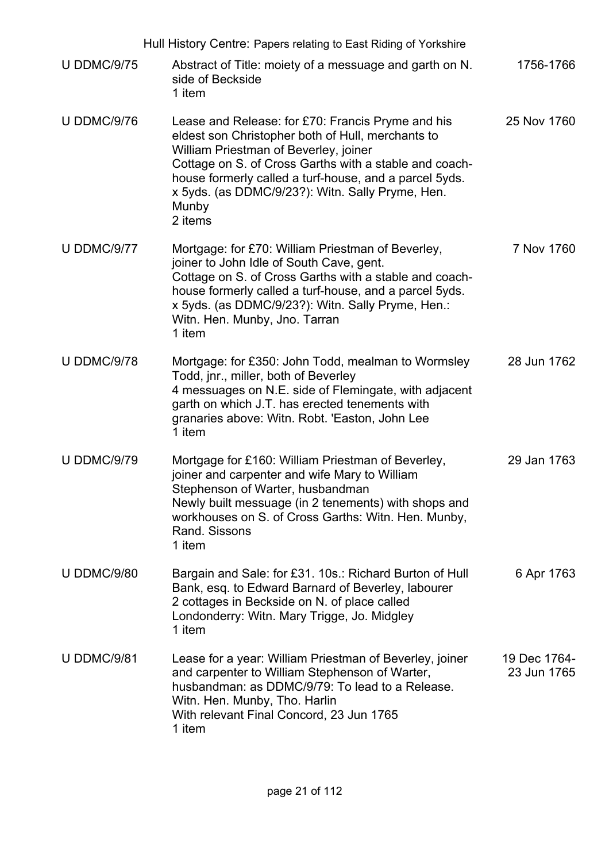|                    | Hull History Centre: Papers relating to East Riding of Yorkshire                                                                                                                                                                                                                                                                            |                             |
|--------------------|---------------------------------------------------------------------------------------------------------------------------------------------------------------------------------------------------------------------------------------------------------------------------------------------------------------------------------------------|-----------------------------|
| <b>U DDMC/9/75</b> | Abstract of Title: moiety of a messuage and garth on N.<br>side of Beckside<br>1 item                                                                                                                                                                                                                                                       | 1756-1766                   |
| <b>U DDMC/9/76</b> | Lease and Release: for £70: Francis Pryme and his<br>eldest son Christopher both of Hull, merchants to<br>William Priestman of Beverley, joiner<br>Cottage on S. of Cross Garths with a stable and coach-<br>house formerly called a turf-house, and a parcel 5yds.<br>x 5yds. (as DDMC/9/23?): Witn. Sally Pryme, Hen.<br>Munby<br>2 items | 25 Nov 1760                 |
| <b>U DDMC/9/77</b> | Mortgage: for £70: William Priestman of Beverley,<br>joiner to John Idle of South Cave, gent.<br>Cottage on S. of Cross Garths with a stable and coach-<br>house formerly called a turf-house, and a parcel 5yds.<br>x 5yds. (as DDMC/9/23?): Witn. Sally Pryme, Hen.:<br>Witn. Hen. Munby, Jno. Tarran<br>1 item                           | 7 Nov 1760                  |
| <b>U DDMC/9/78</b> | Mortgage: for £350: John Todd, mealman to Wormsley<br>Todd, jnr., miller, both of Beverley<br>4 messuages on N.E. side of Flemingate, with adjacent<br>garth on which J.T. has erected tenements with<br>granaries above: Witn. Robt. 'Easton, John Lee<br>1 item                                                                           | 28 Jun 1762                 |
| <b>U DDMC/9/79</b> | Mortgage for £160: William Priestman of Beverley,<br>joiner and carpenter and wife Mary to William<br>Stephenson of Warter, husbandman<br>Newly built messuage (in 2 tenements) with shops and<br>workhouses on S. of Cross Garths: Witn. Hen. Munby,<br>Rand, Sissons<br>1 item                                                            | 29 Jan 1763                 |
| <b>U DDMC/9/80</b> | Bargain and Sale: for £31. 10s.: Richard Burton of Hull<br>Bank, esq. to Edward Barnard of Beverley, labourer<br>2 cottages in Beckside on N. of place called<br>Londonderry: Witn. Mary Trigge, Jo. Midgley<br>1 item                                                                                                                      | 6 Apr 1763                  |
| <b>U DDMC/9/81</b> | Lease for a year: William Priestman of Beverley, joiner<br>and carpenter to William Stephenson of Warter,<br>husbandman: as DDMC/9/79: To lead to a Release.<br>Witn. Hen. Munby, Tho. Harlin<br>With relevant Final Concord, 23 Jun 1765<br>1 item                                                                                         | 19 Dec 1764-<br>23 Jun 1765 |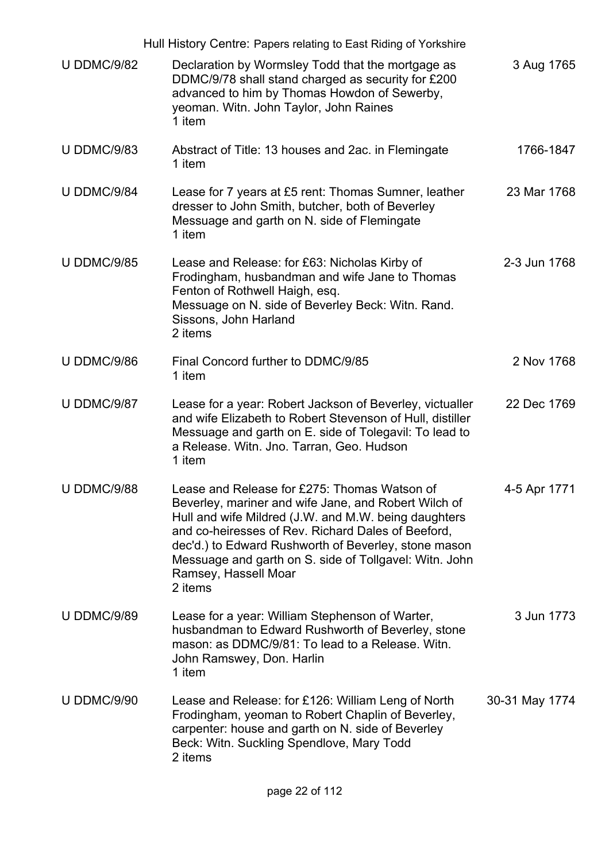|                    | Hull History Centre: Papers relating to East Riding of Yorkshire                                                                                                                                                                                                                                                                                                        |                |
|--------------------|-------------------------------------------------------------------------------------------------------------------------------------------------------------------------------------------------------------------------------------------------------------------------------------------------------------------------------------------------------------------------|----------------|
| <b>U DDMC/9/82</b> | Declaration by Wormsley Todd that the mortgage as<br>DDMC/9/78 shall stand charged as security for £200<br>advanced to him by Thomas Howdon of Sewerby,<br>yeoman. Witn. John Taylor, John Raines<br>1 item                                                                                                                                                             | 3 Aug 1765     |
| <b>U DDMC/9/83</b> | Abstract of Title: 13 houses and 2ac. in Flemingate<br>1 item                                                                                                                                                                                                                                                                                                           | 1766-1847      |
| <b>U DDMC/9/84</b> | Lease for 7 years at £5 rent: Thomas Sumner, leather<br>dresser to John Smith, butcher, both of Beverley<br>Messuage and garth on N. side of Flemingate<br>1 item                                                                                                                                                                                                       | 23 Mar 1768    |
| <b>U DDMC/9/85</b> | Lease and Release: for £63: Nicholas Kirby of<br>Frodingham, husbandman and wife Jane to Thomas<br>Fenton of Rothwell Haigh, esq.<br>Messuage on N. side of Beverley Beck: Witn. Rand.<br>Sissons, John Harland<br>2 items                                                                                                                                              | 2-3 Jun 1768   |
| <b>U DDMC/9/86</b> | Final Concord further to DDMC/9/85<br>1 item                                                                                                                                                                                                                                                                                                                            | 2 Nov 1768     |
| <b>U DDMC/9/87</b> | Lease for a year: Robert Jackson of Beverley, victualler<br>and wife Elizabeth to Robert Stevenson of Hull, distiller<br>Messuage and garth on E. side of Tolegavil: To lead to<br>a Release. Witn. Jno. Tarran, Geo. Hudson<br>1 item                                                                                                                                  | 22 Dec 1769    |
| <b>U DDMC/9/88</b> | Lease and Release for £275: Thomas Watson of<br>Beverley, mariner and wife Jane, and Robert Wilch of<br>Hull and wife Mildred (J.W. and M.W. being daughters<br>and co-heiresses of Rev. Richard Dales of Beeford,<br>dec'd.) to Edward Rushworth of Beverley, stone mason<br>Messuage and garth on S. side of Tollgavel: Witn. John<br>Ramsey, Hassell Moar<br>2 items | 4-5 Apr 1771   |
| <b>U DDMC/9/89</b> | Lease for a year: William Stephenson of Warter,<br>husbandman to Edward Rushworth of Beverley, stone<br>mason: as DDMC/9/81: To lead to a Release. Witn.<br>John Ramswey, Don. Harlin<br>1 item                                                                                                                                                                         | 3 Jun 1773     |
| <b>U DDMC/9/90</b> | Lease and Release: for £126: William Leng of North<br>Frodingham, yeoman to Robert Chaplin of Beverley,<br>carpenter: house and garth on N. side of Beverley<br>Beck: Witn. Suckling Spendlove, Mary Todd<br>2 items                                                                                                                                                    | 30-31 May 1774 |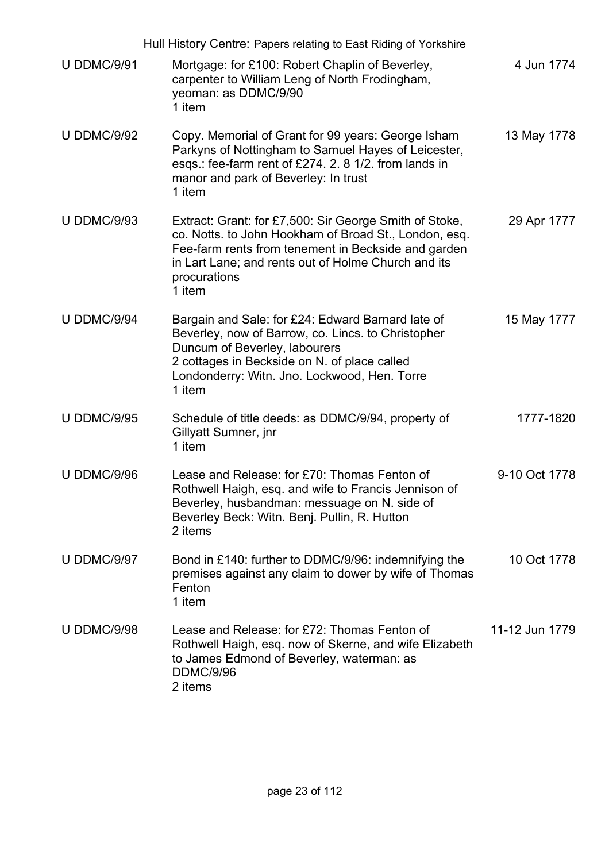|                    | Hull History Centre: Papers relating to East Riding of Yorkshire                                                                                                                                                                                        |                |
|--------------------|---------------------------------------------------------------------------------------------------------------------------------------------------------------------------------------------------------------------------------------------------------|----------------|
| <b>U DDMC/9/91</b> | Mortgage: for £100: Robert Chaplin of Beverley,<br>carpenter to William Leng of North Frodingham,<br>yeoman: as DDMC/9/90<br>1 item                                                                                                                     | 4 Jun 1774     |
| <b>U DDMC/9/92</b> | Copy. Memorial of Grant for 99 years: George Isham<br>Parkyns of Nottingham to Samuel Hayes of Leicester,<br>esqs.: fee-farm rent of £274. 2. 8 1/2. from lands in<br>manor and park of Beverley: In trust<br>1 item                                    | 13 May 1778    |
| <b>U DDMC/9/93</b> | Extract: Grant: for £7,500: Sir George Smith of Stoke,<br>co. Notts. to John Hookham of Broad St., London, esq.<br>Fee-farm rents from tenement in Beckside and garden<br>in Lart Lane; and rents out of Holme Church and its<br>procurations<br>1 item | 29 Apr 1777    |
| <b>U DDMC/9/94</b> | Bargain and Sale: for £24: Edward Barnard late of<br>Beverley, now of Barrow, co. Lincs. to Christopher<br>Duncum of Beverley, labourers<br>2 cottages in Beckside on N. of place called<br>Londonderry: Witn. Jno. Lockwood, Hen. Torre<br>1 item      | 15 May 1777    |
| <b>U DDMC/9/95</b> | Schedule of title deeds: as DDMC/9/94, property of<br>Gillyatt Sumner, jnr<br>1 item                                                                                                                                                                    | 1777-1820      |
| <b>U DDMC/9/96</b> | Lease and Release: for £70: Thomas Fenton of<br>Rothwell Haigh, esq. and wife to Francis Jennison of<br>Beverley, husbandman: messuage on N. side of<br>Beverley Beck: Witn. Benj. Pullin, R. Hutton<br>2 items                                         | 9-10 Oct 1778  |
| <b>U DDMC/9/97</b> | Bond in £140: further to DDMC/9/96: indemnifying the<br>premises against any claim to dower by wife of Thomas<br>Fenton<br>1 item                                                                                                                       | 10 Oct 1778    |
| <b>U DDMC/9/98</b> | Lease and Release: for £72: Thomas Fenton of<br>Rothwell Haigh, esq. now of Skerne, and wife Elizabeth<br>to James Edmond of Beverley, waterman: as<br><b>DDMC/9/96</b><br>2 items                                                                      | 11-12 Jun 1779 |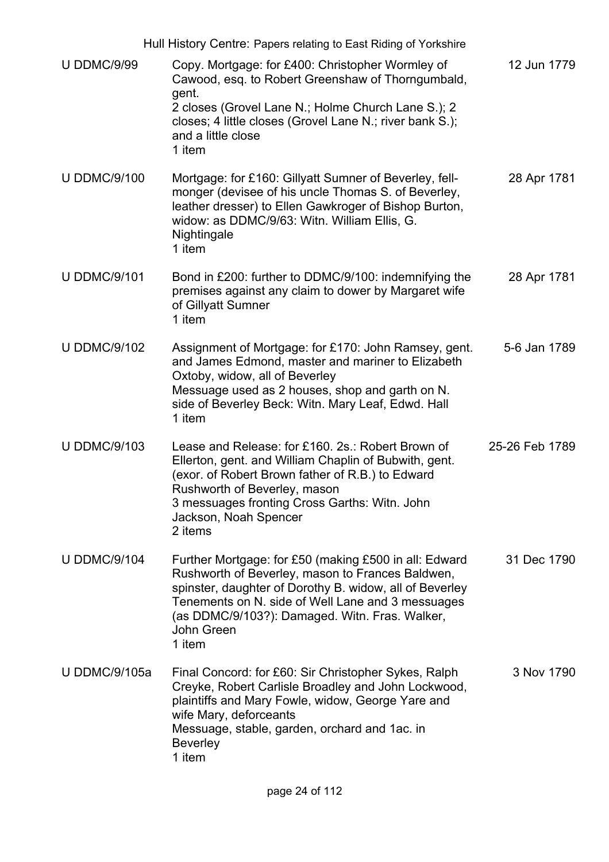|                      | Hull History Centre: Papers relating to East Riding of Yorkshire                                                                                                                                                                                                                                    |                |
|----------------------|-----------------------------------------------------------------------------------------------------------------------------------------------------------------------------------------------------------------------------------------------------------------------------------------------------|----------------|
| <b>U DDMC/9/99</b>   | Copy. Mortgage: for £400: Christopher Wormley of<br>Cawood, esq. to Robert Greenshaw of Thorngumbald,<br>gent.<br>2 closes (Grovel Lane N.; Holme Church Lane S.); 2<br>closes; 4 little closes (Grovel Lane N.; river bank S.);<br>and a little close<br>1 item                                    | 12 Jun 1779    |
| <b>U DDMC/9/100</b>  | Mortgage: for £160: Gillyatt Sumner of Beverley, fell-<br>monger (devisee of his uncle Thomas S. of Beverley,<br>leather dresser) to Ellen Gawkroger of Bishop Burton,<br>widow: as DDMC/9/63: Witn. William Ellis, G.<br>Nightingale<br>1 item                                                     | 28 Apr 1781    |
| <b>U DDMC/9/101</b>  | Bond in £200: further to DDMC/9/100: indemnifying the<br>premises against any claim to dower by Margaret wife<br>of Gillyatt Sumner<br>1 item                                                                                                                                                       | 28 Apr 1781    |
| <b>U DDMC/9/102</b>  | Assignment of Mortgage: for £170: John Ramsey, gent.<br>and James Edmond, master and mariner to Elizabeth<br>Oxtoby, widow, all of Beverley<br>Messuage used as 2 houses, shop and garth on N.<br>side of Beverley Beck: Witn. Mary Leaf, Edwd. Hall<br>1 item                                      | 5-6 Jan 1789   |
| <b>U DDMC/9/103</b>  | Lease and Release: for £160, 2s.: Robert Brown of<br>Ellerton, gent. and William Chaplin of Bubwith, gent.<br>(exor. of Robert Brown father of R.B.) to Edward<br>Rushworth of Beverley, mason<br>3 messuages fronting Cross Garths: Witn. John<br>Jackson, Noah Spencer<br>2 items                 | 25-26 Feb 1789 |
| <b>U DDMC/9/104</b>  | Further Mortgage: for £50 (making £500 in all: Edward<br>Rushworth of Beverley, mason to Frances Baldwen,<br>spinster, daughter of Dorothy B. widow, all of Beverley<br>Tenements on N. side of Well Lane and 3 messuages<br>(as DDMC/9/103?): Damaged. Witn. Fras. Walker,<br>John Green<br>1 item | 31 Dec 1790    |
| <b>U DDMC/9/105a</b> | Final Concord: for £60: Sir Christopher Sykes, Ralph<br>Creyke, Robert Carlisle Broadley and John Lockwood,<br>plaintiffs and Mary Fowle, widow, George Yare and<br>wife Mary, deforceants<br>Messuage, stable, garden, orchard and 1ac. in<br><b>Beverley</b><br>1 item                            | 3 Nov 1790     |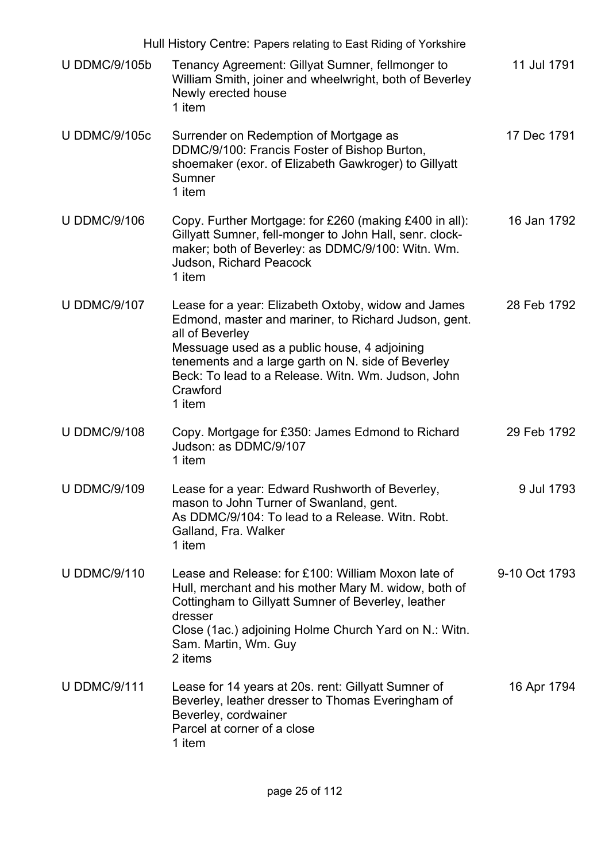|                      | Hull History Centre: Papers relating to East Riding of Yorkshire                                                                                                                                                                                                                                                 |               |
|----------------------|------------------------------------------------------------------------------------------------------------------------------------------------------------------------------------------------------------------------------------------------------------------------------------------------------------------|---------------|
| <b>U DDMC/9/105b</b> | Tenancy Agreement: Gillyat Sumner, fellmonger to<br>William Smith, joiner and wheelwright, both of Beverley<br>Newly erected house<br>1 item                                                                                                                                                                     | 11 Jul 1791   |
| <b>U DDMC/9/105c</b> | Surrender on Redemption of Mortgage as<br>DDMC/9/100: Francis Foster of Bishop Burton,<br>shoemaker (exor. of Elizabeth Gawkroger) to Gillyatt<br>Sumner<br>1 item                                                                                                                                               | 17 Dec 1791   |
| <b>U DDMC/9/106</b>  | Copy. Further Mortgage: for £260 (making £400 in all):<br>Gillyatt Sumner, fell-monger to John Hall, senr. clock-<br>maker; both of Beverley: as DDMC/9/100: Witn. Wm.<br>Judson, Richard Peacock<br>1 item                                                                                                      | 16 Jan 1792   |
| <b>U DDMC/9/107</b>  | Lease for a year: Elizabeth Oxtoby, widow and James<br>Edmond, master and mariner, to Richard Judson, gent.<br>all of Beverley<br>Messuage used as a public house, 4 adjoining<br>tenements and a large garth on N. side of Beverley<br>Beck: To lead to a Release. Witn. Wm. Judson, John<br>Crawford<br>1 item | 28 Feb 1792   |
| <b>U DDMC/9/108</b>  | Copy. Mortgage for £350: James Edmond to Richard<br>Judson: as DDMC/9/107<br>1 item                                                                                                                                                                                                                              | 29 Feb 1792   |
| <b>U DDMC/9/109</b>  | Lease for a year: Edward Rushworth of Beverley,<br>mason to John Turner of Swanland, gent.<br>As DDMC/9/104: To lead to a Release. Witn. Robt.<br>Galland, Fra. Walker<br>1 item                                                                                                                                 | 9 Jul 1793    |
| <b>U DDMC/9/110</b>  | Lease and Release: for £100: William Moxon late of<br>Hull, merchant and his mother Mary M. widow, both of<br>Cottingham to Gillyatt Sumner of Beverley, leather<br>dresser<br>Close (1ac.) adjoining Holme Church Yard on N.: Witn.<br>Sam. Martin, Wm. Guy<br>2 items                                          | 9-10 Oct 1793 |
| <b>U DDMC/9/111</b>  | Lease for 14 years at 20s. rent: Gillyatt Sumner of<br>Beverley, leather dresser to Thomas Everingham of<br>Beverley, cordwainer<br>Parcel at corner of a close<br>1 item                                                                                                                                        | 16 Apr 1794   |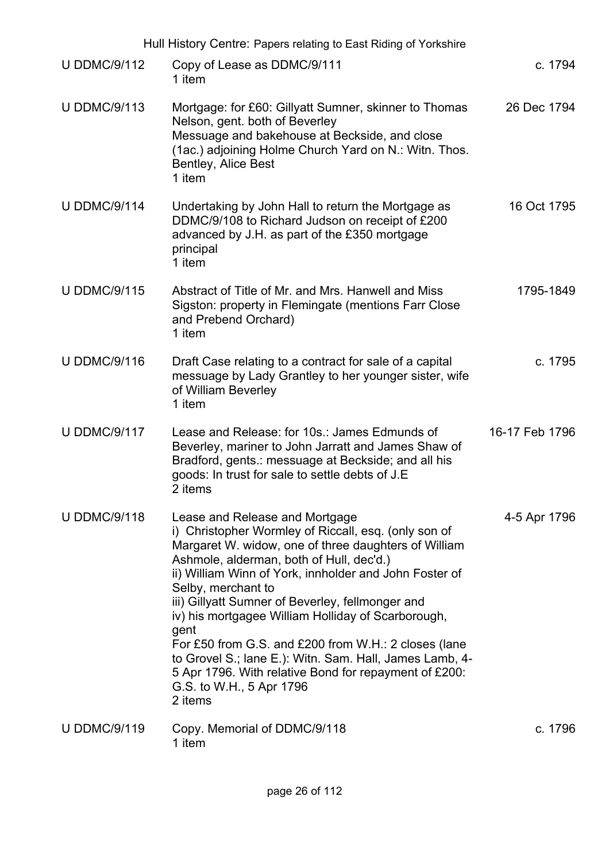|                     | Hull History Centre: Papers relating to East Riding of Yorkshire                                                                                                                                                                                                                                                                                                                                                                                                                                                                                                                                                |                |
|---------------------|-----------------------------------------------------------------------------------------------------------------------------------------------------------------------------------------------------------------------------------------------------------------------------------------------------------------------------------------------------------------------------------------------------------------------------------------------------------------------------------------------------------------------------------------------------------------------------------------------------------------|----------------|
| <b>U DDMC/9/112</b> | Copy of Lease as DDMC/9/111<br>1 item                                                                                                                                                                                                                                                                                                                                                                                                                                                                                                                                                                           | c. 1794        |
| <b>U DDMC/9/113</b> | Mortgage: for £60: Gillyatt Sumner, skinner to Thomas<br>Nelson, gent. both of Beverley<br>Messuage and bakehouse at Beckside, and close<br>(1ac.) adjoining Holme Church Yard on N.: Witn. Thos.<br>Bentley, Alice Best<br>1 item                                                                                                                                                                                                                                                                                                                                                                              | 26 Dec 1794    |
| <b>U DDMC/9/114</b> | Undertaking by John Hall to return the Mortgage as<br>DDMC/9/108 to Richard Judson on receipt of £200<br>advanced by J.H. as part of the £350 mortgage<br>principal<br>1 item                                                                                                                                                                                                                                                                                                                                                                                                                                   | 16 Oct 1795    |
| <b>U DDMC/9/115</b> | Abstract of Title of Mr. and Mrs. Hanwell and Miss<br>Sigston: property in Flemingate (mentions Farr Close<br>and Prebend Orchard)<br>1 item                                                                                                                                                                                                                                                                                                                                                                                                                                                                    | 1795-1849      |
| <b>U DDMC/9/116</b> | Draft Case relating to a contract for sale of a capital<br>messuage by Lady Grantley to her younger sister, wife<br>of William Beverley<br>1 item                                                                                                                                                                                                                                                                                                                                                                                                                                                               | c. 1795        |
| <b>U DDMC/9/117</b> | Lease and Release: for 10s.: James Edmunds of<br>Beverley, mariner to John Jarratt and James Shaw of<br>Bradford, gents.: messuage at Beckside; and all his<br>goods: In trust for sale to settle debts of J.E<br>2 items                                                                                                                                                                                                                                                                                                                                                                                       | 16-17 Feb 1796 |
| <b>U DDMC/9/118</b> | Lease and Release and Mortgage<br>i) Christopher Wormley of Riccall, esq. (only son of<br>Margaret W. widow, one of three daughters of William<br>Ashmole, alderman, both of Hull, dec'd.)<br>ii) William Winn of York, innholder and John Foster of<br>Selby, merchant to<br>iii) Gillyatt Sumner of Beverley, fellmonger and<br>iv) his mortgagee William Holliday of Scarborough,<br>gent<br>For £50 from G.S. and £200 from W.H.: 2 closes (lane<br>to Grovel S.; lane E.): Witn. Sam. Hall, James Lamb, 4-<br>5 Apr 1796. With relative Bond for repayment of £200:<br>G.S. to W.H., 5 Apr 1796<br>2 items | 4-5 Apr 1796   |
| <b>U DDMC/9/119</b> | Copy. Memorial of DDMC/9/118<br>1 item                                                                                                                                                                                                                                                                                                                                                                                                                                                                                                                                                                          | c. 1796        |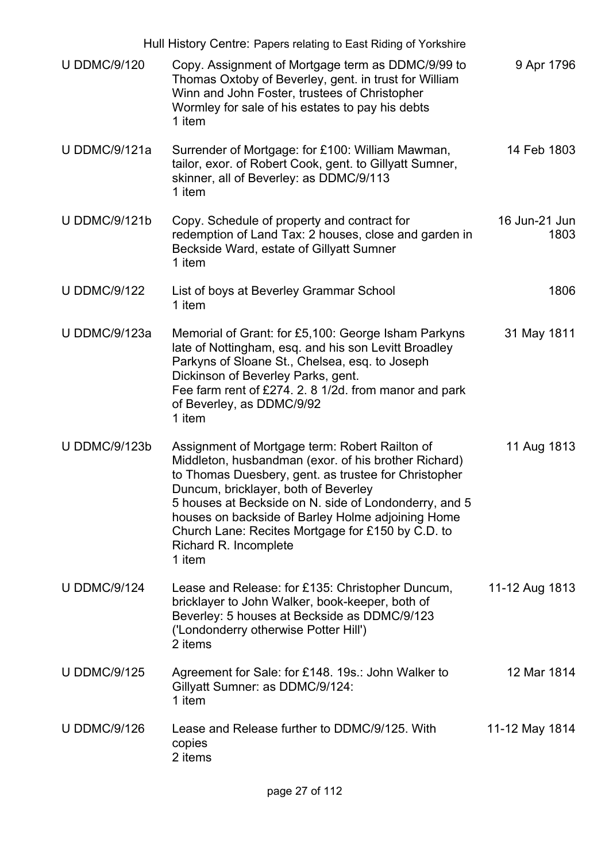|                      | Hull History Centre: Papers relating to East Riding of Yorkshire                                                                                                                                                                                                                                                                                                                                             |                       |
|----------------------|--------------------------------------------------------------------------------------------------------------------------------------------------------------------------------------------------------------------------------------------------------------------------------------------------------------------------------------------------------------------------------------------------------------|-----------------------|
| <b>U DDMC/9/120</b>  | Copy. Assignment of Mortgage term as DDMC/9/99 to<br>Thomas Oxtoby of Beverley, gent. in trust for William<br>Winn and John Foster, trustees of Christopher<br>Wormley for sale of his estates to pay his debts<br>1 item                                                                                                                                                                                    | 9 Apr 1796            |
| <b>U DDMC/9/121a</b> | Surrender of Mortgage: for £100: William Mawman,<br>tailor, exor. of Robert Cook, gent. to Gillyatt Sumner,<br>skinner, all of Beverley: as DDMC/9/113<br>1 item                                                                                                                                                                                                                                             | 14 Feb 1803           |
| <b>U DDMC/9/121b</b> | Copy. Schedule of property and contract for<br>redemption of Land Tax: 2 houses, close and garden in<br>Beckside Ward, estate of Gillyatt Sumner<br>1 item                                                                                                                                                                                                                                                   | 16 Jun-21 Jun<br>1803 |
| <b>U DDMC/9/122</b>  | List of boys at Beverley Grammar School<br>1 item                                                                                                                                                                                                                                                                                                                                                            | 1806                  |
| <b>U DDMC/9/123a</b> | Memorial of Grant: for £5,100: George Isham Parkyns<br>late of Nottingham, esq. and his son Levitt Broadley<br>Parkyns of Sloane St., Chelsea, esq. to Joseph<br>Dickinson of Beverley Parks, gent.<br>Fee farm rent of £274. 2. 8 1/2d. from manor and park<br>of Beverley, as DDMC/9/92<br>1 item                                                                                                          | 31 May 1811           |
| <b>U DDMC/9/123b</b> | Assignment of Mortgage term: Robert Railton of<br>Middleton, husbandman (exor. of his brother Richard)<br>to Thomas Duesbery, gent. as trustee for Christopher<br>Duncum, bricklayer, both of Beverley<br>5 houses at Beckside on N. side of Londonderry, and 5<br>houses on backside of Barley Holme adjoining Home<br>Church Lane: Recites Mortgage for £150 by C.D. to<br>Richard R. Incomplete<br>1 item | 11 Aug 1813           |
| <b>U DDMC/9/124</b>  | Lease and Release: for £135: Christopher Duncum,<br>bricklayer to John Walker, book-keeper, both of<br>Beverley: 5 houses at Beckside as DDMC/9/123<br>('Londonderry otherwise Potter Hill')<br>2 items                                                                                                                                                                                                      | 11-12 Aug 1813        |
| <b>U DDMC/9/125</b>  | Agreement for Sale: for £148. 19s.: John Walker to<br>Gillyatt Sumner: as DDMC/9/124:<br>1 item                                                                                                                                                                                                                                                                                                              | 12 Mar 1814           |
| <b>U DDMC/9/126</b>  | Lease and Release further to DDMC/9/125. With<br>copies<br>2 items                                                                                                                                                                                                                                                                                                                                           | 11-12 May 1814        |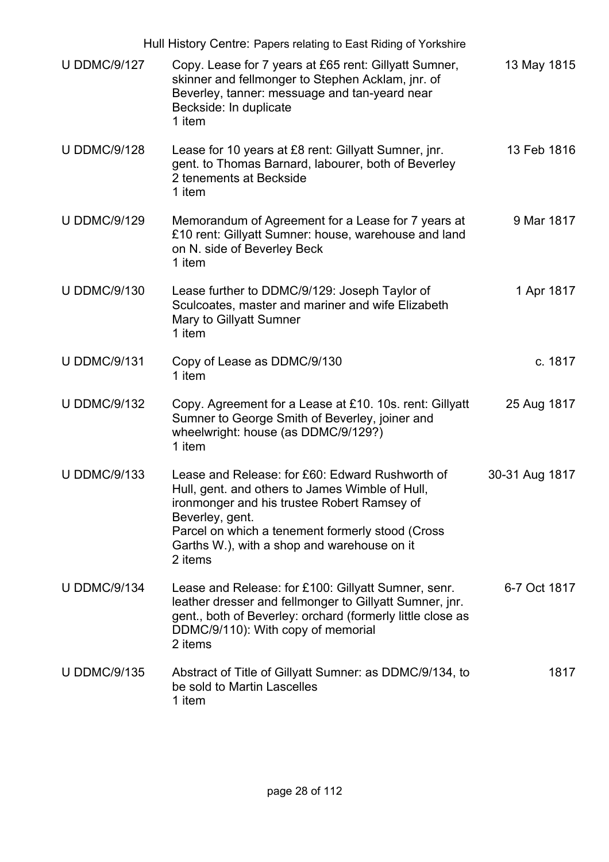|                     | Hull History Centre: Papers relating to East Riding of Yorkshire                                                                                                                                                                                                                   |                |
|---------------------|------------------------------------------------------------------------------------------------------------------------------------------------------------------------------------------------------------------------------------------------------------------------------------|----------------|
| <b>U DDMC/9/127</b> | Copy. Lease for 7 years at £65 rent: Gillyatt Sumner,<br>skinner and fellmonger to Stephen Acklam, jnr. of<br>Beverley, tanner: messuage and tan-yeard near<br>Beckside: In duplicate<br>1 item                                                                                    | 13 May 1815    |
| <b>U DDMC/9/128</b> | Lease for 10 years at £8 rent: Gillyatt Sumner, jnr.<br>gent. to Thomas Barnard, labourer, both of Beverley<br>2 tenements at Beckside<br>1 item                                                                                                                                   | 13 Feb 1816    |
| <b>U DDMC/9/129</b> | Memorandum of Agreement for a Lease for 7 years at<br>£10 rent: Gillyatt Sumner: house, warehouse and land<br>on N. side of Beverley Beck<br>1 item                                                                                                                                | 9 Mar 1817     |
| <b>U DDMC/9/130</b> | Lease further to DDMC/9/129: Joseph Taylor of<br>Sculcoates, master and mariner and wife Elizabeth<br>Mary to Gillyatt Sumner<br>1 item                                                                                                                                            | 1 Apr 1817     |
| <b>U DDMC/9/131</b> | Copy of Lease as DDMC/9/130<br>1 item                                                                                                                                                                                                                                              | c. 1817        |
| <b>U DDMC/9/132</b> | Copy. Agreement for a Lease at £10. 10s. rent: Gillyatt<br>Sumner to George Smith of Beverley, joiner and<br>wheelwright: house (as DDMC/9/129?)<br>1 item                                                                                                                         | 25 Aug 1817    |
| <b>U DDMC/9/133</b> | Lease and Release: for £60: Edward Rushworth of<br>Hull, gent. and others to James Wimble of Hull.<br>ironmonger and his trustee Robert Ramsey of<br>Beverley, gent.<br>Parcel on which a tenement formerly stood (Cross<br>Garths W.), with a shop and warehouse on it<br>2 items | 30-31 Aug 1817 |
| <b>U DDMC/9/134</b> | Lease and Release: for £100: Gillyatt Sumner, senr.<br>leather dresser and fellmonger to Gillyatt Sumner, jnr.<br>gent., both of Beverley: orchard (formerly little close as<br>DDMC/9/110): With copy of memorial<br>2 items                                                      | 6-7 Oct 1817   |
| <b>U DDMC/9/135</b> | Abstract of Title of Gillyatt Sumner: as DDMC/9/134, to<br>be sold to Martin Lascelles<br>1 item                                                                                                                                                                                   | 1817           |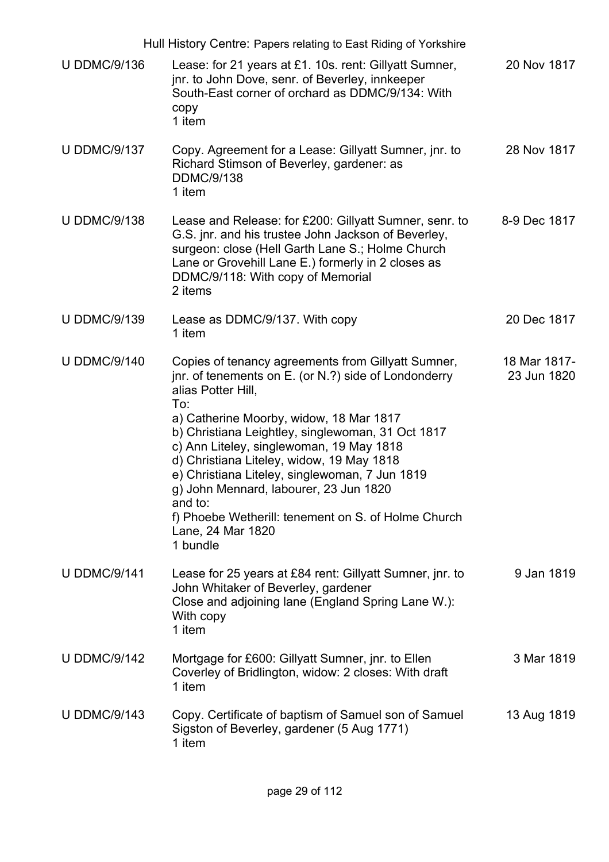|                     | Hull History Centre: Papers relating to East Riding of Yorkshire                                                                                                                                                                                                                                                                                                                                                                                                                                                                |                             |
|---------------------|---------------------------------------------------------------------------------------------------------------------------------------------------------------------------------------------------------------------------------------------------------------------------------------------------------------------------------------------------------------------------------------------------------------------------------------------------------------------------------------------------------------------------------|-----------------------------|
| <b>U DDMC/9/136</b> | Lease: for 21 years at £1. 10s. rent: Gillyatt Sumner,<br>jnr. to John Dove, senr. of Beverley, innkeeper<br>South-East corner of orchard as DDMC/9/134: With<br>copy<br>1 item                                                                                                                                                                                                                                                                                                                                                 | 20 Nov 1817                 |
| <b>U DDMC/9/137</b> | Copy. Agreement for a Lease: Gillyatt Sumner, jnr. to<br>Richard Stimson of Beverley, gardener: as<br><b>DDMC/9/138</b><br>1 item                                                                                                                                                                                                                                                                                                                                                                                               | 28 Nov 1817                 |
| <b>U DDMC/9/138</b> | Lease and Release: for £200: Gillyatt Sumner, senr. to<br>G.S. jnr. and his trustee John Jackson of Beverley,<br>surgeon: close (Hell Garth Lane S.; Holme Church<br>Lane or Grovehill Lane E.) formerly in 2 closes as<br>DDMC/9/118: With copy of Memorial<br>2 items                                                                                                                                                                                                                                                         | 8-9 Dec 1817                |
| <b>U DDMC/9/139</b> | Lease as DDMC/9/137. With copy<br>1 item                                                                                                                                                                                                                                                                                                                                                                                                                                                                                        | 20 Dec 1817                 |
| <b>U DDMC/9/140</b> | Copies of tenancy agreements from Gillyatt Sumner,<br>jnr. of tenements on E. (or N.?) side of Londonderry<br>alias Potter Hill,<br>To:<br>a) Catherine Moorby, widow, 18 Mar 1817<br>b) Christiana Leightley, singlewoman, 31 Oct 1817<br>c) Ann Liteley, singlewoman, 19 May 1818<br>d) Christiana Liteley, widow, 19 May 1818<br>e) Christiana Liteley, singlewoman, 7 Jun 1819<br>g) John Mennard, labourer, 23 Jun 1820<br>and to:<br>f) Phoebe Wetherill: tenement on S. of Holme Church<br>Lane, 24 Mar 1820<br>1 bundle | 18 Mar 1817-<br>23 Jun 1820 |
| <b>U DDMC/9/141</b> | Lease for 25 years at £84 rent: Gillyatt Sumner, jnr. to<br>John Whitaker of Beverley, gardener<br>Close and adjoining lane (England Spring Lane W.):<br>With copy<br>1 item                                                                                                                                                                                                                                                                                                                                                    | 9 Jan 1819                  |
| <b>U DDMC/9/142</b> | Mortgage for £600: Gillyatt Sumner, jnr. to Ellen<br>Coverley of Bridlington, widow: 2 closes: With draft<br>1 item                                                                                                                                                                                                                                                                                                                                                                                                             | 3 Mar 1819                  |
| <b>U DDMC/9/143</b> | Copy. Certificate of baptism of Samuel son of Samuel<br>Sigston of Beverley, gardener (5 Aug 1771)<br>1 item                                                                                                                                                                                                                                                                                                                                                                                                                    | 13 Aug 1819                 |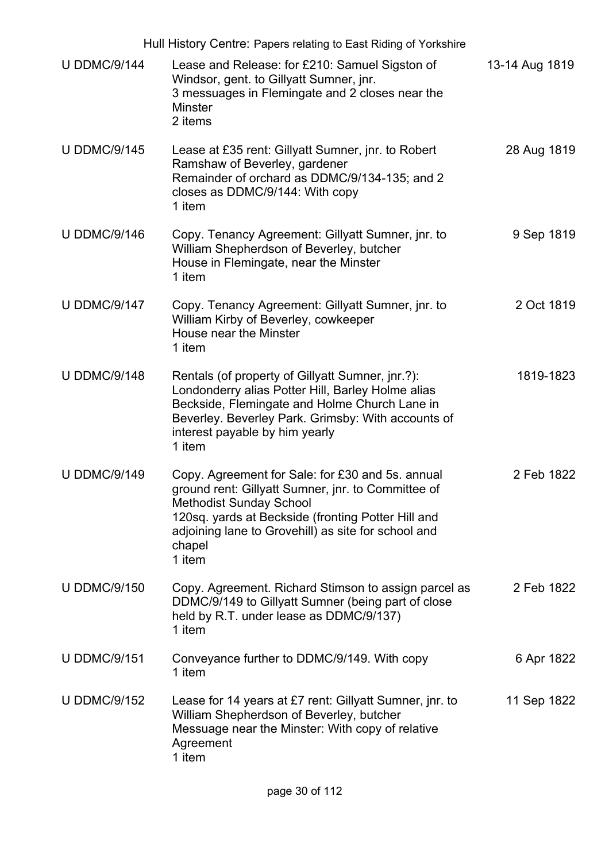| Hull History Centre: Papers relating to East Riding of Yorkshire |                                                                                                                                                                                                                                                                           |                |
|------------------------------------------------------------------|---------------------------------------------------------------------------------------------------------------------------------------------------------------------------------------------------------------------------------------------------------------------------|----------------|
| <b>U DDMC/9/144</b>                                              | Lease and Release: for £210: Samuel Sigston of<br>Windsor, gent. to Gillyatt Sumner, jnr.<br>3 messuages in Flemingate and 2 closes near the<br><b>Minster</b><br>2 items                                                                                                 | 13-14 Aug 1819 |
| <b>U DDMC/9/145</b>                                              | Lease at £35 rent: Gillyatt Sumner, jnr. to Robert<br>Ramshaw of Beverley, gardener<br>Remainder of orchard as DDMC/9/134-135; and 2<br>closes as DDMC/9/144: With copy<br>1 item                                                                                         | 28 Aug 1819    |
| <b>U DDMC/9/146</b>                                              | Copy. Tenancy Agreement: Gillyatt Sumner, jnr. to<br>William Shepherdson of Beverley, butcher<br>House in Flemingate, near the Minster<br>1 item                                                                                                                          | 9 Sep 1819     |
| <b>U DDMC/9/147</b>                                              | Copy. Tenancy Agreement: Gillyatt Sumner, jnr. to<br>William Kirby of Beverley, cowkeeper<br>House near the Minster<br>1 item                                                                                                                                             | 2 Oct 1819     |
| <b>U DDMC/9/148</b>                                              | Rentals (of property of Gillyatt Sumner, jnr.?):<br>Londonderry alias Potter Hill, Barley Holme alias<br>Beckside, Flemingate and Holme Church Lane in<br>Beverley. Beverley Park. Grimsby: With accounts of<br>interest payable by him yearly<br>1 item                  | 1819-1823      |
| <b>U DDMC/9/149</b>                                              | Copy. Agreement for Sale: for £30 and 5s. annual<br>ground rent: Gillyatt Sumner, jnr. to Committee of<br><b>Methodist Sunday School</b><br>120sq. yards at Beckside (fronting Potter Hill and<br>adjoining lane to Grovehill) as site for school and<br>chapel<br>1 item | 2 Feb 1822     |
| <b>U DDMC/9/150</b>                                              | Copy. Agreement. Richard Stimson to assign parcel as<br>DDMC/9/149 to Gillyatt Sumner (being part of close<br>held by R.T. under lease as DDMC/9/137)<br>1 item                                                                                                           | 2 Feb 1822     |
| <b>U DDMC/9/151</b>                                              | Conveyance further to DDMC/9/149. With copy<br>1 item                                                                                                                                                                                                                     | 6 Apr 1822     |
| <b>U DDMC/9/152</b>                                              | Lease for 14 years at £7 rent: Gillyatt Sumner, jnr. to<br>William Shepherdson of Beverley, butcher<br>Messuage near the Minster: With copy of relative<br>Agreement<br>1 item                                                                                            | 11 Sep 1822    |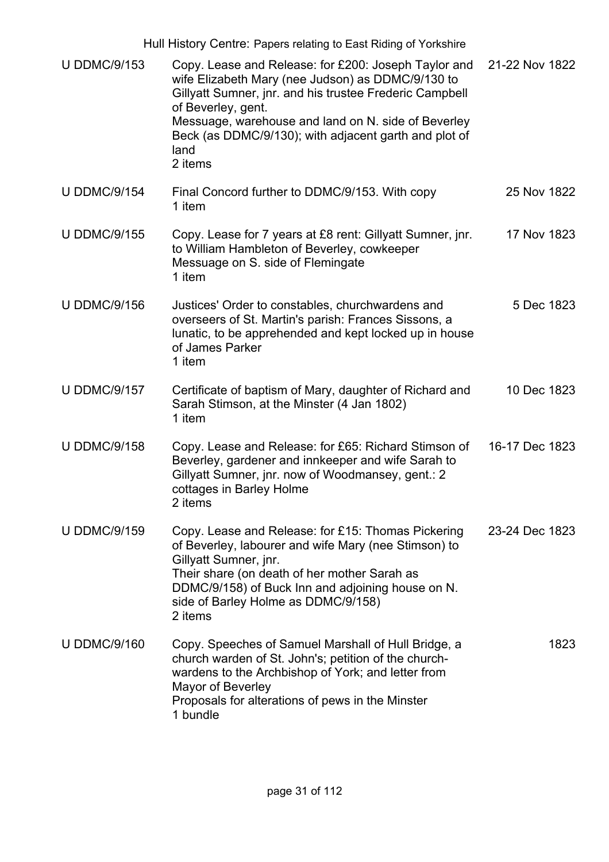| Hull History Centre: Papers relating to East Riding of Yorkshire |                                                                                                                                                                                                                                                                                                                               |                |
|------------------------------------------------------------------|-------------------------------------------------------------------------------------------------------------------------------------------------------------------------------------------------------------------------------------------------------------------------------------------------------------------------------|----------------|
| <b>U DDMC/9/153</b>                                              | Copy. Lease and Release: for £200: Joseph Taylor and<br>wife Elizabeth Mary (nee Judson) as DDMC/9/130 to<br>Gillyatt Sumner, jnr. and his trustee Frederic Campbell<br>of Beverley, gent.<br>Messuage, warehouse and land on N. side of Beverley<br>Beck (as DDMC/9/130); with adjacent garth and plot of<br>land<br>2 items | 21-22 Nov 1822 |
| <b>U DDMC/9/154</b>                                              | Final Concord further to DDMC/9/153. With copy<br>1 item                                                                                                                                                                                                                                                                      | 25 Nov 1822    |
| <b>U DDMC/9/155</b>                                              | Copy. Lease for 7 years at £8 rent: Gillyatt Sumner, jnr.<br>to William Hambleton of Beverley, cowkeeper<br>Messuage on S. side of Flemingate<br>1 item                                                                                                                                                                       | 17 Nov 1823    |
| <b>U DDMC/9/156</b>                                              | Justices' Order to constables, churchwardens and<br>overseers of St. Martin's parish: Frances Sissons, a<br>lunatic, to be apprehended and kept locked up in house<br>of James Parker<br>1 item                                                                                                                               | 5 Dec 1823     |
| <b>U DDMC/9/157</b>                                              | Certificate of baptism of Mary, daughter of Richard and<br>Sarah Stimson, at the Minster (4 Jan 1802)<br>1 item                                                                                                                                                                                                               | 10 Dec 1823    |
| <b>U DDMC/9/158</b>                                              | Copy. Lease and Release: for £65: Richard Stimson of<br>Beverley, gardener and innkeeper and wife Sarah to<br>Gillyatt Sumner, jnr. now of Woodmansey, gent.: 2<br>cottages in Barley Holme<br>2 items                                                                                                                        | 16-17 Dec 1823 |
| <b>U DDMC/9/159</b>                                              | Copy. Lease and Release: for £15: Thomas Pickering<br>of Beverley, labourer and wife Mary (nee Stimson) to<br>Gillyatt Sumner, jnr.<br>Their share (on death of her mother Sarah as<br>DDMC/9/158) of Buck Inn and adjoining house on N.<br>side of Barley Holme as DDMC/9/158)<br>2 items                                    | 23-24 Dec 1823 |
| <b>U DDMC/9/160</b>                                              | Copy. Speeches of Samuel Marshall of Hull Bridge, a<br>church warden of St. John's; petition of the church-<br>wardens to the Archbishop of York; and letter from<br>Mayor of Beverley<br>Proposals for alterations of pews in the Minster<br>1 bundle                                                                        | 1823           |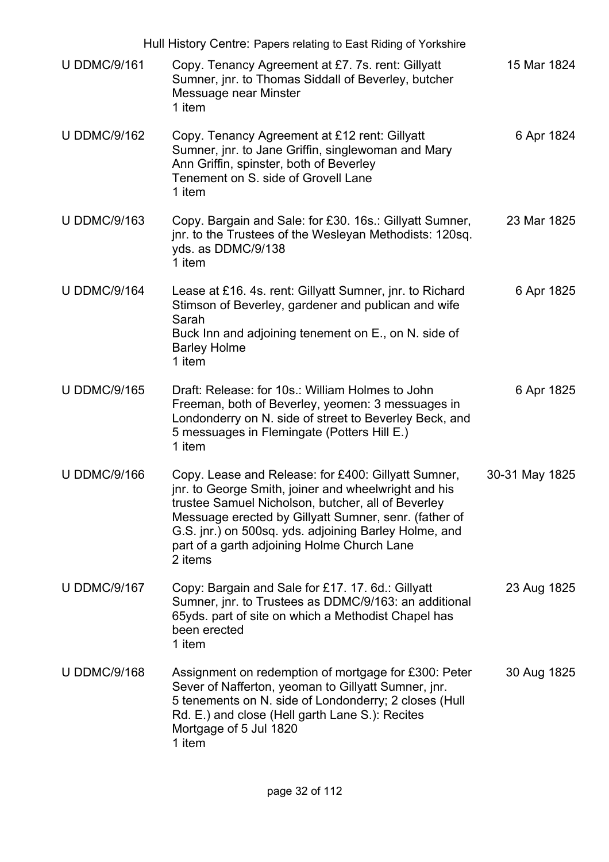| Hull History Centre: Papers relating to East Riding of Yorkshire |                                                                                                                                                                                                                                                                                                                                               |                |
|------------------------------------------------------------------|-----------------------------------------------------------------------------------------------------------------------------------------------------------------------------------------------------------------------------------------------------------------------------------------------------------------------------------------------|----------------|
| <b>U DDMC/9/161</b>                                              | Copy. Tenancy Agreement at £7.7s. rent: Gillyatt<br>Sumner, jnr. to Thomas Siddall of Beverley, butcher<br>Messuage near Minster<br>1 item                                                                                                                                                                                                    | 15 Mar 1824    |
| <b>U DDMC/9/162</b>                                              | Copy. Tenancy Agreement at £12 rent: Gillyatt<br>Sumner, jnr. to Jane Griffin, singlewoman and Mary<br>Ann Griffin, spinster, both of Beverley<br>Tenement on S. side of Grovell Lane<br>1 item                                                                                                                                               | 6 Apr 1824     |
| <b>U DDMC/9/163</b>                                              | Copy. Bargain and Sale: for £30. 16s.: Gillyatt Sumner,<br>jnr. to the Trustees of the Wesleyan Methodists: 120sq.<br>yds. as DDMC/9/138<br>1 item                                                                                                                                                                                            | 23 Mar 1825    |
| <b>U DDMC/9/164</b>                                              | Lease at £16. 4s. rent: Gillyatt Sumner, jnr. to Richard<br>Stimson of Beverley, gardener and publican and wife<br>Sarah<br>Buck Inn and adjoining tenement on E., on N. side of<br><b>Barley Holme</b><br>1 item                                                                                                                             | 6 Apr 1825     |
| <b>U DDMC/9/165</b>                                              | Draft: Release: for 10s.: William Holmes to John<br>Freeman, both of Beverley, yeomen: 3 messuages in<br>Londonderry on N. side of street to Beverley Beck, and<br>5 messuages in Flemingate (Potters Hill E.)<br>1 item                                                                                                                      | 6 Apr 1825     |
| <b>U DDMC/9/166</b>                                              | Copy. Lease and Release: for £400: Gillyatt Sumner,<br>jnr. to George Smith, joiner and wheelwright and his<br>trustee Samuel Nicholson, butcher, all of Beverley<br>Messuage erected by Gillyatt Sumner, senr. (father of<br>G.S. jnr.) on 500sq. yds. adjoining Barley Holme, and<br>part of a garth adjoining Holme Church Lane<br>2 items | 30-31 May 1825 |
| <b>U DDMC/9/167</b>                                              | Copy: Bargain and Sale for £17. 17. 6d.: Gillyatt<br>Sumner, jnr. to Trustees as DDMC/9/163: an additional<br>65yds. part of site on which a Methodist Chapel has<br>been erected<br>1 item                                                                                                                                                   | 23 Aug 1825    |
| <b>U DDMC/9/168</b>                                              | Assignment on redemption of mortgage for £300: Peter<br>Sever of Nafferton, yeoman to Gillyatt Sumner, jnr.<br>5 tenements on N. side of Londonderry; 2 closes (Hull<br>Rd. E.) and close (Hell garth Lane S.): Recites<br>Mortgage of 5 Jul 1820<br>1 item                                                                                   | 30 Aug 1825    |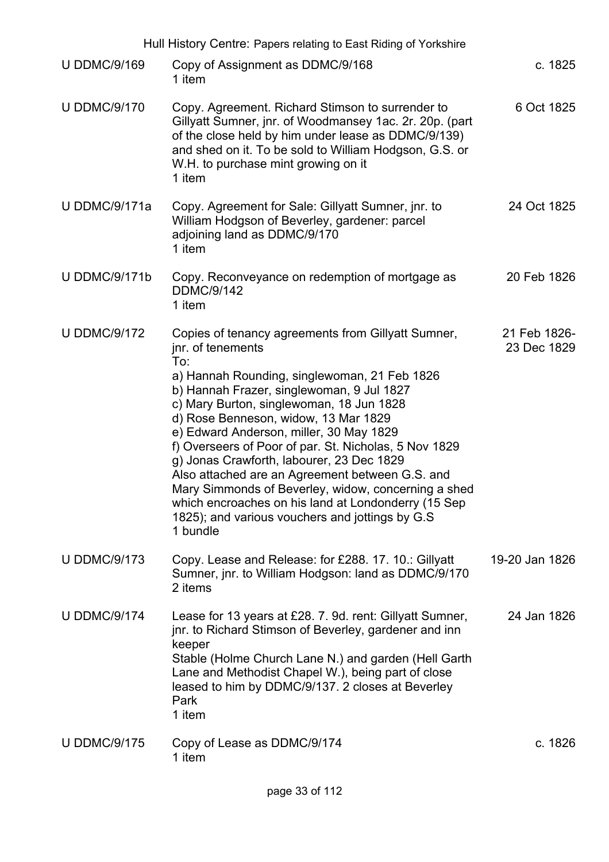| Hull History Centre: Papers relating to East Riding of Yorkshire |                                                                                                                                                                                                                                                                                                                                                                                                                                                                                                                                                                                                                                                  |                             |
|------------------------------------------------------------------|--------------------------------------------------------------------------------------------------------------------------------------------------------------------------------------------------------------------------------------------------------------------------------------------------------------------------------------------------------------------------------------------------------------------------------------------------------------------------------------------------------------------------------------------------------------------------------------------------------------------------------------------------|-----------------------------|
| <b>U DDMC/9/169</b>                                              | Copy of Assignment as DDMC/9/168<br>1 item                                                                                                                                                                                                                                                                                                                                                                                                                                                                                                                                                                                                       | c. 1825                     |
| <b>U DDMC/9/170</b>                                              | Copy. Agreement. Richard Stimson to surrender to<br>Gillyatt Sumner, jnr. of Woodmansey 1ac. 2r. 20p. (part<br>of the close held by him under lease as DDMC/9/139)<br>and shed on it. To be sold to William Hodgson, G.S. or<br>W.H. to purchase mint growing on it<br>1 item                                                                                                                                                                                                                                                                                                                                                                    | 6 Oct 1825                  |
| <b>U DDMC/9/171a</b>                                             | Copy. Agreement for Sale: Gillyatt Sumner, jnr. to<br>William Hodgson of Beverley, gardener: parcel<br>adjoining land as DDMC/9/170<br>1 item                                                                                                                                                                                                                                                                                                                                                                                                                                                                                                    | 24 Oct 1825                 |
| <b>U DDMC/9/171b</b>                                             | Copy. Reconveyance on redemption of mortgage as<br><b>DDMC/9/142</b><br>1 item                                                                                                                                                                                                                                                                                                                                                                                                                                                                                                                                                                   | 20 Feb 1826                 |
| <b>U DDMC/9/172</b>                                              | Copies of tenancy agreements from Gillyatt Sumner,<br>jnr. of tenements<br>To:<br>a) Hannah Rounding, singlewoman, 21 Feb 1826<br>b) Hannah Frazer, singlewoman, 9 Jul 1827<br>c) Mary Burton, singlewoman, 18 Jun 1828<br>d) Rose Benneson, widow, 13 Mar 1829<br>e) Edward Anderson, miller, 30 May 1829<br>f) Overseers of Poor of par. St. Nicholas, 5 Nov 1829<br>g) Jonas Crawforth, labourer, 23 Dec 1829<br>Also attached are an Agreement between G.S. and<br>Mary Simmonds of Beverley, widow, concerning a shed<br>which encroaches on his land at Londonderry (15 Sep<br>1825); and various vouchers and jottings by G.S<br>1 bundle | 21 Feb 1826-<br>23 Dec 1829 |
| <b>U DDMC/9/173</b>                                              | Copy. Lease and Release: for £288. 17. 10.: Gillyatt<br>Sumner, jnr. to William Hodgson: land as DDMC/9/170<br>2 items                                                                                                                                                                                                                                                                                                                                                                                                                                                                                                                           | 19-20 Jan 1826              |
| <b>U DDMC/9/174</b>                                              | Lease for 13 years at £28. 7. 9d. rent: Gillyatt Sumner,<br>jnr. to Richard Stimson of Beverley, gardener and inn<br>keeper<br>Stable (Holme Church Lane N.) and garden (Hell Garth<br>Lane and Methodist Chapel W.), being part of close<br>leased to him by DDMC/9/137. 2 closes at Beverley<br>Park<br>1 item                                                                                                                                                                                                                                                                                                                                 | 24 Jan 1826                 |
| <b>U DDMC/9/175</b>                                              | Copy of Lease as DDMC/9/174<br>1 item                                                                                                                                                                                                                                                                                                                                                                                                                                                                                                                                                                                                            | c. 1826                     |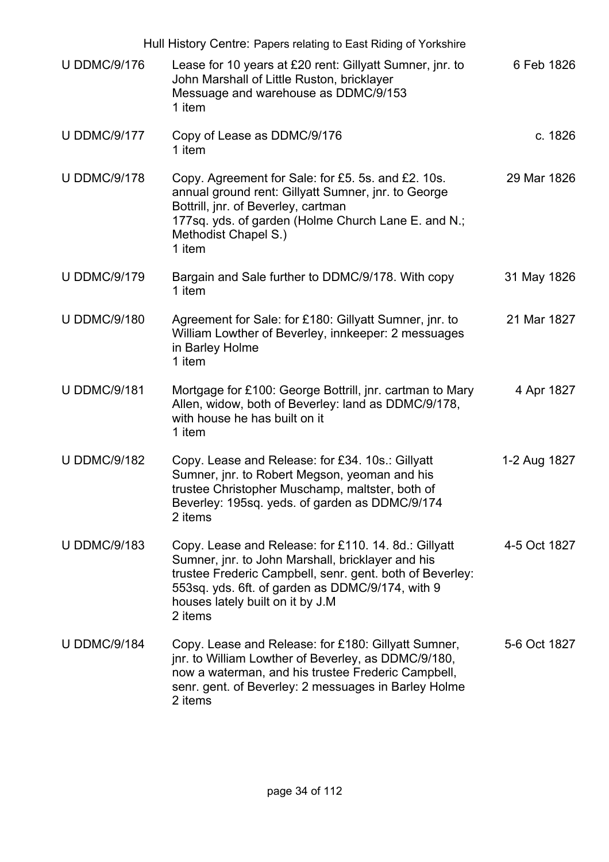| Hull History Centre: Papers relating to East Riding of Yorkshire |                                                                                                                                                                                                                                                                          |              |
|------------------------------------------------------------------|--------------------------------------------------------------------------------------------------------------------------------------------------------------------------------------------------------------------------------------------------------------------------|--------------|
| <b>U DDMC/9/176</b>                                              | Lease for 10 years at £20 rent: Gillyatt Sumner, jnr. to<br>John Marshall of Little Ruston, bricklayer<br>Messuage and warehouse as DDMC/9/153<br>1 item                                                                                                                 | 6 Feb 1826   |
| <b>U DDMC/9/177</b>                                              | Copy of Lease as DDMC/9/176<br>1 item                                                                                                                                                                                                                                    | c. 1826      |
| <b>U DDMC/9/178</b>                                              | Copy. Agreement for Sale: for £5. 5s. and £2. 10s.<br>annual ground rent: Gillyatt Sumner, jnr. to George<br>Bottrill, jnr. of Beverley, cartman<br>177sq. yds. of garden (Holme Church Lane E. and N.;<br>Methodist Chapel S.)<br>1 item                                | 29 Mar 1826  |
| <b>U DDMC/9/179</b>                                              | Bargain and Sale further to DDMC/9/178. With copy<br>1 item                                                                                                                                                                                                              | 31 May 1826  |
| <b>U DDMC/9/180</b>                                              | Agreement for Sale: for £180: Gillyatt Sumner, jnr. to<br>William Lowther of Beverley, innkeeper: 2 messuages<br>in Barley Holme<br>1 item                                                                                                                               | 21 Mar 1827  |
| <b>U DDMC/9/181</b>                                              | Mortgage for £100: George Bottrill, jnr. cartman to Mary<br>Allen, widow, both of Beverley: land as DDMC/9/178,<br>with house he has built on it<br>1 item                                                                                                               | 4 Apr 1827   |
| <b>U DDMC/9/182</b>                                              | Copy. Lease and Release: for £34. 10s.: Gillyatt<br>Sumner, jnr. to Robert Megson, yeoman and his<br>trustee Christopher Muschamp, maltster, both of<br>Beverley: 195sq. yeds. of garden as DDMC/9/174<br>2 items                                                        | 1-2 Aug 1827 |
| <b>U DDMC/9/183</b>                                              | Copy. Lease and Release: for £110. 14. 8d.: Gillyatt<br>Sumner, jnr. to John Marshall, bricklayer and his<br>trustee Frederic Campbell, senr. gent. both of Beverley:<br>553sq. yds. 6ft. of garden as DDMC/9/174, with 9<br>houses lately built on it by J.M<br>2 items | 4-5 Oct 1827 |
| <b>U DDMC/9/184</b>                                              | Copy. Lease and Release: for £180: Gillyatt Sumner,<br>jnr. to William Lowther of Beverley, as DDMC/9/180,<br>now a waterman, and his trustee Frederic Campbell,<br>senr. gent. of Beverley: 2 messuages in Barley Holme<br>2 items                                      | 5-6 Oct 1827 |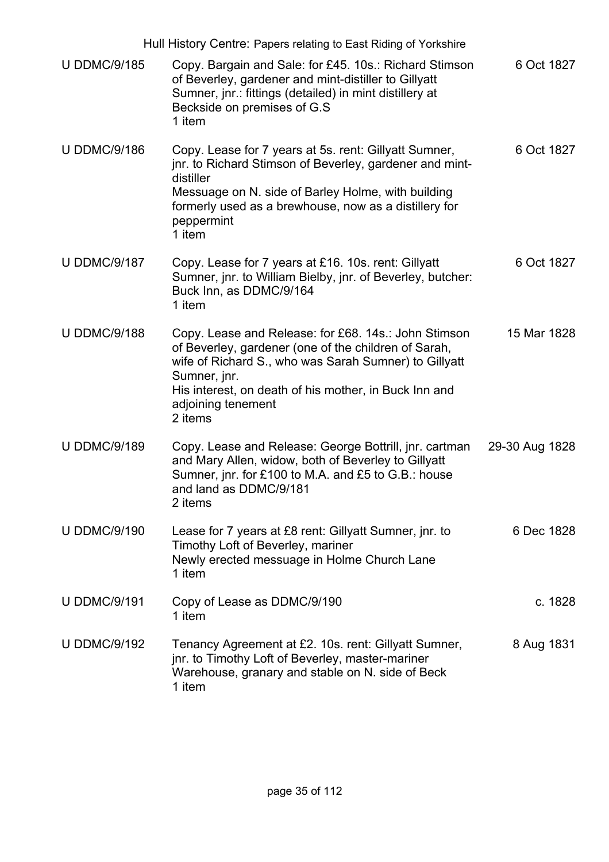| Hull History Centre: Papers relating to East Riding of Yorkshire |                                                                                                                                                                                                                                                                                 |                |
|------------------------------------------------------------------|---------------------------------------------------------------------------------------------------------------------------------------------------------------------------------------------------------------------------------------------------------------------------------|----------------|
| <b>U DDMC/9/185</b>                                              | Copy. Bargain and Sale: for £45. 10s.: Richard Stimson<br>of Beverley, gardener and mint-distiller to Gillyatt<br>Sumner, jnr.: fittings (detailed) in mint distillery at<br>Beckside on premises of G.S.<br>1 item                                                             | 6 Oct 1827     |
| <b>U DDMC/9/186</b>                                              | Copy. Lease for 7 years at 5s. rent: Gillyatt Sumner,<br>jnr. to Richard Stimson of Beverley, gardener and mint-<br>distiller<br>Messuage on N. side of Barley Holme, with building<br>formerly used as a brewhouse, now as a distillery for<br>peppermint<br>1 item            | 6 Oct 1827     |
| <b>U DDMC/9/187</b>                                              | Copy. Lease for 7 years at £16. 10s. rent: Gillyatt<br>Sumner, jnr. to William Bielby, jnr. of Beverley, butcher:<br>Buck Inn, as DDMC/9/164<br>1 item                                                                                                                          | 6 Oct 1827     |
| <b>U DDMC/9/188</b>                                              | Copy. Lease and Release: for £68. 14s.: John Stimson<br>of Beverley, gardener (one of the children of Sarah,<br>wife of Richard S., who was Sarah Sumner) to Gillyatt<br>Sumner, jnr.<br>His interest, on death of his mother, in Buck Inn and<br>adjoining tenement<br>2 items | 15 Mar 1828    |
| <b>U DDMC/9/189</b>                                              | Copy. Lease and Release: George Bottrill, jnr. cartman<br>and Mary Allen, widow, both of Beverley to Gillyatt<br>Sumner, jnr. for £100 to M.A. and £5 to G.B.: house<br>and land as DDMC/9/181<br>2 items                                                                       | 29-30 Aug 1828 |
| <b>U DDMC/9/190</b>                                              | Lease for 7 years at £8 rent: Gillyatt Sumner, jnr. to<br>Timothy Loft of Beverley, mariner<br>Newly erected messuage in Holme Church Lane<br>1 item                                                                                                                            | 6 Dec 1828     |
| <b>U DDMC/9/191</b>                                              | Copy of Lease as DDMC/9/190<br>1 item                                                                                                                                                                                                                                           | c. 1828        |
| <b>U DDMC/9/192</b>                                              | Tenancy Agreement at £2. 10s. rent: Gillyatt Sumner,<br>jnr. to Timothy Loft of Beverley, master-mariner<br>Warehouse, granary and stable on N. side of Beck<br>1 item                                                                                                          | 8 Aug 1831     |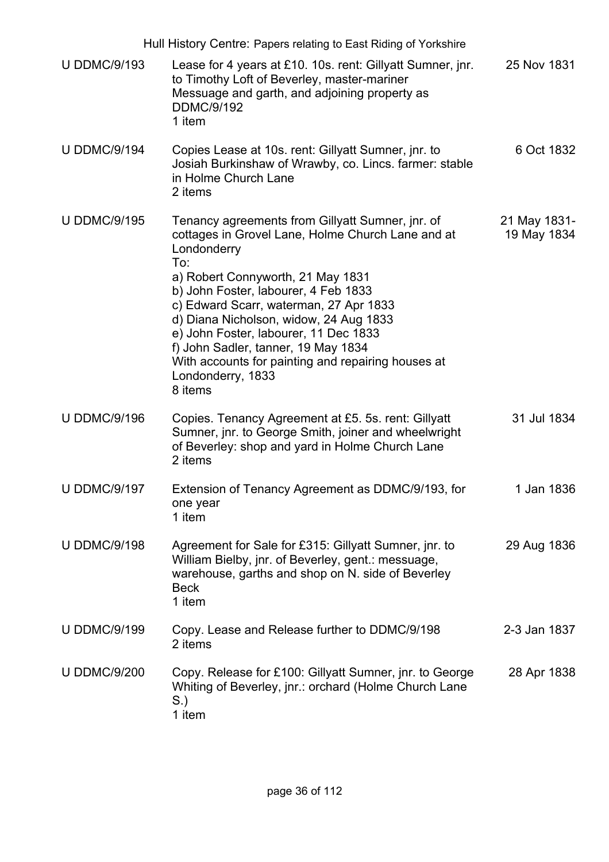| Hull History Centre: Papers relating to East Riding of Yorkshire |                                                                                                                                                                                                                                                                                                                                                                                                                                                                    |                             |
|------------------------------------------------------------------|--------------------------------------------------------------------------------------------------------------------------------------------------------------------------------------------------------------------------------------------------------------------------------------------------------------------------------------------------------------------------------------------------------------------------------------------------------------------|-----------------------------|
| <b>U DDMC/9/193</b>                                              | Lease for 4 years at £10. 10s. rent: Gillyatt Sumner, jnr.<br>to Timothy Loft of Beverley, master-mariner<br>Messuage and garth, and adjoining property as<br><b>DDMC/9/192</b><br>1 item                                                                                                                                                                                                                                                                          | 25 Nov 1831                 |
| <b>U DDMC/9/194</b>                                              | Copies Lease at 10s. rent: Gillyatt Sumner, jnr. to<br>Josiah Burkinshaw of Wrawby, co. Lincs. farmer: stable<br>in Holme Church Lane<br>2 items                                                                                                                                                                                                                                                                                                                   | 6 Oct 1832                  |
| <b>U DDMC/9/195</b>                                              | Tenancy agreements from Gillyatt Sumner, jnr. of<br>cottages in Grovel Lane, Holme Church Lane and at<br>Londonderry<br>To:<br>a) Robert Connyworth, 21 May 1831<br>b) John Foster, labourer, 4 Feb 1833<br>c) Edward Scarr, waterman, 27 Apr 1833<br>d) Diana Nicholson, widow, 24 Aug 1833<br>e) John Foster, labourer, 11 Dec 1833<br>f) John Sadler, tanner, 19 May 1834<br>With accounts for painting and repairing houses at<br>Londonderry, 1833<br>8 items | 21 May 1831-<br>19 May 1834 |
| <b>U DDMC/9/196</b>                                              | Copies. Tenancy Agreement at £5. 5s. rent: Gillyatt<br>Sumner, jnr. to George Smith, joiner and wheelwright<br>of Beverley: shop and yard in Holme Church Lane<br>2 items                                                                                                                                                                                                                                                                                          | 31 Jul 1834                 |
| <b>U DDMC/9/197</b>                                              | Extension of Tenancy Agreement as DDMC/9/193, for<br>one year<br>1 item                                                                                                                                                                                                                                                                                                                                                                                            | 1 Jan 1836                  |
| <b>U DDMC/9/198</b>                                              | Agreement for Sale for £315: Gillyatt Sumner, jnr. to<br>William Bielby, jnr. of Beverley, gent.: messuage,<br>warehouse, garths and shop on N. side of Beverley<br><b>Beck</b><br>1 item                                                                                                                                                                                                                                                                          | 29 Aug 1836                 |
| <b>U DDMC/9/199</b>                                              | Copy. Lease and Release further to DDMC/9/198<br>2 items                                                                                                                                                                                                                                                                                                                                                                                                           | 2-3 Jan 1837                |
| <b>U DDMC/9/200</b>                                              | Copy. Release for £100: Gillyatt Sumner, jnr. to George<br>Whiting of Beverley, jnr.: orchard (Holme Church Lane<br>S.)<br>1 item                                                                                                                                                                                                                                                                                                                                  | 28 Apr 1838                 |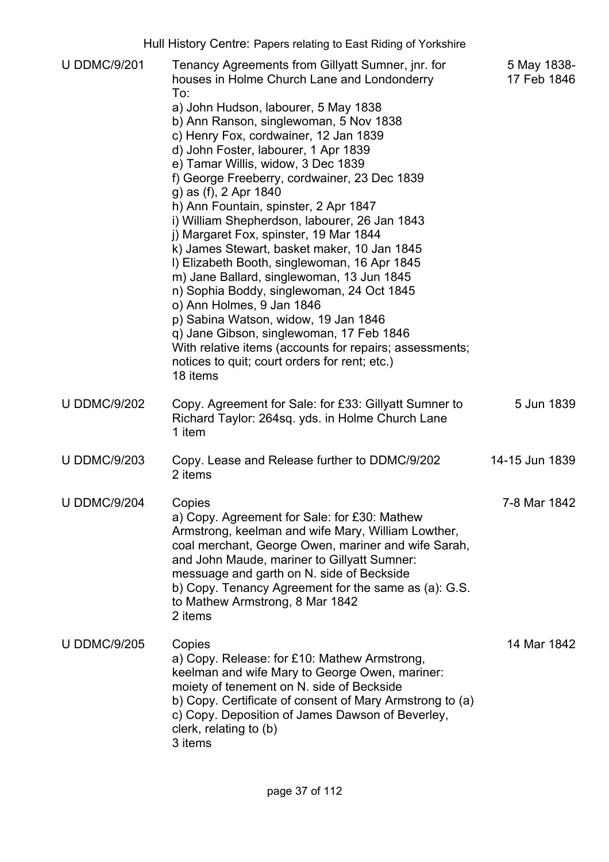|                     | Hull History Centre: Papers relating to East Riding of Yorkshire                                                                                                                                                                                                                                                                                                                                                                                                                                                                                                                                                                                                                                                                                                                                                                                                                                                                                    |                            |
|---------------------|-----------------------------------------------------------------------------------------------------------------------------------------------------------------------------------------------------------------------------------------------------------------------------------------------------------------------------------------------------------------------------------------------------------------------------------------------------------------------------------------------------------------------------------------------------------------------------------------------------------------------------------------------------------------------------------------------------------------------------------------------------------------------------------------------------------------------------------------------------------------------------------------------------------------------------------------------------|----------------------------|
| <b>U DDMC/9/201</b> | Tenancy Agreements from Gillyatt Sumner, jnr. for<br>houses in Holme Church Lane and Londonderry<br>To:<br>a) John Hudson, labourer, 5 May 1838<br>b) Ann Ranson, singlewoman, 5 Nov 1838<br>c) Henry Fox, cordwainer, 12 Jan 1839<br>d) John Foster, labourer, 1 Apr 1839<br>e) Tamar Willis, widow, 3 Dec 1839<br>f) George Freeberry, cordwainer, 23 Dec 1839<br>g) as (f), 2 Apr 1840<br>h) Ann Fountain, spinster, 2 Apr 1847<br>i) William Shepherdson, labourer, 26 Jan 1843<br>j) Margaret Fox, spinster, 19 Mar 1844<br>k) James Stewart, basket maker, 10 Jan 1845<br>I) Elizabeth Booth, singlewoman, 16 Apr 1845<br>m) Jane Ballard, singlewoman, 13 Jun 1845<br>n) Sophia Boddy, singlewoman, 24 Oct 1845<br>o) Ann Holmes, 9 Jan 1846<br>p) Sabina Watson, widow, 19 Jan 1846<br>q) Jane Gibson, singlewoman, 17 Feb 1846<br>With relative items (accounts for repairs; assessments;<br>notices to quit; court orders for rent; etc.) | 5 May 1838-<br>17 Feb 1846 |
|                     | 18 items                                                                                                                                                                                                                                                                                                                                                                                                                                                                                                                                                                                                                                                                                                                                                                                                                                                                                                                                            |                            |
| <b>U DDMC/9/202</b> | Copy. Agreement for Sale: for £33: Gillyatt Sumner to<br>Richard Taylor: 264sq. yds. in Holme Church Lane<br>1 item                                                                                                                                                                                                                                                                                                                                                                                                                                                                                                                                                                                                                                                                                                                                                                                                                                 | 5 Jun 1839                 |
| <b>U DDMC/9/203</b> | Copy. Lease and Release further to DDMC/9/202<br>2 items                                                                                                                                                                                                                                                                                                                                                                                                                                                                                                                                                                                                                                                                                                                                                                                                                                                                                            | 14-15 Jun 1839             |
| <b>U DDMC/9/204</b> | Copies<br>a) Copy. Agreement for Sale: for £30: Mathew<br>Armstrong, keelman and wife Mary, William Lowther,<br>coal merchant, George Owen, mariner and wife Sarah,<br>and John Maude, mariner to Gillyatt Sumner:<br>messuage and garth on N. side of Beckside<br>b) Copy. Tenancy Agreement for the same as (a): G.S.<br>to Mathew Armstrong, 8 Mar 1842<br>2 items                                                                                                                                                                                                                                                                                                                                                                                                                                                                                                                                                                               | 7-8 Mar 1842               |
| <b>U DDMC/9/205</b> | Copies<br>a) Copy. Release: for £10: Mathew Armstrong,<br>keelman and wife Mary to George Owen, mariner:<br>moiety of tenement on N. side of Beckside<br>b) Copy. Certificate of consent of Mary Armstrong to (a)<br>c) Copy. Deposition of James Dawson of Beverley,<br>clerk, relating to (b)<br>3 items                                                                                                                                                                                                                                                                                                                                                                                                                                                                                                                                                                                                                                          | 14 Mar 1842                |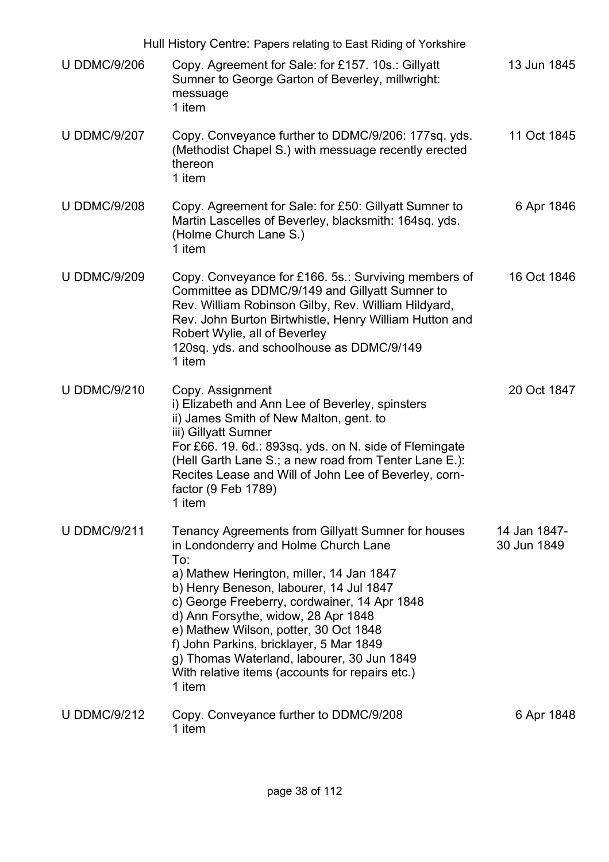|                     | Hull History Centre: Papers relating to East Riding of Yorkshire                                                                                                                                                                                                                                                                                                                                                                                                               |                             |
|---------------------|--------------------------------------------------------------------------------------------------------------------------------------------------------------------------------------------------------------------------------------------------------------------------------------------------------------------------------------------------------------------------------------------------------------------------------------------------------------------------------|-----------------------------|
| <b>U DDMC/9/206</b> | Copy. Agreement for Sale: for £157. 10s.: Gillyatt<br>Sumner to George Garton of Beverley, millwright:<br>messuage<br>1 item                                                                                                                                                                                                                                                                                                                                                   | 13 Jun 1845                 |
| <b>U DDMC/9/207</b> | Copy. Conveyance further to DDMC/9/206: 177sq. yds.<br>(Methodist Chapel S.) with messuage recently erected<br>thereon<br>1 item                                                                                                                                                                                                                                                                                                                                               | 11 Oct 1845                 |
| <b>U DDMC/9/208</b> | Copy. Agreement for Sale: for £50: Gillyatt Sumner to<br>Martin Lascelles of Beverley, blacksmith: 164sq. yds.<br>(Holme Church Lane S.)<br>1 item                                                                                                                                                                                                                                                                                                                             | 6 Apr 1846                  |
| <b>U DDMC/9/209</b> | Copy. Conveyance for £166. 5s.: Surviving members of<br>Committee as DDMC/9/149 and Gillyatt Sumner to<br>Rev. William Robinson Gilby, Rev. William Hildyard,<br>Rev. John Burton Birtwhistle, Henry William Hutton and<br>Robert Wylie, all of Beverley<br>120sq. yds. and schoolhouse as DDMC/9/149<br>1 item                                                                                                                                                                | 16 Oct 1846                 |
| <b>U DDMC/9/210</b> | Copy. Assignment<br>i) Elizabeth and Ann Lee of Beverley, spinsters<br>ii) James Smith of New Malton, gent. to<br>iii) Gillyatt Sumner<br>For £66. 19. 6d.: 893sq. yds. on N. side of Flemingate<br>(Hell Garth Lane S.; a new road from Tenter Lane E.):<br>Recites Lease and Will of John Lee of Beverley, corn-<br>factor (9 Feb 1789)<br>1 item                                                                                                                            | 20 Oct 1847                 |
| <b>U DDMC/9/211</b> | Tenancy Agreements from Gillyatt Sumner for houses<br>in Londonderry and Holme Church Lane<br>To:<br>a) Mathew Herington, miller, 14 Jan 1847<br>b) Henry Beneson, labourer, 14 Jul 1847<br>c) George Freeberry, cordwainer, 14 Apr 1848<br>d) Ann Forsythe, widow, 28 Apr 1848<br>e) Mathew Wilson, potter, 30 Oct 1848<br>f) John Parkins, bricklayer, 5 Mar 1849<br>g) Thomas Waterland, labourer, 30 Jun 1849<br>With relative items (accounts for repairs etc.)<br>1 item | 14 Jan 1847-<br>30 Jun 1849 |
| <b>U DDMC/9/212</b> | Copy. Conveyance further to DDMC/9/208<br>1 item                                                                                                                                                                                                                                                                                                                                                                                                                               | 6 Apr 1848                  |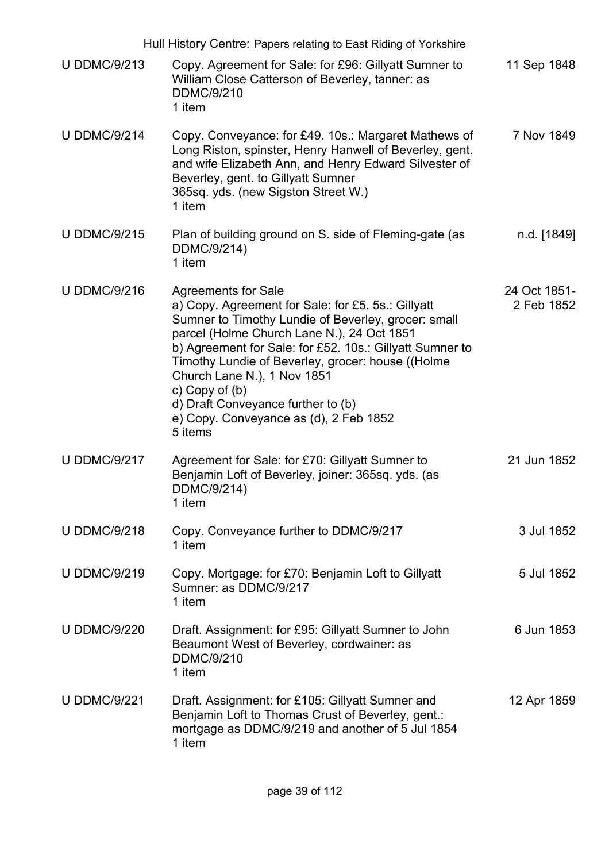|                     | Hull History Centre: Papers relating to East Riding of Yorkshire                                                                                                                                                                                                                                                                                                                                                                                     |                            |
|---------------------|------------------------------------------------------------------------------------------------------------------------------------------------------------------------------------------------------------------------------------------------------------------------------------------------------------------------------------------------------------------------------------------------------------------------------------------------------|----------------------------|
| <b>U DDMC/9/213</b> | Copy. Agreement for Sale: for £96: Gillyatt Sumner to<br>William Close Catterson of Beverley, tanner: as<br><b>DDMC/9/210</b><br>1 item                                                                                                                                                                                                                                                                                                              | 11 Sep 1848                |
| <b>U DDMC/9/214</b> | Copy. Conveyance: for £49. 10s.: Margaret Mathews of<br>Long Riston, spinster, Henry Hanwell of Beverley, gent.<br>and wife Elizabeth Ann, and Henry Edward Silvester of<br>Beverley, gent. to Gillyatt Sumner<br>365sq. yds. (new Sigston Street W.)<br>1 item                                                                                                                                                                                      | 7 Nov 1849                 |
| <b>U DDMC/9/215</b> | Plan of building ground on S. side of Fleming-gate (as<br>DDMC/9/214)<br>1 item                                                                                                                                                                                                                                                                                                                                                                      | n.d. [1849]                |
| <b>U DDMC/9/216</b> | <b>Agreements for Sale</b><br>a) Copy. Agreement for Sale: for £5. 5s.: Gillyatt<br>Sumner to Timothy Lundie of Beverley, grocer: small<br>parcel (Holme Church Lane N.), 24 Oct 1851<br>b) Agreement for Sale: for £52. 10s.: Gillyatt Sumner to<br>Timothy Lundie of Beverley, grocer: house ((Holme<br>Church Lane N.), 1 Nov 1851<br>c) Copy of $(b)$<br>d) Draft Conveyance further to (b)<br>e) Copy. Conveyance as (d), 2 Feb 1852<br>5 items | 24 Oct 1851-<br>2 Feb 1852 |
| <b>U DDMC/9/217</b> | Agreement for Sale: for £70: Gillyatt Sumner to<br>Benjamin Loft of Beverley, joiner: 365sq. yds. (as<br>DDMC/9/214)<br>1 item                                                                                                                                                                                                                                                                                                                       | 21 Jun 1852                |
| <b>U DDMC/9/218</b> | Copy. Conveyance further to DDMC/9/217<br>1 item                                                                                                                                                                                                                                                                                                                                                                                                     | 3 Jul 1852                 |
| <b>U DDMC/9/219</b> | Copy. Mortgage: for £70: Benjamin Loft to Gillyatt<br>Sumner: as DDMC/9/217<br>1 item                                                                                                                                                                                                                                                                                                                                                                | 5 Jul 1852                 |
| <b>U DDMC/9/220</b> | Draft. Assignment: for £95: Gillyatt Sumner to John<br>Beaumont West of Beverley, cordwainer: as<br><b>DDMC/9/210</b><br>1 item                                                                                                                                                                                                                                                                                                                      | 6 Jun 1853                 |
| <b>U DDMC/9/221</b> | Draft. Assignment: for £105: Gillyatt Sumner and<br>Benjamin Loft to Thomas Crust of Beverley, gent.:<br>mortgage as DDMC/9/219 and another of 5 Jul 1854<br>1 item                                                                                                                                                                                                                                                                                  | 12 Apr 1859                |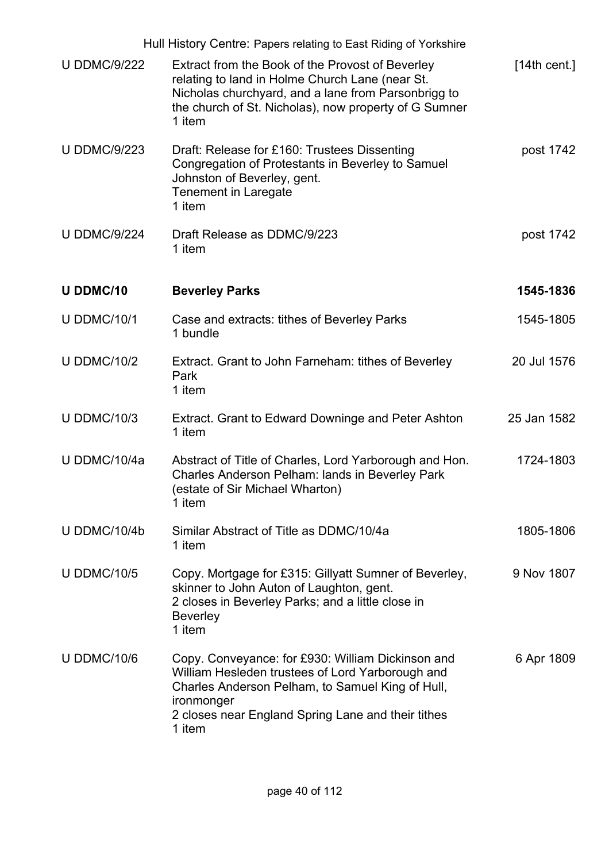|                     | Hull History Centre: Papers relating to East Riding of Yorkshire                                                                                                                                                                        |              |
|---------------------|-----------------------------------------------------------------------------------------------------------------------------------------------------------------------------------------------------------------------------------------|--------------|
| <b>U DDMC/9/222</b> | Extract from the Book of the Provost of Beverley<br>relating to land in Holme Church Lane (near St.<br>Nicholas churchyard, and a lane from Parsonbrigg to<br>the church of St. Nicholas), now property of G Sumner<br>1 item           | [14th cent.] |
| <b>U DDMC/9/223</b> | Draft: Release for £160: Trustees Dissenting<br>Congregation of Protestants in Beverley to Samuel<br>Johnston of Beverley, gent.<br><b>Tenement in Laregate</b><br>1 item                                                               | post 1742    |
| <b>U DDMC/9/224</b> | Draft Release as DDMC/9/223<br>1 item                                                                                                                                                                                                   | post 1742    |
| U DDMC/10           | <b>Beverley Parks</b>                                                                                                                                                                                                                   | 1545-1836    |
| <b>U DDMC/10/1</b>  | Case and extracts: tithes of Beverley Parks<br>1 bundle                                                                                                                                                                                 | 1545-1805    |
| <b>U DDMC/10/2</b>  | Extract. Grant to John Farneham: tithes of Beverley<br>Park<br>1 item                                                                                                                                                                   | 20 Jul 1576  |
| <b>U DDMC/10/3</b>  | Extract. Grant to Edward Downinge and Peter Ashton<br>1 item                                                                                                                                                                            | 25 Jan 1582  |
| U DDMC/10/4a        | Abstract of Title of Charles, Lord Yarborough and Hon.<br>Charles Anderson Pelham: lands in Beverley Park<br>(estate of Sir Michael Wharton)<br>1 item                                                                                  | 1724-1803    |
| U DDMC/10/4b        | Similar Abstract of Title as DDMC/10/4a<br>1 item                                                                                                                                                                                       | 1805-1806    |
| <b>U DDMC/10/5</b>  | Copy. Mortgage for £315: Gillyatt Sumner of Beverley,<br>skinner to John Auton of Laughton, gent.<br>2 closes in Beverley Parks; and a little close in<br><b>Beverley</b><br>1 item                                                     | 9 Nov 1807   |
| <b>U DDMC/10/6</b>  | Copy. Conveyance: for £930: William Dickinson and<br>William Hesleden trustees of Lord Yarborough and<br>Charles Anderson Pelham, to Samuel King of Hull,<br>ironmonger<br>2 closes near England Spring Lane and their tithes<br>1 item | 6 Apr 1809   |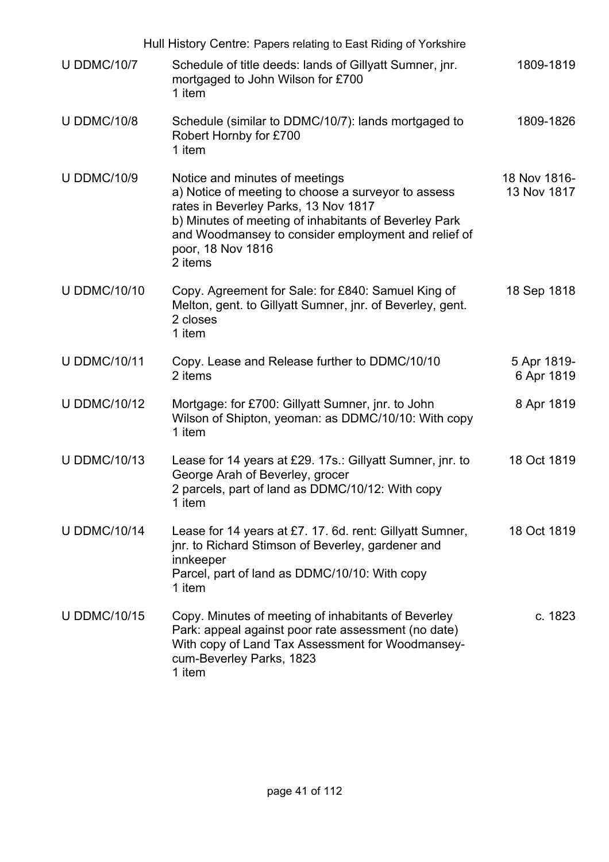|                     | Hull History Centre: Papers relating to East Riding of Yorkshire                                                                                                                                                                                                              |                             |
|---------------------|-------------------------------------------------------------------------------------------------------------------------------------------------------------------------------------------------------------------------------------------------------------------------------|-----------------------------|
| <b>U DDMC/10/7</b>  | Schedule of title deeds: lands of Gillyatt Sumner, jnr.<br>mortgaged to John Wilson for £700<br>1 item                                                                                                                                                                        | 1809-1819                   |
| <b>U DDMC/10/8</b>  | Schedule (similar to DDMC/10/7): lands mortgaged to<br>Robert Hornby for £700<br>1 item                                                                                                                                                                                       | 1809-1826                   |
| <b>U DDMC/10/9</b>  | Notice and minutes of meetings<br>a) Notice of meeting to choose a surveyor to assess<br>rates in Beverley Parks, 13 Nov 1817<br>b) Minutes of meeting of inhabitants of Beverley Park<br>and Woodmansey to consider employment and relief of<br>poor, 18 Nov 1816<br>2 items | 18 Nov 1816-<br>13 Nov 1817 |
| <b>U DDMC/10/10</b> | Copy. Agreement for Sale: for £840: Samuel King of<br>Melton, gent. to Gillyatt Sumner, jnr. of Beverley, gent.<br>2 closes<br>1 item                                                                                                                                         | 18 Sep 1818                 |
| <b>U DDMC/10/11</b> | Copy. Lease and Release further to DDMC/10/10<br>2 items                                                                                                                                                                                                                      | 5 Apr 1819-<br>6 Apr 1819   |
| <b>U DDMC/10/12</b> | Mortgage: for £700: Gillyatt Sumner, jnr. to John<br>Wilson of Shipton, yeoman: as DDMC/10/10: With copy<br>1 item                                                                                                                                                            | 8 Apr 1819                  |
| <b>U DDMC/10/13</b> | Lease for 14 years at £29. 17s.: Gillyatt Sumner, jnr. to<br>George Arah of Beverley, grocer<br>2 parcels, part of land as DDMC/10/12: With copy<br>1 item                                                                                                                    | 18 Oct 1819                 |
| <b>U DDMC/10/14</b> | Lease for 14 years at £7. 17. 6d. rent: Gillyatt Sumner,<br>jnr. to Richard Stimson of Beverley, gardener and<br>innkeeper<br>Parcel, part of land as DDMC/10/10: With copy<br>1 item                                                                                         | 18 Oct 1819                 |
| <b>U DDMC/10/15</b> | Copy. Minutes of meeting of inhabitants of Beverley<br>Park: appeal against poor rate assessment (no date)<br>With copy of Land Tax Assessment for Woodmansey-<br>cum-Beverley Parks, 1823<br>1 item                                                                          | c. 1823                     |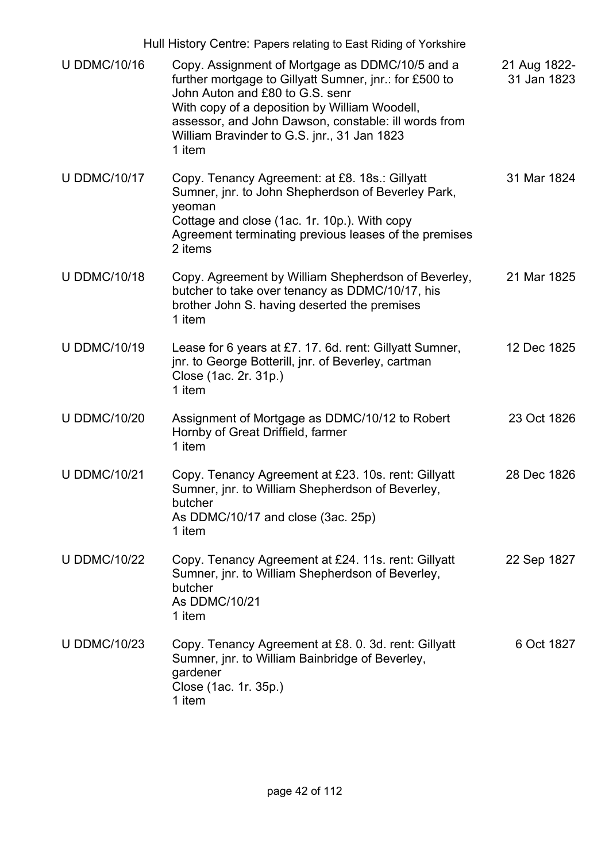|                     | Hull History Centre: Papers relating to East Riding of Yorkshire                                                                                                                                                                                                                                               |                             |
|---------------------|----------------------------------------------------------------------------------------------------------------------------------------------------------------------------------------------------------------------------------------------------------------------------------------------------------------|-----------------------------|
| <b>U DDMC/10/16</b> | Copy. Assignment of Mortgage as DDMC/10/5 and a<br>further mortgage to Gillyatt Sumner, jnr.: for £500 to<br>John Auton and £80 to G.S. senr<br>With copy of a deposition by William Woodell,<br>assessor, and John Dawson, constable: ill words from<br>William Bravinder to G.S. jnr., 31 Jan 1823<br>1 item | 21 Aug 1822-<br>31 Jan 1823 |
| <b>U DDMC/10/17</b> | Copy. Tenancy Agreement: at £8. 18s.: Gillyatt<br>Sumner, jnr. to John Shepherdson of Beverley Park,<br>yeoman<br>Cottage and close (1ac. 1r. 10p.). With copy<br>Agreement terminating previous leases of the premises<br>2 items                                                                             | 31 Mar 1824                 |
| <b>U DDMC/10/18</b> | Copy. Agreement by William Shepherdson of Beverley,<br>butcher to take over tenancy as DDMC/10/17, his<br>brother John S. having deserted the premises<br>1 item                                                                                                                                               | 21 Mar 1825                 |
| <b>U DDMC/10/19</b> | Lease for 6 years at £7. 17. 6d. rent: Gillyatt Sumner,<br>jnr. to George Botterill, jnr. of Beverley, cartman<br>Close (1ac. 2r. 31p.)<br>1 item                                                                                                                                                              | 12 Dec 1825                 |
| <b>U DDMC/10/20</b> | Assignment of Mortgage as DDMC/10/12 to Robert<br>Hornby of Great Driffield, farmer<br>1 item                                                                                                                                                                                                                  | 23 Oct 1826                 |
| <b>U DDMC/10/21</b> | Copy. Tenancy Agreement at £23. 10s. rent: Gillyatt<br>Sumner, jnr. to William Shepherdson of Beverley,<br>butcher<br>As DDMC/10/17 and close (3ac. 25p)<br>1 item                                                                                                                                             | 28 Dec 1826                 |
| <b>U DDMC/10/22</b> | Copy. Tenancy Agreement at £24. 11s. rent: Gillyatt<br>Sumner, jnr. to William Shepherdson of Beverley,<br>butcher<br>As DDMC/10/21<br>1 item                                                                                                                                                                  | 22 Sep 1827                 |
| <b>U DDMC/10/23</b> | Copy. Tenancy Agreement at £8. 0. 3d. rent: Gillyatt<br>Sumner, jnr. to William Bainbridge of Beverley,<br>gardener<br>Close (1ac. 1r. 35p.)<br>1 item                                                                                                                                                         | 6 Oct 1827                  |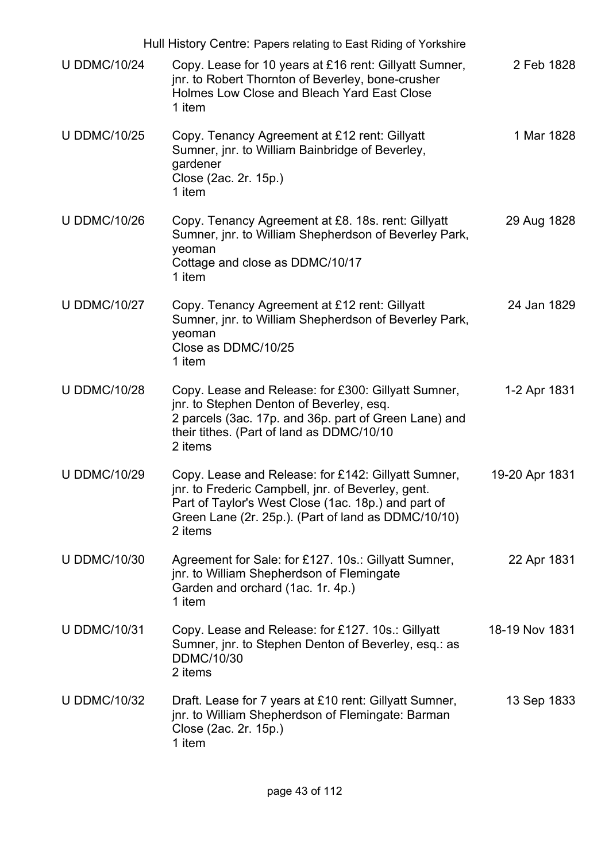|                     | Hull History Centre: Papers relating to East Riding of Yorkshire                                                                                                                                                                   |                |
|---------------------|------------------------------------------------------------------------------------------------------------------------------------------------------------------------------------------------------------------------------------|----------------|
| <b>U DDMC/10/24</b> | Copy. Lease for 10 years at £16 rent: Gillyatt Sumner,<br>jnr. to Robert Thornton of Beverley, bone-crusher<br>Holmes Low Close and Bleach Yard East Close<br>1 item                                                               | 2 Feb 1828     |
| <b>U DDMC/10/25</b> | Copy. Tenancy Agreement at £12 rent: Gillyatt<br>Sumner, jnr. to William Bainbridge of Beverley,<br>gardener<br>Close (2ac. 2r. 15p.)<br>1 item                                                                                    | 1 Mar 1828     |
| <b>U DDMC/10/26</b> | Copy. Tenancy Agreement at £8. 18s. rent: Gillyatt<br>Sumner, jnr. to William Shepherdson of Beverley Park,<br>yeoman<br>Cottage and close as DDMC/10/17<br>1 item                                                                 | 29 Aug 1828    |
| <b>U DDMC/10/27</b> | Copy. Tenancy Agreement at £12 rent: Gillyatt<br>Sumner, jnr. to William Shepherdson of Beverley Park,<br>yeoman<br>Close as DDMC/10/25<br>1 item                                                                                  | 24 Jan 1829    |
| <b>U DDMC/10/28</b> | Copy. Lease and Release: for £300: Gillyatt Sumner,<br>jnr. to Stephen Denton of Beverley, esq.<br>2 parcels (3ac. 17p. and 36p. part of Green Lane) and<br>their tithes. (Part of land as DDMC/10/10<br>2 items                   | 1-2 Apr 1831   |
| <b>U DDMC/10/29</b> | Copy. Lease and Release: for £142: Gillyatt Sumner,<br>jnr. to Frederic Campbell, jnr. of Beverley, gent.<br>Part of Taylor's West Close (1ac. 18p.) and part of<br>Green Lane (2r. 25p.). (Part of land as DDMC/10/10)<br>2 items | 19-20 Apr 1831 |
| <b>U DDMC/10/30</b> | Agreement for Sale: for £127. 10s.: Gillyatt Sumner,<br>jnr. to William Shepherdson of Flemingate<br>Garden and orchard (1ac. 1r. 4p.)<br>1 item                                                                                   | 22 Apr 1831    |
| <b>U DDMC/10/31</b> | Copy. Lease and Release: for £127. 10s.: Gillyatt<br>Sumner, jnr. to Stephen Denton of Beverley, esq.: as<br><b>DDMC/10/30</b><br>2 items                                                                                          | 18-19 Nov 1831 |
| <b>U DDMC/10/32</b> | Draft. Lease for 7 years at £10 rent: Gillyatt Sumner,<br>jnr. to William Shepherdson of Flemingate: Barman<br>Close (2ac. 2r. 15p.)<br>1 item                                                                                     | 13 Sep 1833    |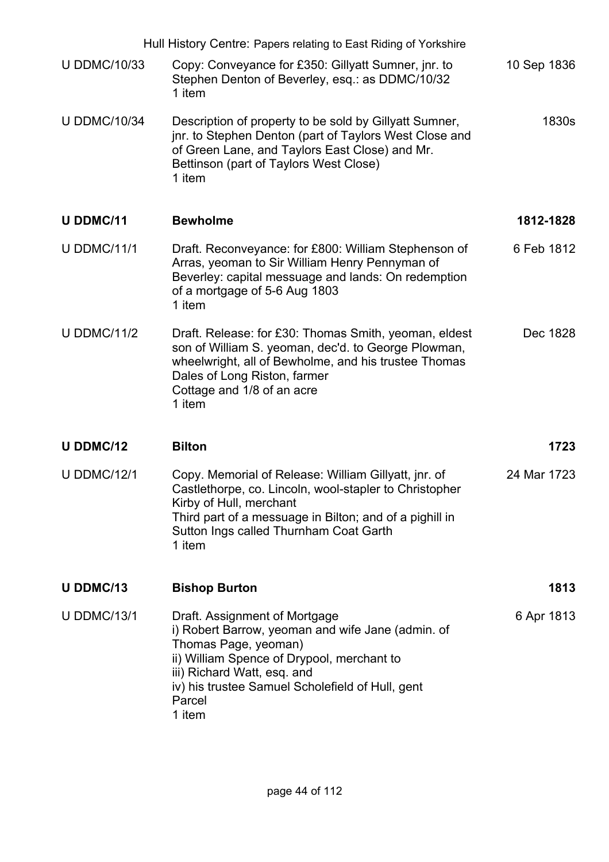|                     | Hull History Centre: Papers relating to East Riding of Yorkshire                                                                                                                                                                                                |             |
|---------------------|-----------------------------------------------------------------------------------------------------------------------------------------------------------------------------------------------------------------------------------------------------------------|-------------|
| <b>U DDMC/10/33</b> | Copy: Conveyance for £350: Gillyatt Sumner, jnr. to<br>Stephen Denton of Beverley, esq.: as DDMC/10/32<br>1 item                                                                                                                                                | 10 Sep 1836 |
| <b>U DDMC/10/34</b> | Description of property to be sold by Gillyatt Sumner,<br>jnr. to Stephen Denton (part of Taylors West Close and<br>of Green Lane, and Taylors East Close) and Mr.<br>Bettinson (part of Taylors West Close)<br>1 item                                          | 1830s       |
| <b>U DDMC/11</b>    | <b>Bewholme</b>                                                                                                                                                                                                                                                 | 1812-1828   |
| <b>U DDMC/11/1</b>  | Draft. Reconveyance: for £800: William Stephenson of<br>Arras, yeoman to Sir William Henry Pennyman of<br>Beverley: capital messuage and lands: On redemption<br>of a mortgage of 5-6 Aug 1803<br>1 item                                                        | 6 Feb 1812  |
| <b>U DDMC/11/2</b>  | Draft. Release: for £30: Thomas Smith, yeoman, eldest<br>son of William S. yeoman, dec'd. to George Plowman,<br>wheelwright, all of Bewholme, and his trustee Thomas<br>Dales of Long Riston, farmer<br>Cottage and 1/8 of an acre<br>1 item                    | Dec 1828    |
| <b>U DDMC/12</b>    | <b>Bilton</b>                                                                                                                                                                                                                                                   | 1723        |
| <b>U DDMC/12/1</b>  | Copy. Memorial of Release: William Gillyatt, jnr. of<br>Castlethorpe, co. Lincoln, wool-stapler to Christopher<br>Kirby of Hull, merchant<br>Third part of a messuage in Bilton; and of a pighill in<br>Sutton Ings called Thurnham Coat Garth<br>1 item        | 24 Mar 1723 |
| U DDMC/13           | <b>Bishop Burton</b>                                                                                                                                                                                                                                            | 1813        |
| <b>U DDMC/13/1</b>  | Draft. Assignment of Mortgage<br>i) Robert Barrow, yeoman and wife Jane (admin. of<br>Thomas Page, yeoman)<br>ii) William Spence of Drypool, merchant to<br>iii) Richard Watt, esq. and<br>iv) his trustee Samuel Scholefield of Hull, gent<br>Parcel<br>1 item | 6 Apr 1813  |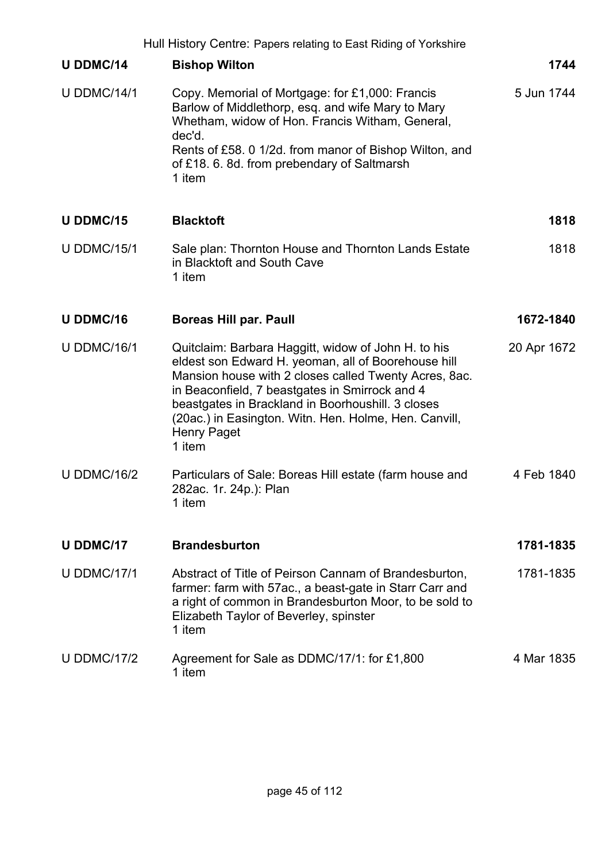|                    | Hull History Centre: Papers relating to East Riding of Yorkshire                                                                                                                                                                                                                                                                                                    |             |
|--------------------|---------------------------------------------------------------------------------------------------------------------------------------------------------------------------------------------------------------------------------------------------------------------------------------------------------------------------------------------------------------------|-------------|
| <b>U DDMC/14</b>   | <b>Bishop Wilton</b>                                                                                                                                                                                                                                                                                                                                                | 1744        |
| <b>U DDMC/14/1</b> | Copy. Memorial of Mortgage: for £1,000: Francis<br>Barlow of Middlethorp, esq. and wife Mary to Mary<br>Whetham, widow of Hon. Francis Witham, General,<br>dec'd.<br>Rents of £58. 0 1/2d. from manor of Bishop Wilton, and<br>of £18. 6. 8d. from prebendary of Saltmarsh<br>1 item                                                                                | 5 Jun 1744  |
| U DDMC/15          | <b>Blacktoft</b>                                                                                                                                                                                                                                                                                                                                                    | 1818        |
| <b>U DDMC/15/1</b> | Sale plan: Thornton House and Thornton Lands Estate<br>in Blacktoft and South Cave<br>1 item                                                                                                                                                                                                                                                                        | 1818        |
| <b>U DDMC/16</b>   | <b>Boreas Hill par. Paull</b>                                                                                                                                                                                                                                                                                                                                       | 1672-1840   |
| <b>U DDMC/16/1</b> | Quitclaim: Barbara Haggitt, widow of John H. to his<br>eldest son Edward H. yeoman, all of Boorehouse hill<br>Mansion house with 2 closes called Twenty Acres, 8ac.<br>in Beaconfield, 7 beastgates in Smirrock and 4<br>beastgates in Brackland in Boorhoushill. 3 closes<br>(20ac.) in Easington. Witn. Hen. Holme, Hen. Canvill,<br><b>Henry Paget</b><br>1 item | 20 Apr 1672 |
| <b>U DDMC/16/2</b> | Particulars of Sale: Boreas Hill estate (farm house and<br>282ac. 1r. 24p.): Plan<br>1 item                                                                                                                                                                                                                                                                         | 4 Feb 1840  |
| <b>U DDMC/17</b>   | <b>Brandesburton</b>                                                                                                                                                                                                                                                                                                                                                | 1781-1835   |
| <b>U DDMC/17/1</b> | Abstract of Title of Peirson Cannam of Brandesburton,<br>farmer: farm with 57ac., a beast-gate in Starr Carr and<br>a right of common in Brandesburton Moor, to be sold to<br>Elizabeth Taylor of Beverley, spinster<br>1 item                                                                                                                                      | 1781-1835   |
| <b>U DDMC/17/2</b> | Agreement for Sale as DDMC/17/1: for £1,800<br>1 item                                                                                                                                                                                                                                                                                                               | 4 Mar 1835  |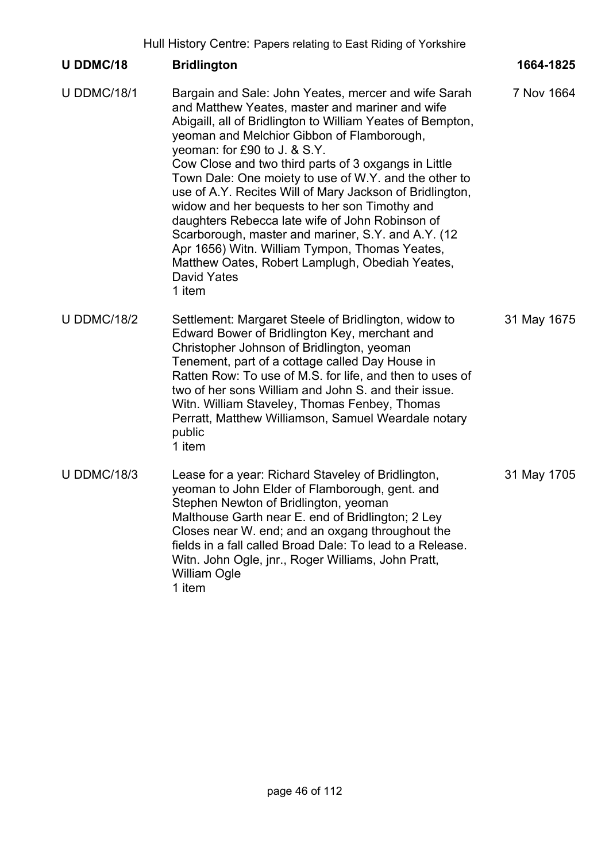Hull History Centre: Papers relating to East Riding of Yorkshire

## **U DDMC/18 Bridlington 1664-1825** U DDMC/18/1 Bargain and Sale: John Yeates, mercer and wife Sarah and Matthew Yeates, master and mariner and wife Abigaill, all of Bridlington to William Yeates of Bempton, yeoman and Melchior Gibbon of Flamborough, yeoman: for £90 to J. & S.Y. Cow Close and two third parts of 3 oxgangs in Little Town Dale: One moiety to use of W.Y. and the other to use of A.Y. Recites Will of Mary Jackson of Bridlington, widow and her bequests to her son Timothy and daughters Rebecca late wife of John Robinson of Scarborough, master and mariner, S.Y. and A.Y. (12 Apr 1656) Witn. William Tympon, Thomas Yeates, Matthew Oates, Robert Lamplugh, Obediah Yeates, David Yates 1 item 7 Nov 1664 U DDMC/18/2 Settlement: Margaret Steele of Bridlington, widow to Edward Bower of Bridlington Key, merchant and Christopher Johnson of Bridlington, yeoman Tenement, part of a cottage called Day House in Ratten Row: To use of M.S. for life, and then to uses of two of her sons William and John S. and their issue. Witn. William Staveley, Thomas Fenbey, Thomas Perratt, Matthew Williamson, Samuel Weardale notary public 1 item 31 May 1675 U DDMC/18/3 Lease for a year: Richard Staveley of Bridlington, yeoman to John Elder of Flamborough, gent. and Stephen Newton of Bridlington, yeoman Malthouse Garth near E. end of Bridlington; 2 Ley Closes near W. end; and an oxgang throughout the fields in a fall called Broad Dale: To lead to a Release. Witn. John Ogle, jnr., Roger Williams, John Pratt, 31 May 1705

William Ogle

1 item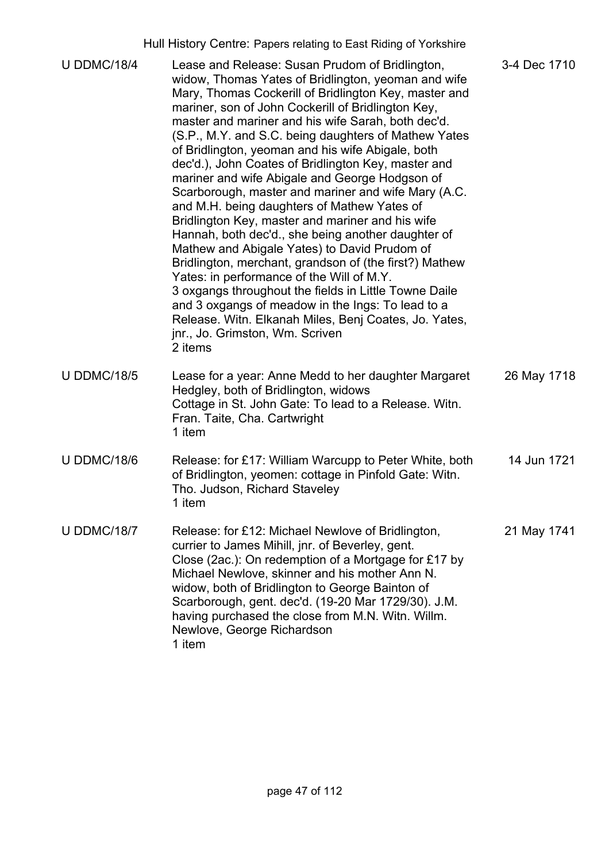|                    | Hull History Centre: Papers relating to East Riding of Yorkshire                                                                                                                                                                                                                                                                                                                                                                                                                                                                                                                                                                                                                                                                                                                                                                                                                                                                                                                                                                                                                              |              |
|--------------------|-----------------------------------------------------------------------------------------------------------------------------------------------------------------------------------------------------------------------------------------------------------------------------------------------------------------------------------------------------------------------------------------------------------------------------------------------------------------------------------------------------------------------------------------------------------------------------------------------------------------------------------------------------------------------------------------------------------------------------------------------------------------------------------------------------------------------------------------------------------------------------------------------------------------------------------------------------------------------------------------------------------------------------------------------------------------------------------------------|--------------|
| <b>U DDMC/18/4</b> | Lease and Release: Susan Prudom of Bridlington,<br>widow, Thomas Yates of Bridlington, yeoman and wife<br>Mary, Thomas Cockerill of Bridlington Key, master and<br>mariner, son of John Cockerill of Bridlington Key,<br>master and mariner and his wife Sarah, both dec'd.<br>(S.P., M.Y. and S.C. being daughters of Mathew Yates<br>of Bridlington, yeoman and his wife Abigale, both<br>dec'd.), John Coates of Bridlington Key, master and<br>mariner and wife Abigale and George Hodgson of<br>Scarborough, master and mariner and wife Mary (A.C.<br>and M.H. being daughters of Mathew Yates of<br>Bridlington Key, master and mariner and his wife<br>Hannah, both dec'd., she being another daughter of<br>Mathew and Abigale Yates) to David Prudom of<br>Bridlington, merchant, grandson of (the first?) Mathew<br>Yates: in performance of the Will of M.Y.<br>3 oxgangs throughout the fields in Little Towne Daile<br>and 3 oxgangs of meadow in the Ings: To lead to a<br>Release. Witn. Elkanah Miles, Benj Coates, Jo. Yates,<br>jnr., Jo. Grimston, Wm. Scriven<br>2 items | 3-4 Dec 1710 |
| <b>U DDMC/18/5</b> | Lease for a year: Anne Medd to her daughter Margaret<br>Hedgley, both of Bridlington, widows<br>Cottage in St. John Gate: To lead to a Release. Witn.<br>Fran. Taite, Cha. Cartwright<br>1 item                                                                                                                                                                                                                                                                                                                                                                                                                                                                                                                                                                                                                                                                                                                                                                                                                                                                                               | 26 May 1718  |
| <b>U DDMC/18/6</b> | Release: for £17: William Warcupp to Peter White, both<br>of Bridlington, yeomen: cottage in Pinfold Gate: Witn.<br>Tho. Judson, Richard Staveley<br>1 item                                                                                                                                                                                                                                                                                                                                                                                                                                                                                                                                                                                                                                                                                                                                                                                                                                                                                                                                   | 14 Jun 1721  |
| <b>U DDMC/18/7</b> | Release: for £12: Michael Newlove of Bridlington,<br>currier to James Mihill, jnr. of Beverley, gent.<br>Close (2ac.): On redemption of a Mortgage for £17 by<br>Michael Newlove, skinner and his mother Ann N.<br>widow, both of Bridlington to George Bainton of<br>Scarborough, gent. dec'd. (19-20 Mar 1729/30). J.M.<br>having purchased the close from M.N. Witn. Willm.<br>Newlove, George Richardson<br>1 item                                                                                                                                                                                                                                                                                                                                                                                                                                                                                                                                                                                                                                                                        | 21 May 1741  |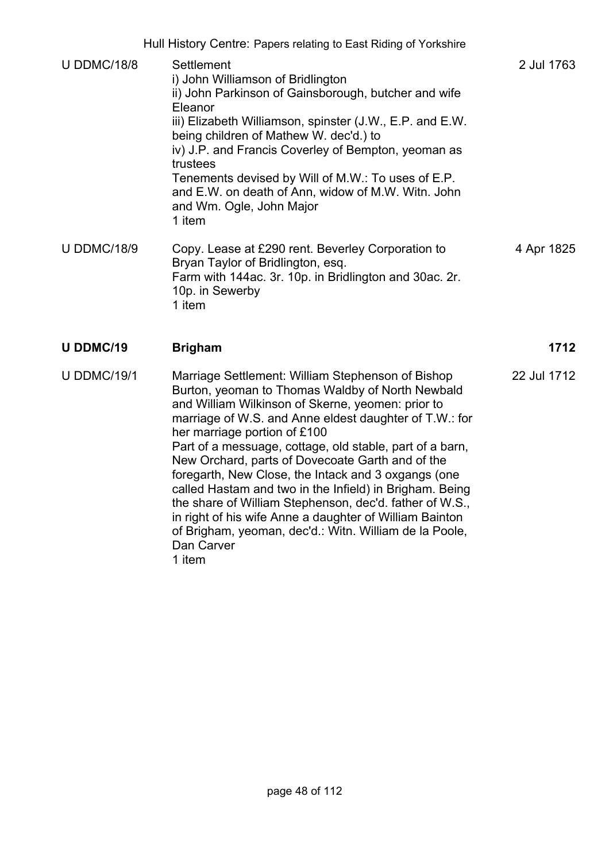|                    | Hull History Centre: Papers relating to East Riding of Yorkshire                                                                                                                                                                                                                                                                                                                                                                                                                                                                                                                                                                                                                               |             |
|--------------------|------------------------------------------------------------------------------------------------------------------------------------------------------------------------------------------------------------------------------------------------------------------------------------------------------------------------------------------------------------------------------------------------------------------------------------------------------------------------------------------------------------------------------------------------------------------------------------------------------------------------------------------------------------------------------------------------|-------------|
| <b>U DDMC/18/8</b> | Settlement<br>i) John Williamson of Bridlington<br>ii) John Parkinson of Gainsborough, butcher and wife<br>Eleanor<br>iii) Elizabeth Williamson, spinster (J.W., E.P. and E.W.<br>being children of Mathew W. dec'd.) to<br>iv) J.P. and Francis Coverley of Bempton, yeoman as<br>trustees<br>Tenements devised by Will of M.W.: To uses of E.P.<br>and E.W. on death of Ann, widow of M.W. Witn. John<br>and Wm. Ogle, John Major<br>1 item                                                                                                                                                                                                                                                  | 2 Jul 1763  |
| <b>U DDMC/18/9</b> | Copy. Lease at £290 rent. Beverley Corporation to<br>Bryan Taylor of Bridlington, esq.<br>Farm with 144ac. 3r. 10p. in Bridlington and 30ac. 2r.<br>10p. in Sewerby<br>1 item                                                                                                                                                                                                                                                                                                                                                                                                                                                                                                                  | 4 Apr 1825  |
| <b>U DDMC/19</b>   | <b>Brigham</b>                                                                                                                                                                                                                                                                                                                                                                                                                                                                                                                                                                                                                                                                                 | 1712        |
| <b>U DDMC/19/1</b> | Marriage Settlement: William Stephenson of Bishop<br>Burton, yeoman to Thomas Waldby of North Newbald<br>and William Wilkinson of Skerne, yeomen: prior to<br>marriage of W.S. and Anne eldest daughter of T.W.: for<br>her marriage portion of £100<br>Part of a messuage, cottage, old stable, part of a barn,<br>New Orchard, parts of Dovecoate Garth and of the<br>foregarth, New Close, the Intack and 3 oxgangs (one<br>called Hastam and two in the Infield) in Brigham. Being<br>the share of William Stephenson, dec'd. father of W.S.,<br>in right of his wife Anne a daughter of William Bainton<br>of Brigham, yeoman, dec'd.: Witn. William de la Poole,<br>Dan Carver<br>1 item | 22 Jul 1712 |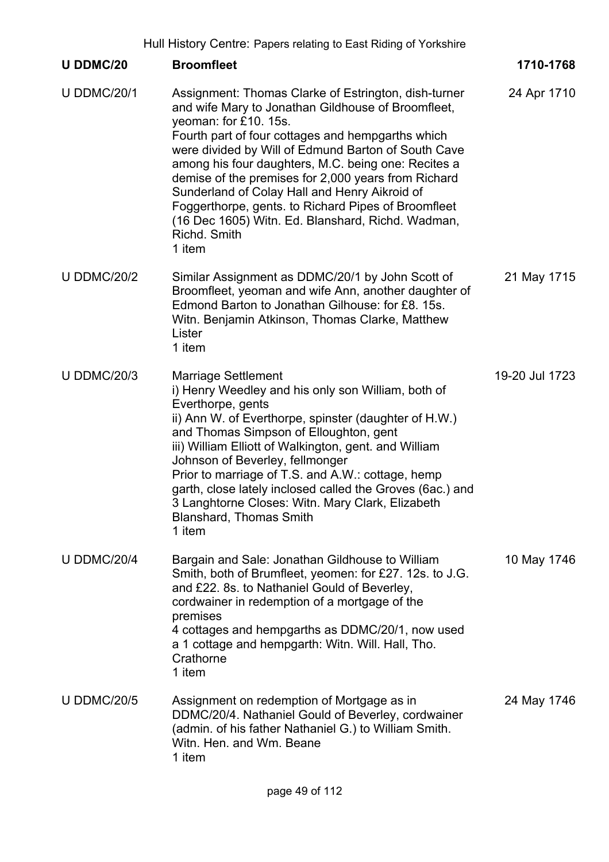|                    | Hull History Centre: Papers relating to East Riding of Yorkshire                                                                                                                                                                                                                                                                                                                                                                                                                                                                                     |                |
|--------------------|------------------------------------------------------------------------------------------------------------------------------------------------------------------------------------------------------------------------------------------------------------------------------------------------------------------------------------------------------------------------------------------------------------------------------------------------------------------------------------------------------------------------------------------------------|----------------|
| <b>U DDMC/20</b>   | <b>Broomfleet</b>                                                                                                                                                                                                                                                                                                                                                                                                                                                                                                                                    | 1710-1768      |
| <b>U DDMC/20/1</b> | Assignment: Thomas Clarke of Estrington, dish-turner<br>and wife Mary to Jonathan Gildhouse of Broomfleet,<br>yeoman: for £10. 15s.<br>Fourth part of four cottages and hempgarths which<br>were divided by Will of Edmund Barton of South Cave<br>among his four daughters, M.C. being one: Recites a<br>demise of the premises for 2,000 years from Richard<br>Sunderland of Colay Hall and Henry Aikroid of<br>Foggerthorpe, gents. to Richard Pipes of Broomfleet<br>(16 Dec 1605) Witn. Ed. Blanshard, Richd. Wadman,<br>Richd, Smith<br>1 item | 24 Apr 1710    |
| <b>U DDMC/20/2</b> | Similar Assignment as DDMC/20/1 by John Scott of<br>Broomfleet, yeoman and wife Ann, another daughter of<br>Edmond Barton to Jonathan Gilhouse: for £8. 15s.<br>Witn. Benjamin Atkinson, Thomas Clarke, Matthew<br>Lister<br>1 item                                                                                                                                                                                                                                                                                                                  | 21 May 1715    |
| <b>U DDMC/20/3</b> | <b>Marriage Settlement</b><br>i) Henry Weedley and his only son William, both of<br>Everthorpe, gents<br>ii) Ann W. of Everthorpe, spinster (daughter of H.W.)<br>and Thomas Simpson of Elloughton, gent<br>iii) William Elliott of Walkington, gent. and William<br>Johnson of Beverley, fellmonger<br>Prior to marriage of T.S. and A.W.: cottage, hemp<br>garth, close lately inclosed called the Groves (6ac.) and<br>3 Langhtorne Closes: Witn. Mary Clark, Elizabeth<br><b>Blanshard, Thomas Smith</b><br>1 item                               | 19-20 Jul 1723 |
| <b>U DDMC/20/4</b> | Bargain and Sale: Jonathan Gildhouse to William<br>Smith, both of Brumfleet, yeomen: for £27. 12s. to J.G.<br>and £22. 8s. to Nathaniel Gould of Beverley,<br>cordwainer in redemption of a mortgage of the<br>premises<br>4 cottages and hempgarths as DDMC/20/1, now used<br>a 1 cottage and hempgarth: Witn. Will. Hall, Tho.<br>Crathorne<br>1 item                                                                                                                                                                                              | 10 May 1746    |
| <b>U DDMC/20/5</b> | Assignment on redemption of Mortgage as in<br>DDMC/20/4. Nathaniel Gould of Beverley, cordwainer<br>(admin. of his father Nathaniel G.) to William Smith.<br>Witn. Hen. and Wm. Beane<br>1 item                                                                                                                                                                                                                                                                                                                                                      | 24 May 1746    |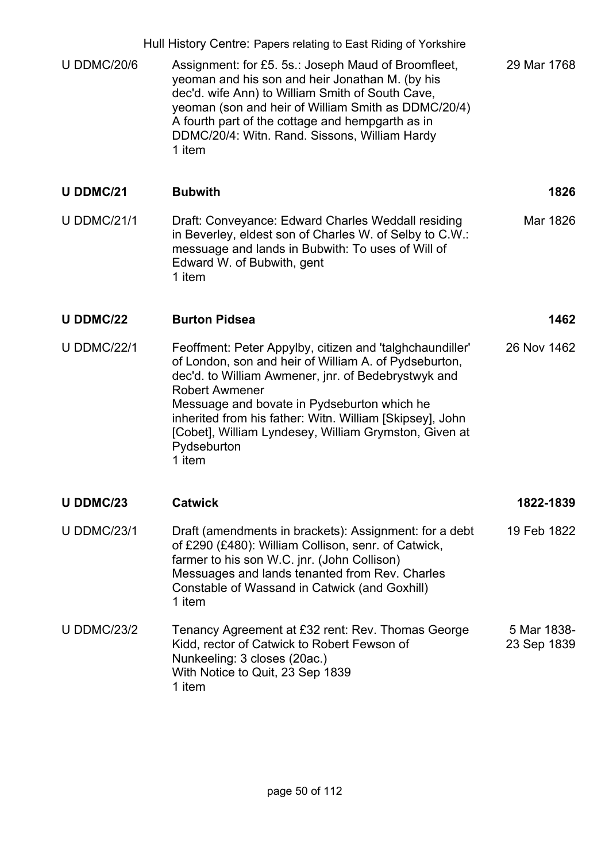|                    | Hull History Centre: Papers relating to East Riding of Yorkshire                                                                                                                                                                                                                                                                                                                               |                            |
|--------------------|------------------------------------------------------------------------------------------------------------------------------------------------------------------------------------------------------------------------------------------------------------------------------------------------------------------------------------------------------------------------------------------------|----------------------------|
| <b>U DDMC/20/6</b> | Assignment: for £5. 5s.: Joseph Maud of Broomfleet,<br>yeoman and his son and heir Jonathan M. (by his<br>dec'd. wife Ann) to William Smith of South Cave,<br>yeoman (son and heir of William Smith as DDMC/20/4)<br>A fourth part of the cottage and hempgarth as in<br>DDMC/20/4: Witn. Rand. Sissons, William Hardy<br>1 item                                                               | 29 Mar 1768                |
| <b>U DDMC/21</b>   | <b>Bubwith</b>                                                                                                                                                                                                                                                                                                                                                                                 | 1826                       |
| <b>U DDMC/21/1</b> | Draft: Conveyance: Edward Charles Weddall residing<br>in Beverley, eldest son of Charles W. of Selby to C.W.:<br>messuage and lands in Bubwith: To uses of Will of<br>Edward W. of Bubwith, gent<br>1 item                                                                                                                                                                                     | Mar 1826                   |
| <b>U DDMC/22</b>   | <b>Burton Pidsea</b>                                                                                                                                                                                                                                                                                                                                                                           | 1462                       |
| <b>U DDMC/22/1</b> | Feoffment: Peter Appylby, citizen and 'talghchaundiller'<br>of London, son and heir of William A. of Pydseburton,<br>dec'd. to William Awmener, jnr. of Bedebrystwyk and<br><b>Robert Awmener</b><br>Messuage and bovate in Pydseburton which he<br>inherited from his father: Witn. William [Skipsey], John<br>[Cobet], William Lyndesey, William Grymston, Given at<br>Pydseburton<br>1 item | 26 Nov 1462                |
| U DDMC/23          | <b>Catwick</b>                                                                                                                                                                                                                                                                                                                                                                                 | 1822-1839                  |
| <b>U DDMC/23/1</b> | Draft (amendments in brackets): Assignment: for a debt<br>of £290 (£480): William Collison, senr. of Catwick,<br>farmer to his son W.C. jnr. (John Collison)<br>Messuages and lands tenanted from Rev. Charles<br>Constable of Wassand in Catwick (and Goxhill)<br>1 item                                                                                                                      | 19 Feb 1822                |
| <b>U DDMC/23/2</b> | Tenancy Agreement at £32 rent: Rev. Thomas George<br>Kidd, rector of Catwick to Robert Fewson of<br>Nunkeeling: 3 closes (20ac.)<br>With Notice to Quit, 23 Sep 1839<br>1 item                                                                                                                                                                                                                 | 5 Mar 1838-<br>23 Sep 1839 |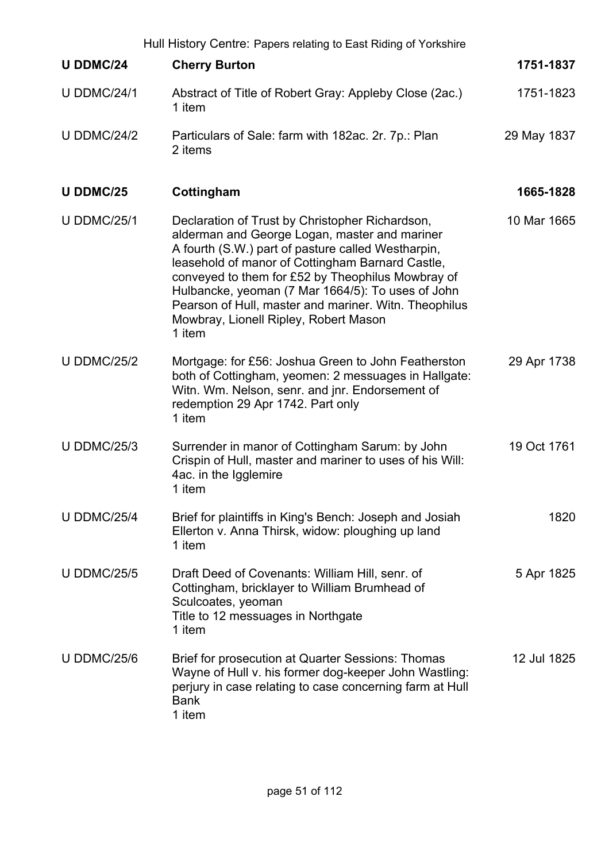|                    | Hull History Centre: Papers relating to East Riding of Yorkshire                                                                                                                                                                                                                                                                                                                                                                 |             |
|--------------------|----------------------------------------------------------------------------------------------------------------------------------------------------------------------------------------------------------------------------------------------------------------------------------------------------------------------------------------------------------------------------------------------------------------------------------|-------------|
| <b>U DDMC/24</b>   | <b>Cherry Burton</b>                                                                                                                                                                                                                                                                                                                                                                                                             | 1751-1837   |
| <b>U DDMC/24/1</b> | Abstract of Title of Robert Gray: Appleby Close (2ac.)<br>1 item                                                                                                                                                                                                                                                                                                                                                                 | 1751-1823   |
| <b>U DDMC/24/2</b> | Particulars of Sale: farm with 182ac. 2r. 7p.: Plan<br>2 items                                                                                                                                                                                                                                                                                                                                                                   | 29 May 1837 |
| <b>U DDMC/25</b>   | Cottingham                                                                                                                                                                                                                                                                                                                                                                                                                       | 1665-1828   |
| <b>U DDMC/25/1</b> | Declaration of Trust by Christopher Richardson,<br>alderman and George Logan, master and mariner<br>A fourth (S.W.) part of pasture called Westharpin,<br>leasehold of manor of Cottingham Barnard Castle,<br>conveyed to them for £52 by Theophilus Mowbray of<br>Hulbancke, yeoman (7 Mar 1664/5): To uses of John<br>Pearson of Hull, master and mariner. Witn. Theophilus<br>Mowbray, Lionell Ripley, Robert Mason<br>1 item | 10 Mar 1665 |
| <b>U DDMC/25/2</b> | Mortgage: for £56: Joshua Green to John Featherston<br>both of Cottingham, yeomen: 2 messuages in Hallgate:<br>Witn. Wm. Nelson, senr. and jnr. Endorsement of<br>redemption 29 Apr 1742. Part only<br>1 item                                                                                                                                                                                                                    | 29 Apr 1738 |
| <b>U DDMC/25/3</b> | Surrender in manor of Cottingham Sarum: by John<br>Crispin of Hull, master and mariner to uses of his Will:<br>4ac. in the Igglemire<br>1 item                                                                                                                                                                                                                                                                                   | 19 Oct 1761 |
| <b>U DDMC/25/4</b> | Brief for plaintiffs in King's Bench: Joseph and Josiah<br>Ellerton v. Anna Thirsk, widow: ploughing up land<br>1 item                                                                                                                                                                                                                                                                                                           | 1820        |
| <b>U DDMC/25/5</b> | Draft Deed of Covenants: William Hill, senr. of<br>Cottingham, bricklayer to William Brumhead of<br>Sculcoates, yeoman<br>Title to 12 messuages in Northgate<br>1 item                                                                                                                                                                                                                                                           | 5 Apr 1825  |
| <b>U DDMC/25/6</b> | Brief for prosecution at Quarter Sessions: Thomas<br>Wayne of Hull v. his former dog-keeper John Wastling:<br>perjury in case relating to case concerning farm at Hull<br><b>Bank</b><br>1 item                                                                                                                                                                                                                                  | 12 Jul 1825 |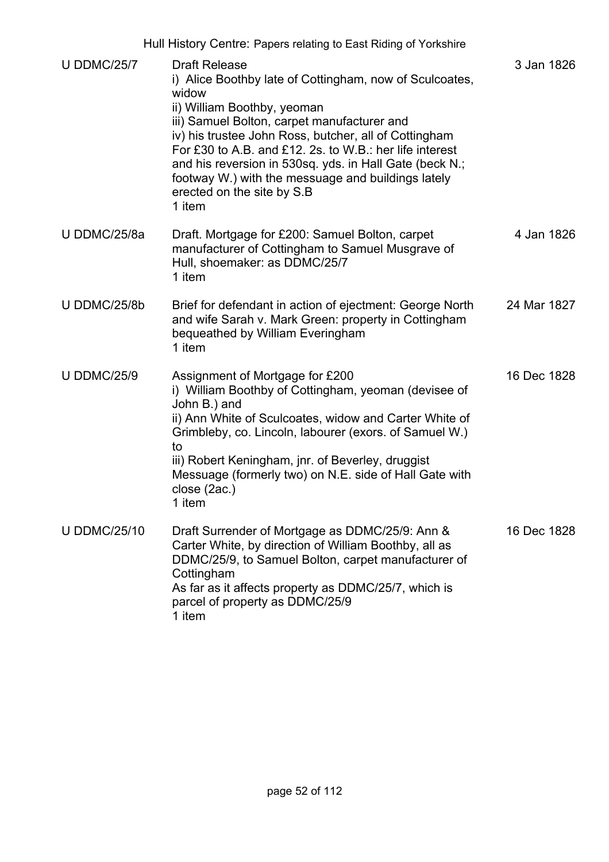Hull History Centre: Papers relating to East Riding of Yorkshire

| <b>U DDMC/25/7</b>  | <b>Draft Release</b><br>i) Alice Boothby late of Cottingham, now of Sculcoates,<br>widow<br>ii) William Boothby, yeoman<br>iii) Samuel Bolton, carpet manufacturer and<br>iv) his trustee John Ross, butcher, all of Cottingham<br>For £30 to A.B. and £12. 2s. to W.B.: her life interest<br>and his reversion in 530sq. yds. in Hall Gate (beck N.;<br>footway W.) with the messuage and buildings lately<br>erected on the site by S.B<br>1 item | 3 Jan 1826  |
|---------------------|-----------------------------------------------------------------------------------------------------------------------------------------------------------------------------------------------------------------------------------------------------------------------------------------------------------------------------------------------------------------------------------------------------------------------------------------------------|-------------|
| U DDMC/25/8a        | Draft. Mortgage for £200: Samuel Bolton, carpet<br>manufacturer of Cottingham to Samuel Musgrave of<br>Hull, shoemaker: as DDMC/25/7<br>1 item                                                                                                                                                                                                                                                                                                      | 4 Jan 1826  |
| U DDMC/25/8b        | Brief for defendant in action of ejectment: George North<br>and wife Sarah v. Mark Green: property in Cottingham<br>bequeathed by William Everingham<br>1 item                                                                                                                                                                                                                                                                                      | 24 Mar 1827 |
| <b>U DDMC/25/9</b>  | Assignment of Mortgage for £200<br>i) William Boothby of Cottingham, yeoman (devisee of<br>John B.) and<br>ii) Ann White of Sculcoates, widow and Carter White of<br>Grimbleby, co. Lincoln, labourer (exors. of Samuel W.)<br>to<br>iii) Robert Keningham, jnr. of Beverley, druggist<br>Messuage (formerly two) on N.E. side of Hall Gate with<br>close (2ac.)<br>1 item                                                                          | 16 Dec 1828 |
| <b>U DDMC/25/10</b> | Draft Surrender of Mortgage as DDMC/25/9: Ann &<br>Carter White, by direction of William Boothby, all as<br>DDMC/25/9, to Samuel Bolton, carpet manufacturer of<br>Cottingham<br>As far as it affects property as DDMC/25/7, which is<br>parcel of property as DDMC/25/9<br>1 item                                                                                                                                                                  | 16 Dec 1828 |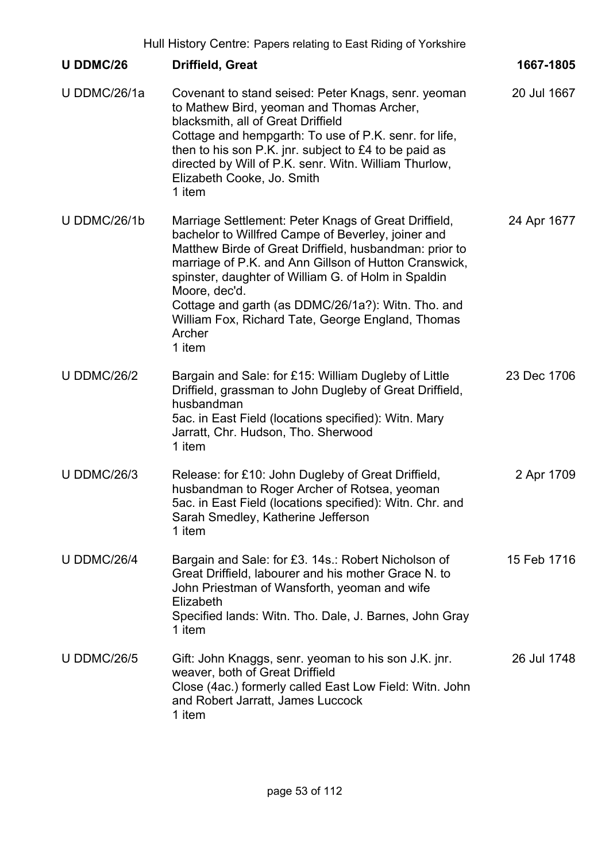| Hull History Centre: Papers relating to East Riding of Yorkshire |                                                                                                                                                                                                                                                                                                                                                                                                                                      |             |
|------------------------------------------------------------------|--------------------------------------------------------------------------------------------------------------------------------------------------------------------------------------------------------------------------------------------------------------------------------------------------------------------------------------------------------------------------------------------------------------------------------------|-------------|
| <b>U DDMC/26</b>                                                 | <b>Driffield, Great</b>                                                                                                                                                                                                                                                                                                                                                                                                              | 1667-1805   |
| U DDMC/26/1a                                                     | Covenant to stand seised: Peter Knags, senr. yeoman<br>to Mathew Bird, yeoman and Thomas Archer,<br>blacksmith, all of Great Driffield<br>Cottage and hempgarth: To use of P.K. senr. for life,<br>then to his son P.K. jnr. subject to £4 to be paid as<br>directed by Will of P.K. senr. Witn. William Thurlow,<br>Elizabeth Cooke, Jo. Smith<br>1 item                                                                            | 20 Jul 1667 |
| U DDMC/26/1b                                                     | Marriage Settlement: Peter Knags of Great Driffield,<br>bachelor to Willfred Campe of Beverley, joiner and<br>Matthew Birde of Great Driffield, husbandman: prior to<br>marriage of P.K. and Ann Gillson of Hutton Cranswick,<br>spinster, daughter of William G. of Holm in Spaldin<br>Moore, dec'd.<br>Cottage and garth (as DDMC/26/1a?): Witn. Tho. and<br>William Fox, Richard Tate, George England, Thomas<br>Archer<br>1 item | 24 Apr 1677 |
| <b>U DDMC/26/2</b>                                               | Bargain and Sale: for £15: William Dugleby of Little<br>Driffield, grassman to John Dugleby of Great Driffield,<br>husbandman<br>5ac. in East Field (locations specified): Witn. Mary<br>Jarratt, Chr. Hudson, Tho. Sherwood<br>1 item                                                                                                                                                                                               | 23 Dec 1706 |
| <b>U DDMC/26/3</b>                                               | Release: for £10: John Dugleby of Great Driffield,<br>husbandman to Roger Archer of Rotsea, yeoman<br>5ac. in East Field (locations specified): Witn. Chr. and<br>Sarah Smedley, Katherine Jefferson<br>1 item                                                                                                                                                                                                                       | 2 Apr 1709  |
| <b>U DDMC/26/4</b>                                               | Bargain and Sale: for £3. 14s.: Robert Nicholson of<br>Great Driffield, labourer and his mother Grace N. to<br>John Priestman of Wansforth, yeoman and wife<br>Elizabeth<br>Specified lands: Witn. Tho. Dale, J. Barnes, John Gray<br>1 item                                                                                                                                                                                         | 15 Feb 1716 |
| <b>U DDMC/26/5</b>                                               | Gift: John Knaggs, senr. yeoman to his son J.K. jnr.<br>weaver, both of Great Driffield<br>Close (4ac.) formerly called East Low Field: Witn. John<br>and Robert Jarratt, James Luccock<br>1 item                                                                                                                                                                                                                                    | 26 Jul 1748 |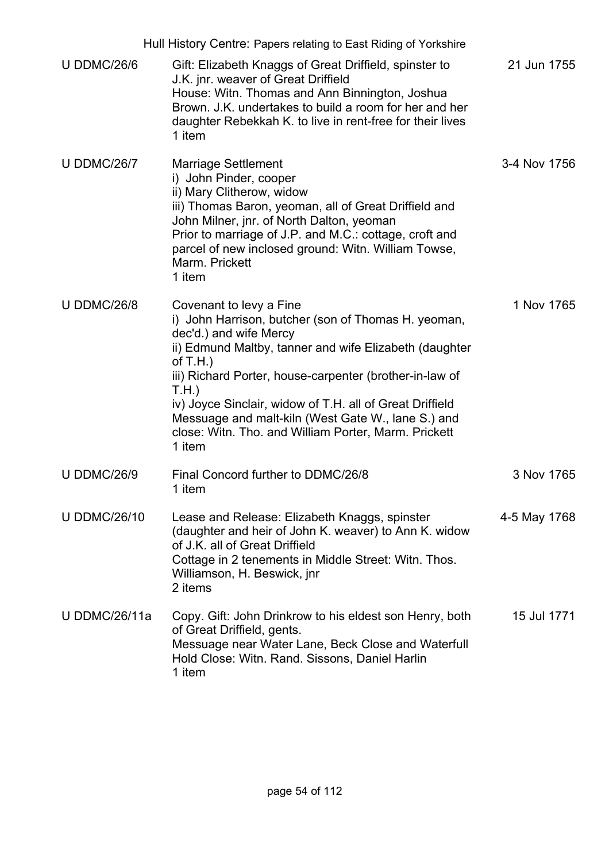|                     | Hull History Centre: Papers relating to East Riding of Yorkshire                                                                                                                                                                                                                                                                                                                                                                         |              |
|---------------------|------------------------------------------------------------------------------------------------------------------------------------------------------------------------------------------------------------------------------------------------------------------------------------------------------------------------------------------------------------------------------------------------------------------------------------------|--------------|
| <b>U DDMC/26/6</b>  | Gift: Elizabeth Knaggs of Great Driffield, spinster to<br>J.K. jnr. weaver of Great Driffield<br>House: Witn. Thomas and Ann Binnington, Joshua<br>Brown. J.K. undertakes to build a room for her and her<br>daughter Rebekkah K. to live in rent-free for their lives<br>1 item                                                                                                                                                         | 21 Jun 1755  |
| <b>U DDMC/26/7</b>  | <b>Marriage Settlement</b><br>i) John Pinder, cooper<br>ii) Mary Clitherow, widow<br>iii) Thomas Baron, yeoman, all of Great Driffield and<br>John Milner, jnr. of North Dalton, yeoman<br>Prior to marriage of J.P. and M.C.: cottage, croft and<br>parcel of new inclosed ground: Witn. William Towse,<br>Marm. Prickett<br>1 item                                                                                                     | 3-4 Nov 1756 |
| <b>U DDMC/26/8</b>  | Covenant to levy a Fine<br>i) John Harrison, butcher (son of Thomas H. yeoman,<br>dec'd.) and wife Mercy<br>ii) Edmund Maltby, tanner and wife Elizabeth (daughter<br>of $T.H.$ )<br>iii) Richard Porter, house-carpenter (brother-in-law of<br>T.H.<br>iv) Joyce Sinclair, widow of T.H. all of Great Driffield<br>Messuage and malt-kiln (West Gate W., lane S.) and<br>close: Witn. Tho. and William Porter, Marm. Prickett<br>1 item | 1 Nov 1765   |
| <b>U DDMC/26/9</b>  | Final Concord further to DDMC/26/8<br>1 item                                                                                                                                                                                                                                                                                                                                                                                             | 3 Nov 1765   |
| <b>U DDMC/26/10</b> | Lease and Release: Elizabeth Knaggs, spinster<br>(daughter and heir of John K. weaver) to Ann K. widow<br>of J.K. all of Great Driffield<br>Cottage in 2 tenements in Middle Street: Witn. Thos.<br>Williamson, H. Beswick, jnr<br>2 items                                                                                                                                                                                               | 4-5 May 1768 |
| U DDMC/26/11a       | Copy. Gift: John Drinkrow to his eldest son Henry, both<br>of Great Driffield, gents.<br>Messuage near Water Lane, Beck Close and Waterfull<br>Hold Close: Witn. Rand. Sissons, Daniel Harlin<br>1 item                                                                                                                                                                                                                                  | 15 Jul 1771  |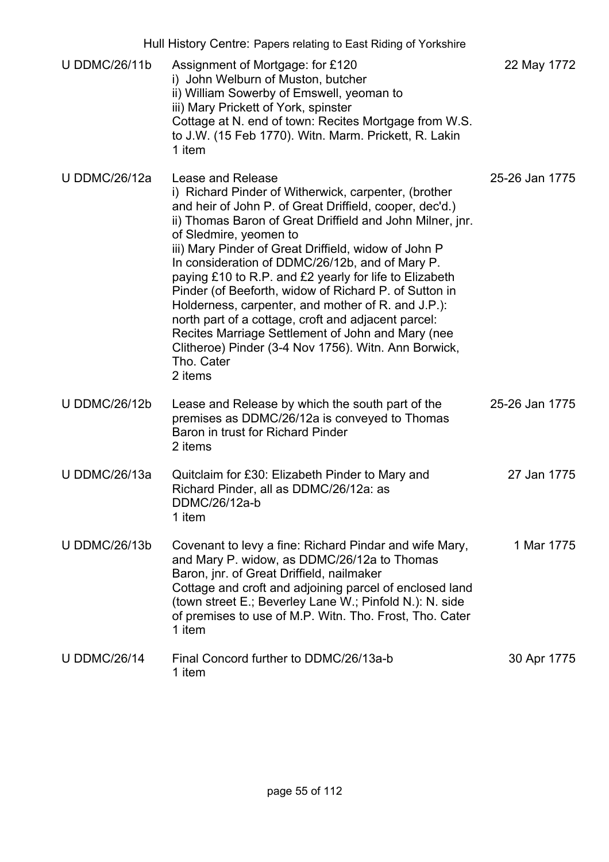|                      | Hull History Centre: Papers relating to East Riding of Yorkshire                                                                                                                                                                                                                                                                                                                                                                                                                                                                                                                                                                                                                                             |                |
|----------------------|--------------------------------------------------------------------------------------------------------------------------------------------------------------------------------------------------------------------------------------------------------------------------------------------------------------------------------------------------------------------------------------------------------------------------------------------------------------------------------------------------------------------------------------------------------------------------------------------------------------------------------------------------------------------------------------------------------------|----------------|
| <b>U DDMC/26/11b</b> | Assignment of Mortgage: for £120<br>i) John Welburn of Muston, butcher<br>ii) William Sowerby of Emswell, yeoman to<br>iii) Mary Prickett of York, spinster<br>Cottage at N. end of town: Recites Mortgage from W.S.<br>to J.W. (15 Feb 1770). Witn. Marm. Prickett, R. Lakin<br>1 item                                                                                                                                                                                                                                                                                                                                                                                                                      | 22 May 1772    |
| <b>U DDMC/26/12a</b> | Lease and Release<br>i) Richard Pinder of Witherwick, carpenter, (brother<br>and heir of John P. of Great Driffield, cooper, dec'd.)<br>ii) Thomas Baron of Great Driffield and John Milner, jnr.<br>of Sledmire, yeomen to<br>iii) Mary Pinder of Great Driffield, widow of John P<br>In consideration of DDMC/26/12b, and of Mary P.<br>paying £10 to R.P. and £2 yearly for life to Elizabeth<br>Pinder (of Beeforth, widow of Richard P. of Sutton in<br>Holderness, carpenter, and mother of R. and J.P.):<br>north part of a cottage, croft and adjacent parcel:<br>Recites Marriage Settlement of John and Mary (nee<br>Clitheroe) Pinder (3-4 Nov 1756). Witn. Ann Borwick,<br>Tho. Cater<br>2 items | 25-26 Jan 1775 |
| <b>U DDMC/26/12b</b> | Lease and Release by which the south part of the<br>premises as DDMC/26/12a is conveyed to Thomas<br>Baron in trust for Richard Pinder<br>2 items                                                                                                                                                                                                                                                                                                                                                                                                                                                                                                                                                            | 25-26 Jan 1775 |
| U DDMC/26/13a        | Quitclaim for £30: Elizabeth Pinder to Mary and<br>Richard Pinder, all as DDMC/26/12a: as<br>DDMC/26/12a-b<br>1 item                                                                                                                                                                                                                                                                                                                                                                                                                                                                                                                                                                                         | 27 Jan 1775    |
| <b>U DDMC/26/13b</b> | Covenant to levy a fine: Richard Pindar and wife Mary,<br>and Mary P. widow, as DDMC/26/12a to Thomas<br>Baron, jnr. of Great Driffield, nailmaker<br>Cottage and croft and adjoining parcel of enclosed land<br>(town street E.; Beverley Lane W.; Pinfold N.): N. side<br>of premises to use of M.P. Witn. Tho. Frost, Tho. Cater<br>1 item                                                                                                                                                                                                                                                                                                                                                                | 1 Mar 1775     |
| <b>U DDMC/26/14</b>  | Final Concord further to DDMC/26/13a-b<br>1 item                                                                                                                                                                                                                                                                                                                                                                                                                                                                                                                                                                                                                                                             | 30 Apr 1775    |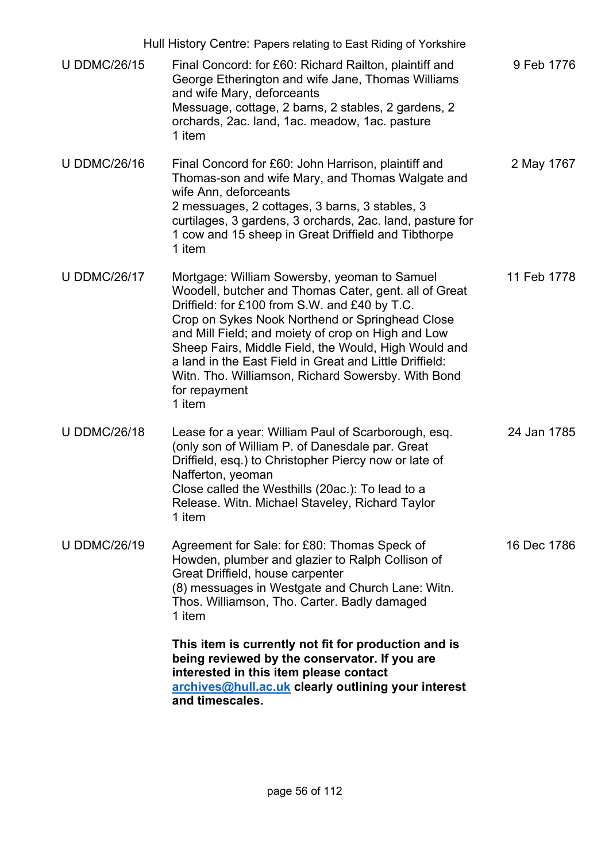|                     | Hull History Centre: Papers relating to East Riding of Yorkshire                                                                                                                                                                                                                                                                                                                                                                                                    |             |
|---------------------|---------------------------------------------------------------------------------------------------------------------------------------------------------------------------------------------------------------------------------------------------------------------------------------------------------------------------------------------------------------------------------------------------------------------------------------------------------------------|-------------|
| <b>U DDMC/26/15</b> | Final Concord: for £60: Richard Railton, plaintiff and<br>George Etherington and wife Jane, Thomas Williams<br>and wife Mary, deforceants<br>Messuage, cottage, 2 barns, 2 stables, 2 gardens, 2<br>orchards, 2ac. land, 1ac. meadow, 1ac. pasture<br>1 item                                                                                                                                                                                                        | 9 Feb 1776  |
| <b>U DDMC/26/16</b> | Final Concord for £60: John Harrison, plaintiff and<br>Thomas-son and wife Mary, and Thomas Walgate and<br>wife Ann, deforceants<br>2 messuages, 2 cottages, 3 barns, 3 stables, 3<br>curtilages, 3 gardens, 3 orchards, 2ac. land, pasture for<br>1 cow and 15 sheep in Great Driffield and Tibthorpe<br>1 item                                                                                                                                                    | 2 May 1767  |
| <b>U DDMC/26/17</b> | Mortgage: William Sowersby, yeoman to Samuel<br>Woodell, butcher and Thomas Cater, gent. all of Great<br>Driffield: for £100 from S.W. and £40 by T.C.<br>Crop on Sykes Nook Northend or Springhead Close<br>and Mill Field; and moiety of crop on High and Low<br>Sheep Fairs, Middle Field, the Would, High Would and<br>a land in the East Field in Great and Little Driffield:<br>Witn. Tho. Williamson, Richard Sowersby. With Bond<br>for repayment<br>1 item | 11 Feb 1778 |
| <b>U DDMC/26/18</b> | Lease for a year: William Paul of Scarborough, esq.<br>(only son of William P. of Danesdale par. Great<br>Driffield, esq.) to Christopher Piercy now or late of<br>Nafferton, yeoman<br>Close called the Westhills (20ac.): To lead to a<br>Release. Witn. Michael Staveley, Richard Taylor<br>1 item                                                                                                                                                               | 24 Jan 1785 |
| <b>U DDMC/26/19</b> | Agreement for Sale: for £80: Thomas Speck of<br>Howden, plumber and glazier to Ralph Collison of<br>Great Driffield, house carpenter<br>(8) messuages in Westgate and Church Lane: Witn.<br>Thos. Williamson, Tho. Carter. Badly damaged<br>1 item                                                                                                                                                                                                                  | 16 Dec 1786 |
|                     | This item is currently not fit for production and is<br>being reviewed by the conservator. If you are<br>interested in this item please contact<br>archives@hull.ac.uk clearly outlining your interest<br>and timescales.                                                                                                                                                                                                                                           |             |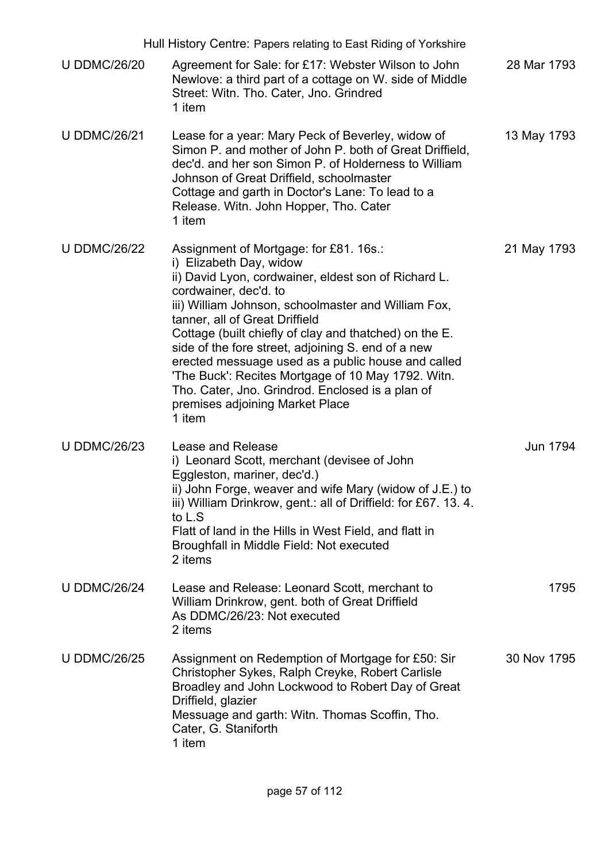|                     | Hull History Centre: Papers relating to East Riding of Yorkshire                                                                                                                                                                                                                                                                                                                                                                                                                                                                                                         |             |
|---------------------|--------------------------------------------------------------------------------------------------------------------------------------------------------------------------------------------------------------------------------------------------------------------------------------------------------------------------------------------------------------------------------------------------------------------------------------------------------------------------------------------------------------------------------------------------------------------------|-------------|
| <b>U DDMC/26/20</b> | Agreement for Sale: for £17: Webster Wilson to John<br>Newlove: a third part of a cottage on W. side of Middle<br>Street: Witn. Tho. Cater, Jno. Grindred<br>1 item                                                                                                                                                                                                                                                                                                                                                                                                      | 28 Mar 1793 |
| <b>U DDMC/26/21</b> | Lease for a year: Mary Peck of Beverley, widow of<br>Simon P. and mother of John P. both of Great Driffield,<br>dec'd, and her son Simon P. of Holderness to William<br>Johnson of Great Driffield, schoolmaster<br>Cottage and garth in Doctor's Lane: To lead to a<br>Release. Witn. John Hopper, Tho. Cater<br>1 item                                                                                                                                                                                                                                                 | 13 May 1793 |
| <b>U DDMC/26/22</b> | Assignment of Mortgage: for £81. 16s.:<br>i) Elizabeth Day, widow<br>ii) David Lyon, cordwainer, eldest son of Richard L.<br>cordwainer, dec'd. to<br>iii) William Johnson, schoolmaster and William Fox,<br>tanner, all of Great Driffield<br>Cottage (built chiefly of clay and thatched) on the E.<br>side of the fore street, adjoining S. end of a new<br>erected messuage used as a public house and called<br>'The Buck': Recites Mortgage of 10 May 1792. Witn.<br>Tho. Cater, Jno. Grindrod. Enclosed is a plan of<br>premises adjoining Market Place<br>1 item | 21 May 1793 |
| <b>U DDMC/26/23</b> | Lease and Release<br>i) Leonard Scott, merchant (devisee of John<br>Eggleston, mariner, dec'd.)<br>ii) John Forge, weaver and wife Mary (widow of J.E.) to<br>iii) William Drinkrow, gent.: all of Driffield: for £67. 13. 4.<br>to L.S<br>Flatt of land in the Hills in West Field, and flatt in<br>Broughfall in Middle Field: Not executed<br>2 items                                                                                                                                                                                                                 | Jun 1794    |
| <b>U DDMC/26/24</b> | Lease and Release: Leonard Scott, merchant to<br>William Drinkrow, gent. both of Great Driffield<br>As DDMC/26/23: Not executed<br>2 items                                                                                                                                                                                                                                                                                                                                                                                                                               | 1795        |
| <b>U DDMC/26/25</b> | Assignment on Redemption of Mortgage for £50: Sir<br>Christopher Sykes, Ralph Creyke, Robert Carlisle<br>Broadley and John Lockwood to Robert Day of Great<br>Driffield, glazier<br>Messuage and garth: Witn. Thomas Scoffin, Tho.<br>Cater, G. Staniforth<br>1 item                                                                                                                                                                                                                                                                                                     | 30 Nov 1795 |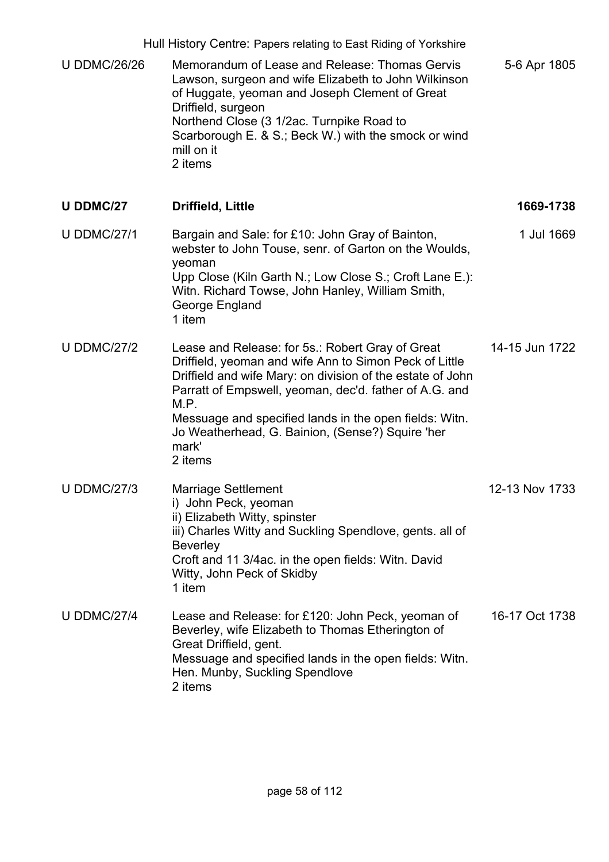| Hull History Centre: Papers relating to East Riding of Yorkshire |                                                                                                                                                                                                                                                                                                                                                                              |                |
|------------------------------------------------------------------|------------------------------------------------------------------------------------------------------------------------------------------------------------------------------------------------------------------------------------------------------------------------------------------------------------------------------------------------------------------------------|----------------|
| <b>U DDMC/26/26</b>                                              | Memorandum of Lease and Release: Thomas Gervis<br>Lawson, surgeon and wife Elizabeth to John Wilkinson<br>of Huggate, yeoman and Joseph Clement of Great<br>Driffield, surgeon<br>Northend Close (3 1/2ac. Turnpike Road to<br>Scarborough E. & S.; Beck W.) with the smock or wind<br>mill on it<br>2 items                                                                 | 5-6 Apr 1805   |
| <b>U DDMC/27</b>                                                 | <b>Driffield, Little</b>                                                                                                                                                                                                                                                                                                                                                     | 1669-1738      |
| <b>U DDMC/27/1</b>                                               | Bargain and Sale: for £10: John Gray of Bainton,<br>webster to John Touse, senr. of Garton on the Woulds,<br>yeoman<br>Upp Close (Kiln Garth N.; Low Close S.; Croft Lane E.):<br>Witn. Richard Towse, John Hanley, William Smith,<br>George England<br>1 item                                                                                                               | 1 Jul 1669     |
| <b>U DDMC/27/2</b>                                               | Lease and Release: for 5s.: Robert Gray of Great<br>Driffield, yeoman and wife Ann to Simon Peck of Little<br>Driffield and wife Mary: on division of the estate of John<br>Parratt of Empswell, yeoman, dec'd. father of A.G. and<br>M.P.<br>Messuage and specified lands in the open fields: Witn.<br>Jo Weatherhead, G. Bainion, (Sense?) Squire 'her<br>mark'<br>2 items | 14-15 Jun 1722 |
| <b>U DDMC/27/3</b>                                               | <b>Marriage Settlement</b><br>i) John Peck, yeoman<br>ii) Elizabeth Witty, spinster<br>iii) Charles Witty and Suckling Spendlove, gents. all of<br><b>Beverley</b><br>Croft and 11 3/4 ac. in the open fields: Witn. David<br>Witty, John Peck of Skidby<br>1 item                                                                                                           | 12-13 Nov 1733 |
| <b>U DDMC/27/4</b>                                               | Lease and Release: for £120: John Peck, yeoman of<br>Beverley, wife Elizabeth to Thomas Etherington of<br>Great Driffield, gent.<br>Messuage and specified lands in the open fields: Witn.<br>Hen. Munby, Suckling Spendlove<br>2 items                                                                                                                                      | 16-17 Oct 1738 |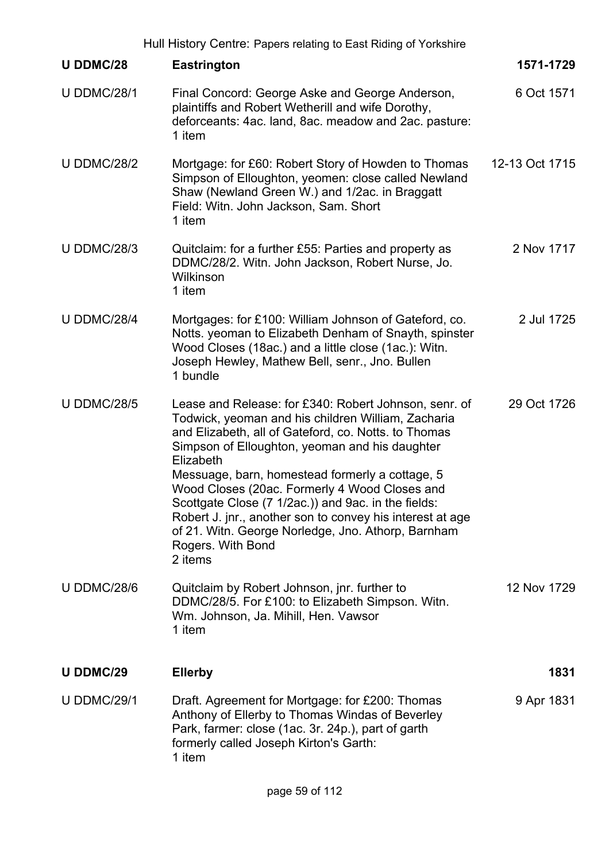|                    | Hull History Centre: Papers relating to East Riding of Yorkshire                                                                                                                                                                                                                                                                                                                                                                                                                                                                                 |                |
|--------------------|--------------------------------------------------------------------------------------------------------------------------------------------------------------------------------------------------------------------------------------------------------------------------------------------------------------------------------------------------------------------------------------------------------------------------------------------------------------------------------------------------------------------------------------------------|----------------|
| <b>U DDMC/28</b>   | <b>Eastrington</b>                                                                                                                                                                                                                                                                                                                                                                                                                                                                                                                               | 1571-1729      |
| <b>U DDMC/28/1</b> | Final Concord: George Aske and George Anderson,<br>plaintiffs and Robert Wetherill and wife Dorothy,<br>deforceants: 4ac. land, 8ac. meadow and 2ac. pasture:<br>1 item                                                                                                                                                                                                                                                                                                                                                                          | 6 Oct 1571     |
| <b>U DDMC/28/2</b> | Mortgage: for £60: Robert Story of Howden to Thomas<br>Simpson of Elloughton, yeomen: close called Newland<br>Shaw (Newland Green W.) and 1/2ac. in Braggatt<br>Field: Witn. John Jackson, Sam. Short<br>1 item                                                                                                                                                                                                                                                                                                                                  | 12-13 Oct 1715 |
| <b>U DDMC/28/3</b> | Quitclaim: for a further £55: Parties and property as<br>DDMC/28/2. Witn. John Jackson, Robert Nurse, Jo.<br>Wilkinson<br>1 item                                                                                                                                                                                                                                                                                                                                                                                                                 | 2 Nov 1717     |
| <b>U DDMC/28/4</b> | Mortgages: for £100: William Johnson of Gateford, co.<br>Notts. yeoman to Elizabeth Denham of Snayth, spinster<br>Wood Closes (18ac.) and a little close (1ac.): Witn.<br>Joseph Hewley, Mathew Bell, senr., Jno. Bullen<br>1 bundle                                                                                                                                                                                                                                                                                                             | 2 Jul 1725     |
| <b>U DDMC/28/5</b> | Lease and Release: for £340: Robert Johnson, senr. of<br>Todwick, yeoman and his children William, Zacharia<br>and Elizabeth, all of Gateford, co. Notts. to Thomas<br>Simpson of Elloughton, yeoman and his daughter<br>Elizabeth<br>Messuage, barn, homestead formerly a cottage, 5<br>Wood Closes (20ac. Formerly 4 Wood Closes and<br>Scottgate Close (7 1/2ac.)) and 9ac. in the fields:<br>Robert J. jnr., another son to convey his interest at age<br>of 21. Witn. George Norledge, Jno. Athorp, Barnham<br>Rogers. With Bond<br>2 items | 29 Oct 1726    |
| <b>U DDMC/28/6</b> | Quitclaim by Robert Johnson, jnr. further to<br>DDMC/28/5. For £100: to Elizabeth Simpson. Witn.<br>Wm. Johnson, Ja. Mihill, Hen. Vawsor<br>1 item                                                                                                                                                                                                                                                                                                                                                                                               | 12 Nov 1729    |
| <b>U DDMC/29</b>   | <b>Ellerby</b>                                                                                                                                                                                                                                                                                                                                                                                                                                                                                                                                   | 1831           |
| <b>U DDMC/29/1</b> | Draft. Agreement for Mortgage: for £200: Thomas<br>Anthony of Ellerby to Thomas Windas of Beverley<br>Park, farmer: close (1ac. 3r. 24p.), part of garth<br>formerly called Joseph Kirton's Garth:<br>1 item                                                                                                                                                                                                                                                                                                                                     | 9 Apr 1831     |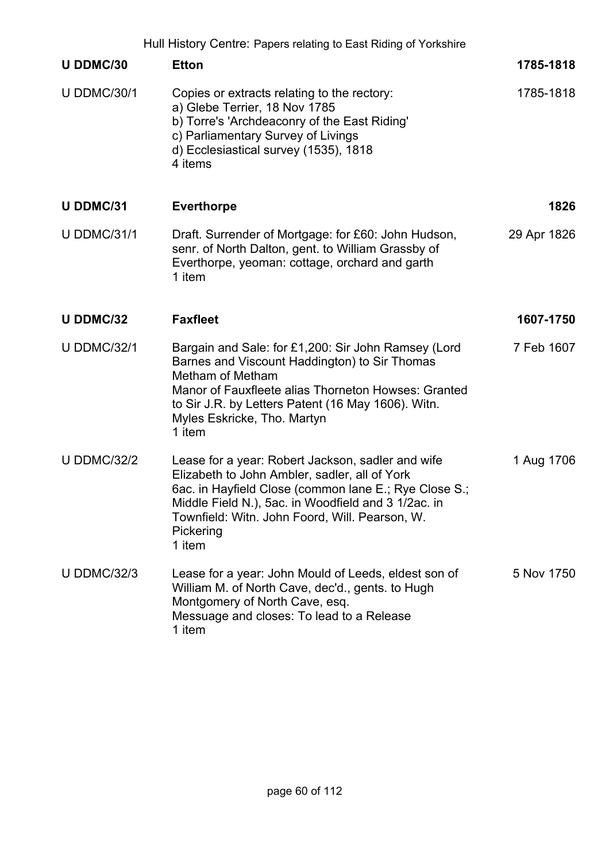|                    | Hull History Centre: Papers relating to East Riding of Yorkshire                                                                                                                                                                                                                            |             |
|--------------------|---------------------------------------------------------------------------------------------------------------------------------------------------------------------------------------------------------------------------------------------------------------------------------------------|-------------|
| U DDMC/30          | <b>Etton</b>                                                                                                                                                                                                                                                                                | 1785-1818   |
| <b>U DDMC/30/1</b> | Copies or extracts relating to the rectory:<br>a) Glebe Terrier, 18 Nov 1785<br>b) Torre's 'Archdeaconry of the East Riding'<br>c) Parliamentary Survey of Livings<br>d) Ecclesiastical survey (1535), 1818<br>4 items                                                                      | 1785-1818   |
| <b>U DDMC/31</b>   | <b>Everthorpe</b>                                                                                                                                                                                                                                                                           | 1826        |
| <b>U DDMC/31/1</b> | Draft. Surrender of Mortgage: for £60: John Hudson,<br>senr. of North Dalton, gent. to William Grassby of<br>Everthorpe, yeoman: cottage, orchard and garth<br>1 item                                                                                                                       | 29 Apr 1826 |
| U DDMC/32          | <b>Faxfleet</b>                                                                                                                                                                                                                                                                             | 1607-1750   |
| <b>U DDMC/32/1</b> | Bargain and Sale: for £1,200: Sir John Ramsey (Lord<br>Barnes and Viscount Haddington) to Sir Thomas<br>Metham of Metham<br>Manor of Fauxfleete alias Thorneton Howses: Granted<br>to Sir J.R. by Letters Patent (16 May 1606). Witn.<br>Myles Eskricke, Tho. Martyn<br>1 item              | 7 Feb 1607  |
| <b>U DDMC/32/2</b> | Lease for a year: Robert Jackson, sadler and wife<br>Elizabeth to John Ambler, sadler, all of York<br>6ac. in Hayfield Close (common lane E.; Rye Close S.;<br>Middle Field N.), 5ac. in Woodfield and 3 1/2ac. in<br>Townfield: Witn. John Foord, Will. Pearson, W.<br>Pickering<br>1 item | 1 Aug 1706  |
| <b>U DDMC/32/3</b> | Lease for a year: John Mould of Leeds, eldest son of<br>William M. of North Cave, dec'd., gents. to Hugh<br>Montgomery of North Cave, esq.<br>Messuage and closes: To lead to a Release<br>1 item                                                                                           | 5 Nov 1750  |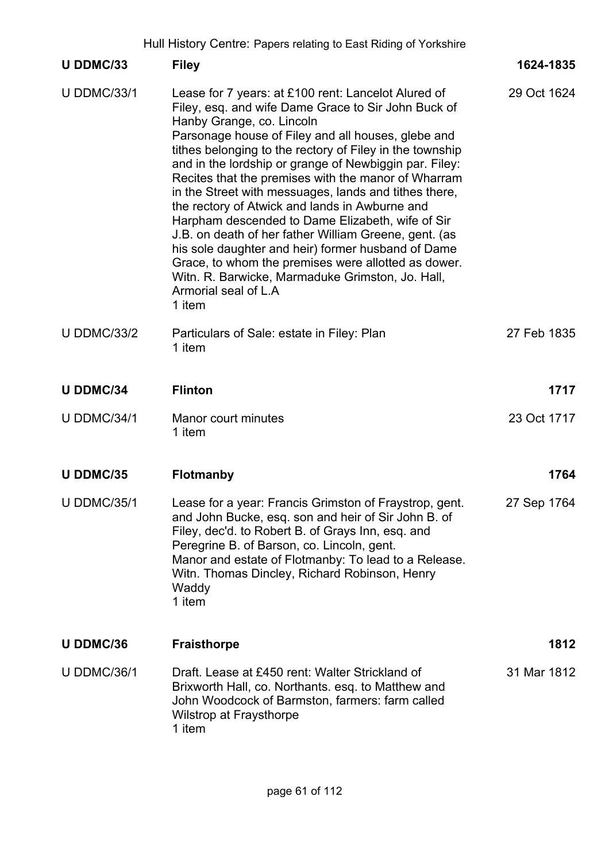Hull History Centre: Papers relating to East Riding of Yorkshire

|                    | Hull History Centre: Papers relating to East Riding of Yorkshire                                                                                                                                                                                                                                                                                                                                                                                                                                                                                                                                                                                                                                                                                                                                      |             |
|--------------------|-------------------------------------------------------------------------------------------------------------------------------------------------------------------------------------------------------------------------------------------------------------------------------------------------------------------------------------------------------------------------------------------------------------------------------------------------------------------------------------------------------------------------------------------------------------------------------------------------------------------------------------------------------------------------------------------------------------------------------------------------------------------------------------------------------|-------------|
| U DDMC/33          | <b>Filey</b>                                                                                                                                                                                                                                                                                                                                                                                                                                                                                                                                                                                                                                                                                                                                                                                          | 1624-1835   |
| <b>U DDMC/33/1</b> | Lease for 7 years: at £100 rent: Lancelot Alured of<br>Filey, esq. and wife Dame Grace to Sir John Buck of<br>Hanby Grange, co. Lincoln<br>Parsonage house of Filey and all houses, glebe and<br>tithes belonging to the rectory of Filey in the township<br>and in the lordship or grange of Newbiggin par. Filey:<br>Recites that the premises with the manor of Wharram<br>in the Street with messuages, lands and tithes there,<br>the rectory of Atwick and lands in Awburne and<br>Harpham descended to Dame Elizabeth, wife of Sir<br>J.B. on death of her father William Greene, gent. (as<br>his sole daughter and heir) former husband of Dame<br>Grace, to whom the premises were allotted as dower.<br>Witn. R. Barwicke, Marmaduke Grimston, Jo. Hall,<br>Armorial seal of L.A<br>1 item | 29 Oct 1624 |
| <b>U DDMC/33/2</b> | Particulars of Sale: estate in Filey: Plan<br>1 item                                                                                                                                                                                                                                                                                                                                                                                                                                                                                                                                                                                                                                                                                                                                                  | 27 Feb 1835 |
| <b>U DDMC/34</b>   | <b>Flinton</b>                                                                                                                                                                                                                                                                                                                                                                                                                                                                                                                                                                                                                                                                                                                                                                                        | 1717        |
| <b>U DDMC/34/1</b> | Manor court minutes<br>1 item                                                                                                                                                                                                                                                                                                                                                                                                                                                                                                                                                                                                                                                                                                                                                                         | 23 Oct 1717 |
| <b>U DDMC/35</b>   | Flotmanby                                                                                                                                                                                                                                                                                                                                                                                                                                                                                                                                                                                                                                                                                                                                                                                             | 1764        |
| <b>U DDMC/35/1</b> | Lease for a year: Francis Grimston of Fraystrop, gent.<br>and John Bucke, esq. son and heir of Sir John B. of<br>Filey, dec'd. to Robert B. of Grays Inn, esq. and<br>Peregrine B. of Barson, co. Lincoln, gent.<br>Manor and estate of Flotmanby: To lead to a Release.<br>Witn. Thomas Dincley, Richard Robinson, Henry<br>Waddy<br>1 item                                                                                                                                                                                                                                                                                                                                                                                                                                                          | 27 Sep 1764 |
| U DDMC/36          | <b>Fraisthorpe</b>                                                                                                                                                                                                                                                                                                                                                                                                                                                                                                                                                                                                                                                                                                                                                                                    | 1812        |
| <b>U DDMC/36/1</b> | Draft, Lease at £450 rent: Walter Strickland of<br>Brixworth Hall, co. Northants. esq. to Matthew and<br>John Woodcock of Barmston, farmers: farm called<br><b>Wilstrop at Fraysthorpe</b><br>1 item                                                                                                                                                                                                                                                                                                                                                                                                                                                                                                                                                                                                  | 31 Mar 1812 |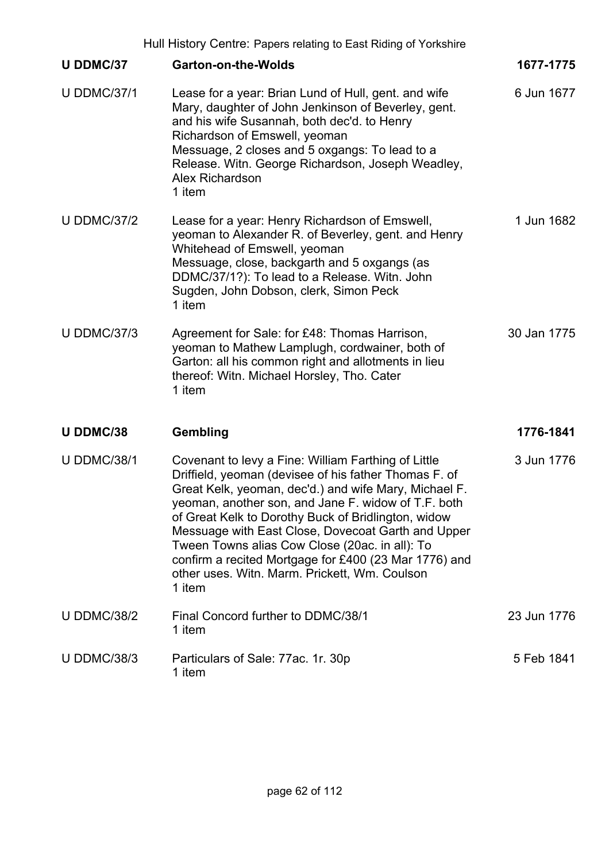|                    | Hull History Centre: Papers relating to East Riding of Yorkshire                                                                                                                                                                                                                                                                                                                                                                                                                                                |             |
|--------------------|-----------------------------------------------------------------------------------------------------------------------------------------------------------------------------------------------------------------------------------------------------------------------------------------------------------------------------------------------------------------------------------------------------------------------------------------------------------------------------------------------------------------|-------------|
| U DDMC/37          | <b>Garton-on-the-Wolds</b>                                                                                                                                                                                                                                                                                                                                                                                                                                                                                      | 1677-1775   |
| <b>U DDMC/37/1</b> | Lease for a year: Brian Lund of Hull, gent. and wife<br>Mary, daughter of John Jenkinson of Beverley, gent.<br>and his wife Susannah, both dec'd. to Henry<br>Richardson of Emswell, yeoman<br>Messuage, 2 closes and 5 oxgangs: To lead to a<br>Release. Witn. George Richardson, Joseph Weadley,<br><b>Alex Richardson</b><br>1 item                                                                                                                                                                          | 6 Jun 1677  |
| <b>U DDMC/37/2</b> | Lease for a year: Henry Richardson of Emswell,<br>yeoman to Alexander R. of Beverley, gent. and Henry<br>Whitehead of Emswell, yeoman<br>Messuage, close, backgarth and 5 oxgangs (as<br>DDMC/37/1?): To lead to a Release. Witn. John<br>Sugden, John Dobson, clerk, Simon Peck<br>1 item                                                                                                                                                                                                                      | 1 Jun 1682  |
| <b>U DDMC/37/3</b> | Agreement for Sale: for £48: Thomas Harrison,<br>yeoman to Mathew Lamplugh, cordwainer, both of<br>Garton: all his common right and allotments in lieu<br>thereof: Witn. Michael Horsley, Tho. Cater<br>1 item                                                                                                                                                                                                                                                                                                  | 30 Jan 1775 |
| U DDMC/38          | Gembling                                                                                                                                                                                                                                                                                                                                                                                                                                                                                                        | 1776-1841   |
| <b>U DDMC/38/1</b> | Covenant to levy a Fine: William Farthing of Little<br>Driffield, yeoman (devisee of his father Thomas F. of<br>Great Kelk, yeoman, dec'd.) and wife Mary, Michael F.<br>yeoman, another son, and Jane F. widow of T.F. both<br>of Great Kelk to Dorothy Buck of Bridlington, widow<br>Messuage with East Close, Dovecoat Garth and Upper<br>Tween Towns alias Cow Close (20ac. in all): To<br>confirm a recited Mortgage for £400 (23 Mar 1776) and<br>other uses. Witn. Marm. Prickett, Wm. Coulson<br>1 item | 3 Jun 1776  |
| <b>U DDMC/38/2</b> | Final Concord further to DDMC/38/1<br>1 item                                                                                                                                                                                                                                                                                                                                                                                                                                                                    | 23 Jun 1776 |
| <b>U DDMC/38/3</b> | Particulars of Sale: 77ac. 1r. 30p<br>1 item                                                                                                                                                                                                                                                                                                                                                                                                                                                                    | 5 Feb 1841  |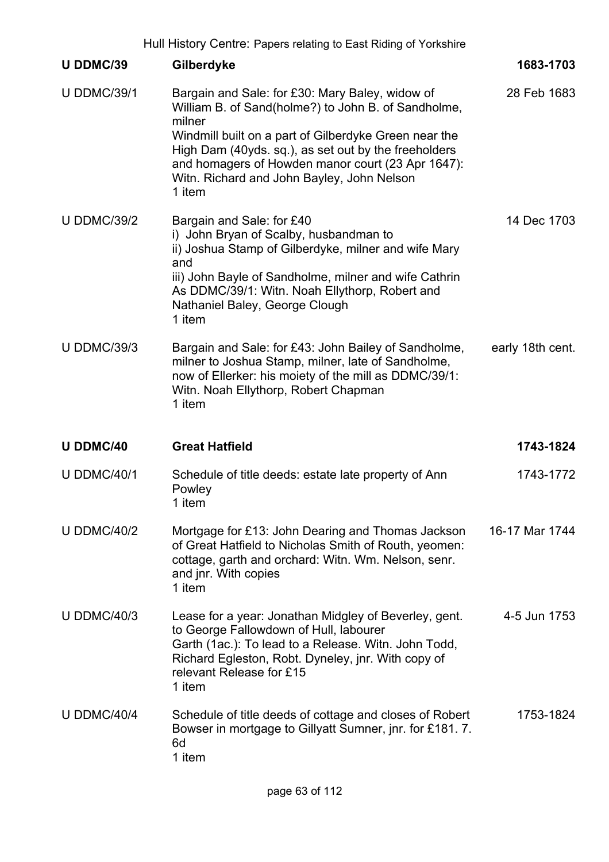|                    | Hull History Centre: Papers relating to East Riding of Yorkshire                                                                                                                                                                                                                                                                               |                  |
|--------------------|------------------------------------------------------------------------------------------------------------------------------------------------------------------------------------------------------------------------------------------------------------------------------------------------------------------------------------------------|------------------|
| U DDMC/39          | Gilberdyke                                                                                                                                                                                                                                                                                                                                     | 1683-1703        |
| <b>U DDMC/39/1</b> | Bargain and Sale: for £30: Mary Baley, widow of<br>William B. of Sand(holme?) to John B. of Sandholme,<br>milner<br>Windmill built on a part of Gilberdyke Green near the<br>High Dam (40yds. sq.), as set out by the freeholders<br>and homagers of Howden manor court (23 Apr 1647):<br>Witn. Richard and John Bayley, John Nelson<br>1 item | 28 Feb 1683      |
| <b>U DDMC/39/2</b> | Bargain and Sale: for £40<br>i) John Bryan of Scalby, husbandman to<br>ii) Joshua Stamp of Gilberdyke, milner and wife Mary<br>and<br>iii) John Bayle of Sandholme, milner and wife Cathrin<br>As DDMC/39/1: Witn. Noah Ellythorp, Robert and<br>Nathaniel Baley, George Clough<br>1 item                                                      | 14 Dec 1703      |
| <b>U DDMC/39/3</b> | Bargain and Sale: for £43: John Bailey of Sandholme,<br>milner to Joshua Stamp, milner, late of Sandholme,<br>now of Ellerker: his moiety of the mill as DDMC/39/1:<br>Witn. Noah Ellythorp, Robert Chapman<br>1 item                                                                                                                          | early 18th cent. |
| <b>U DDMC/40</b>   | <b>Great Hatfield</b>                                                                                                                                                                                                                                                                                                                          | 1743-1824        |
| <b>U DDMC/40/1</b> | Schedule of title deeds: estate late property of Ann<br>Powley<br>1 item                                                                                                                                                                                                                                                                       | 1743-1772        |
| <b>U DDMC/40/2</b> | Mortgage for £13: John Dearing and Thomas Jackson<br>of Great Hatfield to Nicholas Smith of Routh, yeomen:<br>cottage, garth and orchard: Witn. Wm. Nelson, senr.<br>and jnr. With copies<br>1 item                                                                                                                                            | 16-17 Mar 1744   |
| <b>U DDMC/40/3</b> | Lease for a year: Jonathan Midgley of Beverley, gent.<br>to George Fallowdown of Hull, labourer<br>Garth (1ac.): To lead to a Release. Witn. John Todd,<br>Richard Egleston, Robt. Dyneley, jnr. With copy of<br>relevant Release for £15<br>1 item                                                                                            | 4-5 Jun 1753     |
| <b>U DDMC/40/4</b> | Schedule of title deeds of cottage and closes of Robert<br>Bowser in mortgage to Gillyatt Sumner, jnr. for £181.7.<br>6d<br>1 item                                                                                                                                                                                                             | 1753-1824        |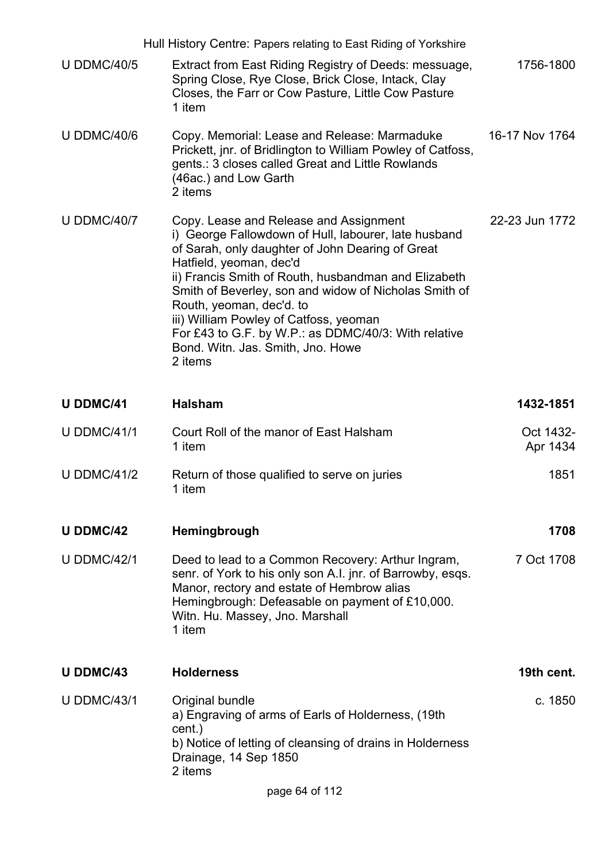|                    | Hull History Centre: Papers relating to East Riding of Yorkshire                                                                                                                                                                                                                                                                                                                                                                                                             |                       |
|--------------------|------------------------------------------------------------------------------------------------------------------------------------------------------------------------------------------------------------------------------------------------------------------------------------------------------------------------------------------------------------------------------------------------------------------------------------------------------------------------------|-----------------------|
| <b>U DDMC/40/5</b> | Extract from East Riding Registry of Deeds: messuage,<br>Spring Close, Rye Close, Brick Close, Intack, Clay<br>Closes, the Farr or Cow Pasture, Little Cow Pasture<br>1 item                                                                                                                                                                                                                                                                                                 | 1756-1800             |
| <b>U DDMC/40/6</b> | Copy. Memorial: Lease and Release: Marmaduke<br>Prickett, jnr. of Bridlington to William Powley of Catfoss,<br>gents.: 3 closes called Great and Little Rowlands<br>(46ac.) and Low Garth<br>2 items                                                                                                                                                                                                                                                                         | 16-17 Nov 1764        |
| <b>U DDMC/40/7</b> | Copy. Lease and Release and Assignment<br>i) George Fallowdown of Hull, labourer, late husband<br>of Sarah, only daughter of John Dearing of Great<br>Hatfield, yeoman, dec'd<br>ii) Francis Smith of Routh, husbandman and Elizabeth<br>Smith of Beverley, son and widow of Nicholas Smith of<br>Routh, yeoman, dec'd. to<br>iii) William Powley of Catfoss, yeoman<br>For £43 to G.F. by W.P.: as DDMC/40/3: With relative<br>Bond. Witn. Jas. Smith, Jno. Howe<br>2 items | 22-23 Jun 1772        |
| <b>U DDMC/41</b>   | <b>Halsham</b>                                                                                                                                                                                                                                                                                                                                                                                                                                                               | 1432-1851             |
| <b>U DDMC/41/1</b> | Court Roll of the manor of East Halsham<br>1 item                                                                                                                                                                                                                                                                                                                                                                                                                            | Oct 1432-<br>Apr 1434 |
| <b>U DDMC/41/2</b> | Return of those qualified to serve on juries<br>1 item                                                                                                                                                                                                                                                                                                                                                                                                                       | 1851                  |
| <b>U DDMC/42</b>   | Hemingbrough                                                                                                                                                                                                                                                                                                                                                                                                                                                                 | 1708                  |
| <b>U DDMC/42/1</b> | Deed to lead to a Common Recovery: Arthur Ingram,<br>senr. of York to his only son A.I. jnr. of Barrowby, esqs.<br>Manor, rectory and estate of Hembrow alias<br>Hemingbrough: Defeasable on payment of £10,000.<br>Witn. Hu. Massey, Jno. Marshall<br>1 item                                                                                                                                                                                                                | 7 Oct 1708            |
| U DDMC/43          | <b>Holderness</b>                                                                                                                                                                                                                                                                                                                                                                                                                                                            | 19th cent.            |
| <b>U DDMC/43/1</b> | Original bundle<br>a) Engraving of arms of Earls of Holderness, (19th<br>cent.)<br>b) Notice of letting of cleansing of drains in Holderness<br>Drainage, 14 Sep 1850<br>2 items<br>page 64 of 112                                                                                                                                                                                                                                                                           | c. 1850               |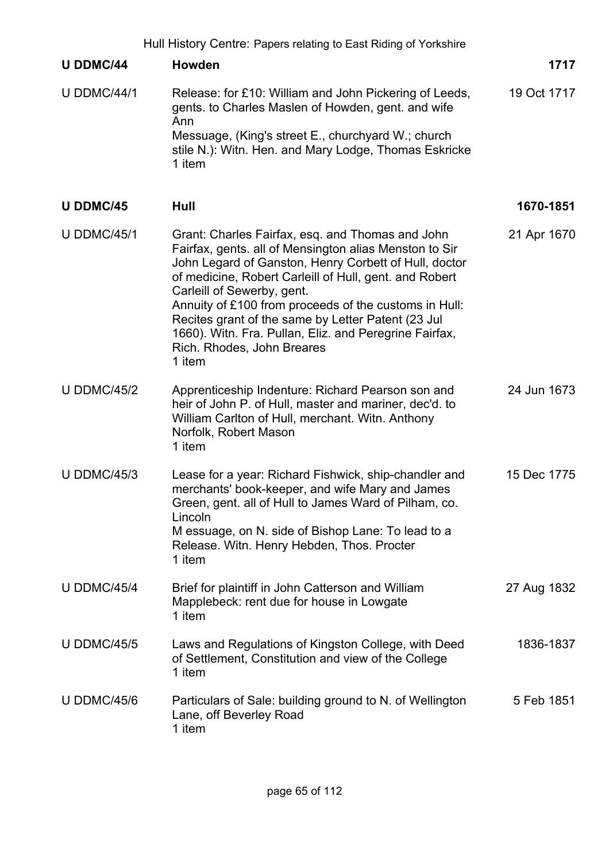| Hull History Centre: Papers relating to East Riding of Yorkshire |                                                                                                                                                                                                                                                                                                                                                                                                                                                                              |             |
|------------------------------------------------------------------|------------------------------------------------------------------------------------------------------------------------------------------------------------------------------------------------------------------------------------------------------------------------------------------------------------------------------------------------------------------------------------------------------------------------------------------------------------------------------|-------------|
| <b>U DDMC/44</b>                                                 | <b>Howden</b>                                                                                                                                                                                                                                                                                                                                                                                                                                                                | 1717        |
| <b>U DDMC/44/1</b>                                               | Release: for £10: William and John Pickering of Leeds,<br>gents. to Charles Maslen of Howden, gent. and wife<br>Ann<br>Messuage, (King's street E., churchyard W.; church<br>stile N.): Witn. Hen. and Mary Lodge, Thomas Eskricke<br>1 item                                                                                                                                                                                                                                 | 19 Oct 1717 |
| <b>U DDMC/45</b>                                                 | Hull                                                                                                                                                                                                                                                                                                                                                                                                                                                                         | 1670-1851   |
| <b>U DDMC/45/1</b>                                               | Grant: Charles Fairfax, esq. and Thomas and John<br>Fairfax, gents. all of Mensington alias Menston to Sir<br>John Legard of Ganston, Henry Corbett of Hull, doctor<br>of medicine, Robert Carleill of Hull, gent. and Robert<br>Carleill of Sewerby, gent.<br>Annuity of £100 from proceeds of the customs in Hull:<br>Recites grant of the same by Letter Patent (23 Jul<br>1660). Witn. Fra. Pullan, Eliz. and Peregrine Fairfax,<br>Rich. Rhodes, John Breares<br>1 item | 21 Apr 1670 |
| <b>U DDMC/45/2</b>                                               | Apprenticeship Indenture: Richard Pearson son and<br>heir of John P. of Hull, master and mariner, dec'd. to<br>William Carlton of Hull, merchant. Witn. Anthony<br>Norfolk, Robert Mason<br>1 item                                                                                                                                                                                                                                                                           | 24 Jun 1673 |
| <b>U DDMC/45/3</b>                                               | Lease for a year: Richard Fishwick, ship-chandler and<br>merchants' book-keeper, and wife Mary and James<br>Green, gent. all of Hull to James Ward of Pilham, co.<br>Lincoln<br>M essuage, on N. side of Bishop Lane: To lead to a<br>Release. Witn. Henry Hebden, Thos. Procter<br>1 item                                                                                                                                                                                   | 15 Dec 1775 |
| <b>U DDMC/45/4</b>                                               | Brief for plaintiff in John Catterson and William<br>Mapplebeck: rent due for house in Lowgate<br>1 item                                                                                                                                                                                                                                                                                                                                                                     | 27 Aug 1832 |
| <b>U DDMC/45/5</b>                                               | Laws and Regulations of Kingston College, with Deed<br>of Settlement, Constitution and view of the College<br>1 item                                                                                                                                                                                                                                                                                                                                                         | 1836-1837   |
| <b>U DDMC/45/6</b>                                               | Particulars of Sale: building ground to N. of Wellington<br>Lane, off Beverley Road<br>1 item                                                                                                                                                                                                                                                                                                                                                                                | 5 Feb 1851  |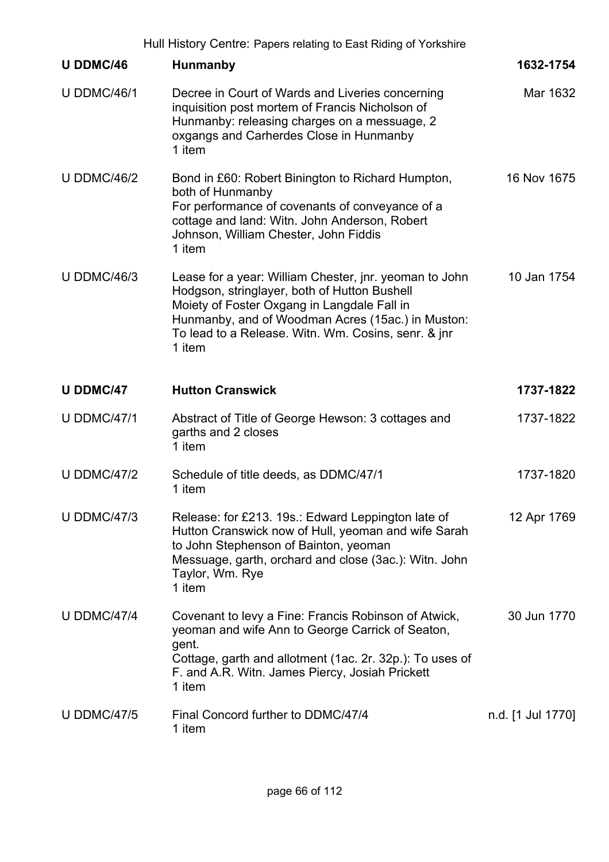|                    | Hull History Centre: Papers relating to East Riding of Yorkshire                                                                                                                                                                                                            |                   |
|--------------------|-----------------------------------------------------------------------------------------------------------------------------------------------------------------------------------------------------------------------------------------------------------------------------|-------------------|
| <b>U DDMC/46</b>   | <b>Hunmanby</b>                                                                                                                                                                                                                                                             | 1632-1754         |
| <b>U DDMC/46/1</b> | Decree in Court of Wards and Liveries concerning<br>inquisition post mortem of Francis Nicholson of<br>Hunmanby: releasing charges on a messuage, 2<br>oxgangs and Carherdes Close in Hunmanby<br>1 item                                                                    | Mar 1632          |
| <b>U DDMC/46/2</b> | Bond in £60: Robert Binington to Richard Humpton,<br>both of Hunmanby<br>For performance of covenants of conveyance of a<br>cottage and land: Witn. John Anderson, Robert<br>Johnson, William Chester, John Fiddis<br>1 item                                                | 16 Nov 1675       |
| <b>U DDMC/46/3</b> | Lease for a year: William Chester, jnr. yeoman to John<br>Hodgson, stringlayer, both of Hutton Bushell<br>Moiety of Foster Oxgang in Langdale Fall in<br>Hunmanby, and of Woodman Acres (15ac.) in Muston:<br>To lead to a Release. Witn. Wm. Cosins, senr. & jnr<br>1 item | 10 Jan 1754       |
| <b>U DDMC/47</b>   | <b>Hutton Cranswick</b>                                                                                                                                                                                                                                                     | 1737-1822         |
| <b>U DDMC/47/1</b> | Abstract of Title of George Hewson: 3 cottages and<br>garths and 2 closes<br>1 item                                                                                                                                                                                         | 1737-1822         |
| <b>U DDMC/47/2</b> | Schedule of title deeds, as DDMC/47/1<br>1 item                                                                                                                                                                                                                             | 1737-1820         |
| <b>U DDMC/47/3</b> | Release: for £213. 19s.: Edward Leppington late of<br>Hutton Cranswick now of Hull, yeoman and wife Sarah<br>to John Stephenson of Bainton, yeoman<br>Messuage, garth, orchard and close (3ac.): Witn. John<br>Taylor, Wm. Rye<br>1 item                                    | 12 Apr 1769       |
| <b>U DDMC/47/4</b> | Covenant to levy a Fine: Francis Robinson of Atwick,<br>yeoman and wife Ann to George Carrick of Seaton,<br>gent.<br>Cottage, garth and allotment (1ac. 2r. 32p.): To uses of<br>F. and A.R. Witn. James Piercy, Josiah Prickett<br>1 item                                  | 30 Jun 1770       |
| <b>U DDMC/47/5</b> | Final Concord further to DDMC/47/4<br>1 item                                                                                                                                                                                                                                | n.d. [1 Jul 1770] |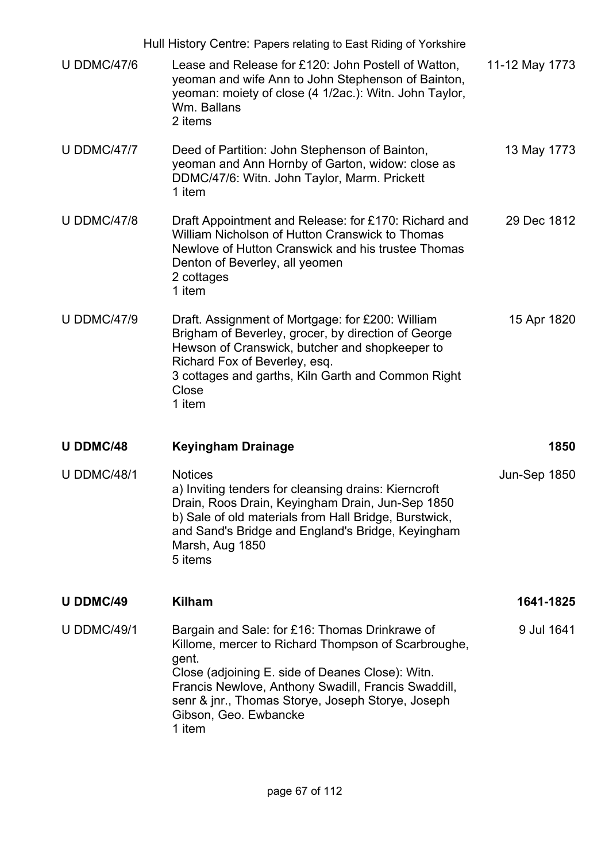|                    | Hull History Centre: Papers relating to East Riding of Yorkshire                                                                                                                                                                                                                                                  |                |
|--------------------|-------------------------------------------------------------------------------------------------------------------------------------------------------------------------------------------------------------------------------------------------------------------------------------------------------------------|----------------|
| <b>U DDMC/47/6</b> | Lease and Release for £120: John Postell of Watton,<br>yeoman and wife Ann to John Stephenson of Bainton,<br>yeoman: moiety of close (4 1/2ac.): Witn. John Taylor,<br>Wm. Ballans<br>2 items                                                                                                                     | 11-12 May 1773 |
| <b>U DDMC/47/7</b> | Deed of Partition: John Stephenson of Bainton,<br>yeoman and Ann Hornby of Garton, widow: close as<br>DDMC/47/6: Witn. John Taylor, Marm. Prickett<br>1 item                                                                                                                                                      | 13 May 1773    |
| <b>U DDMC/47/8</b> | Draft Appointment and Release: for £170: Richard and<br>William Nicholson of Hutton Cranswick to Thomas<br>Newlove of Hutton Cranswick and his trustee Thomas<br>Denton of Beverley, all yeomen<br>2 cottages<br>1 item                                                                                           | 29 Dec 1812    |
| <b>U DDMC/47/9</b> | Draft. Assignment of Mortgage: for £200: William<br>Brigham of Beverley, grocer, by direction of George<br>Hewson of Cranswick, butcher and shopkeeper to<br>Richard Fox of Beverley, esq.<br>3 cottages and garths, Kiln Garth and Common Right<br>Close<br>1 item                                               | 15 Apr 1820    |
| <b>U DDMC/48</b>   | <b>Keyingham Drainage</b>                                                                                                                                                                                                                                                                                         | 1850           |
| <b>U DDMC/48/1</b> | <b>Notices</b><br>a) Inviting tenders for cleansing drains: Kierncroft<br>Drain, Roos Drain, Keyingham Drain, Jun-Sep 1850<br>b) Sale of old materials from Hall Bridge, Burstwick,<br>and Sand's Bridge and England's Bridge, Keyingham<br>Marsh, Aug 1850<br>5 items                                            | Jun-Sep 1850   |
| <b>U DDMC/49</b>   | <b>Kilham</b>                                                                                                                                                                                                                                                                                                     | 1641-1825      |
| <b>U DDMC/49/1</b> | Bargain and Sale: for £16: Thomas Drinkrawe of<br>Killome, mercer to Richard Thompson of Scarbroughe,<br>gent.<br>Close (adjoining E. side of Deanes Close): Witn.<br>Francis Newlove, Anthony Swadill, Francis Swaddill,<br>senr & jnr., Thomas Storye, Joseph Storye, Joseph<br>Gibson, Geo. Ewbancke<br>1 item | 9 Jul 1641     |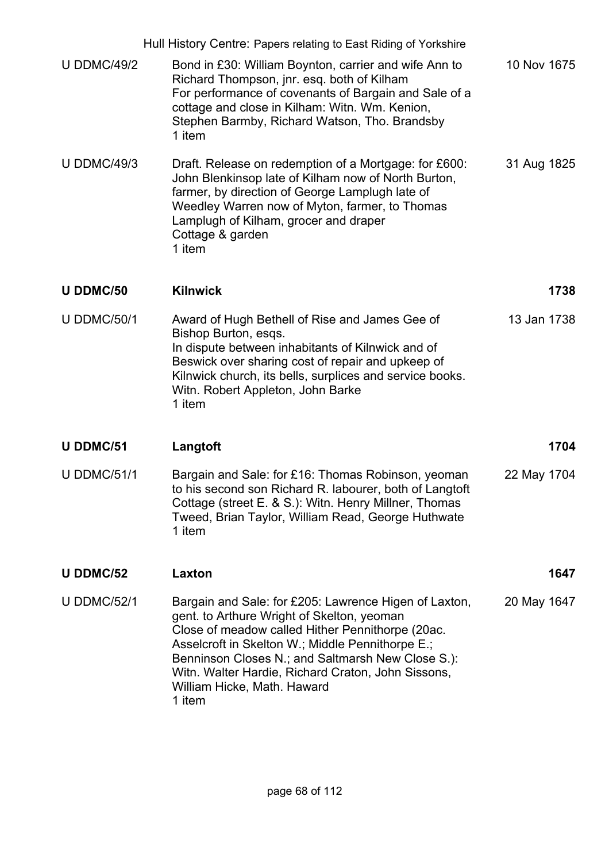|                    | Hull History Centre: Papers relating to East Riding of Yorkshire                                                                                                                                                                                                                                                                                                |             |
|--------------------|-----------------------------------------------------------------------------------------------------------------------------------------------------------------------------------------------------------------------------------------------------------------------------------------------------------------------------------------------------------------|-------------|
| <b>U DDMC/49/2</b> | Bond in £30: William Boynton, carrier and wife Ann to<br>Richard Thompson, jnr. esq. both of Kilham<br>For performance of covenants of Bargain and Sale of a<br>cottage and close in Kilham: Witn. Wm. Kenion,<br>Stephen Barmby, Richard Watson, Tho. Brandsby<br>1 item                                                                                       | 10 Nov 1675 |
| <b>U DDMC/49/3</b> | Draft. Release on redemption of a Mortgage: for £600:<br>John Blenkinsop late of Kilham now of North Burton,<br>farmer, by direction of George Lamplugh late of<br>Weedley Warren now of Myton, farmer, to Thomas<br>Lamplugh of Kilham, grocer and draper<br>Cottage & garden<br>1 item                                                                        | 31 Aug 1825 |
| U DDMC/50          | <b>Kilnwick</b>                                                                                                                                                                                                                                                                                                                                                 | 1738        |
| <b>U DDMC/50/1</b> | Award of Hugh Bethell of Rise and James Gee of<br>Bishop Burton, esqs.<br>In dispute between inhabitants of Kilnwick and of<br>Beswick over sharing cost of repair and upkeep of<br>Kilnwick church, its bells, surplices and service books.<br>Witn. Robert Appleton, John Barke<br>1 item                                                                     | 13 Jan 1738 |
| <b>U DDMC/51</b>   | Langtoft                                                                                                                                                                                                                                                                                                                                                        | 1704        |
| <b>U DDMC/51/1</b> | Bargain and Sale: for £16: Thomas Robinson, yeoman<br>to his second son Richard R. labourer, both of Langtoft<br>Cottage (street E. & S.): Witn. Henry Millner, Thomas<br>Tweed, Brian Taylor, William Read, George Huthwate<br>1 item                                                                                                                          | 22 May 1704 |
| <b>U DDMC/52</b>   | Laxton                                                                                                                                                                                                                                                                                                                                                          | 1647        |
| <b>U DDMC/52/1</b> | Bargain and Sale: for £205: Lawrence Higen of Laxton,<br>gent. to Arthure Wright of Skelton, yeoman<br>Close of meadow called Hither Pennithorpe (20ac.<br>Asselcroft in Skelton W.; Middle Pennithorpe E.;<br>Benninson Closes N.; and Saltmarsh New Close S.):<br>Witn. Walter Hardie, Richard Craton, John Sissons,<br>William Hicke, Math. Haward<br>1 item | 20 May 1647 |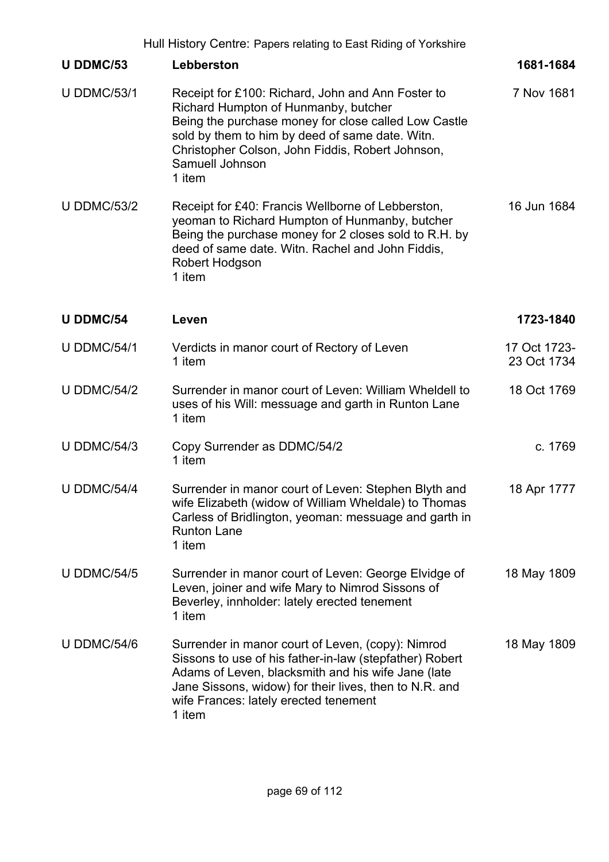|                    | Hull History Centre: Papers relating to East Riding of Yorkshire                                                                                                                                                                                                                      |                             |
|--------------------|---------------------------------------------------------------------------------------------------------------------------------------------------------------------------------------------------------------------------------------------------------------------------------------|-----------------------------|
| U DDMC/53          | Lebberston                                                                                                                                                                                                                                                                            | 1681-1684                   |
| <b>U DDMC/53/1</b> | Receipt for £100: Richard, John and Ann Foster to<br>Richard Humpton of Hunmanby, butcher<br>Being the purchase money for close called Low Castle<br>sold by them to him by deed of same date. Witn.<br>Christopher Colson, John Fiddis, Robert Johnson,<br>Samuell Johnson<br>1 item | 7 Nov 1681                  |
| <b>U DDMC/53/2</b> | Receipt for £40: Francis Wellborne of Lebberston,<br>yeoman to Richard Humpton of Hunmanby, butcher<br>Being the purchase money for 2 closes sold to R.H. by<br>deed of same date. Witn. Rachel and John Fiddis,<br>Robert Hodgson<br>1 item                                          | 16 Jun 1684                 |
| <b>U DDMC/54</b>   | Leven                                                                                                                                                                                                                                                                                 | 1723-1840                   |
| <b>U DDMC/54/1</b> | Verdicts in manor court of Rectory of Leven<br>1 item                                                                                                                                                                                                                                 | 17 Oct 1723-<br>23 Oct 1734 |
| <b>U DDMC/54/2</b> | Surrender in manor court of Leven: William Wheldell to<br>uses of his Will: messuage and garth in Runton Lane<br>1 item                                                                                                                                                               | 18 Oct 1769                 |
| <b>U DDMC/54/3</b> | Copy Surrender as DDMC/54/2<br>1 item                                                                                                                                                                                                                                                 | c. 1769                     |
| <b>U DDMC/54/4</b> | Surrender in manor court of Leven: Stephen Blyth and<br>wife Elizabeth (widow of William Wheldale) to Thomas<br>Carless of Bridlington, yeoman: messuage and garth in<br><b>Runton Lane</b><br>1 item                                                                                 | 18 Apr 1777                 |
| <b>U DDMC/54/5</b> | Surrender in manor court of Leven: George Elvidge of<br>Leven, joiner and wife Mary to Nimrod Sissons of<br>Beverley, innholder: lately erected tenement<br>1 item                                                                                                                    | 18 May 1809                 |
| <b>U DDMC/54/6</b> | Surrender in manor court of Leven, (copy): Nimrod<br>Sissons to use of his father-in-law (stepfather) Robert<br>Adams of Leven, blacksmith and his wife Jane (late<br>Jane Sissons, widow) for their lives, then to N.R. and<br>wife Frances: lately erected tenement<br>1 item       | 18 May 1809                 |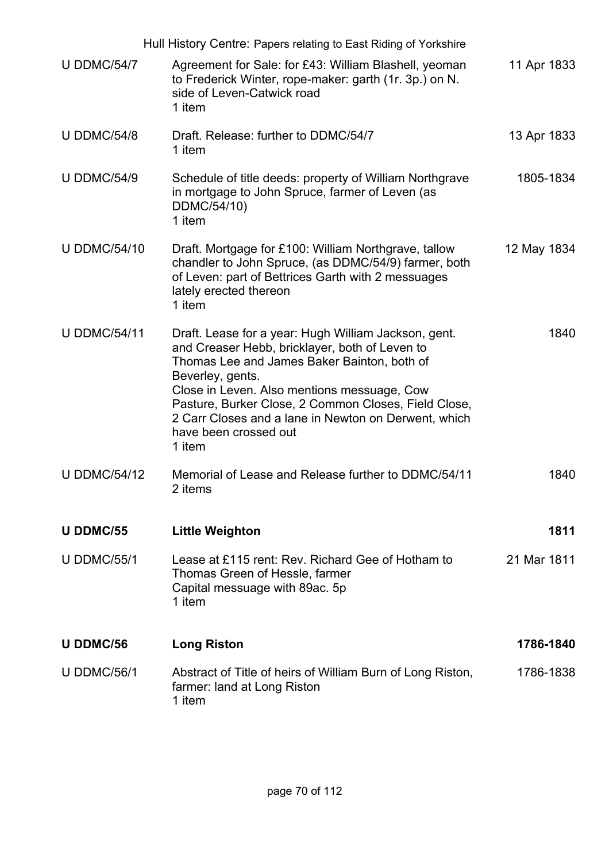|                     | Hull History Centre: Papers relating to East Riding of Yorkshire                                                                                                                                                                                                                                                                                                            |             |
|---------------------|-----------------------------------------------------------------------------------------------------------------------------------------------------------------------------------------------------------------------------------------------------------------------------------------------------------------------------------------------------------------------------|-------------|
| <b>U DDMC/54/7</b>  | Agreement for Sale: for £43: William Blashell, yeoman<br>to Frederick Winter, rope-maker: garth (1r. 3p.) on N.<br>side of Leven-Catwick road<br>1 item                                                                                                                                                                                                                     | 11 Apr 1833 |
| <b>U DDMC/54/8</b>  | Draft. Release: further to DDMC/54/7<br>1 item                                                                                                                                                                                                                                                                                                                              | 13 Apr 1833 |
| <b>U DDMC/54/9</b>  | Schedule of title deeds: property of William Northgrave<br>in mortgage to John Spruce, farmer of Leven (as<br>DDMC/54/10)<br>1 item                                                                                                                                                                                                                                         | 1805-1834   |
| <b>U DDMC/54/10</b> | Draft. Mortgage for £100: William Northgrave, tallow<br>chandler to John Spruce, (as DDMC/54/9) farmer, both<br>of Leven: part of Bettrices Garth with 2 messuages<br>lately erected thereon<br>1 item                                                                                                                                                                      | 12 May 1834 |
| <b>U DDMC/54/11</b> | Draft. Lease for a year: Hugh William Jackson, gent.<br>and Creaser Hebb, bricklayer, both of Leven to<br>Thomas Lee and James Baker Bainton, both of<br>Beverley, gents.<br>Close in Leven. Also mentions messuage, Cow<br>Pasture, Burker Close, 2 Common Closes, Field Close,<br>2 Carr Closes and a lane in Newton on Derwent, which<br>have been crossed out<br>1 item | 1840        |
| <b>U DDMC/54/12</b> | Memorial of Lease and Release further to DDMC/54/11<br>2 items                                                                                                                                                                                                                                                                                                              | 1840        |
| <b>U DDMC/55</b>    | <b>Little Weighton</b>                                                                                                                                                                                                                                                                                                                                                      | 1811        |
| <b>U DDMC/55/1</b>  | Lease at £115 rent: Rev. Richard Gee of Hotham to<br>Thomas Green of Hessle, farmer<br>Capital messuage with 89ac. 5p<br>1 item                                                                                                                                                                                                                                             | 21 Mar 1811 |
| <b>U DDMC/56</b>    | <b>Long Riston</b>                                                                                                                                                                                                                                                                                                                                                          | 1786-1840   |
| <b>U DDMC/56/1</b>  | Abstract of Title of heirs of William Burn of Long Riston,<br>farmer: land at Long Riston<br>1 item                                                                                                                                                                                                                                                                         | 1786-1838   |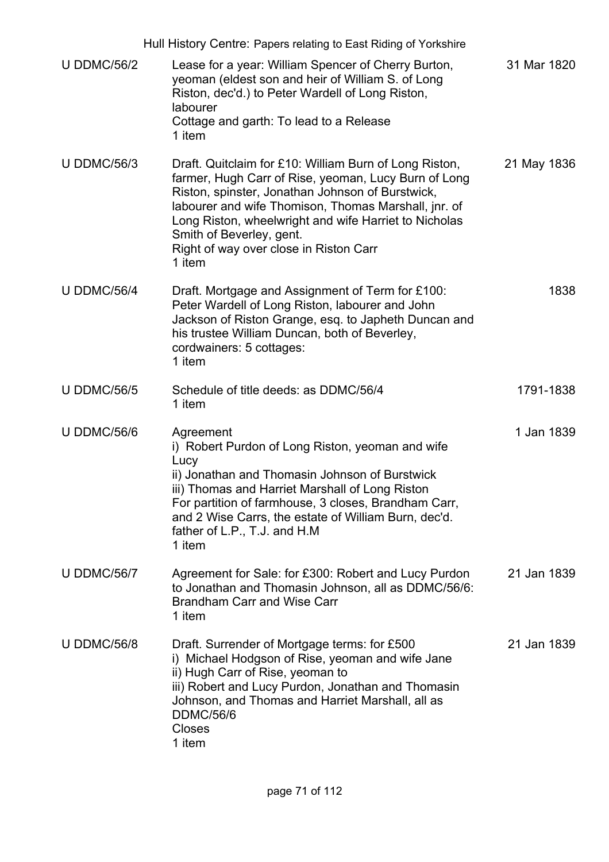|                    | Hull History Centre: Papers relating to East Riding of Yorkshire                                                                                                                                                                                                                                                                                                    |             |
|--------------------|---------------------------------------------------------------------------------------------------------------------------------------------------------------------------------------------------------------------------------------------------------------------------------------------------------------------------------------------------------------------|-------------|
| <b>U DDMC/56/2</b> | Lease for a year: William Spencer of Cherry Burton,<br>yeoman (eldest son and heir of William S. of Long<br>Riston, dec'd.) to Peter Wardell of Long Riston,<br>labourer<br>Cottage and garth: To lead to a Release<br>1 item                                                                                                                                       | 31 Mar 1820 |
| <b>U DDMC/56/3</b> | Draft. Quitclaim for £10: William Burn of Long Riston,<br>farmer, Hugh Carr of Rise, yeoman, Lucy Burn of Long<br>Riston, spinster, Jonathan Johnson of Burstwick,<br>labourer and wife Thomison, Thomas Marshall, jnr. of<br>Long Riston, wheelwright and wife Harriet to Nicholas<br>Smith of Beverley, gent.<br>Right of way over close in Riston Carr<br>1 item | 21 May 1836 |
| <b>U DDMC/56/4</b> | Draft. Mortgage and Assignment of Term for £100:<br>Peter Wardell of Long Riston, labourer and John<br>Jackson of Riston Grange, esq. to Japheth Duncan and<br>his trustee William Duncan, both of Beverley,<br>cordwainers: 5 cottages:<br>1 item                                                                                                                  | 1838        |
| <b>U DDMC/56/5</b> | Schedule of title deeds: as DDMC/56/4<br>1 item                                                                                                                                                                                                                                                                                                                     | 1791-1838   |
| <b>U DDMC/56/6</b> | Agreement<br>i) Robert Purdon of Long Riston, yeoman and wife<br>Lucy<br>ii) Jonathan and Thomasin Johnson of Burstwick<br>iii) Thomas and Harriet Marshall of Long Riston<br>For partition of farmhouse, 3 closes, Brandham Carr,<br>and 2 Wise Carrs, the estate of William Burn, dec'd.<br>father of L.P., T.J. and H.M<br>1 item                                | 1 Jan 1839  |
| <b>U DDMC/56/7</b> | Agreement for Sale: for £300: Robert and Lucy Purdon<br>to Jonathan and Thomasin Johnson, all as DDMC/56/6:<br><b>Brandham Carr and Wise Carr</b><br>1 item                                                                                                                                                                                                         | 21 Jan 1839 |
| <b>U DDMC/56/8</b> | Draft. Surrender of Mortgage terms: for £500<br>i) Michael Hodgson of Rise, yeoman and wife Jane<br>ii) Hugh Carr of Rise, yeoman to<br>iii) Robert and Lucy Purdon, Jonathan and Thomasin<br>Johnson, and Thomas and Harriet Marshall, all as<br><b>DDMC/56/6</b><br>Closes<br>1 item                                                                              | 21 Jan 1839 |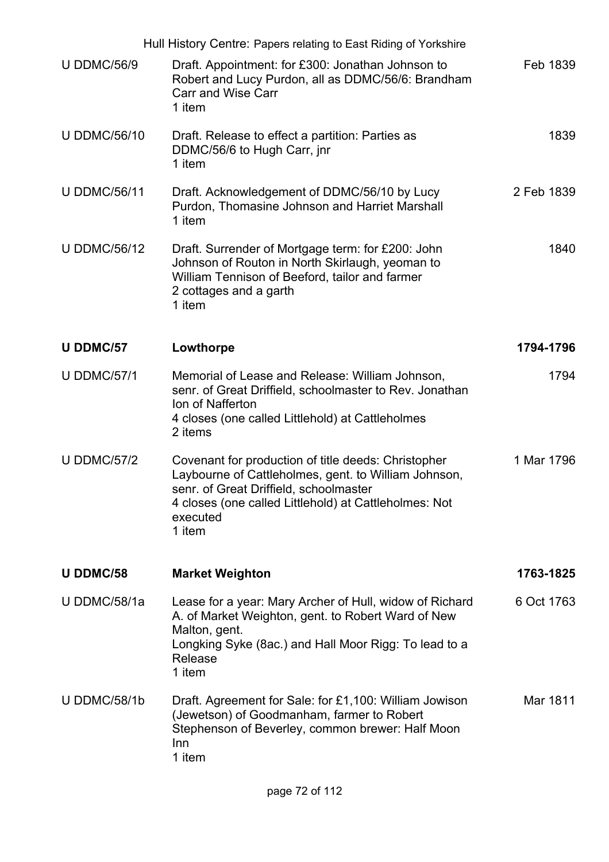|                     | Hull History Centre: Papers relating to East Riding of Yorkshire                                                                                                                                                                     |            |
|---------------------|--------------------------------------------------------------------------------------------------------------------------------------------------------------------------------------------------------------------------------------|------------|
| <b>U DDMC/56/9</b>  | Draft. Appointment: for £300: Jonathan Johnson to<br>Robert and Lucy Purdon, all as DDMC/56/6: Brandham<br><b>Carr and Wise Carr</b><br>1 item                                                                                       | Feb 1839   |
| <b>U DDMC/56/10</b> | Draft. Release to effect a partition: Parties as<br>DDMC/56/6 to Hugh Carr, jnr<br>1 item                                                                                                                                            | 1839       |
| <b>U DDMC/56/11</b> | Draft. Acknowledgement of DDMC/56/10 by Lucy<br>Purdon, Thomasine Johnson and Harriet Marshall<br>1 item                                                                                                                             | 2 Feb 1839 |
| <b>U DDMC/56/12</b> | Draft. Surrender of Mortgage term: for £200: John<br>Johnson of Routon in North Skirlaugh, yeoman to<br>William Tennison of Beeford, tailor and farmer<br>2 cottages and a garth<br>1 item                                           | 1840       |
| <b>U DDMC/57</b>    | Lowthorpe                                                                                                                                                                                                                            | 1794-1796  |
| <b>U DDMC/57/1</b>  | Memorial of Lease and Release: William Johnson,<br>senr. of Great Driffield, schoolmaster to Rev. Jonathan<br>Ion of Nafferton<br>4 closes (one called Littlehold) at Cattleholmes<br>2 items                                        | 1794       |
| <b>U DDMC/57/2</b>  | Covenant for production of title deeds: Christopher<br>Laybourne of Cattleholmes, gent. to William Johnson,<br>senr. of Great Driffield, schoolmaster<br>4 closes (one called Littlehold) at Cattleholmes: Not<br>executed<br>1 item | 1 Mar 1796 |
| U DDMC/58           | <b>Market Weighton</b>                                                                                                                                                                                                               | 1763-1825  |
| U DDMC/58/1a        | Lease for a year: Mary Archer of Hull, widow of Richard<br>A. of Market Weighton, gent. to Robert Ward of New<br>Malton, gent.<br>Longking Syke (8ac.) and Hall Moor Rigg: To lead to a<br>Release<br>1 item                         | 6 Oct 1763 |
| U DDMC/58/1b        | Draft. Agreement for Sale: for £1,100: William Jowison<br>(Jewetson) of Goodmanham, farmer to Robert<br>Stephenson of Beverley, common brewer: Half Moon<br>Inn<br>1 item                                                            | Mar 1811   |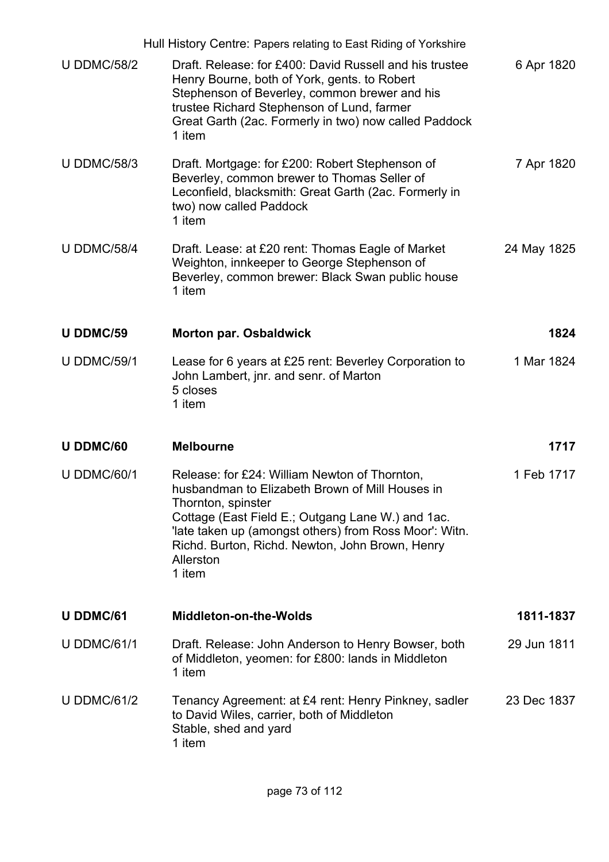|                    | Hull History Centre: Papers relating to East Riding of Yorkshire                                                                                                                                                                                                                                                |             |
|--------------------|-----------------------------------------------------------------------------------------------------------------------------------------------------------------------------------------------------------------------------------------------------------------------------------------------------------------|-------------|
| <b>U DDMC/58/2</b> | Draft. Release: for £400: David Russell and his trustee<br>Henry Bourne, both of York, gents. to Robert<br>Stephenson of Beverley, common brewer and his<br>trustee Richard Stephenson of Lund, farmer<br>Great Garth (2ac. Formerly in two) now called Paddock<br>1 item                                       | 6 Apr 1820  |
| <b>U DDMC/58/3</b> | Draft. Mortgage: for £200: Robert Stephenson of<br>Beverley, common brewer to Thomas Seller of<br>Leconfield, blacksmith: Great Garth (2ac. Formerly in<br>two) now called Paddock<br>1 item                                                                                                                    | 7 Apr 1820  |
| <b>U DDMC/58/4</b> | Draft. Lease: at £20 rent: Thomas Eagle of Market<br>Weighton, innkeeper to George Stephenson of<br>Beverley, common brewer: Black Swan public house<br>1 item                                                                                                                                                  | 24 May 1825 |
| U DDMC/59          | <b>Morton par. Osbaldwick</b>                                                                                                                                                                                                                                                                                   | 1824        |
| <b>U DDMC/59/1</b> | Lease for 6 years at £25 rent: Beverley Corporation to<br>John Lambert, jnr. and senr. of Marton<br>5 closes<br>1 item                                                                                                                                                                                          | 1 Mar 1824  |
| U DDMC/60          | <b>Melbourne</b>                                                                                                                                                                                                                                                                                                | 1717        |
| <b>U DDMC/60/1</b> | Release: for £24: William Newton of Thornton,<br>husbandman to Elizabeth Brown of Mill Houses in<br>Thornton, spinster<br>Cottage (East Field E.; Outgang Lane W.) and 1ac.<br>'late taken up (amongst others) from Ross Moor': Witn.<br>Richd. Burton, Richd. Newton, John Brown, Henry<br>Allerston<br>1 item | 1 Feb 1717  |
| <b>U DDMC/61</b>   | <b>Middleton-on-the-Wolds</b>                                                                                                                                                                                                                                                                                   | 1811-1837   |
| <b>U DDMC/61/1</b> | Draft. Release: John Anderson to Henry Bowser, both<br>of Middleton, yeomen: for £800: lands in Middleton<br>1 item                                                                                                                                                                                             | 29 Jun 1811 |
| <b>U DDMC/61/2</b> | Tenancy Agreement: at £4 rent: Henry Pinkney, sadler<br>to David Wiles, carrier, both of Middleton<br>Stable, shed and yard<br>1 item                                                                                                                                                                           | 23 Dec 1837 |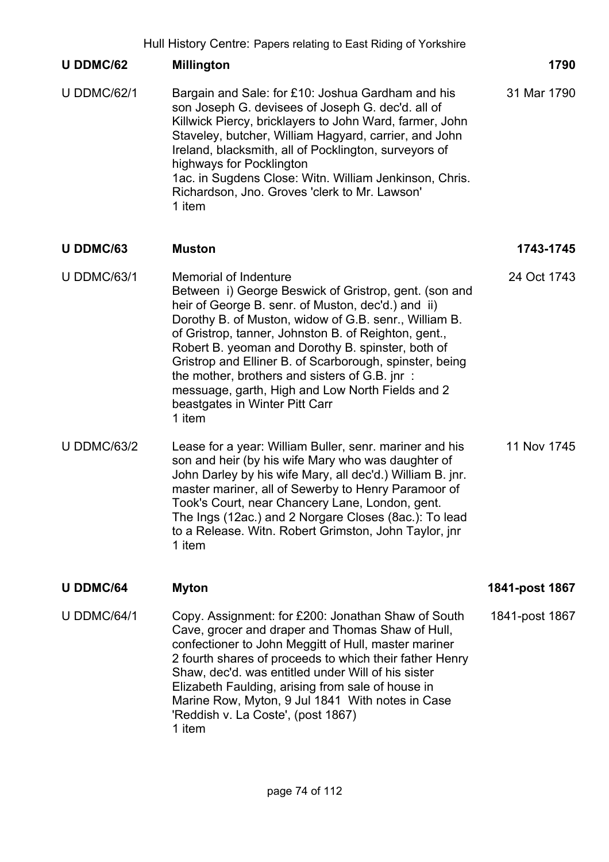|                    | Hull History Centre: Papers relating to East Riding of Yorkshire                                                                                                                                                                                                                                                                                                                                                                                                                                                              |                |
|--------------------|-------------------------------------------------------------------------------------------------------------------------------------------------------------------------------------------------------------------------------------------------------------------------------------------------------------------------------------------------------------------------------------------------------------------------------------------------------------------------------------------------------------------------------|----------------|
| U DDMC/62          | <b>Millington</b>                                                                                                                                                                                                                                                                                                                                                                                                                                                                                                             | 1790           |
| <b>U DDMC/62/1</b> | Bargain and Sale: for £10: Joshua Gardham and his<br>son Joseph G. devisees of Joseph G. dec'd. all of<br>Killwick Piercy, bricklayers to John Ward, farmer, John<br>Staveley, butcher, William Hagyard, carrier, and John<br>Ireland, blacksmith, all of Pocklington, surveyors of<br>highways for Pocklington<br>1ac. in Sugdens Close: Witn. William Jenkinson, Chris.<br>Richardson, Jno. Groves 'clerk to Mr. Lawson'<br>1 item                                                                                          | 31 Mar 1790    |
| U DDMC/63          | <b>Muston</b>                                                                                                                                                                                                                                                                                                                                                                                                                                                                                                                 | 1743-1745      |
| <b>U DDMC/63/1</b> | <b>Memorial of Indenture</b><br>Between i) George Beswick of Gristrop, gent. (son and<br>heir of George B. senr. of Muston, dec'd.) and ii)<br>Dorothy B. of Muston, widow of G.B. senr., William B.<br>of Gristrop, tanner, Johnston B. of Reighton, gent.,<br>Robert B. yeoman and Dorothy B. spinster, both of<br>Gristrop and Elliner B. of Scarborough, spinster, being<br>the mother, brothers and sisters of G.B. jnr:<br>messuage, garth, High and Low North Fields and 2<br>beastgates in Winter Pitt Carr<br>1 item | 24 Oct 1743    |
| <b>U DDMC/63/2</b> | Lease for a year: William Buller, senr. mariner and his<br>son and heir (by his wife Mary who was daughter of<br>John Darley by his wife Mary, all dec'd.) William B. jnr.<br>master mariner, all of Sewerby to Henry Paramoor of<br>Took's Court, near Chancery Lane, London, gent.<br>The Ings (12ac.) and 2 Norgare Closes (8ac.): To lead<br>to a Release. Witn. Robert Grimston, John Taylor, jnr<br>1 item                                                                                                              | 11 Nov 1745    |
| <b>U DDMC/64</b>   | <b>Myton</b>                                                                                                                                                                                                                                                                                                                                                                                                                                                                                                                  | 1841-post 1867 |
| <b>U DDMC/64/1</b> | Copy. Assignment: for £200: Jonathan Shaw of South<br>Cave, grocer and draper and Thomas Shaw of Hull,<br>confectioner to John Meggitt of Hull, master mariner<br>2 fourth shares of proceeds to which their father Henry<br>Shaw, dec'd. was entitled under Will of his sister<br>Elizabeth Faulding, arising from sale of house in<br>Marine Row, Myton, 9 Jul 1841 With notes in Case<br>'Reddish v. La Coste', (post 1867)<br>1 item                                                                                      | 1841-post 1867 |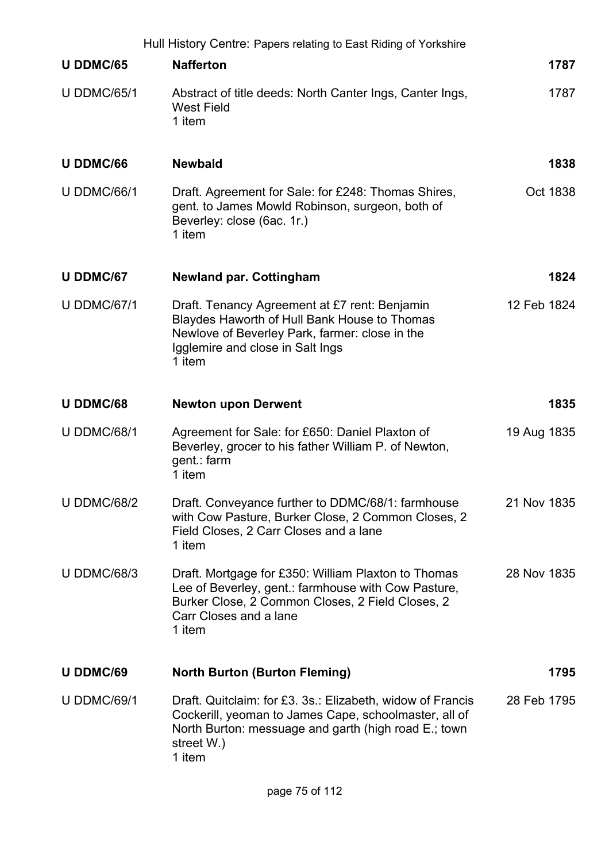|                    | Hull History Centre: Papers relating to East Riding of Yorkshire                                                                                                                                    |             |
|--------------------|-----------------------------------------------------------------------------------------------------------------------------------------------------------------------------------------------------|-------------|
| U DDMC/65          | <b>Nafferton</b>                                                                                                                                                                                    | 1787        |
| <b>U DDMC/65/1</b> | Abstract of title deeds: North Canter Ings, Canter Ings,<br><b>West Field</b><br>1 item                                                                                                             | 1787        |
| <b>U DDMC/66</b>   | <b>Newbald</b>                                                                                                                                                                                      | 1838        |
| <b>U DDMC/66/1</b> | Draft. Agreement for Sale: for £248: Thomas Shires,<br>gent. to James Mowld Robinson, surgeon, both of<br>Beverley: close (6ac. 1r.)<br>1 item                                                      | Oct 1838    |
| <b>U DDMC/67</b>   | <b>Newland par. Cottingham</b>                                                                                                                                                                      | 1824        |
| <b>U DDMC/67/1</b> | Draft. Tenancy Agreement at £7 rent: Benjamin<br>Blaydes Haworth of Hull Bank House to Thomas<br>Newlove of Beverley Park, farmer: close in the<br>Igglemire and close in Salt Ings<br>1 item       | 12 Feb 1824 |
| <b>U DDMC/68</b>   | <b>Newton upon Derwent</b>                                                                                                                                                                          | 1835        |
| <b>U DDMC/68/1</b> | Agreement for Sale: for £650: Daniel Plaxton of<br>Beverley, grocer to his father William P. of Newton,<br>gent.: farm<br>1 item                                                                    | 19 Aug 1835 |
| <b>U DDMC/68/2</b> | Draft. Conveyance further to DDMC/68/1: farmhouse<br>with Cow Pasture, Burker Close, 2 Common Closes, 2<br>Field Closes, 2 Carr Closes and a lane<br>1 item                                         | 21 Nov 1835 |
| <b>U DDMC/68/3</b> | Draft. Mortgage for £350: William Plaxton to Thomas<br>Lee of Beverley, gent.: farmhouse with Cow Pasture,<br>Burker Close, 2 Common Closes, 2 Field Closes, 2<br>Carr Closes and a lane<br>1 item  | 28 Nov 1835 |
| <b>U DDMC/69</b>   | <b>North Burton (Burton Fleming)</b>                                                                                                                                                                | 1795        |
| <b>U DDMC/69/1</b> | Draft. Quitclaim: for £3. 3s.: Elizabeth, widow of Francis<br>Cockerill, yeoman to James Cape, schoolmaster, all of<br>North Burton: messuage and garth (high road E.; town<br>street W.)<br>1 item | 28 Feb 1795 |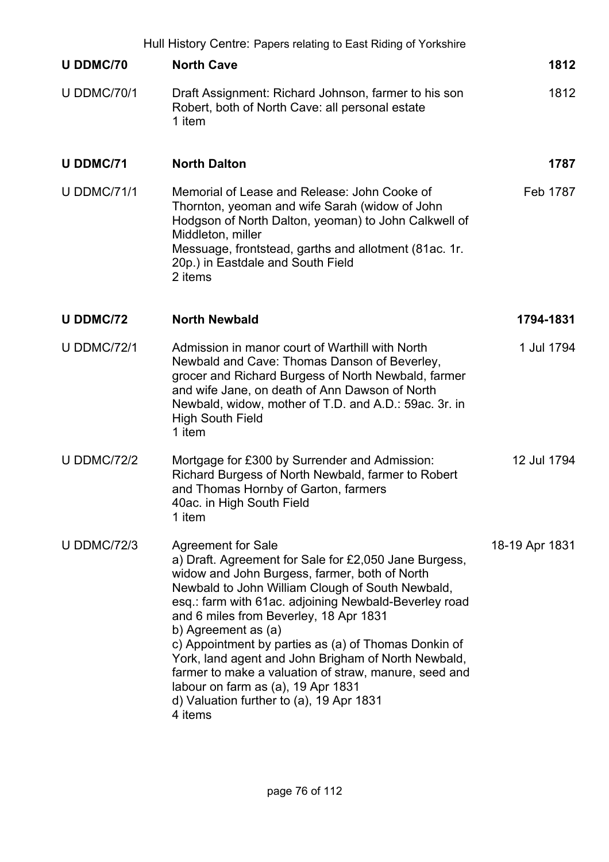|                    | Hull History Centre: Papers relating to East Riding of Yorkshire                                                                                                                                                                                                                                                                                                                                                                                                                                                                                                                       |                |
|--------------------|----------------------------------------------------------------------------------------------------------------------------------------------------------------------------------------------------------------------------------------------------------------------------------------------------------------------------------------------------------------------------------------------------------------------------------------------------------------------------------------------------------------------------------------------------------------------------------------|----------------|
| U DDMC/70          | <b>North Cave</b>                                                                                                                                                                                                                                                                                                                                                                                                                                                                                                                                                                      | 1812           |
| <b>U DDMC/70/1</b> | Draft Assignment: Richard Johnson, farmer to his son<br>Robert, both of North Cave: all personal estate<br>1 item                                                                                                                                                                                                                                                                                                                                                                                                                                                                      | 1812           |
| <b>U DDMC/71</b>   | <b>North Dalton</b>                                                                                                                                                                                                                                                                                                                                                                                                                                                                                                                                                                    | 1787           |
| <b>U DDMC/71/1</b> | Memorial of Lease and Release: John Cooke of<br>Thornton, yeoman and wife Sarah (widow of John<br>Hodgson of North Dalton, yeoman) to John Calkwell of<br>Middleton, miller<br>Messuage, frontstead, garths and allotment (81ac. 1r.<br>20p.) in Eastdale and South Field<br>2 items                                                                                                                                                                                                                                                                                                   | Feb 1787       |
| <b>U DDMC/72</b>   | <b>North Newbald</b>                                                                                                                                                                                                                                                                                                                                                                                                                                                                                                                                                                   | 1794-1831      |
| <b>U DDMC/72/1</b> | Admission in manor court of Warthill with North<br>Newbald and Cave: Thomas Danson of Beverley,<br>grocer and Richard Burgess of North Newbald, farmer<br>and wife Jane, on death of Ann Dawson of North<br>Newbald, widow, mother of T.D. and A.D.: 59ac. 3r. in<br><b>High South Field</b><br>1 item                                                                                                                                                                                                                                                                                 | 1 Jul 1794     |
| <b>U DDMC/72/2</b> | Mortgage for £300 by Surrender and Admission:<br>Richard Burgess of North Newbald, farmer to Robert<br>and Thomas Hornby of Garton, farmers<br>40ac. in High South Field<br>1 item                                                                                                                                                                                                                                                                                                                                                                                                     | 12 Jul 1794    |
| <b>U DDMC/72/3</b> | <b>Agreement for Sale</b><br>a) Draft. Agreement for Sale for £2,050 Jane Burgess,<br>widow and John Burgess, farmer, both of North<br>Newbald to John William Clough of South Newbald,<br>esq.: farm with 61ac. adjoining Newbald-Beverley road<br>and 6 miles from Beverley, 18 Apr 1831<br>b) Agreement as (a)<br>c) Appointment by parties as (a) of Thomas Donkin of<br>York, land agent and John Brigham of North Newbald,<br>farmer to make a valuation of straw, manure, seed and<br>labour on farm as (a), 19 Apr 1831<br>d) Valuation further to (a), 19 Apr 1831<br>4 items | 18-19 Apr 1831 |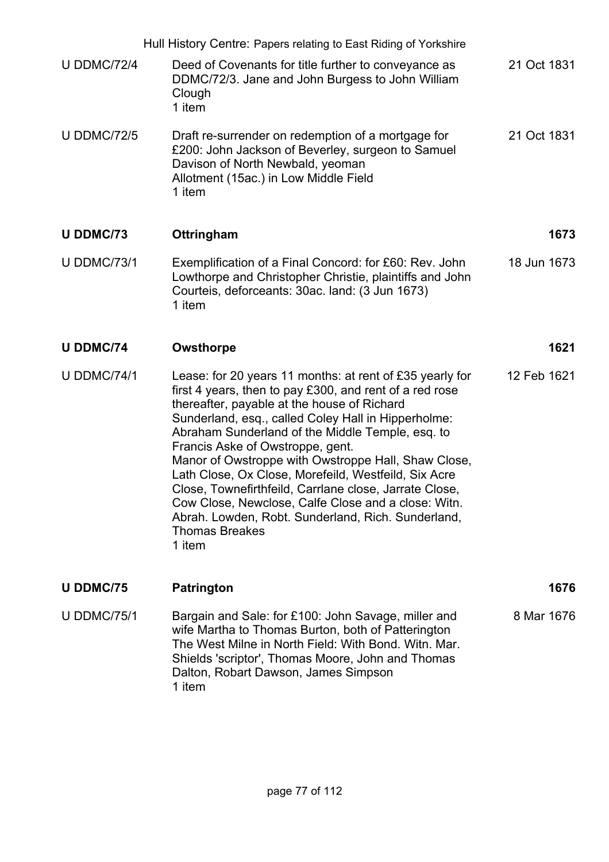|                    | Hull History Centre: Papers relating to East Riding of Yorkshire                                                                                                                                                                                                                                                                                                                                                                                                                                                                                                                                                                          |             |
|--------------------|-------------------------------------------------------------------------------------------------------------------------------------------------------------------------------------------------------------------------------------------------------------------------------------------------------------------------------------------------------------------------------------------------------------------------------------------------------------------------------------------------------------------------------------------------------------------------------------------------------------------------------------------|-------------|
| <b>U DDMC/72/4</b> | Deed of Covenants for title further to conveyance as<br>DDMC/72/3. Jane and John Burgess to John William<br>Clough<br>1 item                                                                                                                                                                                                                                                                                                                                                                                                                                                                                                              | 21 Oct 1831 |
| <b>U DDMC/72/5</b> | Draft re-surrender on redemption of a mortgage for<br>£200: John Jackson of Beverley, surgeon to Samuel<br>Davison of North Newbald, yeoman<br>Allotment (15ac.) in Low Middle Field<br>1 item                                                                                                                                                                                                                                                                                                                                                                                                                                            | 21 Oct 1831 |
| <b>U DDMC/73</b>   | Ottringham                                                                                                                                                                                                                                                                                                                                                                                                                                                                                                                                                                                                                                | 1673        |
| <b>U DDMC/73/1</b> | Exemplification of a Final Concord: for £60: Rev. John<br>Lowthorpe and Christopher Christie, plaintiffs and John<br>Courteis, deforceants: 30ac. land: (3 Jun 1673)<br>1 item                                                                                                                                                                                                                                                                                                                                                                                                                                                            | 18 Jun 1673 |
| <b>U DDMC/74</b>   | Owsthorpe                                                                                                                                                                                                                                                                                                                                                                                                                                                                                                                                                                                                                                 | 1621        |
| <b>U DDMC/74/1</b> | Lease: for 20 years 11 months: at rent of £35 yearly for<br>first 4 years, then to pay £300, and rent of a red rose<br>thereafter, payable at the house of Richard<br>Sunderland, esq., called Coley Hall in Hipperholme:<br>Abraham Sunderland of the Middle Temple, esq. to<br>Francis Aske of Owstroppe, gent.<br>Manor of Owstroppe with Owstroppe Hall, Shaw Close,<br>Lath Close, Ox Close, Morefeild, Westfeild, Six Acre<br>Close, Townefirthfeild, Carrlane close, Jarrate Close<br>Cow Close, Newclose, Calfe Close and a close: Witn.<br>Abrah. Lowden, Robt. Sunderland, Rich. Sunderland,<br><b>Thomas Breakes</b><br>1 item | 12 Feb 1621 |
| <b>U DDMC/75</b>   | <b>Patrington</b>                                                                                                                                                                                                                                                                                                                                                                                                                                                                                                                                                                                                                         | 1676        |
| <b>U DDMC/75/1</b> | Bargain and Sale: for £100: John Savage, miller and<br>wife Martha to Thomas Burton, both of Patterington<br>The West Milne in North Field: With Bond. Witn. Mar.<br>Shields 'scriptor', Thomas Moore, John and Thomas<br>Dalton, Robart Dawson, James Simpson<br>1 item                                                                                                                                                                                                                                                                                                                                                                  | 8 Mar 1676  |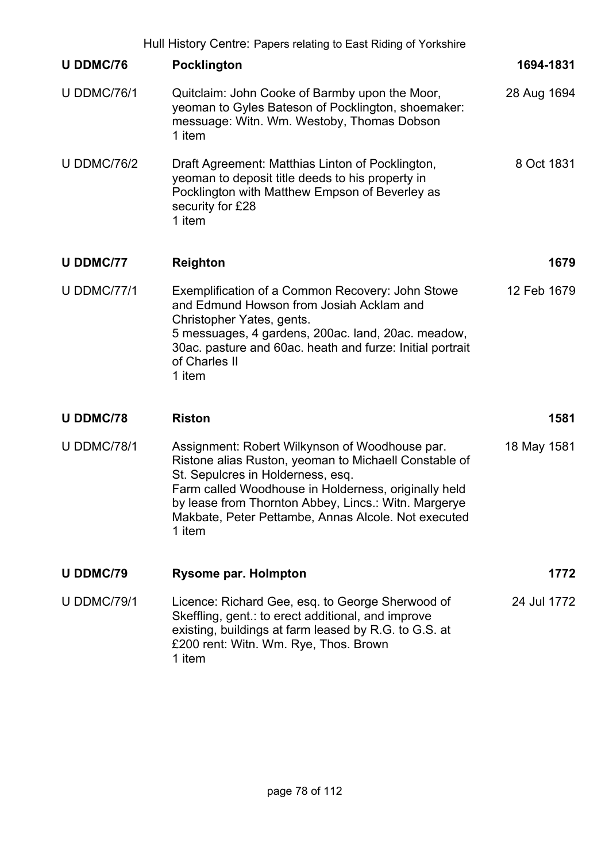|                    | Hull History Centre: Papers relating to East Riding of Yorkshire                                                                                                                                                                                                                                                              |             |
|--------------------|-------------------------------------------------------------------------------------------------------------------------------------------------------------------------------------------------------------------------------------------------------------------------------------------------------------------------------|-------------|
| <b>U DDMC/76</b>   | <b>Pocklington</b>                                                                                                                                                                                                                                                                                                            | 1694-1831   |
| <b>U DDMC/76/1</b> | Quitclaim: John Cooke of Barmby upon the Moor,<br>yeoman to Gyles Bateson of Pocklington, shoemaker:<br>messuage: Witn. Wm. Westoby, Thomas Dobson<br>1 item                                                                                                                                                                  | 28 Aug 1694 |
| <b>U DDMC/76/2</b> | Draft Agreement: Matthias Linton of Pocklington,<br>yeoman to deposit title deeds to his property in<br>Pocklington with Matthew Empson of Beverley as<br>security for £28<br>1 item                                                                                                                                          | 8 Oct 1831  |
| <b>U DDMC/77</b>   | <b>Reighton</b>                                                                                                                                                                                                                                                                                                               | 1679        |
| <b>U DDMC/77/1</b> | Exemplification of a Common Recovery: John Stowe<br>and Edmund Howson from Josiah Acklam and<br>Christopher Yates, gents.<br>5 messuages, 4 gardens, 200ac. land, 20ac. meadow,<br>30ac. pasture and 60ac. heath and furze: Initial portrait<br>of Charles II<br>1 item                                                       | 12 Feb 1679 |
| <b>U DDMC/78</b>   | <b>Riston</b>                                                                                                                                                                                                                                                                                                                 | 1581        |
| <b>U DDMC/78/1</b> | Assignment: Robert Wilkynson of Woodhouse par.<br>Ristone alias Ruston, yeoman to Michaell Constable of<br>St. Sepulcres in Holderness, esq.<br>Farm called Woodhouse in Holderness, originally held<br>by lease from Thornton Abbey, Lincs.: Witn. Margerye<br>Makbate, Peter Pettambe, Annas Alcole. Not executed<br>1 item | 18 May 1581 |
| <b>U DDMC/79</b>   | <b>Rysome par. Holmpton</b>                                                                                                                                                                                                                                                                                                   | 1772        |
| <b>U DDMC/79/1</b> | Licence: Richard Gee, esq. to George Sherwood of<br>Skeffling, gent.: to erect additional, and improve<br>existing, buildings at farm leased by R.G. to G.S. at<br>£200 rent: Witn. Wm. Rye, Thos. Brown<br>1 item                                                                                                            | 24 Jul 1772 |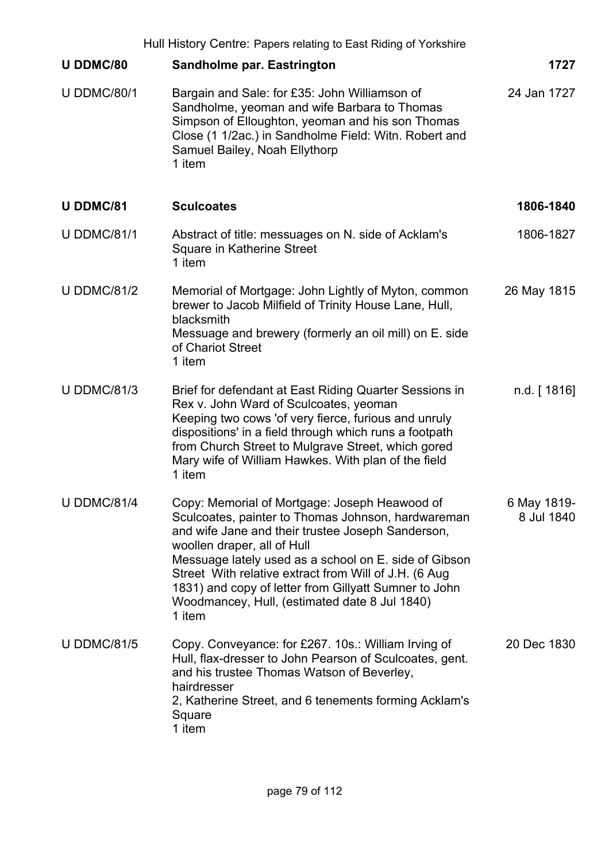|                    | Hull History Centre: Papers relating to East Riding of Yorkshire                                                                                                                                                                                                                                                                                                                                                               |                           |
|--------------------|--------------------------------------------------------------------------------------------------------------------------------------------------------------------------------------------------------------------------------------------------------------------------------------------------------------------------------------------------------------------------------------------------------------------------------|---------------------------|
| <b>U DDMC/80</b>   | <b>Sandholme par. Eastrington</b>                                                                                                                                                                                                                                                                                                                                                                                              | 1727                      |
| <b>U DDMC/80/1</b> | Bargain and Sale: for £35: John Williamson of<br>Sandholme, yeoman and wife Barbara to Thomas<br>Simpson of Elloughton, yeoman and his son Thomas<br>Close (1 1/2ac.) in Sandholme Field: Witn. Robert and<br>Samuel Bailey, Noah Ellythorp<br>1 item                                                                                                                                                                          | 24 Jan 1727               |
| <b>U DDMC/81</b>   | <b>Sculcoates</b>                                                                                                                                                                                                                                                                                                                                                                                                              | 1806-1840                 |
| <b>U DDMC/81/1</b> | Abstract of title: messuages on N. side of Acklam's<br>Square in Katherine Street<br>1 item                                                                                                                                                                                                                                                                                                                                    | 1806-1827                 |
| <b>U DDMC/81/2</b> | Memorial of Mortgage: John Lightly of Myton, common<br>brewer to Jacob Milfield of Trinity House Lane, Hull,<br>blacksmith<br>Messuage and brewery (formerly an oil mill) on E. side<br>of Chariot Street<br>1 item                                                                                                                                                                                                            | 26 May 1815               |
| <b>U DDMC/81/3</b> | Brief for defendant at East Riding Quarter Sessions in<br>Rex v. John Ward of Sculcoates, yeoman<br>Keeping two cows 'of very fierce, furious and unruly<br>dispositions' in a field through which runs a footpath<br>from Church Street to Mulgrave Street, which gored<br>Mary wife of William Hawkes. With plan of the field<br>1 item                                                                                      | n.d. $[1816]$             |
| <b>U DDMC/81/4</b> | Copy: Memorial of Mortgage: Joseph Heawood of<br>Sculcoates, painter to Thomas Johnson, hardwareman<br>and wife Jane and their trustee Joseph Sanderson,<br>woollen draper, all of Hull<br>Messuage lately used as a school on E. side of Gibson<br>Street With relative extract from Will of J.H. (6 Aug.<br>1831) and copy of letter from Gillyatt Sumner to John<br>Woodmancey, Hull, (estimated date 8 Jul 1840)<br>1 item | 6 May 1819-<br>8 Jul 1840 |
| <b>U DDMC/81/5</b> | Copy. Conveyance: for £267. 10s.: William Irving of<br>Hull, flax-dresser to John Pearson of Sculcoates, gent.<br>and his trustee Thomas Watson of Beverley,<br>hairdresser<br>2, Katherine Street, and 6 tenements forming Acklam's<br>Square<br>1 item                                                                                                                                                                       | 20 Dec 1830               |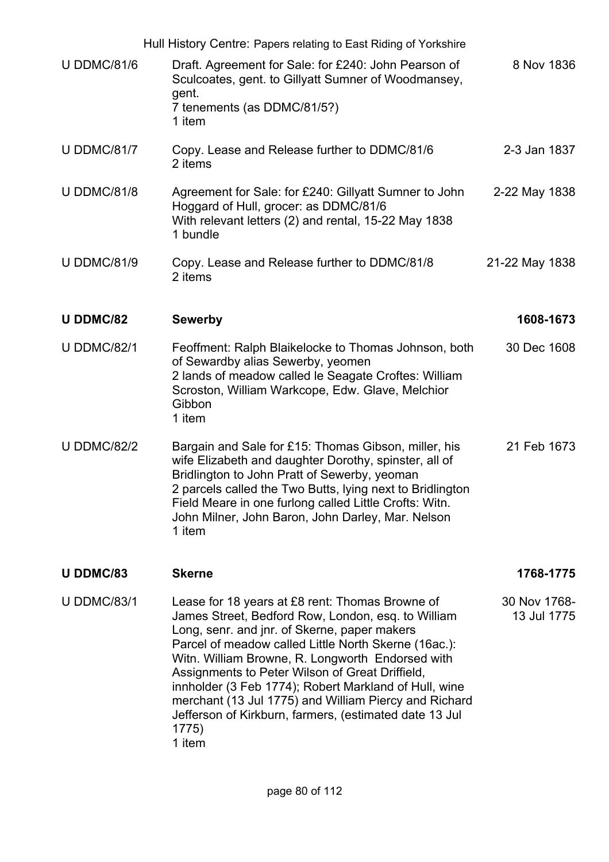Hull History Centre: Papers relating to East Riding of Yorkshire U DDMC/81/6 Draft. Agreement for Sale: for £240: John Pearson of Sculcoates, gent. to Gillyatt Sumner of Woodmansey, gent. 7 tenements (as DDMC/81/5?) 1 item 8 Nov 1836 U DDMC/81/7 Copy. Lease and Release further to DDMC/81/6 2 items 2-3 Jan 1837 U DDMC/81/8 Agreement for Sale: for £240: Gillyatt Sumner to John Hoggard of Hull, grocer: as DDMC/81/6 With relevant letters (2) and rental, 15-22 May 1838 1 bundle 2-22 May 1838 U DDMC/81/9 Copy. Lease and Release further to DDMC/81/8 2 items 21-22 May 1838 **U DDMC/82 Sewerby 1608-1673** U DDMC/82/1 Feoffment: Ralph Blaikelocke to Thomas Johnson, both of Sewardby alias Sewerby, yeomen 2 lands of meadow called le Seagate Croftes: William Scroston, William Warkcope, Edw. Glave, Melchior **Gibbon** 1 item 30 Dec 1608 U DDMC/82/2 Bargain and Sale for £15: Thomas Gibson, miller, his wife Elizabeth and daughter Dorothy, spinster, all of Bridlington to John Pratt of Sewerby, yeoman 2 parcels called the Two Butts, lying next to Bridlington Field Meare in one furlong called Little Crofts: Witn. John Milner, John Baron, John Darley, Mar. Nelson 1 item 21 Feb 1673 **U DDMC/83 Skerne 1768-1775** U DDMC/83/1 Lease for 18 years at £8 rent: Thomas Browne of James Street, Bedford Row, London, esq. to William Long, senr. and jnr. of Skerne, paper makers Parcel of meadow called Little North Skerne (16ac.): Witn. William Browne, R. Longworth Endorsed with Assignments to Peter Wilson of Great Driffield, innholder (3 Feb 1774); Robert Markland of Hull, wine merchant (13 Jul 1775) and William Piercy and Richard Jefferson of Kirkburn, farmers, (estimated date 13 Jul 1775) 1 item 30 Nov 1768- 13 Jul 1775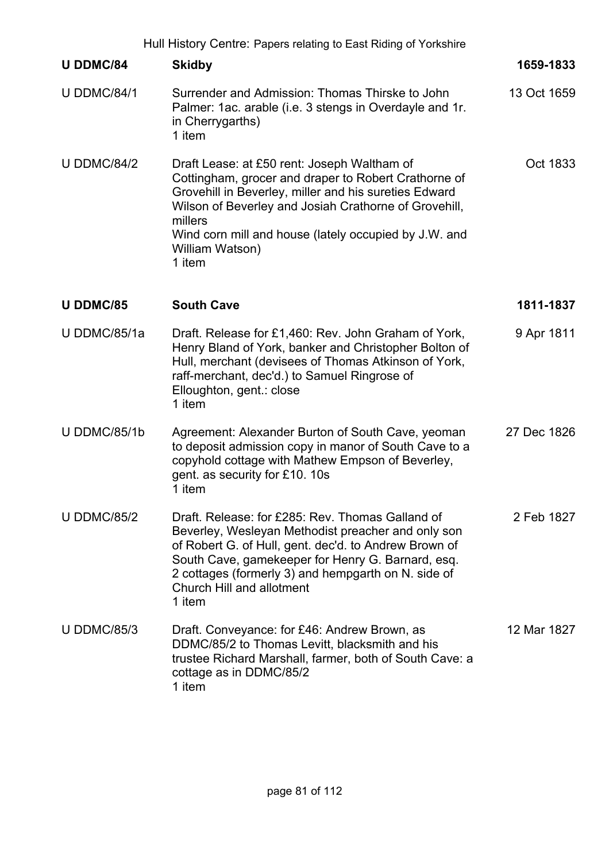| <b>U DDMC/84</b>   | <b>Skidby</b>                                                                                                                                                                                                                                                                                                          | 1659-1833   |
|--------------------|------------------------------------------------------------------------------------------------------------------------------------------------------------------------------------------------------------------------------------------------------------------------------------------------------------------------|-------------|
| <b>U DDMC/84/1</b> | Surrender and Admission: Thomas Thirske to John<br>Palmer: 1ac. arable (i.e. 3 stengs in Overdayle and 1r.<br>in Cherrygarths)<br>1 item                                                                                                                                                                               | 13 Oct 1659 |
| <b>U DDMC/84/2</b> | Draft Lease: at £50 rent: Joseph Waltham of<br>Cottingham, grocer and draper to Robert Crathorne of<br>Grovehill in Beverley, miller and his sureties Edward<br>Wilson of Beverley and Josiah Crathorne of Grovehill,<br>millers<br>Wind corn mill and house (lately occupied by J.W. and<br>William Watson)<br>1 item | Oct 1833    |
| <b>U DDMC/85</b>   | <b>South Cave</b>                                                                                                                                                                                                                                                                                                      | 1811-1837   |
| U DDMC/85/1a       | Draft. Release for £1,460: Rev. John Graham of York,                                                                                                                                                                                                                                                                   | 9 Apr 1811  |

- U DDMC/85/1a Draft. Release for £1,460: Rev. John Graham of York, Henry Bland of York, banker and Christopher Bolton of Hull, merchant (devisees of Thomas Atkinson of York, raff-merchant, dec'd.) to Samuel Ringrose of Elloughton, gent.: close 1 item
- U DDMC/85/1b Agreement: Alexander Burton of South Cave, yeoman to deposit admission copy in manor of South Cave to a copyhold cottage with Mathew Empson of Beverley, gent. as security for £10. 10s 1 item 27 Dec 1826
- U DDMC/85/2 Draft. Release: for £285: Rev. Thomas Galland of Beverley, Wesleyan Methodist preacher and only son of Robert G. of Hull, gent. dec'd. to Andrew Brown of South Cave, gamekeeper for Henry G. Barnard, esq. 2 cottages (formerly 3) and hempgarth on N. side of Church Hill and allotment 1 item 2 Feb 1827
- U DDMC/85/3 Draft. Conveyance: for £46: Andrew Brown, as DDMC/85/2 to Thomas Levitt, blacksmith and his trustee Richard Marshall, farmer, both of South Cave: a cottage as in DDMC/85/2 1 item 12 Mar 1827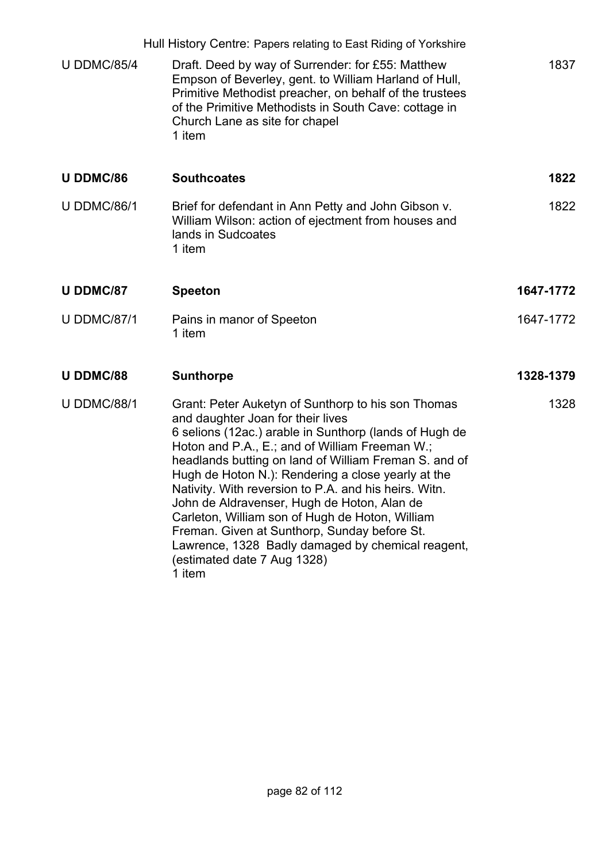|                    | Hull History Centre: Papers relating to East Riding of Yorkshire                                                                                                                                                                                                                                                                                                                                                                                                                                                                                                                                                            |           |
|--------------------|-----------------------------------------------------------------------------------------------------------------------------------------------------------------------------------------------------------------------------------------------------------------------------------------------------------------------------------------------------------------------------------------------------------------------------------------------------------------------------------------------------------------------------------------------------------------------------------------------------------------------------|-----------|
| <b>U DDMC/85/4</b> | Draft. Deed by way of Surrender: for £55: Matthew<br>Empson of Beverley, gent. to William Harland of Hull,<br>Primitive Methodist preacher, on behalf of the trustees<br>of the Primitive Methodists in South Cave: cottage in<br>Church Lane as site for chapel<br>1 item                                                                                                                                                                                                                                                                                                                                                  | 1837      |
| <b>U DDMC/86</b>   | <b>Southcoates</b>                                                                                                                                                                                                                                                                                                                                                                                                                                                                                                                                                                                                          | 1822      |
| <b>U DDMC/86/1</b> | Brief for defendant in Ann Petty and John Gibson v.<br>William Wilson: action of ejectment from houses and<br>lands in Sudcoates<br>1 item                                                                                                                                                                                                                                                                                                                                                                                                                                                                                  | 1822      |
| <b>U DDMC/87</b>   | <b>Speeton</b>                                                                                                                                                                                                                                                                                                                                                                                                                                                                                                                                                                                                              | 1647-1772 |
| <b>U DDMC/87/1</b> | Pains in manor of Speeton<br>1 item                                                                                                                                                                                                                                                                                                                                                                                                                                                                                                                                                                                         | 1647-1772 |
| <b>U DDMC/88</b>   | <b>Sunthorpe</b>                                                                                                                                                                                                                                                                                                                                                                                                                                                                                                                                                                                                            | 1328-1379 |
| <b>U DDMC/88/1</b> | Grant: Peter Auketyn of Sunthorp to his son Thomas<br>and daughter Joan for their lives<br>6 selions (12ac.) arable in Sunthorp (lands of Hugh de<br>Hoton and P.A., E.; and of William Freeman W.;<br>headlands butting on land of William Freman S. and of<br>Hugh de Hoton N.): Rendering a close yearly at the<br>Nativity. With reversion to P.A. and his heirs. Witn.<br>John de Aldravenser, Hugh de Hoton, Alan de<br>Carleton, William son of Hugh de Hoton, William<br>Freman. Given at Sunthorp, Sunday before St.<br>Lawrence, 1328 Badly damaged by chemical reagent,<br>(estimated date 7 Aug 1328)<br>1 item | 1328      |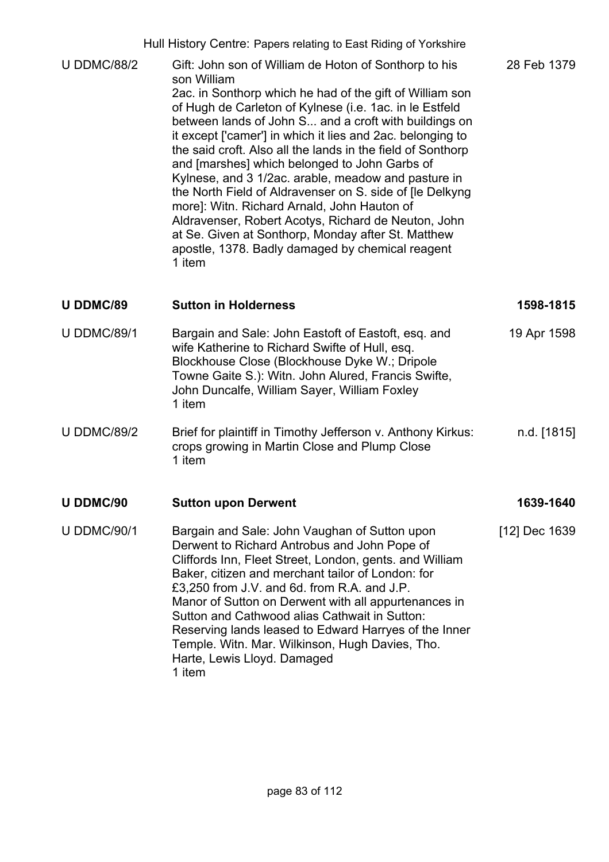U DDMC/88/2 Gift: John son of William de Hoton of Sonthorp to his son William 2ac. in Sonthorp which he had of the gift of William son of Hugh de Carleton of Kylnese (i.e. 1ac. in le Estfeld between lands of John S... and a croft with buildings on it except ['camer'] in which it lies and 2ac. belonging to the said croft. Also all the lands in the field of Sonthorp and [marshes] which belonged to John Garbs of Kylnese, and 3 1/2ac. arable, meadow and pasture in the North Field of Aldravenser on S. side of [le Delkyng more]: Witn. Richard Arnald, John Hauton of Aldravenser, Robert Acotys, Richard de Neuton, John at Se. Given at Sonthorp, Monday after St. Matthew apostle, 1378. Badly damaged by chemical reagent 1 item 28 Feb 1379

#### **U DDMC/89 Sutton in Holderness 1598-1815**

- U DDMC/89/1 Bargain and Sale: John Eastoft of Eastoft, esg. and wife Katherine to Richard Swifte of Hull, esq. Blockhouse Close (Blockhouse Dyke W.; Dripole Towne Gaite S.): Witn. John Alured, Francis Swifte, John Duncalfe, William Sayer, William Foxley 1 item 19 Apr 1598 U DDMC/89/2 Brief for plaintiff in Timothy Jefferson v. Anthony Kirkus: n.d. [1815]
- crops growing in Martin Close and Plump Close 1 item

### U DDMC/90 **Sutton upon Derwent** 1639-1640

U DDMC/90/1 Bargain and Sale: John Vaughan of Sutton upon Derwent to Richard Antrobus and John Pope of Cliffords Inn, Fleet Street, London, gents. and William Baker, citizen and merchant tailor of London: for £3,250 from J.V. and 6d. from R.A. and J.P. Manor of Sutton on Derwent with all appurtenances in Sutton and Cathwood alias Cathwait in Sutton: Reserving lands leased to Edward Harryes of the Inner Temple. Witn. Mar. Wilkinson, Hugh Davies, Tho. Harte, Lewis Lloyd. Damaged 1 item [12] Dec 1639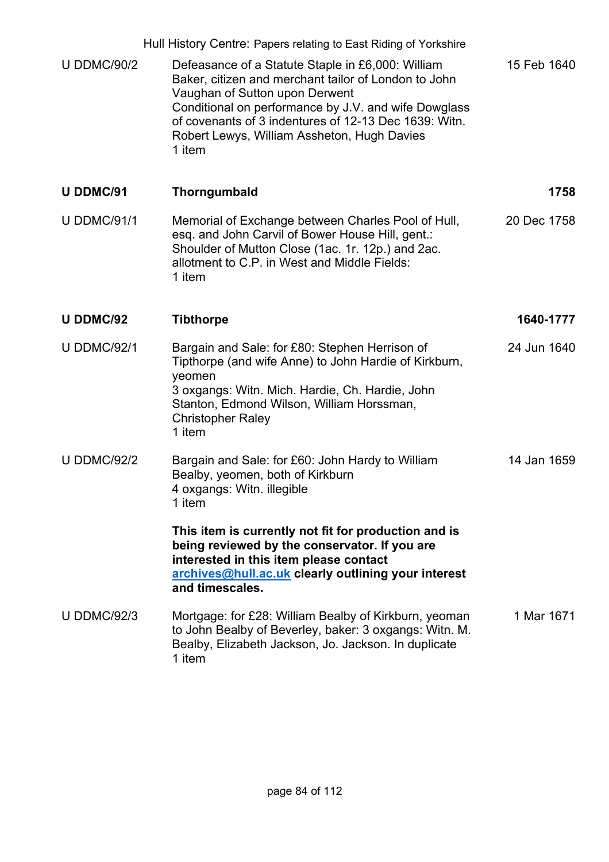|                    | Hull History Centre: Papers relating to East Riding of Yorkshire                                                                                                                                                                                                                                                      |             |
|--------------------|-----------------------------------------------------------------------------------------------------------------------------------------------------------------------------------------------------------------------------------------------------------------------------------------------------------------------|-------------|
| <b>U DDMC/90/2</b> | Defeasance of a Statute Staple in £6,000: William<br>Baker, citizen and merchant tailor of London to John<br>Vaughan of Sutton upon Derwent<br>Conditional on performance by J.V. and wife Dowglass<br>of covenants of 3 indentures of 12-13 Dec 1639: Witn.<br>Robert Lewys, William Assheton, Hugh Davies<br>1 item | 15 Feb 1640 |
| <b>U DDMC/91</b>   | Thorngumbald                                                                                                                                                                                                                                                                                                          | 1758        |
| <b>U DDMC/91/1</b> | Memorial of Exchange between Charles Pool of Hull,<br>esq. and John Carvil of Bower House Hill, gent.:<br>Shoulder of Mutton Close (1ac. 1r. 12p.) and 2ac.<br>allotment to C.P. in West and Middle Fields:<br>1 item                                                                                                 | 20 Dec 1758 |
| <b>U DDMC/92</b>   | <b>Tibthorpe</b>                                                                                                                                                                                                                                                                                                      | 1640-1777   |
| <b>U DDMC/92/1</b> | Bargain and Sale: for £80: Stephen Herrison of<br>Tipthorpe (and wife Anne) to John Hardie of Kirkburn,<br>yeomen<br>3 oxgangs: Witn. Mich. Hardie, Ch. Hardie, John<br>Stanton, Edmond Wilson, William Horssman,<br><b>Christopher Raley</b><br>1 item                                                               | 24 Jun 1640 |
| <b>U DDMC/92/2</b> | Bargain and Sale: for £60: John Hardy to William<br>Bealby, yeomen, both of Kirkburn<br>4 oxgangs: Witn. illegible<br>1 item                                                                                                                                                                                          | 14 Jan 1659 |
|                    | This item is currently not fit for production and is<br>being reviewed by the conservator. If you are<br>interested in this item please contact<br>archives@hull.ac.uk clearly outlining your interest<br>and timescales.                                                                                             |             |
| <b>U DDMC/92/3</b> | Mortgage: for £28: William Bealby of Kirkburn, yeoman<br>to John Bealby of Beverley, baker: 3 oxgangs: Witn. M.<br>Bealby, Elizabeth Jackson, Jo. Jackson. In duplicate<br>1 item                                                                                                                                     | 1 Mar 1671  |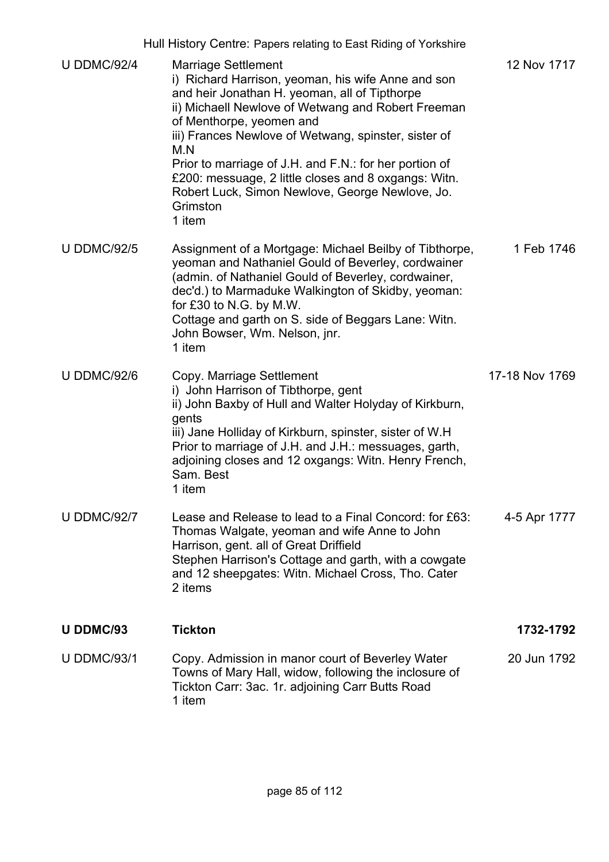|                    | Hull History Centre: Papers relating to East Riding of Yorkshire                                                                                                                                                                                                                                                                                                                                                                                                              |                |
|--------------------|-------------------------------------------------------------------------------------------------------------------------------------------------------------------------------------------------------------------------------------------------------------------------------------------------------------------------------------------------------------------------------------------------------------------------------------------------------------------------------|----------------|
| <b>U DDMC/92/4</b> | <b>Marriage Settlement</b><br>i) Richard Harrison, yeoman, his wife Anne and son<br>and heir Jonathan H. yeoman, all of Tipthorpe<br>ii) Michaell Newlove of Wetwang and Robert Freeman<br>of Menthorpe, yeomen and<br>iii) Frances Newlove of Wetwang, spinster, sister of<br>M.N<br>Prior to marriage of J.H. and F.N.: for her portion of<br>£200: messuage, 2 little closes and 8 oxgangs: Witn.<br>Robert Luck, Simon Newlove, George Newlove, Jo.<br>Grimston<br>1 item | 12 Nov 1717    |
| <b>U DDMC/92/5</b> | Assignment of a Mortgage: Michael Beilby of Tibthorpe,<br>yeoman and Nathaniel Gould of Beverley, cordwainer<br>(admin. of Nathaniel Gould of Beverley, cordwainer,<br>dec'd.) to Marmaduke Walkington of Skidby, yeoman:<br>for £30 to N.G. by M.W.<br>Cottage and garth on S. side of Beggars Lane: Witn.<br>John Bowser, Wm. Nelson, jnr.<br>1 item                                                                                                                        | 1 Feb 1746     |
| <b>U DDMC/92/6</b> | Copy. Marriage Settlement<br>i) John Harrison of Tibthorpe, gent<br>ii) John Baxby of Hull and Walter Holyday of Kirkburn,<br>gents<br>iii) Jane Holliday of Kirkburn, spinster, sister of W.H<br>Prior to marriage of J.H. and J.H.: messuages, garth,<br>adjoining closes and 12 oxgangs: Witn. Henry French,<br>Sam. Best<br>1 item                                                                                                                                        | 17-18 Nov 1769 |
| <b>U DDMC/92/7</b> | Lease and Release to lead to a Final Concord: for £63:<br>Thomas Walgate, yeoman and wife Anne to John<br>Harrison, gent. all of Great Driffield<br>Stephen Harrison's Cottage and garth, with a cowgate<br>and 12 sheepgates: Witn. Michael Cross, Tho. Cater<br>2 items                                                                                                                                                                                                     | 4-5 Apr 1777   |
| <b>U DDMC/93</b>   | <b>Tickton</b>                                                                                                                                                                                                                                                                                                                                                                                                                                                                | 1732-1792      |
| <b>U DDMC/93/1</b> | Copy. Admission in manor court of Beverley Water<br>Towns of Mary Hall, widow, following the inclosure of<br>Tickton Carr: 3ac. 1r. adjoining Carr Butts Road<br>1 item                                                                                                                                                                                                                                                                                                       | 20 Jun 1792    |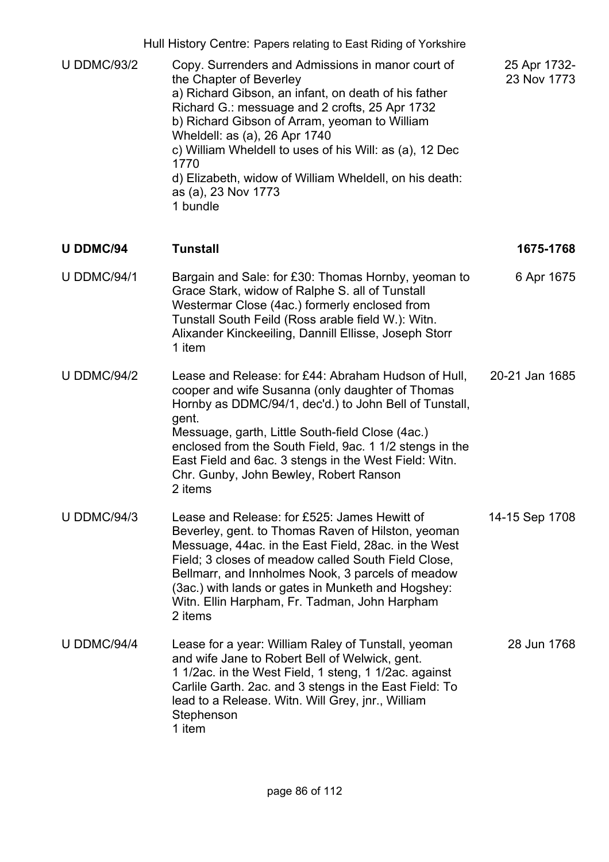U DDMC/93/2 Copy. Surrenders and Admissions in manor court of the Chapter of Beverley a) Richard Gibson, an infant, on death of his father Richard G.: messuage and 2 crofts, 25 Apr 1732 b) Richard Gibson of Arram, yeoman to William Wheldell: as (a), 26 Apr 1740 c) William Wheldell to uses of his Will: as (a), 12 Dec 1770 d) Elizabeth, widow of William Wheldell, on his death: as (a), 23 Nov 1773 1 bundle 25 Apr 1732- 23 Nov 1773

### **U DDMC/94 Tunstall 1675-1768** U DDMC/94/1 Bargain and Sale: for £30: Thomas Hornby, yeoman to Grace Stark, widow of Ralphe S. all of Tunstall Westermar Close (4ac.) formerly enclosed from Tunstall South Feild (Ross arable field W.): Witn. Alixander Kinckeeiling, Dannill Ellisse, Joseph Storr 1 item 6 Apr 1675

- U DDMC/94/2 Lease and Release: for £44: Abraham Hudson of Hull, cooper and wife Susanna (only daughter of Thomas Hornby as DDMC/94/1, dec'd.) to John Bell of Tunstall, gent. Messuage, garth, Little South-field Close (4ac.) enclosed from the South Field, 9ac. 1 1/2 stengs in the East Field and 6ac. 3 stengs in the West Field: Witn. Chr. Gunby, John Bewley, Robert Ranson 2 items 20-21 Jan 1685
- U DDMC/94/3 Lease and Release: for £525: James Hewitt of Beverley, gent. to Thomas Raven of Hilston, yeoman Messuage, 44ac. in the East Field, 28ac. in the West Field; 3 closes of meadow called South Field Close, Bellmarr, and Innholmes Nook, 3 parcels of meadow (3ac.) with lands or gates in Munketh and Hogshey: Witn. Ellin Harpham, Fr. Tadman, John Harpham 2 items 14-15 Sep 1708
- U DDMC/94/4 Lease for a year: William Raley of Tunstall, yeoman and wife Jane to Robert Bell of Welwick, gent. 1 1/2ac. in the West Field, 1 steng, 1 1/2ac. against Carlile Garth. 2ac. and 3 stengs in the East Field: To lead to a Release. Witn. Will Grey, jnr., William **Stephenson** 1 item 28 Jun 1768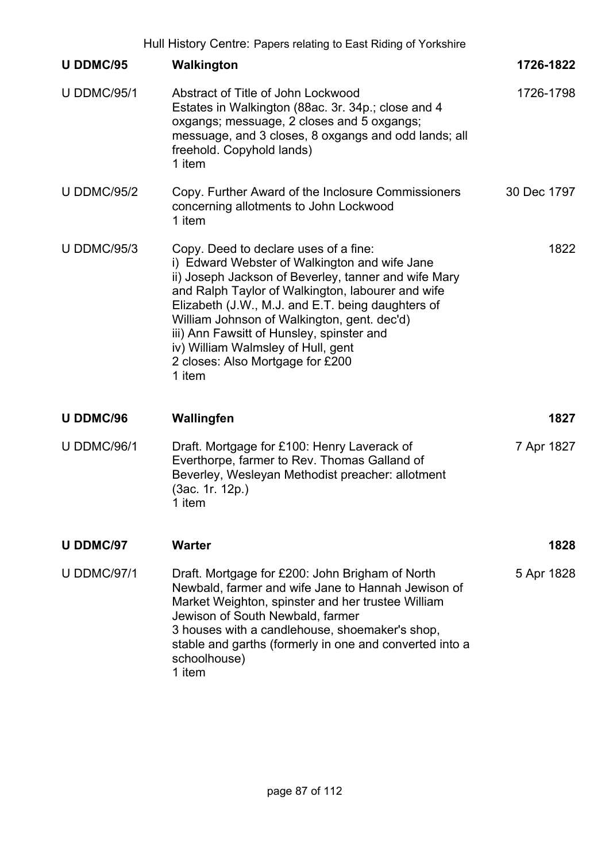|                    | Hull History Centre: Papers relating to East Riding of Yorkshire                                                                                                                                                                                                                                                                                                                                                                         |             |
|--------------------|------------------------------------------------------------------------------------------------------------------------------------------------------------------------------------------------------------------------------------------------------------------------------------------------------------------------------------------------------------------------------------------------------------------------------------------|-------------|
| <b>U DDMC/95</b>   | Walkington                                                                                                                                                                                                                                                                                                                                                                                                                               | 1726-1822   |
| <b>U DDMC/95/1</b> | Abstract of Title of John Lockwood<br>Estates in Walkington (88ac. 3r. 34p.; close and 4<br>oxgangs; messuage, 2 closes and 5 oxgangs;<br>messuage, and 3 closes, 8 oxgangs and odd lands; all<br>freehold. Copyhold lands)<br>1 item                                                                                                                                                                                                    | 1726-1798   |
| <b>U DDMC/95/2</b> | Copy. Further Award of the Inclosure Commissioners<br>concerning allotments to John Lockwood<br>1 item                                                                                                                                                                                                                                                                                                                                   | 30 Dec 1797 |
| <b>U DDMC/95/3</b> | Copy. Deed to declare uses of a fine:<br>i) Edward Webster of Walkington and wife Jane<br>ii) Joseph Jackson of Beverley, tanner and wife Mary<br>and Ralph Taylor of Walkington, labourer and wife<br>Elizabeth (J.W., M.J. and E.T. being daughters of<br>William Johnson of Walkington, gent. dec'd)<br>iii) Ann Fawsitt of Hunsley, spinster and<br>iv) William Walmsley of Hull, gent<br>2 closes: Also Mortgage for £200<br>1 item | 1822        |
| <b>U DDMC/96</b>   | Wallingfen                                                                                                                                                                                                                                                                                                                                                                                                                               | 1827        |
| <b>U DDMC/96/1</b> | Draft. Mortgage for £100: Henry Laverack of<br>Everthorpe, farmer to Rev. Thomas Galland of<br>Beverley, Wesleyan Methodist preacher: allotment<br>(3ac. 1r. 12p.)<br>1 item                                                                                                                                                                                                                                                             | 7 Apr 1827  |
| <b>U DDMC/97</b>   | <b>Warter</b>                                                                                                                                                                                                                                                                                                                                                                                                                            | 1828        |
| <b>U DDMC/97/1</b> | Draft. Mortgage for £200: John Brigham of North<br>Newbald, farmer and wife Jane to Hannah Jewison of<br>Market Weighton, spinster and her trustee William<br>Jewison of South Newbald, farmer<br>3 houses with a candlehouse, shoemaker's shop,<br>stable and garths (formerly in one and converted into a<br>schoolhouse)<br>1 item                                                                                                    | 5 Apr 1828  |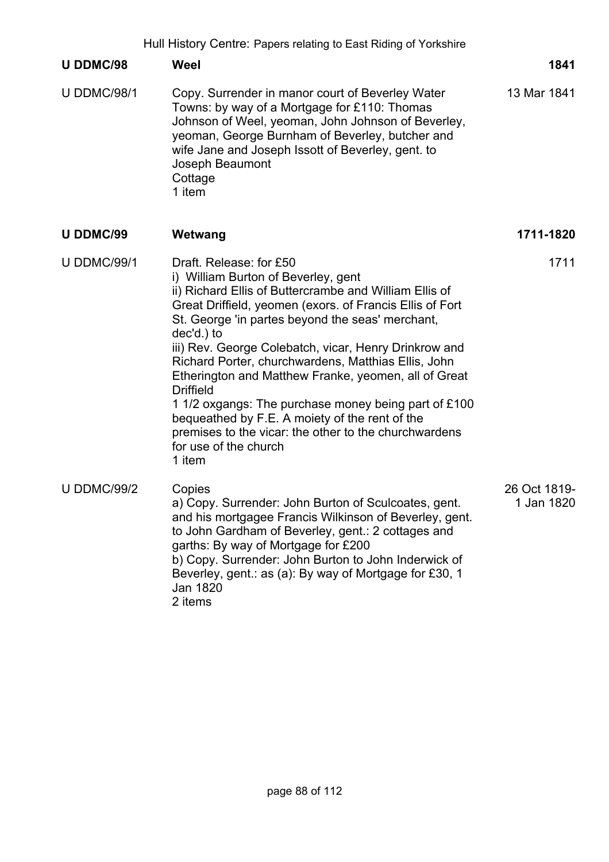|                    | Hull History Centre: Papers relating to East Riding of Yorkshire                                                                                                                                                                                                                                                                                                                                                                                                                                                                                                                                                                                         |                            |
|--------------------|----------------------------------------------------------------------------------------------------------------------------------------------------------------------------------------------------------------------------------------------------------------------------------------------------------------------------------------------------------------------------------------------------------------------------------------------------------------------------------------------------------------------------------------------------------------------------------------------------------------------------------------------------------|----------------------------|
| U DDMC/98          | Weel                                                                                                                                                                                                                                                                                                                                                                                                                                                                                                                                                                                                                                                     | 1841                       |
| <b>U DDMC/98/1</b> | Copy. Surrender in manor court of Beverley Water<br>Towns: by way of a Mortgage for £110: Thomas<br>Johnson of Weel, yeoman, John Johnson of Beverley,<br>yeoman, George Burnham of Beverley, butcher and<br>wife Jane and Joseph Issott of Beverley, gent. to<br>Joseph Beaumont<br>Cottage<br>1 item                                                                                                                                                                                                                                                                                                                                                   | 13 Mar 1841                |
| U DDMC/99          | Wetwang                                                                                                                                                                                                                                                                                                                                                                                                                                                                                                                                                                                                                                                  | 1711-1820                  |
| <b>U DDMC/99/1</b> | Draft, Release: for £50<br>i) William Burton of Beverley, gent<br>ii) Richard Ellis of Buttercrambe and William Ellis of<br>Great Driffield, yeomen (exors. of Francis Ellis of Fort<br>St. George 'in partes beyond the seas' merchant,<br>dec'd.) to<br>iii) Rev. George Colebatch, vicar, Henry Drinkrow and<br>Richard Porter, churchwardens, Matthias Ellis, John<br>Etherington and Matthew Franke, yeomen, all of Great<br><b>Driffield</b><br>1 1/2 oxgangs: The purchase money being part of £100<br>bequeathed by F.E. A moiety of the rent of the<br>premises to the vicar: the other to the churchwardens<br>for use of the church<br>1 item | 1711                       |
| <b>U DDMC/99/2</b> | Copies<br>a) Copy. Surrender: John Burton of Sculcoates, gent.<br>and his mortgagee Francis Wilkinson of Beverley, gent.<br>to John Gardham of Beverley, gent.: 2 cottages and<br>garths: By way of Mortgage for £200<br>b) Copy. Surrender: John Burton to John Inderwick of<br>Beverley, gent.: as (a): By way of Mortgage for £30, 1<br>Jan 1820<br>2 items                                                                                                                                                                                                                                                                                           | 26 Oct 1819-<br>1 Jan 1820 |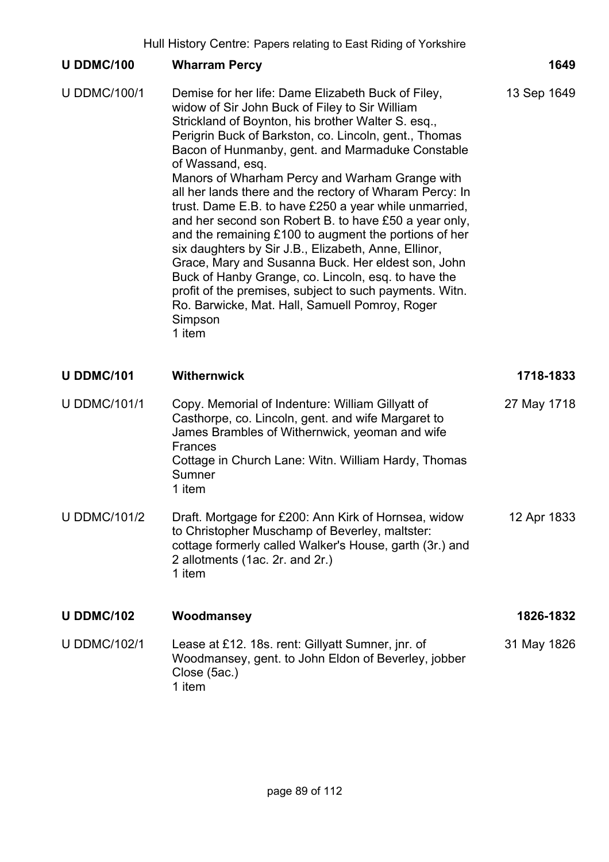## **U DDMC/100 Wharram Percy 1649** U DDMC/100/1 Demise for her life: Dame Elizabeth Buck of Filey, widow of Sir John Buck of Filey to Sir William Strickland of Boynton, his brother Walter S. esq., Perigrin Buck of Barkston, co. Lincoln, gent., Thomas Bacon of Hunmanby, gent. and Marmaduke Constable of Wassand, esq. Manors of Wharham Percy and Warham Grange with all her lands there and the rectory of Wharam Percy: In trust. Dame E.B. to have £250 a year while unmarried, and her second son Robert B. to have £50 a year only, and the remaining £100 to augment the portions of her six daughters by Sir J.B., Elizabeth, Anne, Ellinor, Grace, Mary and Susanna Buck. Her eldest son, John Buck of Hanby Grange, co. Lincoln, esq. to have the profit of the premises, subject to such payments. Witn. Ro. Barwicke, Mat. Hall, Samuell Pomroy, Roger **Simpson** 1 item 13 Sep 1649 **U DDMC/101 Withernwick 1718-1833** U DDMC/101/1 Copy. Memorial of Indenture: William Gillyatt of Casthorpe, co. Lincoln, gent. and wife Margaret to James Brambles of Withernwick, yeoman and wife Frances 27 May 1718

Cottage in Church Lane: Witn. William Hardy, Thomas Sumner 1 item

U DDMC/101/2 Draft. Mortgage for £200: Ann Kirk of Hornsea, widow to Christopher Muschamp of Beverley, maltster: cottage formerly called Walker's House, garth (3r.) and 2 allotments (1ac. 2r. and 2r.) 1 item 12 Apr 1833

# **U DDMC/102 Woodmansey 1826-1832**

U DDMC/102/1 Lease at £12. 18s. rent: Gillyatt Sumner, jnr. of Woodmansey, gent. to John Eldon of Beverley, jobber Close (5ac.) 1 item 31 May 1826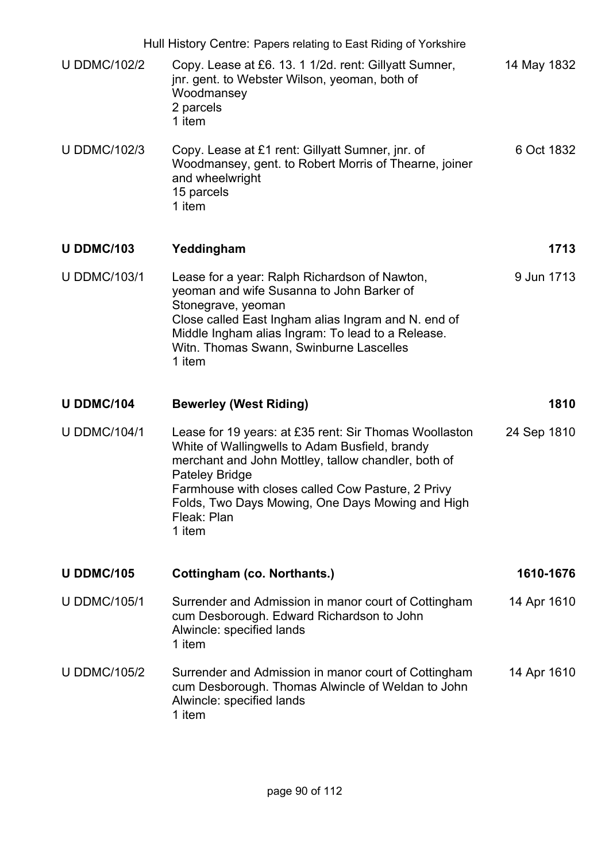|                     | Hull History Centre: Papers relating to East Riding of Yorkshire                                                                                                                                                                                                                                                           |             |
|---------------------|----------------------------------------------------------------------------------------------------------------------------------------------------------------------------------------------------------------------------------------------------------------------------------------------------------------------------|-------------|
| <b>U DDMC/102/2</b> | Copy. Lease at £6. 13. 1 1/2d. rent: Gillyatt Sumner,<br>jnr. gent. to Webster Wilson, yeoman, both of<br>Woodmansey<br>2 parcels<br>1 item                                                                                                                                                                                | 14 May 1832 |
| <b>U DDMC/102/3</b> | Copy. Lease at £1 rent: Gillyatt Sumner, jnr. of<br>Woodmansey, gent. to Robert Morris of Thearne, joiner<br>and wheelwright<br>15 parcels<br>1 item                                                                                                                                                                       | 6 Oct 1832  |
| <b>U DDMC/103</b>   | Yeddingham                                                                                                                                                                                                                                                                                                                 | 1713        |
| <b>U DDMC/103/1</b> | Lease for a year: Ralph Richardson of Nawton,<br>yeoman and wife Susanna to John Barker of<br>Stonegrave, yeoman<br>Close called East Ingham alias Ingram and N. end of<br>Middle Ingham alias Ingram: To lead to a Release.<br>Witn. Thomas Swann, Swinburne Lascelles<br>1 item                                          | 9 Jun 1713  |
|                     |                                                                                                                                                                                                                                                                                                                            |             |
| <b>U DDMC/104</b>   | <b>Bewerley (West Riding)</b>                                                                                                                                                                                                                                                                                              | 1810        |
| <b>U DDMC/104/1</b> | Lease for 19 years: at £35 rent: Sir Thomas Woollaston<br>White of Wallingwells to Adam Busfield, brandy<br>merchant and John Mottley, tallow chandler, both of<br><b>Pateley Bridge</b><br>Farmhouse with closes called Cow Pasture, 2 Privy<br>Folds, Two Days Mowing, One Days Mowing and High<br>Fleak: Plan<br>1 item | 24 Sep 1810 |
| <b>U DDMC/105</b>   | Cottingham (co. Northants.)                                                                                                                                                                                                                                                                                                | 1610-1676   |
| <b>U DDMC/105/1</b> | Surrender and Admission in manor court of Cottingham<br>cum Desborough. Edward Richardson to John<br>Alwincle: specified lands<br>1 item                                                                                                                                                                                   | 14 Apr 1610 |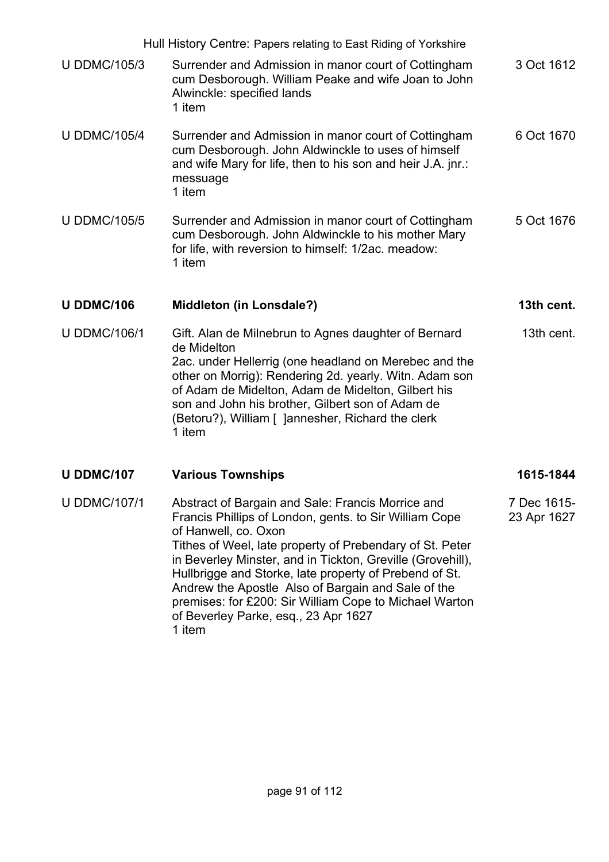Hull History Centre: Papers relating to East Riding of Yorkshire U DDMC/105/3 Surrender and Admission in manor court of Cottingham cum Desborough. William Peake and wife Joan to John Alwinckle: specified lands 1 item 3 Oct 1612 U DDMC/105/4 Surrender and Admission in manor court of Cottingham cum Desborough. John Aldwinckle to uses of himself and wife Mary for life, then to his son and heir J.A. jnr.: messuage 1 item 6 Oct 1670 U DDMC/105/5 Surrender and Admission in manor court of Cottingham cum Desborough. John Aldwinckle to his mother Mary for life, with reversion to himself: 1/2ac. meadow: 1 item 5 Oct 1676 **U DDMC/106 Middleton (in Lonsdale?) 13th cent.** U DDMC/106/1 Gift. Alan de Milnebrun to Agnes daughter of Bernard de Midelton 2ac. under Hellerrig (one headland on Merebec and the other on Morrig): Rendering 2d. yearly. Witn. Adam son of Adam de Midelton, Adam de Midelton, Gilbert his son and John his brother, Gilbert son of Adam de (Betoru?), William [ ]annesher, Richard the clerk 1 item 13th cent. U DDMC/107 **Various Townships** 1615-1844 U DDMC/107/1 Abstract of Bargain and Sale: Francis Morrice and Francis Phillips of London, gents. to Sir William Cope of Hanwell, co. Oxon Tithes of Weel, late property of Prebendary of St. Peter in Beverley Minster, and in Tickton, Greville (Grovehill), Hullbrigge and Storke, late property of Prebend of St. Andrew the Apostle Also of Bargain and Sale of the premises: for £200: Sir William Cope to Michael Warton 7 Dec 1615- 23 Apr 1627

of Beverley Parke, esq., 23 Apr 1627

1 item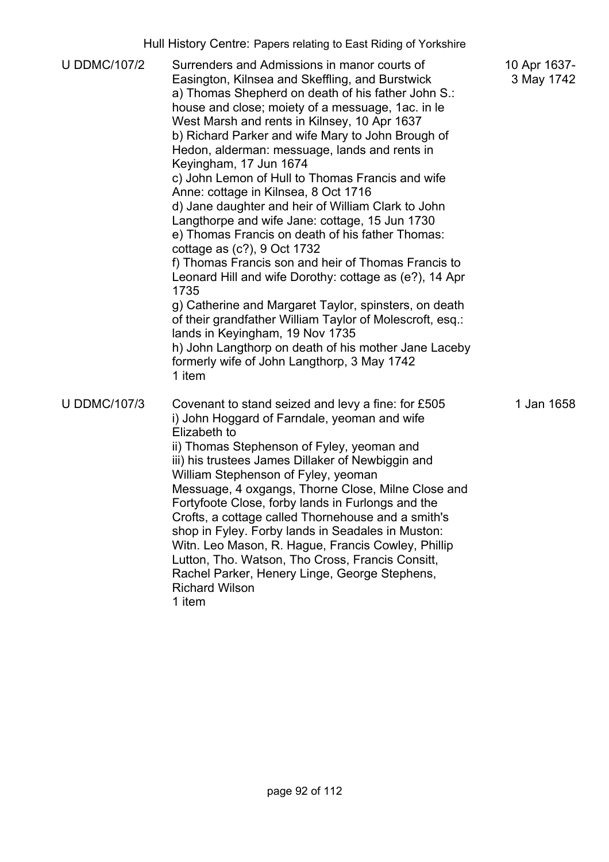| <b>U DDMC/107/2</b> | Surrenders and Admissions in manor courts of<br>Easington, Kilnsea and Skeffling, and Burstwick<br>a) Thomas Shepherd on death of his father John S.:<br>house and close; moiety of a messuage, 1ac. in le<br>West Marsh and rents in Kilnsey, 10 Apr 1637<br>b) Richard Parker and wife Mary to John Brough of<br>Hedon, alderman: messuage, lands and rents in<br>Keyingham, 17 Jun 1674<br>c) John Lemon of Hull to Thomas Francis and wife<br>Anne: cottage in Kilnsea, 8 Oct 1716<br>d) Jane daughter and heir of William Clark to John<br>Langthorpe and wife Jane: cottage, 15 Jun 1730<br>e) Thomas Francis on death of his father Thomas:<br>cottage as (c?), 9 Oct 1732<br>f) Thomas Francis son and heir of Thomas Francis to<br>Leonard Hill and wife Dorothy: cottage as (e?), 14 Apr<br>1735<br>g) Catherine and Margaret Taylor, spinsters, on death<br>of their grandfather William Taylor of Molescroft, esq.:<br>lands in Keyingham, 19 Nov 1735<br>h) John Langthorp on death of his mother Jane Laceby<br>formerly wife of John Langthorp, 3 May 1742<br>1 item | 10 Apr 1637-<br>3 May 1742 |
|---------------------|-------------------------------------------------------------------------------------------------------------------------------------------------------------------------------------------------------------------------------------------------------------------------------------------------------------------------------------------------------------------------------------------------------------------------------------------------------------------------------------------------------------------------------------------------------------------------------------------------------------------------------------------------------------------------------------------------------------------------------------------------------------------------------------------------------------------------------------------------------------------------------------------------------------------------------------------------------------------------------------------------------------------------------------------------------------------------------------|----------------------------|
| <b>U DDMC/107/3</b> | Covenant to stand seized and levy a fine: for £505<br>i) John Hoggard of Farndale, yeoman and wife<br>Elizabeth to<br>ii) Thomas Stephenson of Fyley, yeoman and<br>iii) his trustees James Dillaker of Newbiggin and<br>William Stephenson of Fyley, yeoman<br>Messuage, 4 oxgangs, Thorne Close, Milne Close and<br>Fortyfoote Close, forby lands in Furlongs and the<br>Crofts, a cottage called Thornehouse and a smith's<br>shop in Fyley. Forby lands in Seadales in Muston:<br>Witn. Leo Mason, R. Hague, Francis Cowley, Phillip<br>Lutton, Tho. Watson, Tho Cross, Francis Consitt,<br>Rachel Parker, Henery Linge, George Stephens,<br><b>Richard Wilson</b><br>1 item                                                                                                                                                                                                                                                                                                                                                                                                    | 1 Jan 1658                 |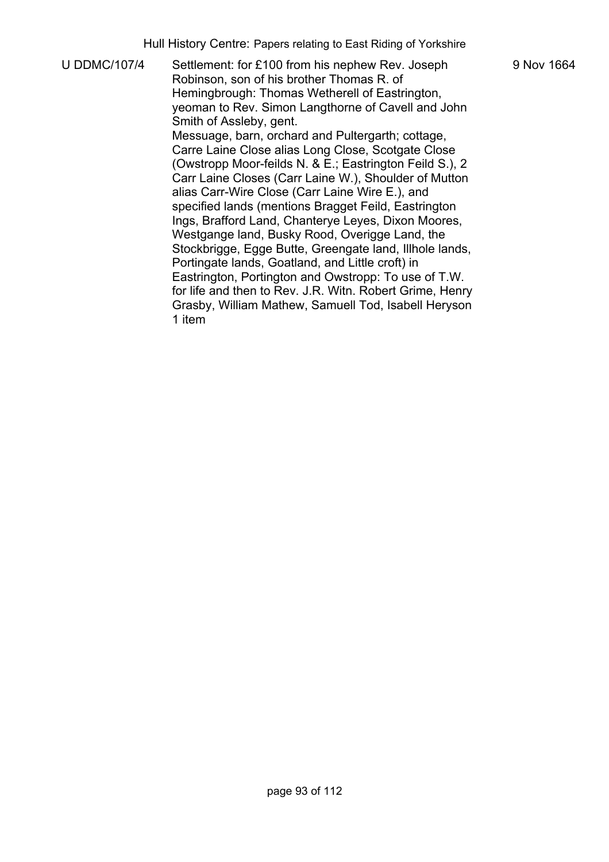U DDMC/107/4 Settlement: for £100 from his nephew Rev. Joseph Robinson, son of his brother Thomas R. of Hemingbrough: Thomas Wetherell of Eastrington, yeoman to Rev. Simon Langthorne of Cavell and John Smith of Assleby, gent. Messuage, barn, orchard and Pultergarth; cottage, Carre Laine Close alias Long Close, Scotgate Close (Owstropp Moor-feilds N. & E.; Eastrington Feild S.), 2 Carr Laine Closes (Carr Laine W.), Shoulder of Mutton alias Carr-Wire Close (Carr Laine Wire E.), and specified lands (mentions Bragget Feild, Eastrington Ings, Brafford Land, Chanterye Leyes, Dixon Moores, Westgange land, Busky Rood, Overigge Land, the Stockbrigge, Egge Butte, Greengate land, Illhole lands, Portingate lands, Goatland, and Little croft) in Eastrington, Portington and Owstropp: To use of T.W. for life and then to Rev. J.R. Witn. Robert Grime, Henry Grasby, William Mathew, Samuell Tod, Isabell Heryson 1 item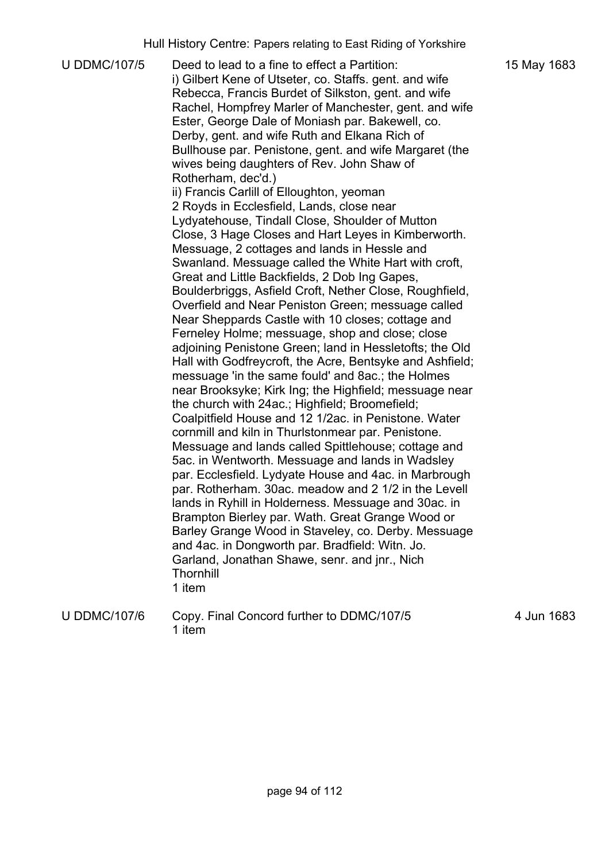U DDMC/107/5 Deed to lead to a fine to effect a Partition: i) Gilbert Kene of Utseter, co. Staffs. gent. and wife Rebecca, Francis Burdet of Silkston, gent. and wife Rachel, Hompfrey Marler of Manchester, gent. and wife Ester, George Dale of Moniash par. Bakewell, co. Derby, gent. and wife Ruth and Elkana Rich of Bullhouse par. Penistone, gent. and wife Margaret (the wives being daughters of Rev. John Shaw of Rotherham, dec'd.) ii) Francis Carlill of Elloughton, yeoman 2 Royds in Ecclesfield, Lands, close near Lydyatehouse, Tindall Close, Shoulder of Mutton Close, 3 Hage Closes and Hart Leyes in Kimberworth. Messuage, 2 cottages and lands in Hessle and Swanland. Messuage called the White Hart with croft, Great and Little Backfields, 2 Dob Ing Gapes, Boulderbriggs, Asfield Croft, Nether Close, Roughfield, Overfield and Near Peniston Green; messuage called Near Sheppards Castle with 10 closes; cottage and Ferneley Holme; messuage, shop and close; close adjoining Penistone Green; land in Hessletofts; the Old Hall with Godfreycroft, the Acre, Bentsyke and Ashfield; messuage 'in the same fould' and 8ac.; the Holmes near Brooksyke; Kirk Ing; the Highfield; messuage near the church with 24ac.; Highfield; Broomefield; Coalpitfield House and 12 1/2ac. in Penistone. Water cornmill and kiln in Thurlstonmear par. Penistone. Messuage and lands called Spittlehouse; cottage and 5ac. in Wentworth. Messuage and lands in Wadsley par. Ecclesfield. Lydyate House and 4ac. in Marbrough par. Rotherham. 30ac. meadow and 2 1/2 in the Levell lands in Ryhill in Holderness. Messuage and 30ac. in Brampton Bierley par. Wath. Great Grange Wood or Barley Grange Wood in Staveley, co. Derby. Messuage and 4ac. in Dongworth par. Bradfield: Witn. Jo. Garland, Jonathan Shawe, senr. and jnr., Nich **Thornhill** 1 item

U DDMC/107/6 Copy. Final Concord further to DDMC/107/5 1 item

4 Jun 1683

15 May 1683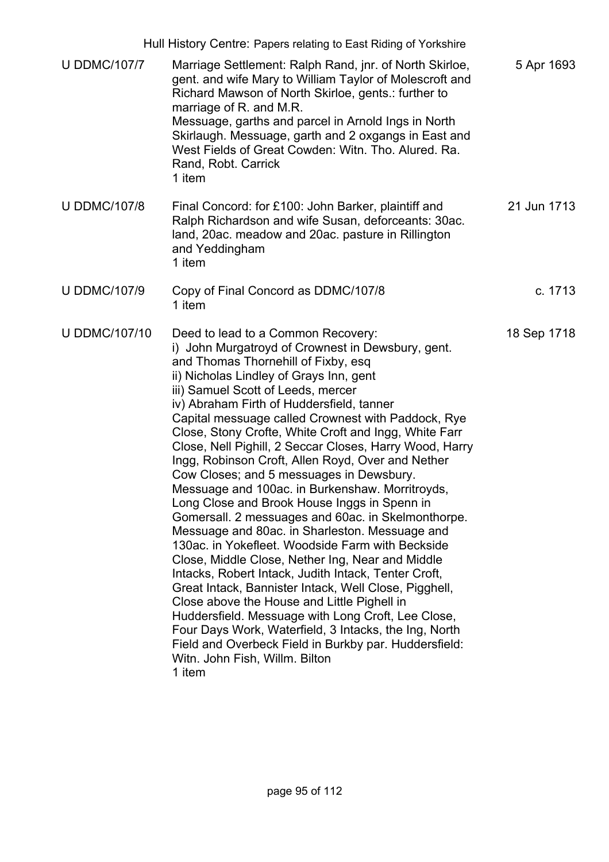|                      | Hull History Centre: Papers relating to East Riding of Yorkshire                                                                                                                                                                                                                                                                                                                                                                                                                                                                                                                                                                                                                                                                                                                                                                                                                                                                                                                                                                                                                                                                                                                                                                               |             |
|----------------------|------------------------------------------------------------------------------------------------------------------------------------------------------------------------------------------------------------------------------------------------------------------------------------------------------------------------------------------------------------------------------------------------------------------------------------------------------------------------------------------------------------------------------------------------------------------------------------------------------------------------------------------------------------------------------------------------------------------------------------------------------------------------------------------------------------------------------------------------------------------------------------------------------------------------------------------------------------------------------------------------------------------------------------------------------------------------------------------------------------------------------------------------------------------------------------------------------------------------------------------------|-------------|
| <b>U DDMC/107/7</b>  | Marriage Settlement: Ralph Rand, jnr. of North Skirloe,<br>gent. and wife Mary to William Taylor of Molescroft and<br>Richard Mawson of North Skirloe, gents.: further to<br>marriage of R. and M.R.<br>Messuage, garths and parcel in Arnold Ings in North<br>Skirlaugh. Messuage, garth and 2 oxgangs in East and<br>West Fields of Great Cowden: Witn. Tho. Alured. Ra.<br>Rand, Robt. Carrick<br>1 item                                                                                                                                                                                                                                                                                                                                                                                                                                                                                                                                                                                                                                                                                                                                                                                                                                    | 5 Apr 1693  |
| <b>U DDMC/107/8</b>  | Final Concord: for £100: John Barker, plaintiff and<br>Ralph Richardson and wife Susan, deforceants: 30ac.<br>land, 20ac. meadow and 20ac. pasture in Rillington<br>and Yeddingham<br>1 item                                                                                                                                                                                                                                                                                                                                                                                                                                                                                                                                                                                                                                                                                                                                                                                                                                                                                                                                                                                                                                                   | 21 Jun 1713 |
| <b>U DDMC/107/9</b>  | Copy of Final Concord as DDMC/107/8<br>1 item                                                                                                                                                                                                                                                                                                                                                                                                                                                                                                                                                                                                                                                                                                                                                                                                                                                                                                                                                                                                                                                                                                                                                                                                  | c. 1713     |
| <b>U DDMC/107/10</b> | Deed to lead to a Common Recovery:<br>i) John Murgatroyd of Crownest in Dewsbury, gent.<br>and Thomas Thornehill of Fixby, esq<br>ii) Nicholas Lindley of Grays Inn, gent<br>iii) Samuel Scott of Leeds, mercer<br>iv) Abraham Firth of Huddersfield, tanner<br>Capital messuage called Crownest with Paddock, Rye<br>Close, Stony Crofte, White Croft and Ingg, White Farr<br>Close, Nell Pighill, 2 Seccar Closes, Harry Wood, Harry<br>Ingg, Robinson Croft, Allen Royd, Over and Nether<br>Cow Closes; and 5 messuages in Dewsbury.<br>Messuage and 100ac. in Burkenshaw. Morritroyds,<br>Long Close and Brook House Inggs in Spenn in<br>Gomersall. 2 messuages and 60ac. in Skelmonthorpe.<br>Messuage and 80ac. in Sharleston. Messuage and<br>130ac. in Yokefleet. Woodside Farm with Beckside<br>Close, Middle Close, Nether Ing, Near and Middle<br>Intacks, Robert Intack, Judith Intack, Tenter Croft,<br>Great Intack, Bannister Intack, Well Close, Pigghell,<br>Close above the House and Little Pighell in<br>Huddersfield. Messuage with Long Croft, Lee Close,<br>Four Days Work, Waterfield, 3 Intacks, the Ing, North<br>Field and Overbeck Field in Burkby par. Huddersfield:<br>Witn. John Fish, Willm. Bilton<br>1 item | 18 Sep 1718 |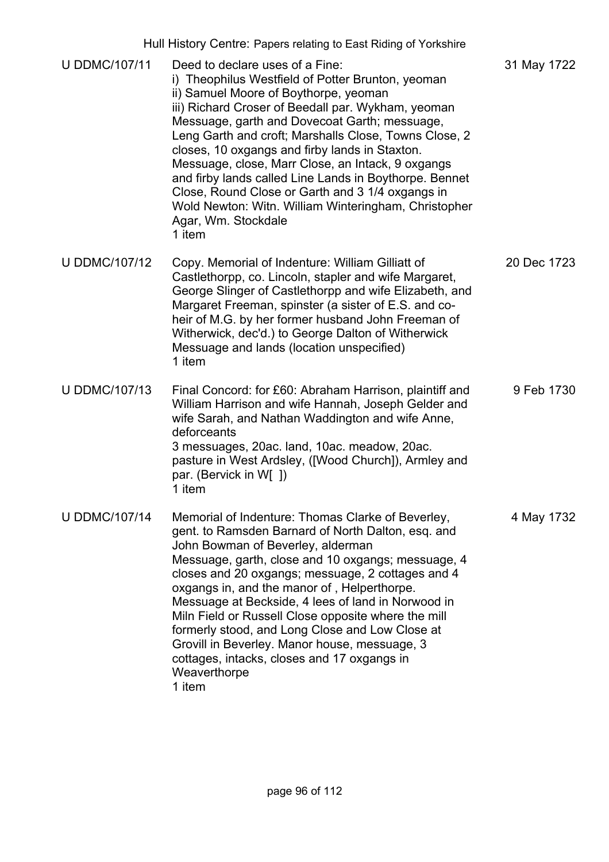|                      | Hull History Centre: Papers relating to East Riding of Yorkshire                                                                                                                                                                                                                                                                                                                                                                                                                                                                                                                                            |             |
|----------------------|-------------------------------------------------------------------------------------------------------------------------------------------------------------------------------------------------------------------------------------------------------------------------------------------------------------------------------------------------------------------------------------------------------------------------------------------------------------------------------------------------------------------------------------------------------------------------------------------------------------|-------------|
| <b>U DDMC/107/11</b> | Deed to declare uses of a Fine:<br>i) Theophilus Westfield of Potter Brunton, yeoman<br>ii) Samuel Moore of Boythorpe, yeoman<br>iii) Richard Croser of Beedall par. Wykham, yeoman<br>Messuage, garth and Dovecoat Garth; messuage,<br>Leng Garth and croft; Marshalls Close, Towns Close, 2<br>closes, 10 oxgangs and firby lands in Staxton.<br>Messuage, close, Marr Close, an Intack, 9 oxgangs<br>and firby lands called Line Lands in Boythorpe. Bennet<br>Close, Round Close or Garth and 3 1/4 oxgangs in<br>Wold Newton: Witn. William Winteringham, Christopher<br>Agar, Wm. Stockdale<br>1 item | 31 May 1722 |
| <b>U DDMC/107/12</b> | Copy. Memorial of Indenture: William Gilliatt of<br>Castlethorpp, co. Lincoln, stapler and wife Margaret,<br>George Slinger of Castlethorpp and wife Elizabeth, and<br>Margaret Freeman, spinster (a sister of E.S. and co-<br>heir of M.G. by her former husband John Freeman of<br>Witherwick, dec'd.) to George Dalton of Witherwick<br>Messuage and lands (location unspecified)<br>1 item                                                                                                                                                                                                              | 20 Dec 1723 |
| <b>U DDMC/107/13</b> | Final Concord: for £60: Abraham Harrison, plaintiff and<br>William Harrison and wife Hannah, Joseph Gelder and<br>wife Sarah, and Nathan Waddington and wife Anne,<br>deforceants<br>3 messuages, 20ac. land, 10ac. meadow, 20ac.<br>pasture in West Ardsley, ([Wood Church]), Armley and<br>par. (Bervick in W[ ])<br>1 item                                                                                                                                                                                                                                                                               | 9 Feb 1730  |
| <b>U DDMC/107/14</b> | Memorial of Indenture: Thomas Clarke of Beverley,<br>gent. to Ramsden Barnard of North Dalton, esq. and<br>John Bowman of Beverley, alderman<br>Messuage, garth, close and 10 oxgangs; messuage, 4<br>closes and 20 oxgangs; messuage, 2 cottages and 4<br>oxgangs in, and the manor of, Helperthorpe.<br>Messuage at Beckside, 4 lees of land in Norwood in<br>Miln Field or Russell Close opposite where the mill<br>formerly stood, and Long Close and Low Close at<br>Grovill in Beverley. Manor house, messuage, 3<br>cottages, intacks, closes and 17 oxgangs in<br>Weaverthorpe<br>1 item            | 4 May 1732  |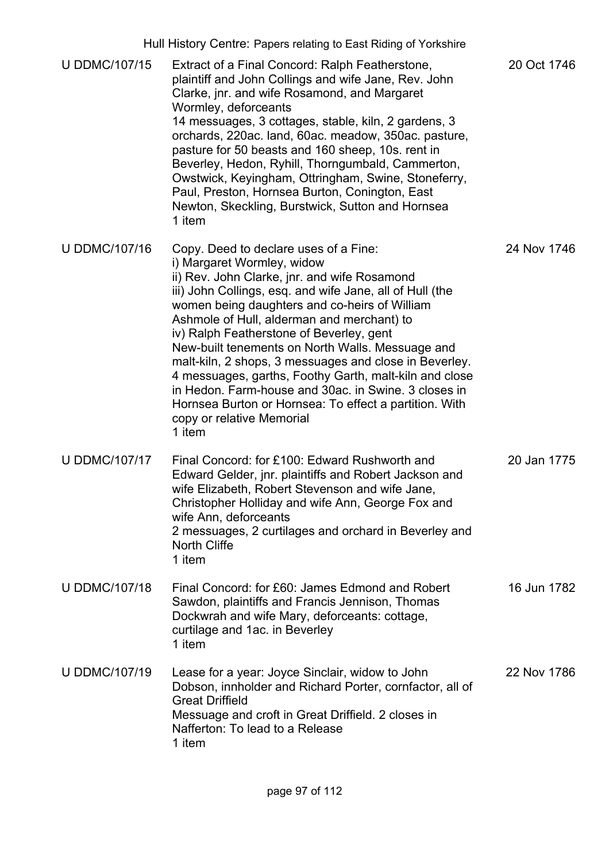|                      | Hull History Centre: Papers relating to East Riding of Yorkshire                                                                                                                                                                                                                                                                                                                                                                                                                                                                                                                                                                                            |             |
|----------------------|-------------------------------------------------------------------------------------------------------------------------------------------------------------------------------------------------------------------------------------------------------------------------------------------------------------------------------------------------------------------------------------------------------------------------------------------------------------------------------------------------------------------------------------------------------------------------------------------------------------------------------------------------------------|-------------|
| <b>U DDMC/107/15</b> | Extract of a Final Concord: Ralph Featherstone,<br>plaintiff and John Collings and wife Jane, Rev. John<br>Clarke, jnr. and wife Rosamond, and Margaret<br>Wormley, deforceants<br>14 messuages, 3 cottages, stable, kiln, 2 gardens, 3<br>orchards, 220ac. land, 60ac. meadow, 350ac. pasture,<br>pasture for 50 beasts and 160 sheep, 10s. rent in<br>Beverley, Hedon, Ryhill, Thorngumbald, Cammerton,<br>Owstwick, Keyingham, Ottringham, Swine, Stoneferry,<br>Paul, Preston, Hornsea Burton, Conington, East<br>Newton, Skeckling, Burstwick, Sutton and Hornsea<br>1 item                                                                            | 20 Oct 1746 |
| <b>U DDMC/107/16</b> | Copy. Deed to declare uses of a Fine:<br>i) Margaret Wormley, widow<br>ii) Rev. John Clarke, jnr. and wife Rosamond<br>iii) John Collings, esq. and wife Jane, all of Hull (the<br>women being daughters and co-heirs of William<br>Ashmole of Hull, alderman and merchant) to<br>iv) Ralph Featherstone of Beverley, gent<br>New-built tenements on North Walls. Messuage and<br>malt-kiln, 2 shops, 3 messuages and close in Beverley.<br>4 messuages, garths, Foothy Garth, malt-kiln and close<br>in Hedon. Farm-house and 30ac. in Swine. 3 closes in<br>Hornsea Burton or Hornsea: To effect a partition. With<br>copy or relative Memorial<br>1 item | 24 Nov 1746 |
| <b>U DDMC/107/17</b> | Final Concord: for £100: Edward Rushworth and<br>Edward Gelder, jnr. plaintiffs and Robert Jackson and<br>wife Elizabeth, Robert Stevenson and wife Jane<br>Christopher Holliday and wife Ann, George Fox and<br>wife Ann, deforceants<br>2 messuages, 2 curtilages and orchard in Beverley and<br><b>North Cliffe</b><br>1 item                                                                                                                                                                                                                                                                                                                            | 20 Jan 1775 |
| <b>U DDMC/107/18</b> | Final Concord: for £60: James Edmond and Robert<br>Sawdon, plaintiffs and Francis Jennison, Thomas<br>Dockwrah and wife Mary, deforceants: cottage,<br>curtilage and 1ac. in Beverley<br>1 item                                                                                                                                                                                                                                                                                                                                                                                                                                                             | 16 Jun 1782 |
| <b>U DDMC/107/19</b> | Lease for a year: Joyce Sinclair, widow to John<br>Dobson, innholder and Richard Porter, cornfactor, all of<br><b>Great Driffield</b><br>Messuage and croft in Great Driffield. 2 closes in<br>Nafferton: To lead to a Release<br>1 item                                                                                                                                                                                                                                                                                                                                                                                                                    | 22 Nov 1786 |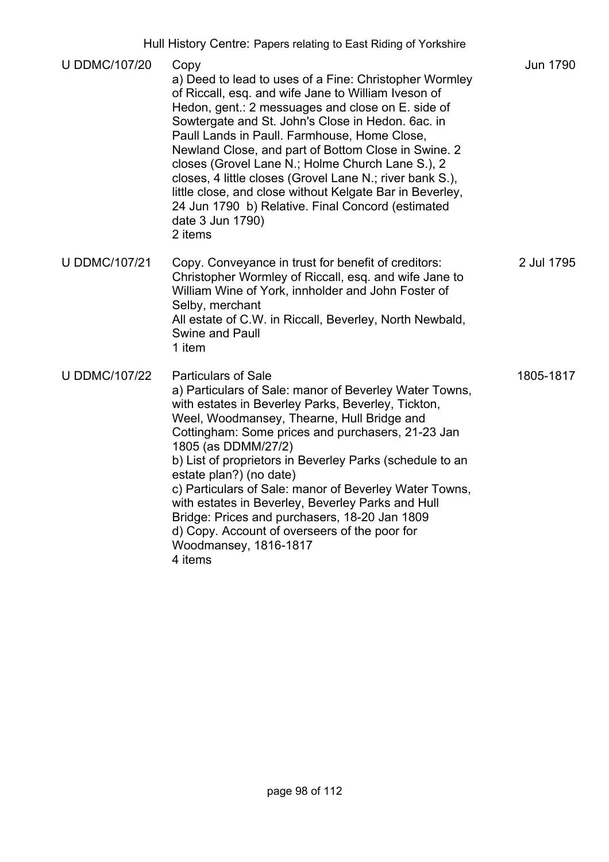| Hull History Centre: Papers relating to East Riding of Yorkshire |
|------------------------------------------------------------------|
|------------------------------------------------------------------|

| <b>U DDMC/107/20</b> | Copy<br>a) Deed to lead to uses of a Fine: Christopher Wormley<br>of Riccall, esq. and wife Jane to William Iveson of<br>Hedon, gent.: 2 messuages and close on E. side of<br>Sowtergate and St. John's Close in Hedon. 6ac. in<br>Paull Lands in Paull. Farmhouse, Home Close,<br>Newland Close, and part of Bottom Close in Swine. 2<br>closes (Grovel Lane N.; Holme Church Lane S.), 2<br>closes, 4 little closes (Grovel Lane N.; river bank S.),<br>little close, and close without Kelgate Bar in Beverley,<br>24 Jun 1790 b) Relative. Final Concord (estimated<br>date 3 Jun 1790)<br>2 items           | <b>Jun 1790</b> |
|----------------------|------------------------------------------------------------------------------------------------------------------------------------------------------------------------------------------------------------------------------------------------------------------------------------------------------------------------------------------------------------------------------------------------------------------------------------------------------------------------------------------------------------------------------------------------------------------------------------------------------------------|-----------------|
| <b>U DDMC/107/21</b> | Copy. Conveyance in trust for benefit of creditors:<br>Christopher Wormley of Riccall, esq. and wife Jane to<br>William Wine of York, innholder and John Foster of<br>Selby, merchant<br>All estate of C.W. in Riccall, Beverley, North Newbald,<br><b>Swine and Paull</b><br>1 item                                                                                                                                                                                                                                                                                                                             | 2 Jul 1795      |
| <b>U DDMC/107/22</b> | <b>Particulars of Sale</b><br>a) Particulars of Sale: manor of Beverley Water Towns,<br>with estates in Beverley Parks, Beverley, Tickton,<br>Weel, Woodmansey, Thearne, Hull Bridge and<br>Cottingham: Some prices and purchasers, 21-23 Jan<br>1805 (as DDMM/27/2)<br>b) List of proprietors in Beverley Parks (schedule to an<br>estate plan?) (no date)<br>c) Particulars of Sale: manor of Beverley Water Towns,<br>with estates in Beverley, Beverley Parks and Hull<br>Bridge: Prices and purchasers, 18-20 Jan 1809<br>d) Copy. Account of overseers of the poor for<br>Woodmansey, 1816-1817<br>4 items | 1805-1817       |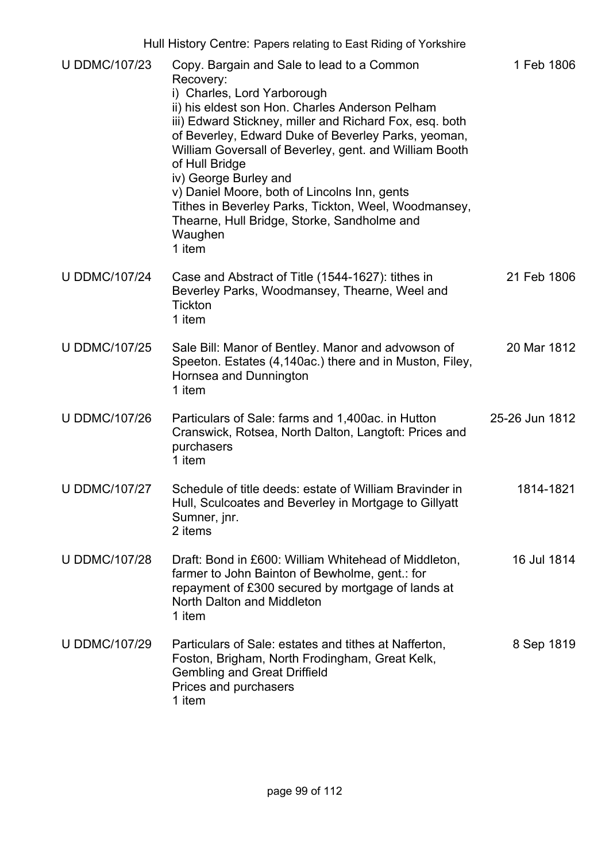| <b>U DDMC/107/23</b> | Copy. Bargain and Sale to lead to a Common                                                                                                                                                                                                                                                                                                                                                                                                                                                     | 1 Feb 1806     |
|----------------------|------------------------------------------------------------------------------------------------------------------------------------------------------------------------------------------------------------------------------------------------------------------------------------------------------------------------------------------------------------------------------------------------------------------------------------------------------------------------------------------------|----------------|
|                      | Recovery:<br>i) Charles, Lord Yarborough<br>ii) his eldest son Hon. Charles Anderson Pelham<br>iii) Edward Stickney, miller and Richard Fox, esq. both<br>of Beverley, Edward Duke of Beverley Parks, yeoman,<br>William Goversall of Beverley, gent. and William Booth<br>of Hull Bridge<br>iv) George Burley and<br>v) Daniel Moore, both of Lincolns Inn, gents<br>Tithes in Beverley Parks, Tickton, Weel, Woodmansey,<br>Thearne, Hull Bridge, Storke, Sandholme and<br>Waughen<br>1 item |                |
| <b>U DDMC/107/24</b> | Case and Abstract of Title (1544-1627): tithes in<br>Beverley Parks, Woodmansey, Thearne, Weel and<br><b>Tickton</b><br>1 item                                                                                                                                                                                                                                                                                                                                                                 | 21 Feb 1806    |
| <b>U DDMC/107/25</b> | Sale Bill: Manor of Bentley. Manor and advowson of<br>Speeton. Estates (4,140ac.) there and in Muston, Filey,<br>Hornsea and Dunnington<br>1 item                                                                                                                                                                                                                                                                                                                                              | 20 Mar 1812    |
| <b>U DDMC/107/26</b> | Particulars of Sale: farms and 1,400ac. in Hutton<br>Cranswick, Rotsea, North Dalton, Langtoft: Prices and<br>purchasers<br>1 item                                                                                                                                                                                                                                                                                                                                                             | 25-26 Jun 1812 |
| <b>U DDMC/107/27</b> | Schedule of title deeds: estate of William Bravinder in<br>Hull, Sculcoates and Beverley in Mortgage to Gillyatt<br>Sumner, jnr.<br>2 items                                                                                                                                                                                                                                                                                                                                                    | 1814-1821      |
| <b>U DDMC/107/28</b> | Draft: Bond in £600: William Whitehead of Middleton,<br>farmer to John Bainton of Bewholme, gent.: for<br>repayment of £300 secured by mortgage of lands at<br>North Dalton and Middleton<br>1 item                                                                                                                                                                                                                                                                                            | 16 Jul 1814    |
| <b>U DDMC/107/29</b> | Particulars of Sale: estates and tithes at Nafferton,<br>Foston, Brigham, North Frodingham, Great Kelk,<br><b>Gembling and Great Driffield</b><br>Prices and purchasers<br>1 item                                                                                                                                                                                                                                                                                                              | 8 Sep 1819     |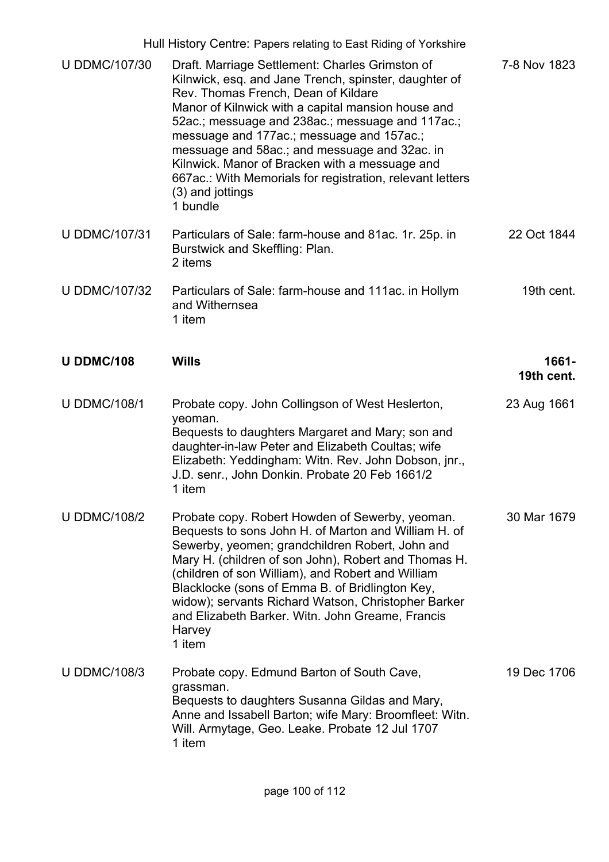|                      | Hull History Centre: Papers relating to East Riding of Yorkshire                                                                                                                                                                                                                                                                                                                                                                                                                                       |                     |
|----------------------|--------------------------------------------------------------------------------------------------------------------------------------------------------------------------------------------------------------------------------------------------------------------------------------------------------------------------------------------------------------------------------------------------------------------------------------------------------------------------------------------------------|---------------------|
| <b>U DDMC/107/30</b> | Draft. Marriage Settlement: Charles Grimston of<br>Kilnwick, esq. and Jane Trench, spinster, daughter of<br>Rev. Thomas French, Dean of Kildare<br>Manor of Kilnwick with a capital mansion house and<br>52ac.; messuage and 238ac.; messuage and 117ac.;<br>messuage and 177ac.; messuage and 157ac.;<br>messuage and 58ac.; and messuage and 32ac. in<br>Kilnwick. Manor of Bracken with a messuage and<br>667ac.: With Memorials for registration, relevant letters<br>(3) and jottings<br>1 bundle | 7-8 Nov 1823        |
| <b>U DDMC/107/31</b> | Particulars of Sale: farm-house and 81ac. 1r. 25p. in<br>Burstwick and Skeffling: Plan.<br>2 items                                                                                                                                                                                                                                                                                                                                                                                                     | 22 Oct 1844         |
| <b>U DDMC/107/32</b> | Particulars of Sale: farm-house and 111ac. in Hollym<br>and Withernsea<br>1 item                                                                                                                                                                                                                                                                                                                                                                                                                       | 19th cent.          |
| <b>U DDMC/108</b>    | <b>Wills</b>                                                                                                                                                                                                                                                                                                                                                                                                                                                                                           | 1661-<br>19th cent. |
| <b>U DDMC/108/1</b>  | Probate copy. John Collingson of West Heslerton,<br>yeoman.<br>Bequests to daughters Margaret and Mary; son and<br>daughter-in-law Peter and Elizabeth Coultas; wife<br>Elizabeth: Yeddingham: Witn. Rev. John Dobson, jnr.,<br>J.D. senr., John Donkin. Probate 20 Feb 1661/2<br>1 item                                                                                                                                                                                                               | 23 Aug 1661         |
| <b>U DDMC/108/2</b>  | Probate copy. Robert Howden of Sewerby, yeoman.<br>Bequests to sons John H. of Marton and William H. of<br>Sewerby, yeomen; grandchildren Robert, John and<br>Mary H. (children of son John), Robert and Thomas H.<br>(children of son William), and Robert and William<br>Blacklocke (sons of Emma B. of Bridlington Key,<br>widow); servants Richard Watson, Christopher Barker<br>and Elizabeth Barker. Witn. John Greame, Francis<br>Harvey<br>1 item                                              | 30 Mar 1679         |
| <b>U DDMC/108/3</b>  | Probate copy. Edmund Barton of South Cave,<br>grassman.<br>Bequests to daughters Susanna Gildas and Mary,<br>Anne and Issabell Barton; wife Mary: Broomfleet: Witn.<br>Will. Armytage, Geo. Leake. Probate 12 Jul 1707<br>1 item                                                                                                                                                                                                                                                                       | 19 Dec 1706         |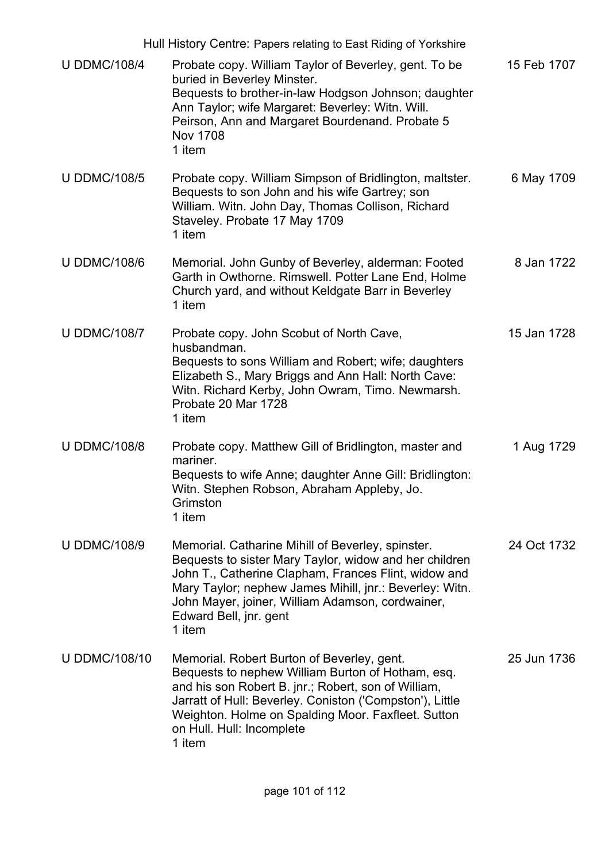|                      | Hull History Centre: Papers relating to East Riding of Yorkshire                                                                                                                                                                                                                                                       |             |
|----------------------|------------------------------------------------------------------------------------------------------------------------------------------------------------------------------------------------------------------------------------------------------------------------------------------------------------------------|-------------|
| <b>U DDMC/108/4</b>  | Probate copy. William Taylor of Beverley, gent. To be<br>buried in Beverley Minster.<br>Bequests to brother-in-law Hodgson Johnson; daughter<br>Ann Taylor; wife Margaret: Beverley: Witn. Will.<br>Peirson, Ann and Margaret Bourdenand. Probate 5<br><b>Nov 1708</b><br>1 item                                       | 15 Feb 1707 |
| <b>U DDMC/108/5</b>  | Probate copy. William Simpson of Bridlington, maltster.<br>Bequests to son John and his wife Gartrey; son<br>William. Witn. John Day, Thomas Collison, Richard<br>Staveley. Probate 17 May 1709<br>1 item                                                                                                              | 6 May 1709  |
| <b>U DDMC/108/6</b>  | Memorial. John Gunby of Beverley, alderman: Footed<br>Garth in Owthorne. Rimswell. Potter Lane End, Holme<br>Church yard, and without Keldgate Barr in Beverley<br>1 item                                                                                                                                              | 8 Jan 1722  |
| <b>U DDMC/108/7</b>  | Probate copy. John Scobut of North Cave,<br>husbandman.<br>Bequests to sons William and Robert; wife; daughters<br>Elizabeth S., Mary Briggs and Ann Hall: North Cave:<br>Witn. Richard Kerby, John Owram, Timo. Newmarsh.<br>Probate 20 Mar 1728<br>1 item                                                            | 15 Jan 1728 |
| <b>U DDMC/108/8</b>  | Probate copy. Matthew Gill of Bridlington, master and<br>mariner.<br>Bequests to wife Anne; daughter Anne Gill: Bridlington:<br>Witn. Stephen Robson, Abraham Appleby, Jo.<br>Grimston<br>1 item                                                                                                                       | 1 Aug 1729  |
| <b>U DDMC/108/9</b>  | Memorial. Catharine Mihill of Beverley, spinster.<br>Bequests to sister Mary Taylor, widow and her children<br>John T., Catherine Clapham, Frances Flint, widow and<br>Mary Taylor; nephew James Mihill, jnr.: Beverley: Witn.<br>John Mayer, joiner, William Adamson, cordwainer,<br>Edward Bell, jnr. gent<br>1 item | 24 Oct 1732 |
| <b>U DDMC/108/10</b> | Memorial. Robert Burton of Beverley, gent.<br>Bequests to nephew William Burton of Hotham, esq.<br>and his son Robert B. jnr.; Robert, son of William,<br>Jarratt of Hull: Beverley. Coniston ('Compston'), Little<br>Weighton. Holme on Spalding Moor. Faxfleet. Sutton<br>on Hull. Hull: Incomplete<br>1 item        | 25 Jun 1736 |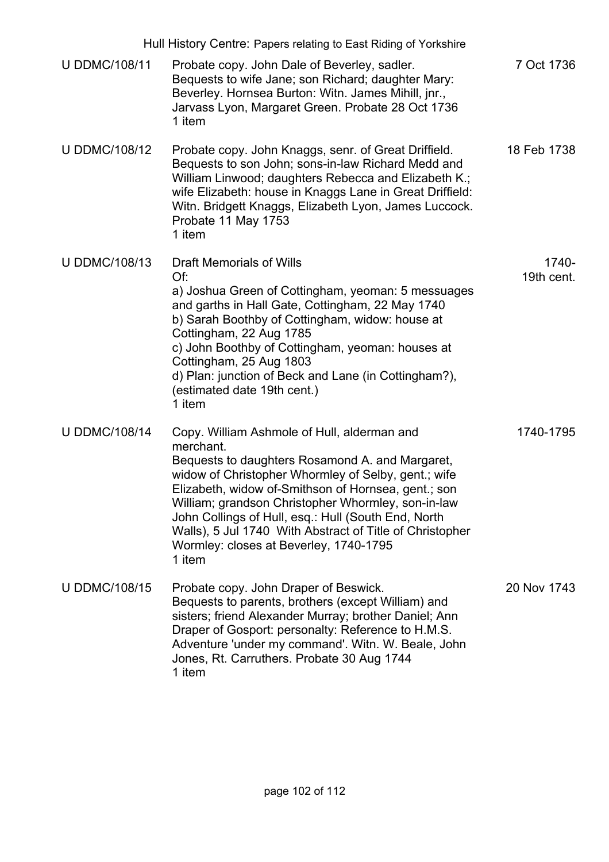|                      | Hull History Centre: Papers relating to East Riding of Yorkshire                                                                                                                                                                                                                                                                                                                                                                                       |                     |
|----------------------|--------------------------------------------------------------------------------------------------------------------------------------------------------------------------------------------------------------------------------------------------------------------------------------------------------------------------------------------------------------------------------------------------------------------------------------------------------|---------------------|
| <b>U DDMC/108/11</b> | Probate copy. John Dale of Beverley, sadler.<br>Bequests to wife Jane; son Richard; daughter Mary:<br>Beverley. Hornsea Burton: Witn. James Mihill, jnr.,<br>Jarvass Lyon, Margaret Green. Probate 28 Oct 1736<br>1 item                                                                                                                                                                                                                               | 7 Oct 1736          |
| <b>U DDMC/108/12</b> | Probate copy. John Knaggs, senr. of Great Driffield.<br>Bequests to son John; sons-in-law Richard Medd and<br>William Linwood; daughters Rebecca and Elizabeth K.;<br>wife Elizabeth: house in Knaggs Lane in Great Driffield:<br>Witn. Bridgett Knaggs, Elizabeth Lyon, James Luccock.<br>Probate 11 May 1753<br>1 item                                                                                                                               | 18 Feb 1738         |
| <b>U DDMC/108/13</b> | <b>Draft Memorials of Wills</b><br>Of:<br>a) Joshua Green of Cottingham, yeoman: 5 messuages<br>and garths in Hall Gate, Cottingham, 22 May 1740<br>b) Sarah Boothby of Cottingham, widow: house at<br>Cottingham, 22 Aug 1785<br>c) John Boothby of Cottingham, yeoman: houses at<br>Cottingham, 25 Aug 1803<br>d) Plan: junction of Beck and Lane (in Cottingham?),<br>(estimated date 19th cent.)<br>1 item                                         | 1740-<br>19th cent. |
| <b>U DDMC/108/14</b> | Copy. William Ashmole of Hull, alderman and<br>merchant.<br>Bequests to daughters Rosamond A. and Margaret,<br>widow of Christopher Whormley of Selby, gent.; wife<br>Elizabeth, widow of-Smithson of Hornsea, gent.; son<br>William; grandson Christopher Whormley, son-in-law<br>John Collings of Hull, esq.: Hull (South End, North<br>Walls), 5 Jul 1740 With Abstract of Title of Christopher<br>Wormley: closes at Beverley, 1740-1795<br>1 item | 1740-1795           |
| <b>U DDMC/108/15</b> | Probate copy. John Draper of Beswick.<br>Bequests to parents, brothers (except William) and<br>sisters; friend Alexander Murray; brother Daniel; Ann<br>Draper of Gosport: personalty: Reference to H.M.S.<br>Adventure 'under my command'. Witn. W. Beale, John<br>Jones, Rt. Carruthers. Probate 30 Aug 1744<br>1 item                                                                                                                               | 20 Nov 1743         |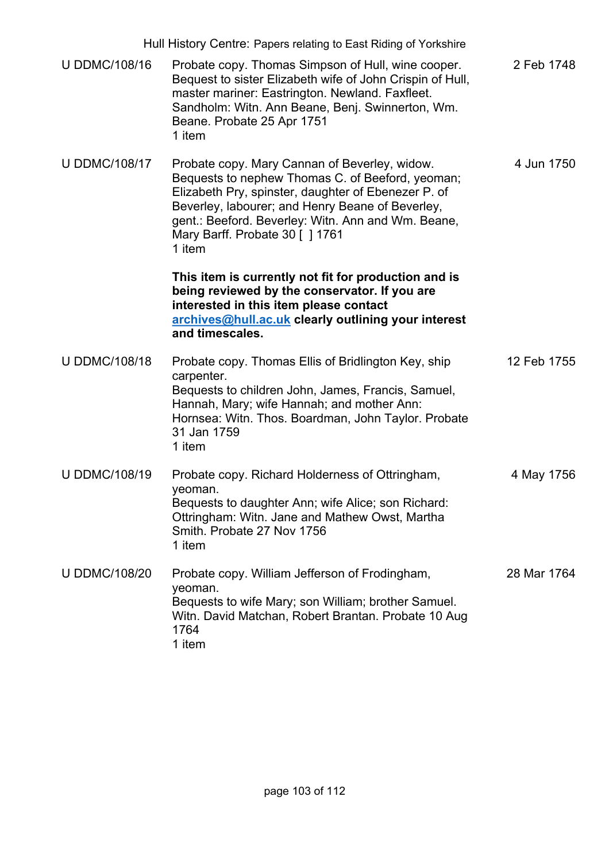| Hull History Centre: Papers relating to East Riding of Yorkshire |                                                                                                                                                                                                                                                                                                                 |             |
|------------------------------------------------------------------|-----------------------------------------------------------------------------------------------------------------------------------------------------------------------------------------------------------------------------------------------------------------------------------------------------------------|-------------|
| <b>U DDMC/108/16</b>                                             | Probate copy. Thomas Simpson of Hull, wine cooper.<br>Bequest to sister Elizabeth wife of John Crispin of Hull,<br>master mariner: Eastrington. Newland. Faxfleet.<br>Sandholm: Witn. Ann Beane, Benj. Swinnerton, Wm.<br>Beane. Probate 25 Apr 1751<br>1 item                                                  | 2 Feb 1748  |
| <b>U DDMC/108/17</b>                                             | Probate copy. Mary Cannan of Beverley, widow.<br>Bequests to nephew Thomas C. of Beeford, yeoman;<br>Elizabeth Pry, spinster, daughter of Ebenezer P. of<br>Beverley, labourer; and Henry Beane of Beverley,<br>gent.: Beeford. Beverley: Witn. Ann and Wm. Beane,<br>Mary Barff. Probate 30 [ ] 1761<br>1 item | 4 Jun 1750  |
|                                                                  | This item is currently not fit for production and is<br>being reviewed by the conservator. If you are<br>interested in this item please contact<br>archives@hull.ac.uk clearly outlining your interest<br>and timescales.                                                                                       |             |
| <b>U DDMC/108/18</b>                                             | Probate copy. Thomas Ellis of Bridlington Key, ship<br>carpenter.<br>Bequests to children John, James, Francis, Samuel,<br>Hannah, Mary; wife Hannah; and mother Ann:<br>Hornsea: Witn. Thos. Boardman, John Taylor. Probate<br>31 Jan 1759<br>1 item                                                           | 12 Feb 1755 |
| <b>U DDMC/108/19</b>                                             | Probate copy. Richard Holderness of Ottringham,<br>yeoman.<br>Bequests to daughter Ann; wife Alice; son Richard:<br>Ottringham: Witn. Jane and Mathew Owst, Martha<br>Smith. Probate 27 Nov 1756<br>1 item                                                                                                      | 4 May 1756  |
| <b>U DDMC/108/20</b>                                             | Probate copy. William Jefferson of Frodingham,<br>yeoman.<br>Bequests to wife Mary; son William; brother Samuel.<br>Witn. David Matchan, Robert Brantan. Probate 10 Aug<br>1764<br>1 item                                                                                                                       | 28 Mar 1764 |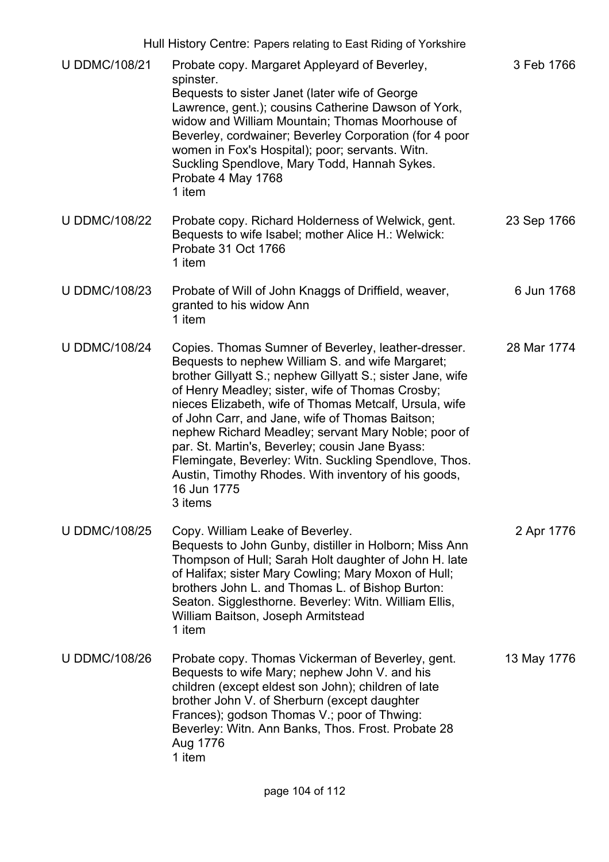| Hull History Centre: Papers relating to East Riding of Yorkshire |                                                                                                                                                                                                                                                                                                                                                                                                                                                                                                                                                                                             |             |
|------------------------------------------------------------------|---------------------------------------------------------------------------------------------------------------------------------------------------------------------------------------------------------------------------------------------------------------------------------------------------------------------------------------------------------------------------------------------------------------------------------------------------------------------------------------------------------------------------------------------------------------------------------------------|-------------|
| <b>U DDMC/108/21</b>                                             | Probate copy. Margaret Appleyard of Beverley,<br>spinster.<br>Bequests to sister Janet (later wife of George<br>Lawrence, gent.); cousins Catherine Dawson of York,<br>widow and William Mountain; Thomas Moorhouse of<br>Beverley, cordwainer; Beverley Corporation (for 4 poor<br>women in Fox's Hospital); poor; servants. Witn.<br>Suckling Spendlove, Mary Todd, Hannah Sykes.<br>Probate 4 May 1768<br>1 item                                                                                                                                                                         | 3 Feb 1766  |
| <b>U DDMC/108/22</b>                                             | Probate copy. Richard Holderness of Welwick, gent.<br>Bequests to wife Isabel; mother Alice H.: Welwick:<br>Probate 31 Oct 1766<br>1 item                                                                                                                                                                                                                                                                                                                                                                                                                                                   | 23 Sep 1766 |
| <b>U DDMC/108/23</b>                                             | Probate of Will of John Knaggs of Driffield, weaver,<br>granted to his widow Ann<br>1 item                                                                                                                                                                                                                                                                                                                                                                                                                                                                                                  | 6 Jun 1768  |
| <b>U DDMC/108/24</b>                                             | Copies. Thomas Sumner of Beverley, leather-dresser.<br>Bequests to nephew William S. and wife Margaret;<br>brother Gillyatt S.; nephew Gillyatt S.; sister Jane, wife<br>of Henry Meadley; sister, wife of Thomas Crosby;<br>nieces Elizabeth, wife of Thomas Metcalf, Ursula, wife<br>of John Carr, and Jane, wife of Thomas Baitson;<br>nephew Richard Meadley; servant Mary Noble; poor of<br>par. St. Martin's, Beverley; cousin Jane Byass:<br>Flemingate, Beverley: Witn. Suckling Spendlove, Thos.<br>Austin, Timothy Rhodes. With inventory of his goods,<br>16 Jun 1775<br>3 items | 28 Mar 1774 |
| <b>U DDMC/108/25</b>                                             | Copy. William Leake of Beverley.<br>Bequests to John Gunby, distiller in Holborn; Miss Ann<br>Thompson of Hull; Sarah Holt daughter of John H. late<br>of Halifax; sister Mary Cowling; Mary Moxon of Hull;<br>brothers John L. and Thomas L. of Bishop Burton:<br>Seaton. Sigglesthorne. Beverley: Witn. William Ellis,<br>William Baitson, Joseph Armitstead<br>1 item                                                                                                                                                                                                                    | 2 Apr 1776  |
| <b>U DDMC/108/26</b>                                             | Probate copy. Thomas Vickerman of Beverley, gent.<br>Bequests to wife Mary; nephew John V. and his<br>children (except eldest son John); children of late<br>brother John V. of Sherburn (except daughter<br>Frances); godson Thomas V .; poor of Thwing:<br>Beverley: Witn. Ann Banks, Thos. Frost. Probate 28<br>Aug 1776<br>1 item                                                                                                                                                                                                                                                       | 13 May 1776 |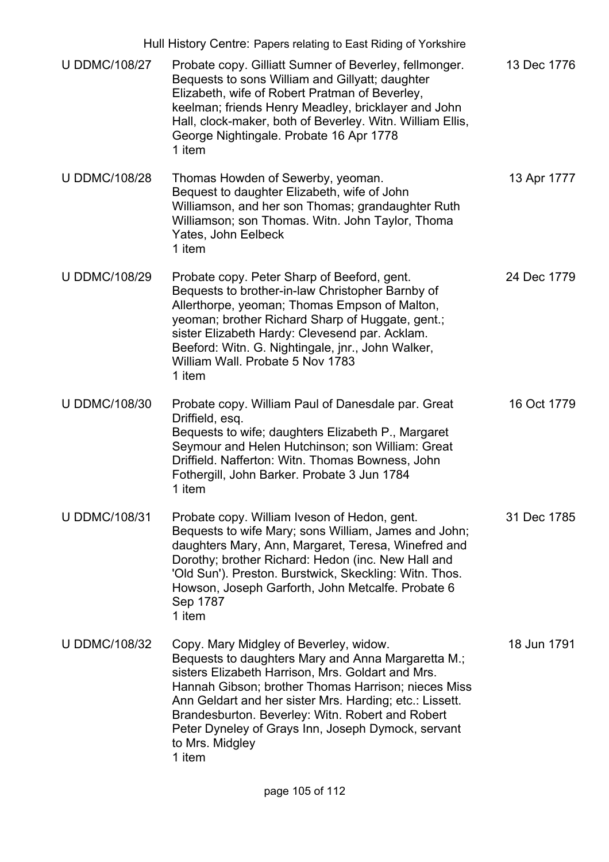| Hull History Centre: Papers relating to East Riding of Yorkshire |                                                                                                                                                                                                                                                                                                                                                                                                            |             |
|------------------------------------------------------------------|------------------------------------------------------------------------------------------------------------------------------------------------------------------------------------------------------------------------------------------------------------------------------------------------------------------------------------------------------------------------------------------------------------|-------------|
| <b>U DDMC/108/27</b>                                             | Probate copy. Gilliatt Sumner of Beverley, fellmonger.<br>Bequests to sons William and Gillyatt; daughter<br>Elizabeth, wife of Robert Pratman of Beverley,<br>keelman; friends Henry Meadley, bricklayer and John<br>Hall, clock-maker, both of Beverley. Witn. William Ellis,<br>George Nightingale. Probate 16 Apr 1778<br>1 item                                                                       | 13 Dec 1776 |
| <b>U DDMC/108/28</b>                                             | Thomas Howden of Sewerby, yeoman.<br>Bequest to daughter Elizabeth, wife of John<br>Williamson, and her son Thomas; grandaughter Ruth<br>Williamson; son Thomas. Witn. John Taylor, Thoma<br>Yates, John Eelbeck<br>1 item                                                                                                                                                                                 | 13 Apr 1777 |
| <b>U DDMC/108/29</b>                                             | Probate copy. Peter Sharp of Beeford, gent.<br>Bequests to brother-in-law Christopher Barnby of<br>Allerthorpe, yeoman; Thomas Empson of Malton,<br>yeoman; brother Richard Sharp of Huggate, gent.;<br>sister Elizabeth Hardy: Clevesend par. Acklam.<br>Beeford: Witn. G. Nightingale, jnr., John Walker,<br>William Wall, Probate 5 Nov 1783<br>1 item                                                  | 24 Dec 1779 |
| <b>U DDMC/108/30</b>                                             | Probate copy. William Paul of Danesdale par. Great<br>Driffield, esq.<br>Bequests to wife; daughters Elizabeth P., Margaret<br>Seymour and Helen Hutchinson; son William: Great<br>Driffield. Nafferton: Witn. Thomas Bowness, John<br>Fothergill, John Barker. Probate 3 Jun 1784<br>1 item                                                                                                               | 16 Oct 1779 |
| <b>U DDMC/108/31</b>                                             | Probate copy. William Iveson of Hedon, gent.<br>Bequests to wife Mary; sons William, James and John;<br>daughters Mary, Ann, Margaret, Teresa, Winefred and<br>Dorothy; brother Richard: Hedon (inc. New Hall and<br>'Old Sun'). Preston. Burstwick, Skeckling: Witn. Thos.<br>Howson, Joseph Garforth, John Metcalfe. Probate 6<br>Sep 1787<br>1 item                                                     | 31 Dec 1785 |
| <b>U DDMC/108/32</b>                                             | Copy. Mary Midgley of Beverley, widow.<br>Bequests to daughters Mary and Anna Margaretta M.;<br>sisters Elizabeth Harrison, Mrs. Goldart and Mrs.<br>Hannah Gibson; brother Thomas Harrison; nieces Miss<br>Ann Geldart and her sister Mrs. Harding; etc.: Lissett.<br>Brandesburton. Beverley: Witn. Robert and Robert<br>Peter Dyneley of Grays Inn, Joseph Dymock, servant<br>to Mrs. Midgley<br>1 item | 18 Jun 1791 |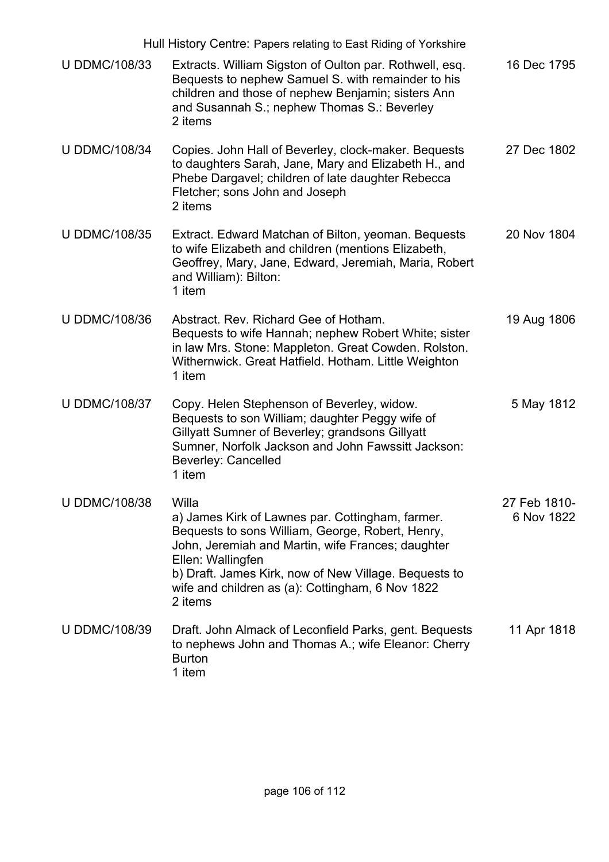| Hull History Centre: Papers relating to East Riding of Yorkshire |                                                                                                                                                                                                                                                                                                                 |                            |
|------------------------------------------------------------------|-----------------------------------------------------------------------------------------------------------------------------------------------------------------------------------------------------------------------------------------------------------------------------------------------------------------|----------------------------|
| <b>U DDMC/108/33</b>                                             | Extracts. William Sigston of Oulton par. Rothwell, esq.<br>Bequests to nephew Samuel S. with remainder to his<br>children and those of nephew Benjamin; sisters Ann<br>and Susannah S.; nephew Thomas S.: Beverley<br>2 items                                                                                   | 16 Dec 1795                |
| <b>U DDMC/108/34</b>                                             | Copies. John Hall of Beverley, clock-maker. Bequests<br>to daughters Sarah, Jane, Mary and Elizabeth H., and<br>Phebe Dargavel; children of late daughter Rebecca<br>Fletcher; sons John and Joseph<br>2 items                                                                                                  | 27 Dec 1802                |
| <b>U DDMC/108/35</b>                                             | Extract. Edward Matchan of Bilton, yeoman. Bequests<br>to wife Elizabeth and children (mentions Elizabeth,<br>Geoffrey, Mary, Jane, Edward, Jeremiah, Maria, Robert<br>and William): Bilton:<br>1 item                                                                                                          | 20 Nov 1804                |
| <b>U DDMC/108/36</b>                                             | Abstract. Rev. Richard Gee of Hotham.<br>Bequests to wife Hannah; nephew Robert White; sister<br>in law Mrs. Stone: Mappleton. Great Cowden. Rolston.<br>Withernwick. Great Hatfield. Hotham. Little Weighton<br>1 item                                                                                         | 19 Aug 1806                |
| <b>U DDMC/108/37</b>                                             | Copy. Helen Stephenson of Beverley, widow.<br>Bequests to son William; daughter Peggy wife of<br>Gillyatt Sumner of Beverley; grandsons Gillyatt<br>Sumner, Norfolk Jackson and John Fawssitt Jackson:<br><b>Beverley: Cancelled</b><br>1 item                                                                  | 5 May 1812                 |
| <b>U DDMC/108/38</b>                                             | Willa<br>a) James Kirk of Lawnes par. Cottingham, farmer.<br>Bequests to sons William, George, Robert, Henry,<br>John, Jeremiah and Martin, wife Frances; daughter<br>Ellen: Wallingfen<br>b) Draft. James Kirk, now of New Village. Bequests to<br>wife and children as (a): Cottingham, 6 Nov 1822<br>2 items | 27 Feb 1810-<br>6 Nov 1822 |
| <b>U DDMC/108/39</b>                                             | Draft. John Almack of Leconfield Parks, gent. Bequests<br>to nephews John and Thomas A.; wife Eleanor: Cherry<br><b>Burton</b><br>1 item                                                                                                                                                                        | 11 Apr 1818                |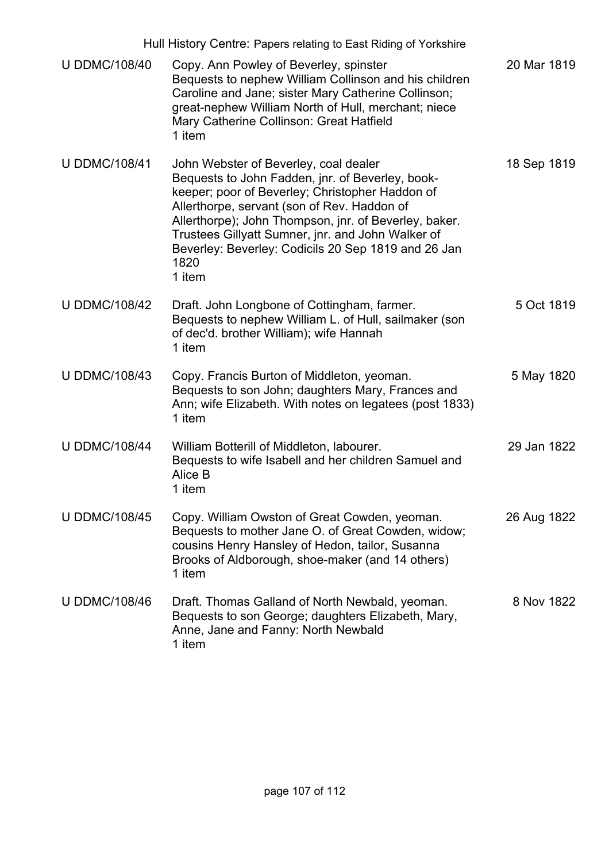| Hull History Centre: Papers relating to East Riding of Yorkshire |                                                                                                                                                                                                                                                                                                                                                                                    |             |
|------------------------------------------------------------------|------------------------------------------------------------------------------------------------------------------------------------------------------------------------------------------------------------------------------------------------------------------------------------------------------------------------------------------------------------------------------------|-------------|
| <b>U DDMC/108/40</b>                                             | Copy. Ann Powley of Beverley, spinster<br>Bequests to nephew William Collinson and his children<br>Caroline and Jane; sister Mary Catherine Collinson;<br>great-nephew William North of Hull, merchant; niece<br>Mary Catherine Collinson: Great Hatfield<br>1 item                                                                                                                | 20 Mar 1819 |
| <b>U DDMC/108/41</b>                                             | John Webster of Beverley, coal dealer<br>Bequests to John Fadden, jnr. of Beverley, book-<br>keeper; poor of Beverley; Christopher Haddon of<br>Allerthorpe, servant (son of Rev. Haddon of<br>Allerthorpe); John Thompson, jnr. of Beverley, baker.<br>Trustees Gillyatt Sumner, jnr. and John Walker of<br>Beverley: Beverley: Codicils 20 Sep 1819 and 26 Jan<br>1820<br>1 item | 18 Sep 1819 |
| <b>U DDMC/108/42</b>                                             | Draft. John Longbone of Cottingham, farmer.<br>Bequests to nephew William L. of Hull, sailmaker (son<br>of dec'd. brother William); wife Hannah<br>1 item                                                                                                                                                                                                                          | 5 Oct 1819  |
| <b>U DDMC/108/43</b>                                             | Copy. Francis Burton of Middleton, yeoman.<br>Bequests to son John; daughters Mary, Frances and<br>Ann; wife Elizabeth. With notes on legatees (post 1833)<br>1 item                                                                                                                                                                                                               | 5 May 1820  |
| <b>U DDMC/108/44</b>                                             | William Botterill of Middleton, labourer.<br>Bequests to wife Isabell and her children Samuel and<br>Alice B<br>1 item                                                                                                                                                                                                                                                             | 29 Jan 1822 |
| <b>U DDMC/108/45</b>                                             | Copy. William Owston of Great Cowden, yeoman.<br>Bequests to mother Jane O. of Great Cowden, widow;<br>cousins Henry Hansley of Hedon, tailor, Susanna<br>Brooks of Aldborough, shoe-maker (and 14 others)<br>1 item                                                                                                                                                               | 26 Aug 1822 |
| <b>U DDMC/108/46</b>                                             | Draft. Thomas Galland of North Newbald, yeoman.<br>Bequests to son George; daughters Elizabeth, Mary,<br>Anne, Jane and Fanny: North Newbald<br>1 item                                                                                                                                                                                                                             | 8 Nov 1822  |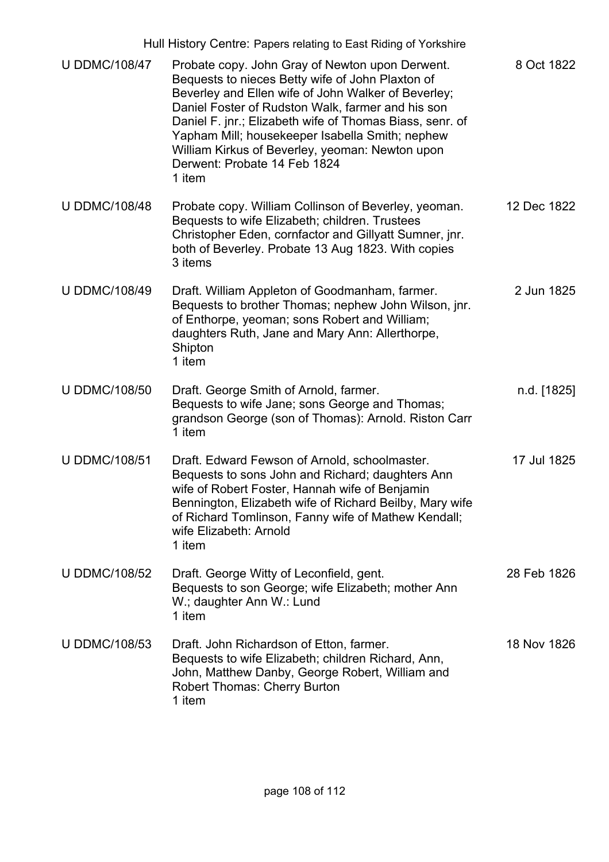| Hull History Centre: Papers relating to East Riding of Yorkshire |                                                                                                                                                                                                                                                                                                                                                                                                                             |             |
|------------------------------------------------------------------|-----------------------------------------------------------------------------------------------------------------------------------------------------------------------------------------------------------------------------------------------------------------------------------------------------------------------------------------------------------------------------------------------------------------------------|-------------|
| <b>U DDMC/108/47</b>                                             | Probate copy. John Gray of Newton upon Derwent.<br>Bequests to nieces Betty wife of John Plaxton of<br>Beverley and Ellen wife of John Walker of Beverley;<br>Daniel Foster of Rudston Walk, farmer and his son<br>Daniel F. jnr.; Elizabeth wife of Thomas Biass, senr. of<br>Yapham Mill; housekeeper Isabella Smith; nephew<br>William Kirkus of Beverley, yeoman: Newton upon<br>Derwent: Probate 14 Feb 1824<br>1 item | 8 Oct 1822  |
| <b>U DDMC/108/48</b>                                             | Probate copy. William Collinson of Beverley, yeoman.<br>Bequests to wife Elizabeth; children. Trustees<br>Christopher Eden, cornfactor and Gillyatt Sumner, jnr.<br>both of Beverley. Probate 13 Aug 1823. With copies<br>3 items                                                                                                                                                                                           | 12 Dec 1822 |
| <b>U DDMC/108/49</b>                                             | Draft. William Appleton of Goodmanham, farmer.<br>Bequests to brother Thomas; nephew John Wilson, jnr.<br>of Enthorpe, yeoman; sons Robert and William;<br>daughters Ruth, Jane and Mary Ann: Allerthorpe,<br>Shipton<br>1 item                                                                                                                                                                                             | 2 Jun 1825  |
| <b>U DDMC/108/50</b>                                             | Draft. George Smith of Arnold, farmer.<br>Bequests to wife Jane; sons George and Thomas;<br>grandson George (son of Thomas): Arnold. Riston Carr<br>1 item                                                                                                                                                                                                                                                                  | n.d. [1825] |
| <b>U DDMC/108/51</b>                                             | Draft. Edward Fewson of Arnold, schoolmaster.<br>Bequests to sons John and Richard; daughters Ann<br>wife of Robert Foster, Hannah wife of Benjamin<br>Bennington, Elizabeth wife of Richard Beilby, Mary wife<br>of Richard Tomlinson, Fanny wife of Mathew Kendall;<br>wife Elizabeth: Arnold<br>1 item                                                                                                                   | 17 Jul 1825 |
| <b>U DDMC/108/52</b>                                             | Draft. George Witty of Leconfield, gent.<br>Bequests to son George; wife Elizabeth; mother Ann<br>W.; daughter Ann W.: Lund<br>1 item                                                                                                                                                                                                                                                                                       | 28 Feb 1826 |
| <b>U DDMC/108/53</b>                                             | Draft. John Richardson of Etton, farmer.<br>Bequests to wife Elizabeth; children Richard, Ann,<br>John, Matthew Danby, George Robert, William and<br><b>Robert Thomas: Cherry Burton</b><br>1 item                                                                                                                                                                                                                          | 18 Nov 1826 |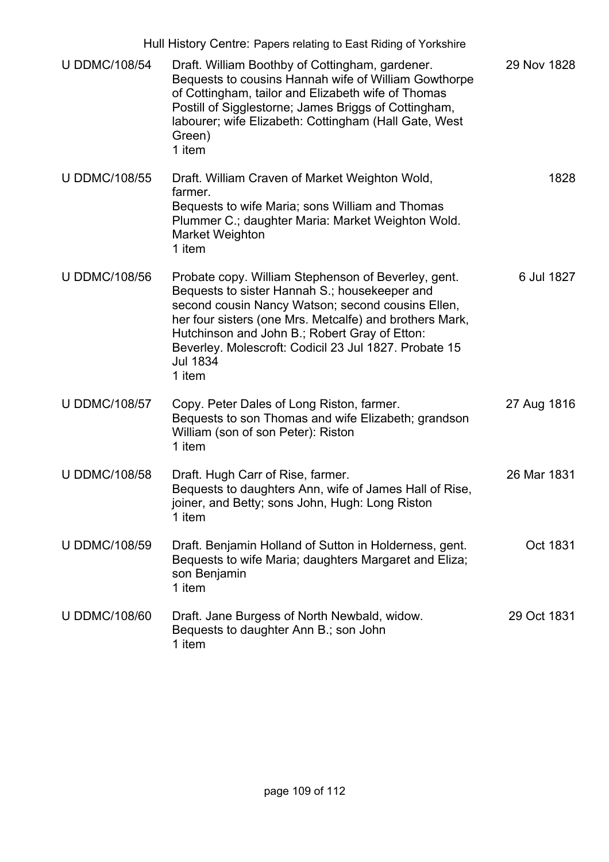| Hull History Centre: Papers relating to East Riding of Yorkshire |                                                                                                                                                                                                                                                                                                                                                             |             |
|------------------------------------------------------------------|-------------------------------------------------------------------------------------------------------------------------------------------------------------------------------------------------------------------------------------------------------------------------------------------------------------------------------------------------------------|-------------|
| <b>U DDMC/108/54</b>                                             | Draft. William Boothby of Cottingham, gardener.<br>Bequests to cousins Hannah wife of William Gowthorpe<br>of Cottingham, tailor and Elizabeth wife of Thomas<br>Postill of Sigglestorne; James Briggs of Cottingham,<br>labourer; wife Elizabeth: Cottingham (Hall Gate, West<br>Green)<br>1 item                                                          | 29 Nov 1828 |
| <b>U DDMC/108/55</b>                                             | Draft. William Craven of Market Weighton Wold,<br>farmer.<br>Bequests to wife Maria; sons William and Thomas<br>Plummer C.; daughter Maria: Market Weighton Wold.<br>Market Weighton<br>1 item                                                                                                                                                              | 1828        |
| <b>U DDMC/108/56</b>                                             | Probate copy. William Stephenson of Beverley, gent.<br>Bequests to sister Hannah S.; housekeeper and<br>second cousin Nancy Watson; second cousins Ellen,<br>her four sisters (one Mrs. Metcalfe) and brothers Mark,<br>Hutchinson and John B.; Robert Gray of Etton:<br>Beverley. Molescroft: Codicil 23 Jul 1827. Probate 15<br><b>Jul 1834</b><br>1 item | 6 Jul 1827  |
| <b>U DDMC/108/57</b>                                             | Copy. Peter Dales of Long Riston, farmer.<br>Bequests to son Thomas and wife Elizabeth; grandson<br>William (son of son Peter): Riston<br>1 item                                                                                                                                                                                                            | 27 Aug 1816 |
| <b>U DDMC/108/58</b>                                             | Draft. Hugh Carr of Rise, farmer.<br>Bequests to daughters Ann, wife of James Hall of Rise,<br>joiner, and Betty; sons John, Hugh: Long Riston<br>1 item                                                                                                                                                                                                    | 26 Mar 1831 |
| <b>U DDMC/108/59</b>                                             | Draft. Benjamin Holland of Sutton in Holderness, gent.<br>Bequests to wife Maria; daughters Margaret and Eliza;<br>son Benjamin<br>1 item                                                                                                                                                                                                                   | Oct 1831    |
| <b>U DDMC/108/60</b>                                             | Draft. Jane Burgess of North Newbald, widow.<br>Bequests to daughter Ann B.; son John<br>1 item                                                                                                                                                                                                                                                             | 29 Oct 1831 |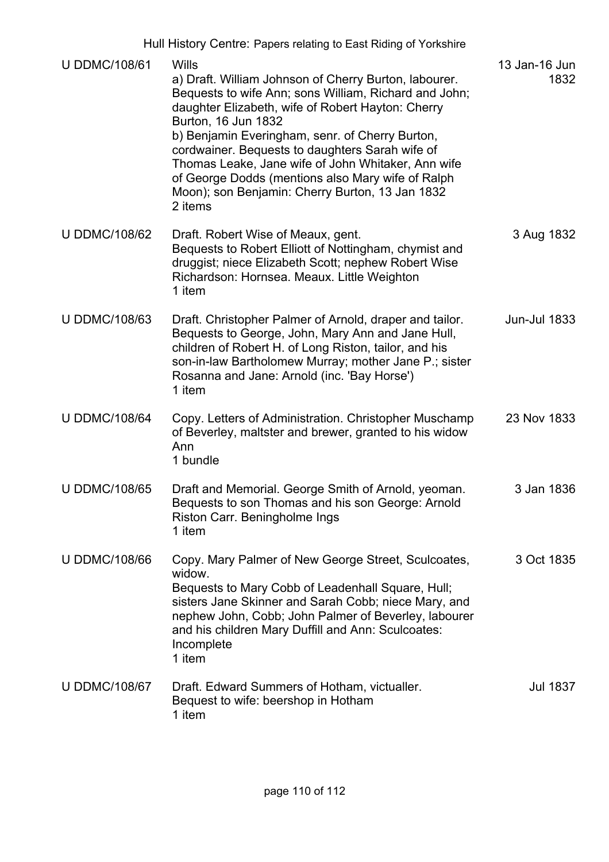|                      | Hull History Centre: Papers relating to East Riding of Yorkshire                                                                                                                                                                                                                                                                                                                                                                                                                   |                       |
|----------------------|------------------------------------------------------------------------------------------------------------------------------------------------------------------------------------------------------------------------------------------------------------------------------------------------------------------------------------------------------------------------------------------------------------------------------------------------------------------------------------|-----------------------|
| <b>U DDMC/108/61</b> | Wills<br>a) Draft. William Johnson of Cherry Burton, labourer.<br>Bequests to wife Ann; sons William, Richard and John;<br>daughter Elizabeth, wife of Robert Hayton: Cherry<br>Burton, 16 Jun 1832<br>b) Benjamin Everingham, senr. of Cherry Burton,<br>cordwainer. Bequests to daughters Sarah wife of<br>Thomas Leake, Jane wife of John Whitaker, Ann wife<br>of George Dodds (mentions also Mary wife of Ralph<br>Moon); son Benjamin: Cherry Burton, 13 Jan 1832<br>2 items | 13 Jan-16 Jun<br>1832 |
| <b>U DDMC/108/62</b> | Draft. Robert Wise of Meaux, gent.<br>Bequests to Robert Elliott of Nottingham, chymist and<br>druggist; niece Elizabeth Scott; nephew Robert Wise<br>Richardson: Hornsea. Meaux. Little Weighton<br>1 item                                                                                                                                                                                                                                                                        | 3 Aug 1832            |
| <b>U DDMC/108/63</b> | Draft. Christopher Palmer of Arnold, draper and tailor.<br>Bequests to George, John, Mary Ann and Jane Hull,<br>children of Robert H. of Long Riston, tailor, and his<br>son-in-law Bartholomew Murray; mother Jane P .; sister<br>Rosanna and Jane: Arnold (inc. 'Bay Horse')<br>1 item                                                                                                                                                                                           | <b>Jun-Jul 1833</b>   |
| <b>U DDMC/108/64</b> | Copy. Letters of Administration. Christopher Muschamp<br>of Beverley, maltster and brewer, granted to his widow<br>Ann<br>1 bundle                                                                                                                                                                                                                                                                                                                                                 | 23 Nov 1833           |
| <b>U DDMC/108/65</b> | Draft and Memorial. George Smith of Arnold, yeoman.<br>Bequests to son Thomas and his son George: Arnold<br>Riston Carr. Beningholme Ings<br>1 item                                                                                                                                                                                                                                                                                                                                | 3 Jan 1836            |
| <b>U DDMC/108/66</b> | Copy. Mary Palmer of New George Street, Sculcoates,<br>widow.<br>Bequests to Mary Cobb of Leadenhall Square, Hull;<br>sisters Jane Skinner and Sarah Cobb; niece Mary, and<br>nephew John, Cobb; John Palmer of Beverley, labourer<br>and his children Mary Duffill and Ann: Sculcoates:<br>Incomplete<br>1 item                                                                                                                                                                   | 3 Oct 1835            |
| <b>U DDMC/108/67</b> | Draft. Edward Summers of Hotham, victualler.<br>Bequest to wife: beershop in Hotham<br>1 item                                                                                                                                                                                                                                                                                                                                                                                      | <b>Jul 1837</b>       |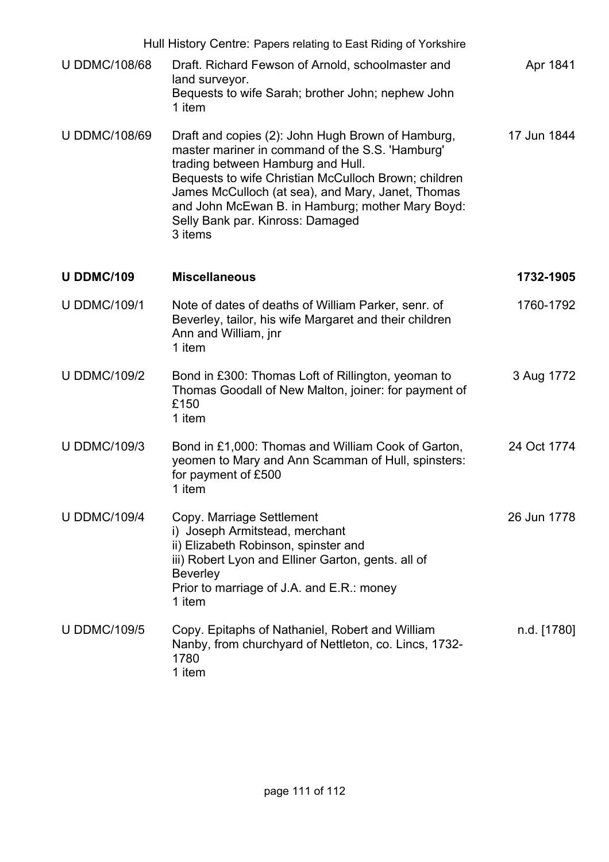| Hull History Centre: Papers relating to East Riding of Yorkshire |                                                                                                                                                                                                                                                                                                                                                           |             |  |  |
|------------------------------------------------------------------|-----------------------------------------------------------------------------------------------------------------------------------------------------------------------------------------------------------------------------------------------------------------------------------------------------------------------------------------------------------|-------------|--|--|
| <b>U DDMC/108/68</b>                                             | Draft. Richard Fewson of Arnold, schoolmaster and<br>land surveyor.<br>Bequests to wife Sarah; brother John; nephew John<br>1 item                                                                                                                                                                                                                        | Apr 1841    |  |  |
| <b>U DDMC/108/69</b>                                             | Draft and copies (2): John Hugh Brown of Hamburg,<br>master mariner in command of the S.S. 'Hamburg'<br>trading between Hamburg and Hull.<br>Bequests to wife Christian McCulloch Brown; children<br>James McCulloch (at sea), and Mary, Janet, Thomas<br>and John McEwan B. in Hamburg; mother Mary Boyd:<br>Selly Bank par. Kinross: Damaged<br>3 items | 17 Jun 1844 |  |  |
| <b>U DDMC/109</b>                                                | <b>Miscellaneous</b>                                                                                                                                                                                                                                                                                                                                      | 1732-1905   |  |  |
| <b>U DDMC/109/1</b>                                              | Note of dates of deaths of William Parker, senr. of<br>Beverley, tailor, his wife Margaret and their children<br>Ann and William, jnr<br>1 item                                                                                                                                                                                                           | 1760-1792   |  |  |
| <b>U DDMC/109/2</b>                                              | Bond in £300: Thomas Loft of Rillington, yeoman to<br>Thomas Goodall of New Malton, joiner: for payment of<br>£150<br>1 item                                                                                                                                                                                                                              | 3 Aug 1772  |  |  |
| <b>U DDMC/109/3</b>                                              | Bond in £1,000: Thomas and William Cook of Garton,<br>yeomen to Mary and Ann Scamman of Hull, spinsters:<br>for payment of £500<br>1 item                                                                                                                                                                                                                 | 24 Oct 1774 |  |  |
| <b>U DDMC/109/4</b>                                              | Copy. Marriage Settlement<br>i) Joseph Armitstead, merchant<br>ii) Elizabeth Robinson, spinster and<br>iii) Robert Lyon and Elliner Garton, gents. all of<br><b>Beverley</b><br>Prior to marriage of J.A. and E.R.: money<br>1 item                                                                                                                       | 26 Jun 1778 |  |  |
| <b>U DDMC/109/5</b>                                              | Copy. Epitaphs of Nathaniel, Robert and William<br>Nanby, from churchyard of Nettleton, co. Lincs, 1732-<br>1780<br>1 item                                                                                                                                                                                                                                | n.d. [1780] |  |  |